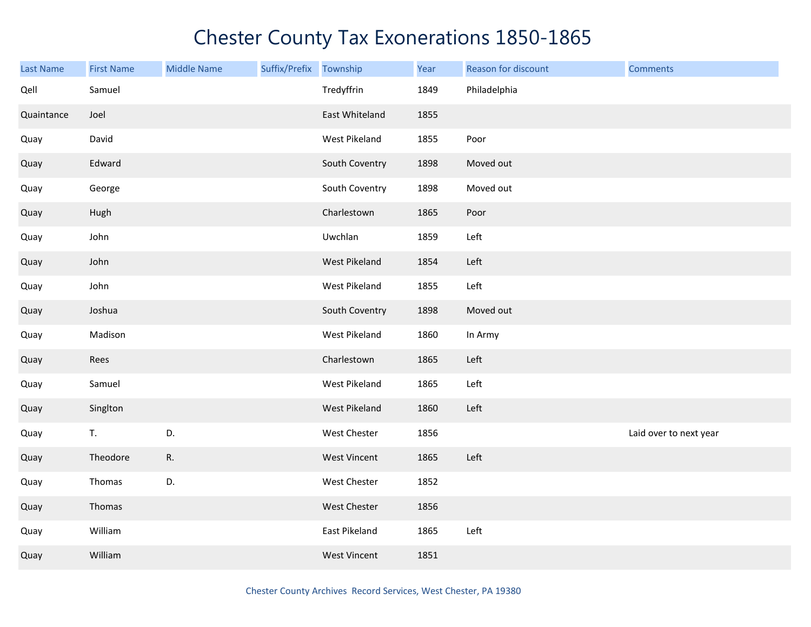| <b>Last Name</b> | <b>First Name</b> | <b>Middle Name</b> | Suffix/Prefix | Township            | Year | Reason for discount | <b>Comments</b>        |
|------------------|-------------------|--------------------|---------------|---------------------|------|---------------------|------------------------|
| Qell             | Samuel            |                    |               | Tredyffrin          | 1849 | Philadelphia        |                        |
| Quaintance       | Joel              |                    |               | East Whiteland      | 1855 |                     |                        |
| Quay             | David             |                    |               | West Pikeland       | 1855 | Poor                |                        |
| Quay             | Edward            |                    |               | South Coventry      | 1898 | Moved out           |                        |
| Quay             | George            |                    |               | South Coventry      | 1898 | Moved out           |                        |
| Quay             | Hugh              |                    |               | Charlestown         | 1865 | Poor                |                        |
| Quay             | John              |                    |               | Uwchlan             | 1859 | Left                |                        |
| Quay             | John              |                    |               | West Pikeland       | 1854 | Left                |                        |
| Quay             | John              |                    |               | West Pikeland       | 1855 | Left                |                        |
| Quay             | Joshua            |                    |               | South Coventry      | 1898 | Moved out           |                        |
| Quay             | Madison           |                    |               | West Pikeland       | 1860 | In Army             |                        |
| Quay             | Rees              |                    |               | Charlestown         | 1865 | Left                |                        |
| Quay             | Samuel            |                    |               | West Pikeland       | 1865 | Left                |                        |
| Quay             | Singlton          |                    |               | West Pikeland       | 1860 | Left                |                        |
| Quay             | T.                | D.                 |               | West Chester        | 1856 |                     | Laid over to next year |
| Quay             | Theodore          | R.                 |               | <b>West Vincent</b> | 1865 | Left                |                        |
| Quay             | Thomas            | D.                 |               | West Chester        | 1852 |                     |                        |
| Quay             | Thomas            |                    |               | West Chester        | 1856 |                     |                        |
| Quay             | William           |                    |               | East Pikeland       | 1865 | Left                |                        |
| Quay             | William           |                    |               | <b>West Vincent</b> | 1851 |                     |                        |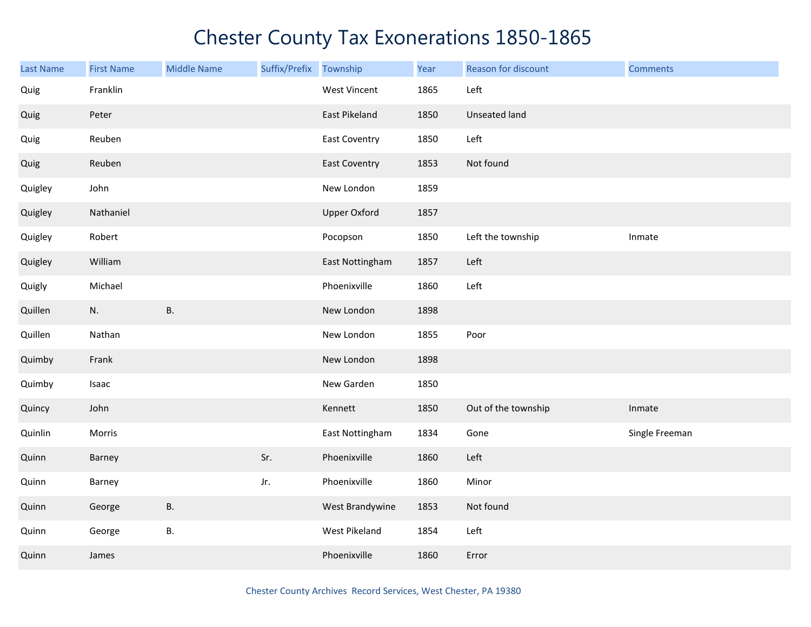| Last Name | <b>First Name</b> | <b>Middle Name</b> | Suffix/Prefix Township |                      | Year | Reason for discount | <b>Comments</b> |
|-----------|-------------------|--------------------|------------------------|----------------------|------|---------------------|-----------------|
| Quig      | Franklin          |                    |                        | <b>West Vincent</b>  | 1865 | Left                |                 |
| Quig      | Peter             |                    |                        | East Pikeland        | 1850 | Unseated land       |                 |
| Quig      | Reuben            |                    |                        | <b>East Coventry</b> | 1850 | Left                |                 |
| Quig      | Reuben            |                    |                        | <b>East Coventry</b> | 1853 | Not found           |                 |
| Quigley   | John              |                    |                        | New London           | 1859 |                     |                 |
| Quigley   | Nathaniel         |                    |                        | <b>Upper Oxford</b>  | 1857 |                     |                 |
| Quigley   | Robert            |                    |                        | Pocopson             | 1850 | Left the township   | Inmate          |
| Quigley   | William           |                    |                        | East Nottingham      | 1857 | Left                |                 |
| Quigly    | Michael           |                    |                        | Phoenixville         | 1860 | Left                |                 |
| Quillen   | N.                | <b>B.</b>          |                        | New London           | 1898 |                     |                 |
| Quillen   | Nathan            |                    |                        | New London           | 1855 | Poor                |                 |
| Quimby    | Frank             |                    |                        | New London           | 1898 |                     |                 |
| Quimby    | Isaac             |                    |                        | New Garden           | 1850 |                     |                 |
| Quincy    | John              |                    |                        | Kennett              | 1850 | Out of the township | Inmate          |
| Quinlin   | Morris            |                    |                        | East Nottingham      | 1834 | Gone                | Single Freeman  |
| Quinn     | Barney            |                    | Sr.                    | Phoenixville         | 1860 | Left                |                 |
| Quinn     | Barney            |                    | Jr.                    | Phoenixville         | 1860 | Minor               |                 |
| Quinn     | George            | <b>B.</b>          |                        | West Brandywine      | 1853 | Not found           |                 |
| Quinn     | George            | В.                 |                        | West Pikeland        | 1854 | Left                |                 |
| Quinn     | James             |                    |                        | Phoenixville         | 1860 | Error               |                 |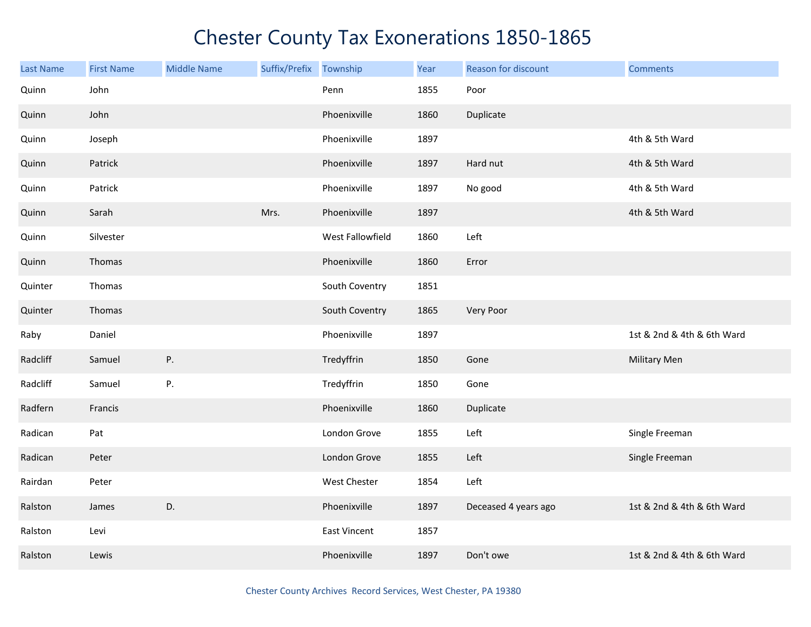| <b>Last Name</b> | <b>First Name</b> | <b>Middle Name</b> | Suffix/Prefix | Township            | Year | Reason for discount  | <b>Comments</b>            |
|------------------|-------------------|--------------------|---------------|---------------------|------|----------------------|----------------------------|
| Quinn            | John              |                    |               | Penn                | 1855 | Poor                 |                            |
| Quinn            | John              |                    |               | Phoenixville        | 1860 | Duplicate            |                            |
| Quinn            | Joseph            |                    |               | Phoenixville        | 1897 |                      | 4th & 5th Ward             |
| Quinn            | Patrick           |                    |               | Phoenixville        | 1897 | Hard nut             | 4th & 5th Ward             |
| Quinn            | Patrick           |                    |               | Phoenixville        | 1897 | No good              | 4th & 5th Ward             |
| Quinn            | Sarah             |                    | Mrs.          | Phoenixville        | 1897 |                      | 4th & 5th Ward             |
| Quinn            | Silvester         |                    |               | West Fallowfield    | 1860 | Left                 |                            |
| Quinn            | Thomas            |                    |               | Phoenixville        | 1860 | Error                |                            |
| Quinter          | Thomas            |                    |               | South Coventry      | 1851 |                      |                            |
| Quinter          | Thomas            |                    |               | South Coventry      | 1865 | Very Poor            |                            |
| Raby             | Daniel            |                    |               | Phoenixville        | 1897 |                      | 1st & 2nd & 4th & 6th Ward |
| Radcliff         | Samuel            | Ρ.                 |               | Tredyffrin          | 1850 | Gone                 | <b>Military Men</b>        |
| Radcliff         | Samuel            | P.                 |               | Tredyffrin          | 1850 | Gone                 |                            |
| Radfern          | Francis           |                    |               | Phoenixville        | 1860 | Duplicate            |                            |
| Radican          | Pat               |                    |               | London Grove        | 1855 | Left                 | Single Freeman             |
| Radican          | Peter             |                    |               | London Grove        | 1855 | Left                 | Single Freeman             |
| Rairdan          | Peter             |                    |               | West Chester        | 1854 | Left                 |                            |
| Ralston          | James             | D.                 |               | Phoenixville        | 1897 | Deceased 4 years ago | 1st & 2nd & 4th & 6th Ward |
| Ralston          | Levi              |                    |               | <b>East Vincent</b> | 1857 |                      |                            |
| Ralston          | Lewis             |                    |               | Phoenixville        | 1897 | Don't owe            | 1st & 2nd & 4th & 6th Ward |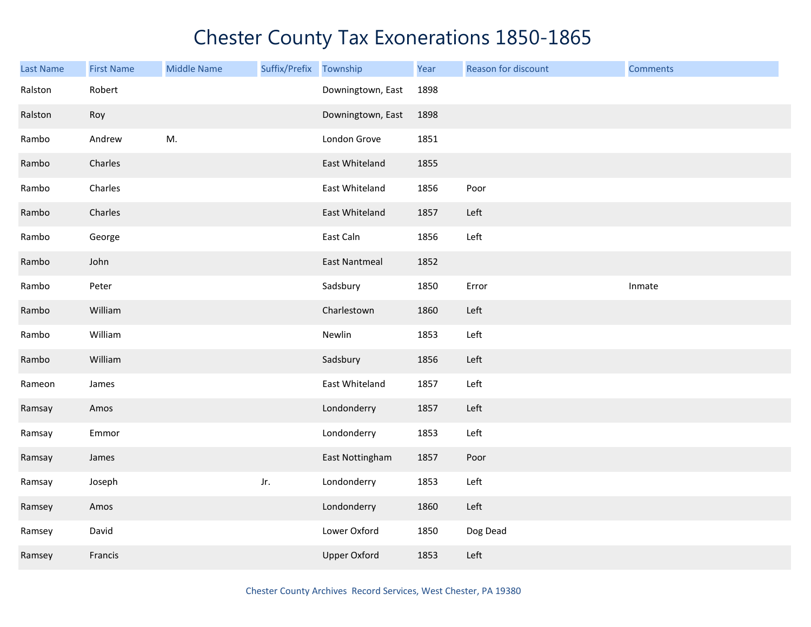| Last Name | <b>First Name</b> | <b>Middle Name</b> | Suffix/Prefix | Township             | Year | Reason for discount | <b>Comments</b> |
|-----------|-------------------|--------------------|---------------|----------------------|------|---------------------|-----------------|
| Ralston   | Robert            |                    |               | Downingtown, East    | 1898 |                     |                 |
| Ralston   | Roy               |                    |               | Downingtown, East    | 1898 |                     |                 |
| Rambo     | Andrew            | M.                 |               | London Grove         | 1851 |                     |                 |
| Rambo     | Charles           |                    |               | East Whiteland       | 1855 |                     |                 |
| Rambo     | Charles           |                    |               | East Whiteland       | 1856 | Poor                |                 |
| Rambo     | Charles           |                    |               | East Whiteland       | 1857 | Left                |                 |
| Rambo     | George            |                    |               | East Caln            | 1856 | Left                |                 |
| Rambo     | John              |                    |               | <b>East Nantmeal</b> | 1852 |                     |                 |
| Rambo     | Peter             |                    |               | Sadsbury             | 1850 | Error               | Inmate          |
| Rambo     | William           |                    |               | Charlestown          | 1860 | Left                |                 |
| Rambo     | William           |                    |               | Newlin               | 1853 | Left                |                 |
| Rambo     | William           |                    |               | Sadsbury             | 1856 | Left                |                 |
| Rameon    | James             |                    |               | East Whiteland       | 1857 | Left                |                 |
| Ramsay    | Amos              |                    |               | Londonderry          | 1857 | Left                |                 |
| Ramsay    | Emmor             |                    |               | Londonderry          | 1853 | Left                |                 |
| Ramsay    | James             |                    |               | East Nottingham      | 1857 | Poor                |                 |
| Ramsay    | Joseph            |                    | Jr.           | Londonderry          | 1853 | Left                |                 |
| Ramsey    | Amos              |                    |               | Londonderry          | 1860 | Left                |                 |
| Ramsey    | David             |                    |               | Lower Oxford         | 1850 | Dog Dead            |                 |
| Ramsey    | Francis           |                    |               | <b>Upper Oxford</b>  | 1853 | Left                |                 |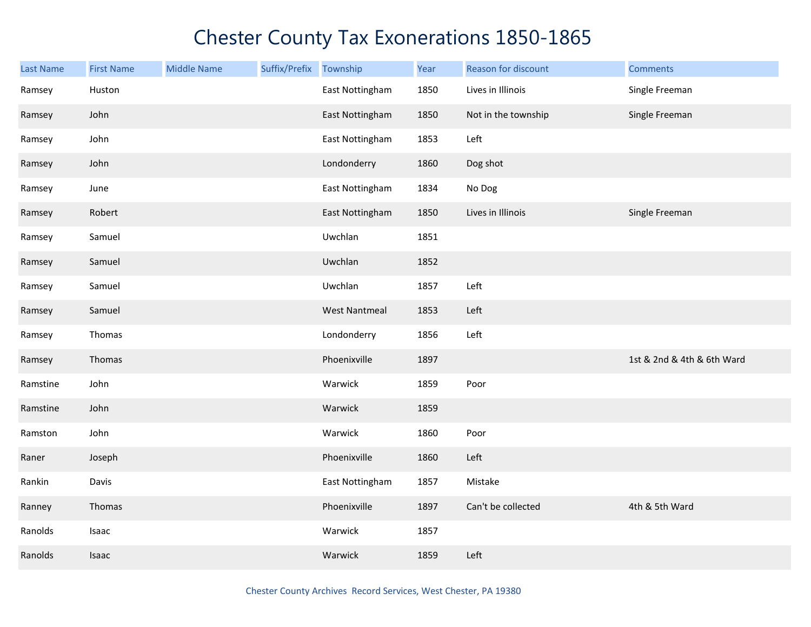| <b>Last Name</b> | <b>First Name</b> | <b>Middle Name</b> | Suffix/Prefix Township |                      | Year | Reason for discount | <b>Comments</b>            |
|------------------|-------------------|--------------------|------------------------|----------------------|------|---------------------|----------------------------|
| Ramsey           | Huston            |                    |                        | East Nottingham      | 1850 | Lives in Illinois   | Single Freeman             |
| Ramsey           | John              |                    |                        | East Nottingham      | 1850 | Not in the township | Single Freeman             |
| Ramsey           | John              |                    |                        | East Nottingham      | 1853 | Left                |                            |
| Ramsey           | John              |                    |                        | Londonderry          | 1860 | Dog shot            |                            |
| Ramsey           | June              |                    |                        | East Nottingham      | 1834 | No Dog              |                            |
| Ramsey           | Robert            |                    |                        | East Nottingham      | 1850 | Lives in Illinois   | Single Freeman             |
| Ramsey           | Samuel            |                    |                        | Uwchlan              | 1851 |                     |                            |
| Ramsey           | Samuel            |                    |                        | Uwchlan              | 1852 |                     |                            |
| Ramsey           | Samuel            |                    |                        | Uwchlan              | 1857 | Left                |                            |
| Ramsey           | Samuel            |                    |                        | <b>West Nantmeal</b> | 1853 | Left                |                            |
| Ramsey           | Thomas            |                    |                        | Londonderry          | 1856 | Left                |                            |
| Ramsey           | Thomas            |                    |                        | Phoenixville         | 1897 |                     | 1st & 2nd & 4th & 6th Ward |
| Ramstine         | John              |                    |                        | Warwick              | 1859 | Poor                |                            |
| Ramstine         | John              |                    |                        | Warwick              | 1859 |                     |                            |
| Ramston          | John              |                    |                        | Warwick              | 1860 | Poor                |                            |
| Raner            | Joseph            |                    |                        | Phoenixville         | 1860 | Left                |                            |
| Rankin           | Davis             |                    |                        | East Nottingham      | 1857 | Mistake             |                            |
| Ranney           | Thomas            |                    |                        | Phoenixville         | 1897 | Can't be collected  | 4th & 5th Ward             |
| Ranolds          | Isaac             |                    |                        | Warwick              | 1857 |                     |                            |
| Ranolds          | Isaac             |                    |                        | Warwick              | 1859 | Left                |                            |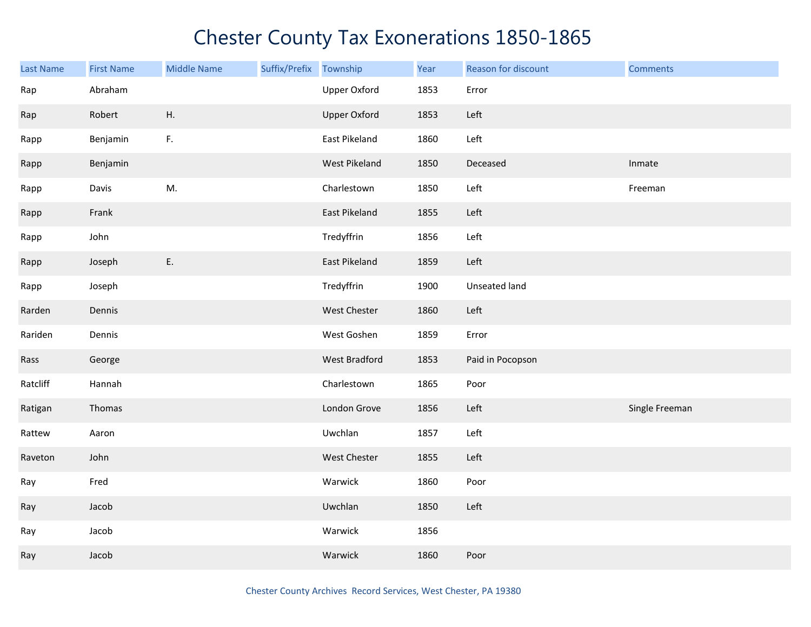| <b>Last Name</b> | <b>First Name</b> | <b>Middle Name</b> | Suffix/Prefix | Township             | Year | Reason for discount | <b>Comments</b> |
|------------------|-------------------|--------------------|---------------|----------------------|------|---------------------|-----------------|
| Rap              | Abraham           |                    |               | Upper Oxford         | 1853 | Error               |                 |
| Rap              | Robert            | Η.                 |               | <b>Upper Oxford</b>  | 1853 | Left                |                 |
| Rapp             | Benjamin          | F.                 |               | East Pikeland        | 1860 | Left                |                 |
| Rapp             | Benjamin          |                    |               | West Pikeland        | 1850 | Deceased            | Inmate          |
| Rapp             | Davis             | M.                 |               | Charlestown          | 1850 | Left                | Freeman         |
| Rapp             | Frank             |                    |               | East Pikeland        | 1855 | Left                |                 |
| Rapp             | John              |                    |               | Tredyffrin           | 1856 | Left                |                 |
| Rapp             | Joseph            | E.                 |               | East Pikeland        | 1859 | Left                |                 |
| Rapp             | Joseph            |                    |               | Tredyffrin           | 1900 | Unseated land       |                 |
| Rarden           | Dennis            |                    |               | West Chester         | 1860 | Left                |                 |
| Rariden          | Dennis            |                    |               | West Goshen          | 1859 | Error               |                 |
| Rass             | George            |                    |               | <b>West Bradford</b> | 1853 | Paid in Pocopson    |                 |
| Ratcliff         | Hannah            |                    |               | Charlestown          | 1865 | Poor                |                 |
| Ratigan          | Thomas            |                    |               | London Grove         | 1856 | Left                | Single Freeman  |
| Rattew           | Aaron             |                    |               | Uwchlan              | 1857 | Left                |                 |
| Raveton          | John              |                    |               | West Chester         | 1855 | Left                |                 |
| Ray              | Fred              |                    |               | Warwick              | 1860 | Poor                |                 |
| Ray              | Jacob             |                    |               | Uwchlan              | 1850 | Left                |                 |
| Ray              | Jacob             |                    |               | Warwick              | 1856 |                     |                 |
| Ray              | Jacob             |                    |               | Warwick              | 1860 | Poor                |                 |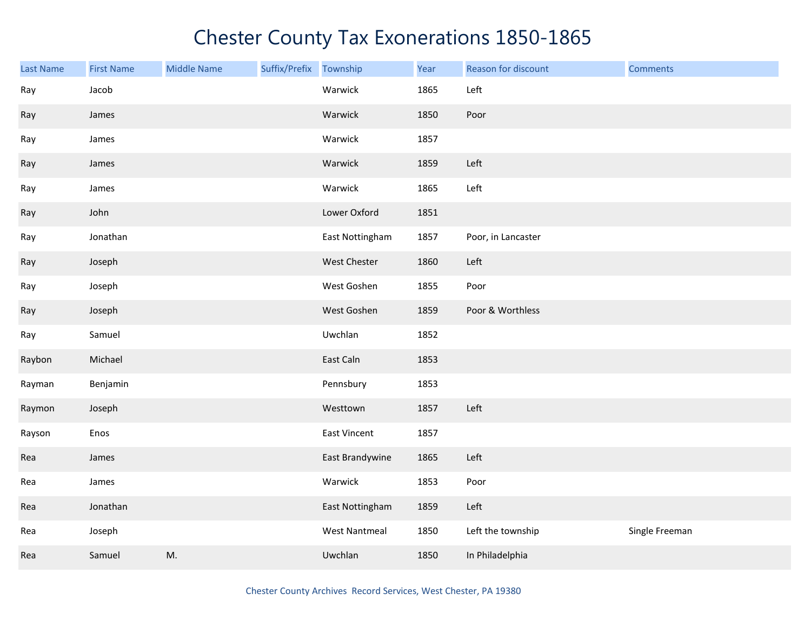| Last Name | <b>First Name</b> | <b>Middle Name</b> | Suffix/Prefix Township |                      | Year | Reason for discount | <b>Comments</b> |
|-----------|-------------------|--------------------|------------------------|----------------------|------|---------------------|-----------------|
| Ray       | Jacob             |                    |                        | Warwick              | 1865 | Left                |                 |
| Ray       | James             |                    |                        | Warwick              | 1850 | Poor                |                 |
| Ray       | James             |                    |                        | Warwick              | 1857 |                     |                 |
| Ray       | James             |                    |                        | Warwick              | 1859 | Left                |                 |
| Ray       | James             |                    |                        | Warwick              | 1865 | Left                |                 |
| Ray       | John              |                    |                        | Lower Oxford         | 1851 |                     |                 |
| Ray       | Jonathan          |                    |                        | East Nottingham      | 1857 | Poor, in Lancaster  |                 |
| Ray       | Joseph            |                    |                        | West Chester         | 1860 | Left                |                 |
| Ray       | Joseph            |                    |                        | West Goshen          | 1855 | Poor                |                 |
| Ray       | Joseph            |                    |                        | West Goshen          | 1859 | Poor & Worthless    |                 |
| Ray       | Samuel            |                    |                        | Uwchlan              | 1852 |                     |                 |
| Raybon    | Michael           |                    |                        | East Caln            | 1853 |                     |                 |
| Rayman    | Benjamin          |                    |                        | Pennsbury            | 1853 |                     |                 |
| Raymon    | Joseph            |                    |                        | Westtown             | 1857 | Left                |                 |
| Rayson    | Enos              |                    |                        | East Vincent         | 1857 |                     |                 |
| Rea       | James             |                    |                        | East Brandywine      | 1865 | Left                |                 |
| Rea       | James             |                    |                        | Warwick              | 1853 | Poor                |                 |
| Rea       | Jonathan          |                    |                        | East Nottingham      | 1859 | Left                |                 |
| Rea       | Joseph            |                    |                        | <b>West Nantmeal</b> | 1850 | Left the township   | Single Freeman  |
| Rea       | Samuel            | M.                 |                        | Uwchlan              | 1850 | In Philadelphia     |                 |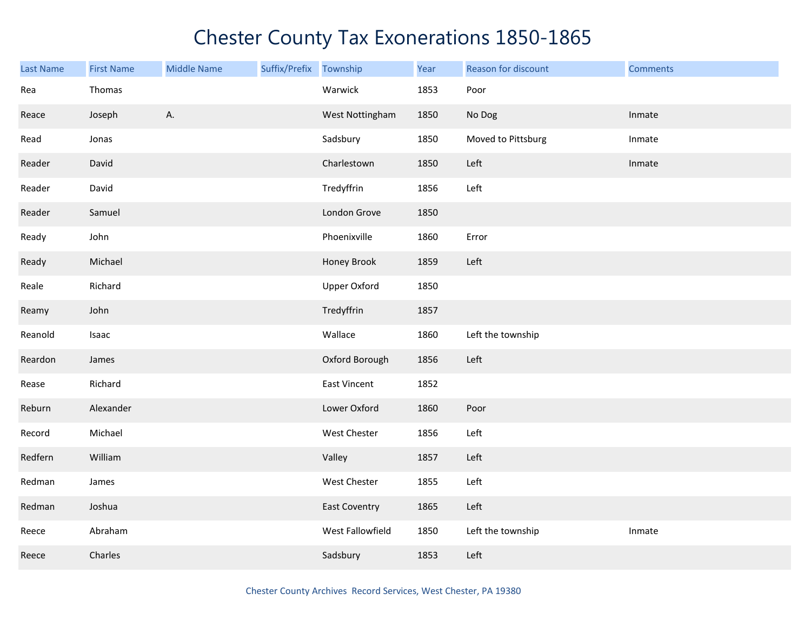| <b>Last Name</b> | <b>First Name</b> | <b>Middle Name</b> | Suffix/Prefix | Township             | Year | Reason for discount | <b>Comments</b> |
|------------------|-------------------|--------------------|---------------|----------------------|------|---------------------|-----------------|
| Rea              | Thomas            |                    |               | Warwick              | 1853 | Poor                |                 |
| Reace            | Joseph            | A.                 |               | West Nottingham      | 1850 | No Dog              | Inmate          |
| Read             | Jonas             |                    |               | Sadsbury             | 1850 | Moved to Pittsburg  | Inmate          |
| Reader           | David             |                    |               | Charlestown          | 1850 | Left                | Inmate          |
| Reader           | David             |                    |               | Tredyffrin           | 1856 | Left                |                 |
| Reader           | Samuel            |                    |               | London Grove         | 1850 |                     |                 |
| Ready            | John              |                    |               | Phoenixville         | 1860 | Error               |                 |
| Ready            | Michael           |                    |               | Honey Brook          | 1859 | Left                |                 |
| Reale            | Richard           |                    |               | <b>Upper Oxford</b>  | 1850 |                     |                 |
| Reamy            | John              |                    |               | Tredyffrin           | 1857 |                     |                 |
| Reanold          | Isaac             |                    |               | Wallace              | 1860 | Left the township   |                 |
| Reardon          | James             |                    |               | Oxford Borough       | 1856 | Left                |                 |
| Rease            | Richard           |                    |               | <b>East Vincent</b>  | 1852 |                     |                 |
| Reburn           | Alexander         |                    |               | Lower Oxford         | 1860 | Poor                |                 |
| Record           | Michael           |                    |               | West Chester         | 1856 | Left                |                 |
| Redfern          | William           |                    |               | Valley               | 1857 | Left                |                 |
| Redman           | James             |                    |               | West Chester         | 1855 | Left                |                 |
| Redman           | Joshua            |                    |               | <b>East Coventry</b> | 1865 | Left                |                 |
| Reece            | Abraham           |                    |               | West Fallowfield     | 1850 | Left the township   | Inmate          |
| Reece            | Charles           |                    |               | Sadsbury             | 1853 | Left                |                 |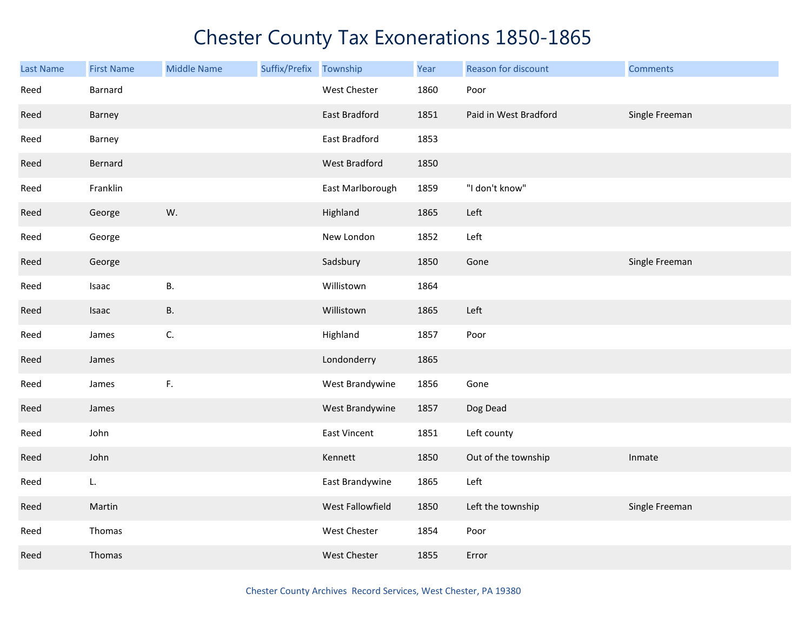| <b>Last Name</b> | <b>First Name</b> | <b>Middle Name</b> | Suffix/Prefix | Township         | Year | Reason for discount   | <b>Comments</b> |
|------------------|-------------------|--------------------|---------------|------------------|------|-----------------------|-----------------|
| Reed             | Barnard           |                    |               | West Chester     | 1860 | Poor                  |                 |
| Reed             | Barney            |                    |               | East Bradford    | 1851 | Paid in West Bradford | Single Freeman  |
| Reed             | Barney            |                    |               | East Bradford    | 1853 |                       |                 |
| Reed             | Bernard           |                    |               | West Bradford    | 1850 |                       |                 |
| Reed             | Franklin          |                    |               | East Marlborough | 1859 | "I don't know"        |                 |
| Reed             | George            | W.                 |               | Highland         | 1865 | Left                  |                 |
| Reed             | George            |                    |               | New London       | 1852 | Left                  |                 |
| Reed             | George            |                    |               | Sadsbury         | 1850 | Gone                  | Single Freeman  |
| Reed             | Isaac             | Β.                 |               | Willistown       | 1864 |                       |                 |
| Reed             | Isaac             | Β.                 |               | Willistown       | 1865 | Left                  |                 |
| Reed             | James             | C.                 |               | Highland         | 1857 | Poor                  |                 |
| Reed             | James             |                    |               | Londonderry      | 1865 |                       |                 |
| Reed             | James             | F.                 |               | West Brandywine  | 1856 | Gone                  |                 |
| Reed             | James             |                    |               | West Brandywine  | 1857 | Dog Dead              |                 |
| Reed             | John              |                    |               | East Vincent     | 1851 | Left county           |                 |
| Reed             | John              |                    |               | Kennett          | 1850 | Out of the township   | Inmate          |
| Reed             | L.                |                    |               | East Brandywine  | 1865 | Left                  |                 |
| Reed             | Martin            |                    |               | West Fallowfield | 1850 | Left the township     | Single Freeman  |
| Reed             | Thomas            |                    |               | West Chester     | 1854 | Poor                  |                 |
| Reed             | Thomas            |                    |               | West Chester     | 1855 | Error                 |                 |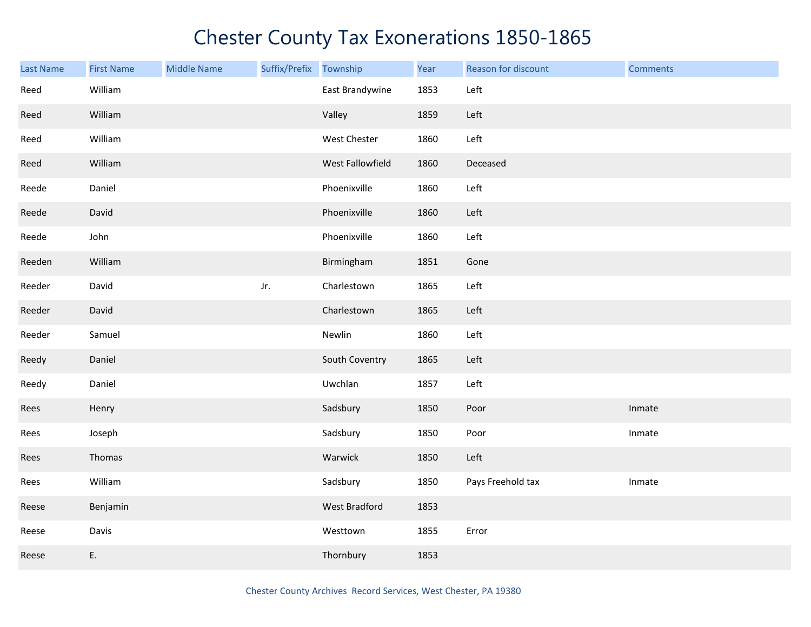| Last Name | <b>First Name</b> | <b>Middle Name</b> | Suffix/Prefix | Township         | Year | Reason for discount | <b>Comments</b> |
|-----------|-------------------|--------------------|---------------|------------------|------|---------------------|-----------------|
| Reed      | William           |                    |               | East Brandywine  | 1853 | Left                |                 |
| Reed      | William           |                    |               | Valley           | 1859 | Left                |                 |
| Reed      | William           |                    |               | West Chester     | 1860 | Left                |                 |
| Reed      | William           |                    |               | West Fallowfield | 1860 | Deceased            |                 |
| Reede     | Daniel            |                    |               | Phoenixville     | 1860 | Left                |                 |
| Reede     | David             |                    |               | Phoenixville     | 1860 | Left                |                 |
| Reede     | John              |                    |               | Phoenixville     | 1860 | Left                |                 |
| Reeden    | William           |                    |               | Birmingham       | 1851 | Gone                |                 |
| Reeder    | David             |                    | Jr.           | Charlestown      | 1865 | Left                |                 |
| Reeder    | David             |                    |               | Charlestown      | 1865 | Left                |                 |
| Reeder    | Samuel            |                    |               | Newlin           | 1860 | Left                |                 |
| Reedy     | Daniel            |                    |               | South Coventry   | 1865 | Left                |                 |
| Reedy     | Daniel            |                    |               | Uwchlan          | 1857 | Left                |                 |
| Rees      | Henry             |                    |               | Sadsbury         | 1850 | Poor                | Inmate          |
| Rees      | Joseph            |                    |               | Sadsbury         | 1850 | Poor                | Inmate          |
| Rees      | Thomas            |                    |               | Warwick          | 1850 | Left                |                 |
| Rees      | William           |                    |               | Sadsbury         | 1850 | Pays Freehold tax   | Inmate          |
| Reese     | Benjamin          |                    |               | West Bradford    | 1853 |                     |                 |
| Reese     | Davis             |                    |               | Westtown         | 1855 | Error               |                 |
| Reese     | E.                |                    |               | Thornbury        | 1853 |                     |                 |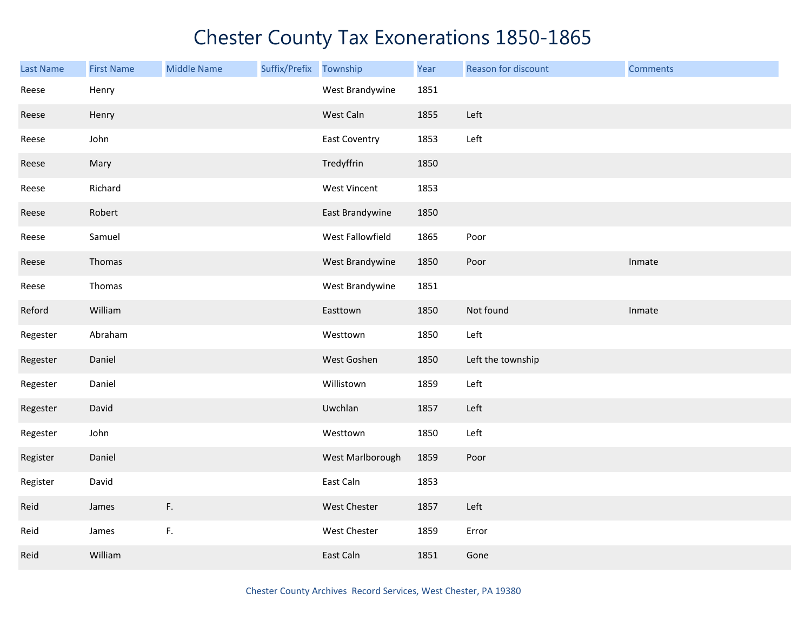| Last Name | <b>First Name</b> | <b>Middle Name</b> | Suffix/Prefix | Township         | Year | Reason for discount | <b>Comments</b> |
|-----------|-------------------|--------------------|---------------|------------------|------|---------------------|-----------------|
| Reese     | Henry             |                    |               | West Brandywine  | 1851 |                     |                 |
| Reese     | Henry             |                    |               | West Caln        | 1855 | Left                |                 |
| Reese     | John              |                    |               | East Coventry    | 1853 | Left                |                 |
| Reese     | Mary              |                    |               | Tredyffrin       | 1850 |                     |                 |
| Reese     | Richard           |                    |               | West Vincent     | 1853 |                     |                 |
| Reese     | Robert            |                    |               | East Brandywine  | 1850 |                     |                 |
| Reese     | Samuel            |                    |               | West Fallowfield | 1865 | Poor                |                 |
| Reese     | Thomas            |                    |               | West Brandywine  | 1850 | Poor                | Inmate          |
| Reese     | Thomas            |                    |               | West Brandywine  | 1851 |                     |                 |
| Reford    | William           |                    |               | Easttown         | 1850 | Not found           | Inmate          |
| Regester  | Abraham           |                    |               | Westtown         | 1850 | Left                |                 |
| Regester  | Daniel            |                    |               | West Goshen      | 1850 | Left the township   |                 |
| Regester  | Daniel            |                    |               | Willistown       | 1859 | Left                |                 |
| Regester  | David             |                    |               | Uwchlan          | 1857 | Left                |                 |
| Regester  | John              |                    |               | Westtown         | 1850 | Left                |                 |
| Register  | Daniel            |                    |               | West Marlborough | 1859 | Poor                |                 |
| Register  | David             |                    |               | East Caln        | 1853 |                     |                 |
| Reid      | James             | F.                 |               | West Chester     | 1857 | Left                |                 |
| Reid      | James             | $\mathsf F.$       |               | West Chester     | 1859 | Error               |                 |
| Reid      | William           |                    |               | East Caln        | 1851 | Gone                |                 |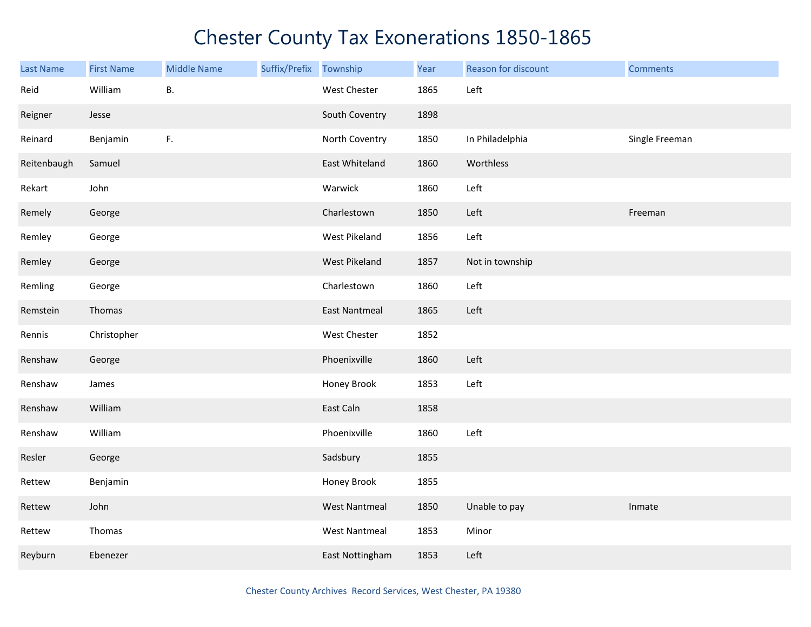| <b>Last Name</b> | <b>First Name</b> | <b>Middle Name</b> | Suffix/Prefix Township |                      | Year | Reason for discount | <b>Comments</b> |
|------------------|-------------------|--------------------|------------------------|----------------------|------|---------------------|-----------------|
| Reid             | William           | В.                 |                        | West Chester         | 1865 | Left                |                 |
| Reigner          | Jesse             |                    |                        | South Coventry       | 1898 |                     |                 |
| Reinard          | Benjamin          | F.                 |                        | North Coventry       | 1850 | In Philadelphia     | Single Freeman  |
| Reitenbaugh      | Samuel            |                    |                        | East Whiteland       | 1860 | Worthless           |                 |
| Rekart           | John              |                    |                        | Warwick              | 1860 | Left                |                 |
| Remely           | George            |                    |                        | Charlestown          | 1850 | Left                | Freeman         |
| Remley           | George            |                    |                        | West Pikeland        | 1856 | Left                |                 |
| Remley           | George            |                    |                        | West Pikeland        | 1857 | Not in township     |                 |
| Remling          | George            |                    |                        | Charlestown          | 1860 | Left                |                 |
| Remstein         | Thomas            |                    |                        | <b>East Nantmeal</b> | 1865 | Left                |                 |
| Rennis           | Christopher       |                    |                        | West Chester         | 1852 |                     |                 |
| Renshaw          | George            |                    |                        | Phoenixville         | 1860 | Left                |                 |
| Renshaw          | James             |                    |                        | Honey Brook          | 1853 | Left                |                 |
| Renshaw          | William           |                    |                        | East Caln            | 1858 |                     |                 |
| Renshaw          | William           |                    |                        | Phoenixville         | 1860 | Left                |                 |
| Resler           | George            |                    |                        | Sadsbury             | 1855 |                     |                 |
| Rettew           | Benjamin          |                    |                        | Honey Brook          | 1855 |                     |                 |
| Rettew           | John              |                    |                        | <b>West Nantmeal</b> | 1850 | Unable to pay       | Inmate          |
| Rettew           | Thomas            |                    |                        | <b>West Nantmeal</b> | 1853 | Minor               |                 |
| Reyburn          | Ebenezer          |                    |                        | East Nottingham      | 1853 | Left                |                 |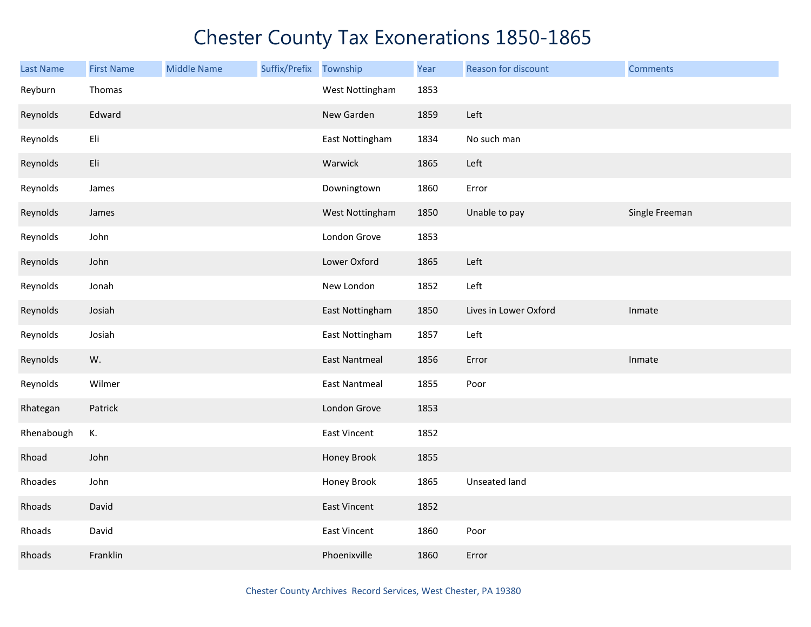| Last Name  | <b>First Name</b> | <b>Middle Name</b> | Suffix/Prefix | Township             | Year | Reason for discount   | <b>Comments</b> |
|------------|-------------------|--------------------|---------------|----------------------|------|-----------------------|-----------------|
| Reyburn    | Thomas            |                    |               | West Nottingham      | 1853 |                       |                 |
| Reynolds   | Edward            |                    |               | New Garden           | 1859 | Left                  |                 |
| Reynolds   | Eli               |                    |               | East Nottingham      | 1834 | No such man           |                 |
| Reynolds   | Eli               |                    |               | Warwick              | 1865 | Left                  |                 |
| Reynolds   | James             |                    |               | Downingtown          | 1860 | Error                 |                 |
| Reynolds   | James             |                    |               | West Nottingham      | 1850 | Unable to pay         | Single Freeman  |
| Reynolds   | John              |                    |               | London Grove         | 1853 |                       |                 |
| Reynolds   | John              |                    |               | Lower Oxford         | 1865 | Left                  |                 |
| Reynolds   | Jonah             |                    |               | New London           | 1852 | Left                  |                 |
| Reynolds   | Josiah            |                    |               | East Nottingham      | 1850 | Lives in Lower Oxford | Inmate          |
| Reynolds   | Josiah            |                    |               | East Nottingham      | 1857 | Left                  |                 |
| Reynolds   | W.                |                    |               | <b>East Nantmeal</b> | 1856 | Error                 | Inmate          |
| Reynolds   | Wilmer            |                    |               | <b>East Nantmeal</b> | 1855 | Poor                  |                 |
| Rhategan   | Patrick           |                    |               | London Grove         | 1853 |                       |                 |
| Rhenabough | К.                |                    |               | East Vincent         | 1852 |                       |                 |
| Rhoad      | John              |                    |               | Honey Brook          | 1855 |                       |                 |
| Rhoades    | John              |                    |               | Honey Brook          | 1865 | Unseated land         |                 |
| Rhoads     | David             |                    |               | <b>East Vincent</b>  | 1852 |                       |                 |
| Rhoads     | David             |                    |               | East Vincent         | 1860 | Poor                  |                 |
| Rhoads     | Franklin          |                    |               | Phoenixville         | 1860 | Error                 |                 |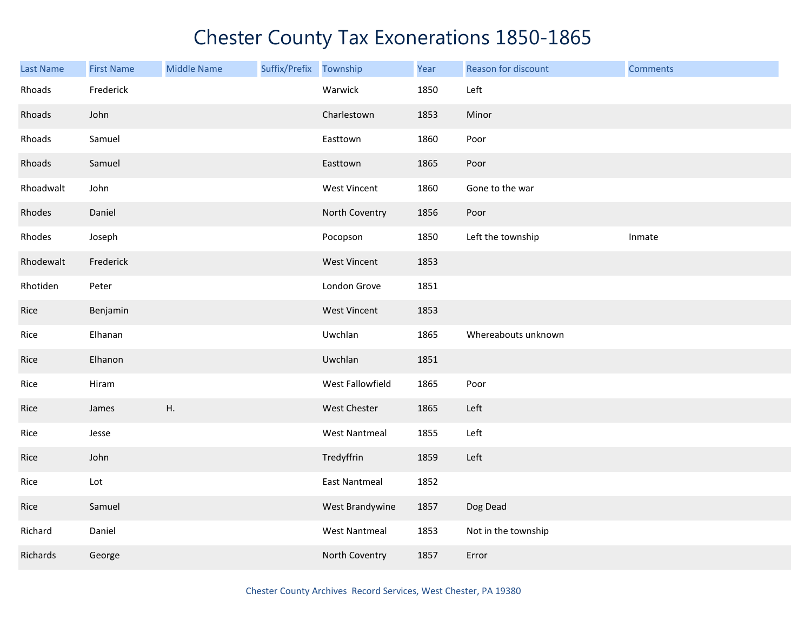| Last Name | <b>First Name</b> | <b>Middle Name</b> | Suffix/Prefix | Township             | Year | Reason for discount | <b>Comments</b> |
|-----------|-------------------|--------------------|---------------|----------------------|------|---------------------|-----------------|
| Rhoads    | Frederick         |                    |               | Warwick              | 1850 | Left                |                 |
| Rhoads    | John              |                    |               | Charlestown          | 1853 | Minor               |                 |
| Rhoads    | Samuel            |                    |               | Easttown             | 1860 | Poor                |                 |
| Rhoads    | Samuel            |                    |               | Easttown             | 1865 | Poor                |                 |
| Rhoadwalt | John              |                    |               | West Vincent         | 1860 | Gone to the war     |                 |
| Rhodes    | Daniel            |                    |               | North Coventry       | 1856 | Poor                |                 |
| Rhodes    | Joseph            |                    |               | Pocopson             | 1850 | Left the township   | Inmate          |
| Rhodewalt | Frederick         |                    |               | <b>West Vincent</b>  | 1853 |                     |                 |
| Rhotiden  | Peter             |                    |               | London Grove         | 1851 |                     |                 |
| Rice      | Benjamin          |                    |               | <b>West Vincent</b>  | 1853 |                     |                 |
| Rice      | Elhanan           |                    |               | Uwchlan              | 1865 | Whereabouts unknown |                 |
| Rice      | Elhanon           |                    |               | Uwchlan              | 1851 |                     |                 |
| Rice      | Hiram             |                    |               | West Fallowfield     | 1865 | Poor                |                 |
| Rice      | James             | Η.                 |               | West Chester         | 1865 | Left                |                 |
| Rice      | Jesse             |                    |               | <b>West Nantmeal</b> | 1855 | Left                |                 |
| Rice      | John              |                    |               | Tredyffrin           | 1859 | Left                |                 |
| Rice      | Lot               |                    |               | East Nantmeal        | 1852 |                     |                 |
| Rice      | Samuel            |                    |               | West Brandywine      | 1857 | Dog Dead            |                 |
| Richard   | Daniel            |                    |               | <b>West Nantmeal</b> | 1853 | Not in the township |                 |
| Richards  | George            |                    |               | North Coventry       | 1857 | Error               |                 |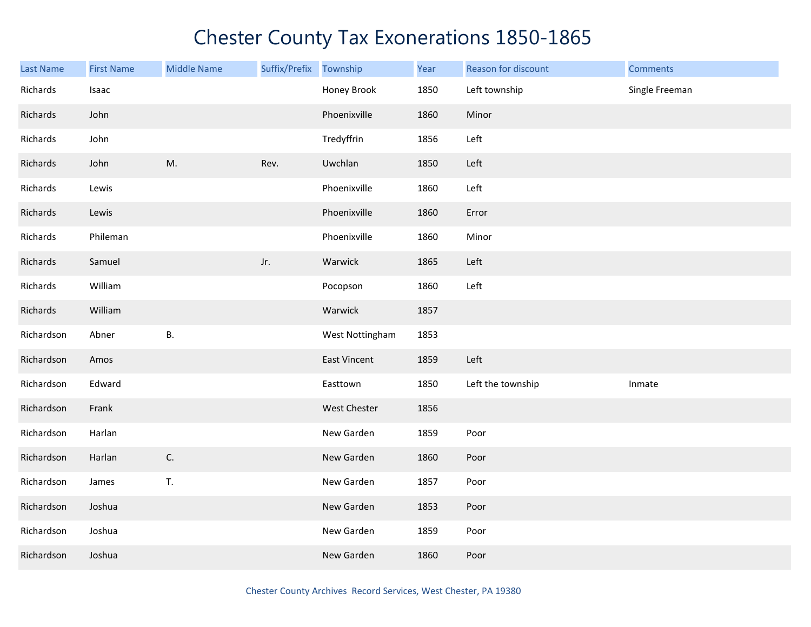| <b>Last Name</b> | <b>First Name</b> | <b>Middle Name</b> | Suffix/Prefix | Township            | Year | Reason for discount | <b>Comments</b> |
|------------------|-------------------|--------------------|---------------|---------------------|------|---------------------|-----------------|
| Richards         | Isaac             |                    |               | Honey Brook         | 1850 | Left township       | Single Freeman  |
| Richards         | John              |                    |               | Phoenixville        | 1860 | Minor               |                 |
| Richards         | John              |                    |               | Tredyffrin          | 1856 | Left                |                 |
| Richards         | John              | M.                 | Rev.          | Uwchlan             | 1850 | Left                |                 |
| Richards         | Lewis             |                    |               | Phoenixville        | 1860 | Left                |                 |
| Richards         | Lewis             |                    |               | Phoenixville        | 1860 | Error               |                 |
| Richards         | Phileman          |                    |               | Phoenixville        | 1860 | Minor               |                 |
| Richards         | Samuel            |                    | Jr.           | Warwick             | 1865 | Left                |                 |
| Richards         | William           |                    |               | Pocopson            | 1860 | Left                |                 |
| Richards         | William           |                    |               | Warwick             | 1857 |                     |                 |
| Richardson       | Abner             | <b>B.</b>          |               | West Nottingham     | 1853 |                     |                 |
| Richardson       | Amos              |                    |               | East Vincent        | 1859 | Left                |                 |
| Richardson       | Edward            |                    |               | Easttown            | 1850 | Left the township   | Inmate          |
| Richardson       | Frank             |                    |               | <b>West Chester</b> | 1856 |                     |                 |
| Richardson       | Harlan            |                    |               | New Garden          | 1859 | Poor                |                 |
| Richardson       | Harlan            | C.                 |               | New Garden          | 1860 | Poor                |                 |
| Richardson       | James             | T.                 |               | New Garden          | 1857 | Poor                |                 |
| Richardson       | Joshua            |                    |               | New Garden          | 1853 | Poor                |                 |
| Richardson       | Joshua            |                    |               | New Garden          | 1859 | Poor                |                 |
| Richardson       | Joshua            |                    |               | New Garden          | 1860 | Poor                |                 |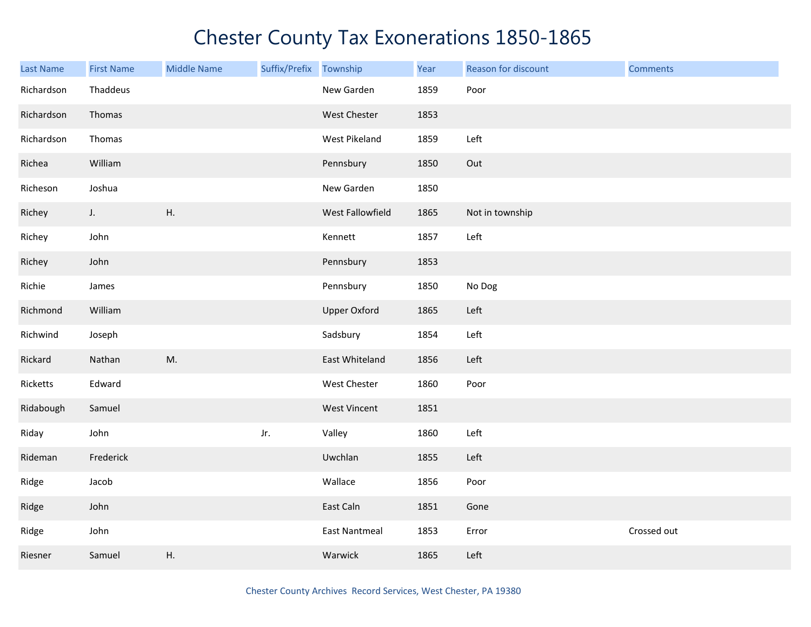| Last Name  | <b>First Name</b> | <b>Middle Name</b> | Suffix/Prefix Township |                      | Year | Reason for discount | <b>Comments</b> |
|------------|-------------------|--------------------|------------------------|----------------------|------|---------------------|-----------------|
| Richardson | Thaddeus          |                    |                        | New Garden           | 1859 | Poor                |                 |
| Richardson | Thomas            |                    |                        | West Chester         | 1853 |                     |                 |
| Richardson | Thomas            |                    |                        | West Pikeland        | 1859 | Left                |                 |
| Richea     | William           |                    |                        | Pennsbury            | 1850 | Out                 |                 |
| Richeson   | Joshua            |                    |                        | New Garden           | 1850 |                     |                 |
| Richey     | $J_{\star}$       | Η.                 |                        | West Fallowfield     | 1865 | Not in township     |                 |
| Richey     | John              |                    |                        | Kennett              | 1857 | Left                |                 |
| Richey     | John              |                    |                        | Pennsbury            | 1853 |                     |                 |
| Richie     | James             |                    |                        | Pennsbury            | 1850 | No Dog              |                 |
| Richmond   | William           |                    |                        | <b>Upper Oxford</b>  | 1865 | Left                |                 |
| Richwind   | Joseph            |                    |                        | Sadsbury             | 1854 | Left                |                 |
| Rickard    | Nathan            | M.                 |                        | East Whiteland       | 1856 | Left                |                 |
| Ricketts   | Edward            |                    |                        | West Chester         | 1860 | Poor                |                 |
| Ridabough  | Samuel            |                    |                        | <b>West Vincent</b>  | 1851 |                     |                 |
| Riday      | John              |                    | Jr.                    | Valley               | 1860 | Left                |                 |
| Rideman    | Frederick         |                    |                        | Uwchlan              | 1855 | Left                |                 |
| Ridge      | Jacob             |                    |                        | Wallace              | 1856 | Poor                |                 |
| Ridge      | John              |                    |                        | East Caln            | 1851 | Gone                |                 |
| Ridge      | John              |                    |                        | <b>East Nantmeal</b> | 1853 | Error               | Crossed out     |
| Riesner    | Samuel            | Η.                 |                        | Warwick              | 1865 | Left                |                 |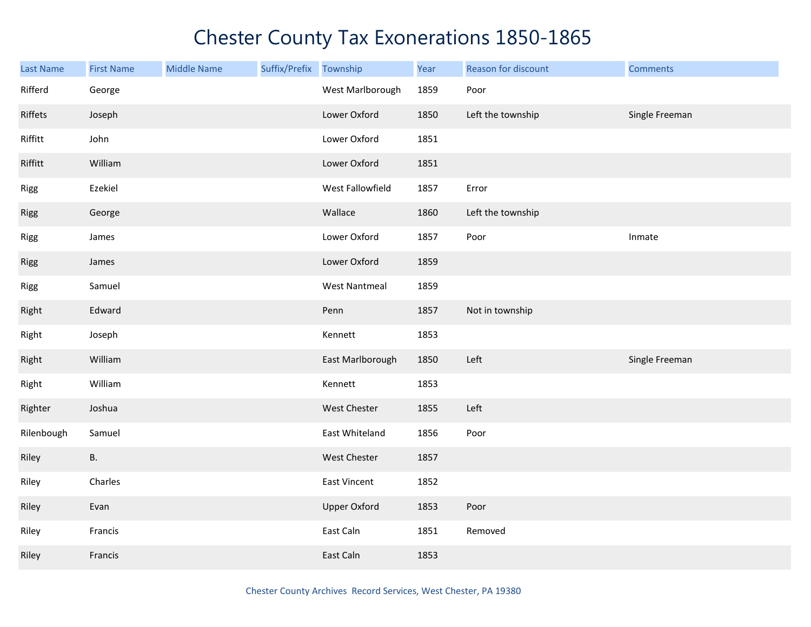| Last Name  | <b>First Name</b> | <b>Middle Name</b> | Suffix/Prefix | Township             | Year | Reason for discount | <b>Comments</b> |
|------------|-------------------|--------------------|---------------|----------------------|------|---------------------|-----------------|
| Rifferd    | George            |                    |               | West Marlborough     | 1859 | Poor                |                 |
| Riffets    | Joseph            |                    |               | Lower Oxford         | 1850 | Left the township   | Single Freeman  |
| Riffitt    | John              |                    |               | Lower Oxford         | 1851 |                     |                 |
| Riffitt    | William           |                    |               | Lower Oxford         | 1851 |                     |                 |
| Rigg       | Ezekiel           |                    |               | West Fallowfield     | 1857 | Error               |                 |
| Rigg       | George            |                    |               | Wallace              | 1860 | Left the township   |                 |
| Rigg       | James             |                    |               | Lower Oxford         | 1857 | Poor                | Inmate          |
| Rigg       | James             |                    |               | Lower Oxford         | 1859 |                     |                 |
| Rigg       | Samuel            |                    |               | <b>West Nantmeal</b> | 1859 |                     |                 |
| Right      | Edward            |                    |               | Penn                 | 1857 | Not in township     |                 |
| Right      | Joseph            |                    |               | Kennett              | 1853 |                     |                 |
| Right      | William           |                    |               | East Marlborough     | 1850 | Left                | Single Freeman  |
| Right      | William           |                    |               | Kennett              | 1853 |                     |                 |
| Righter    | Joshua            |                    |               | West Chester         | 1855 | Left                |                 |
| Rilenbough | Samuel            |                    |               | East Whiteland       | 1856 | Poor                |                 |
| Riley      | <b>B.</b>         |                    |               | West Chester         | 1857 |                     |                 |
| Riley      | Charles           |                    |               | East Vincent         | 1852 |                     |                 |
| Riley      | Evan              |                    |               | <b>Upper Oxford</b>  | 1853 | Poor                |                 |
| Riley      | Francis           |                    |               | East Caln            | 1851 | Removed             |                 |
| Riley      | Francis           |                    |               | East Caln            | 1853 |                     |                 |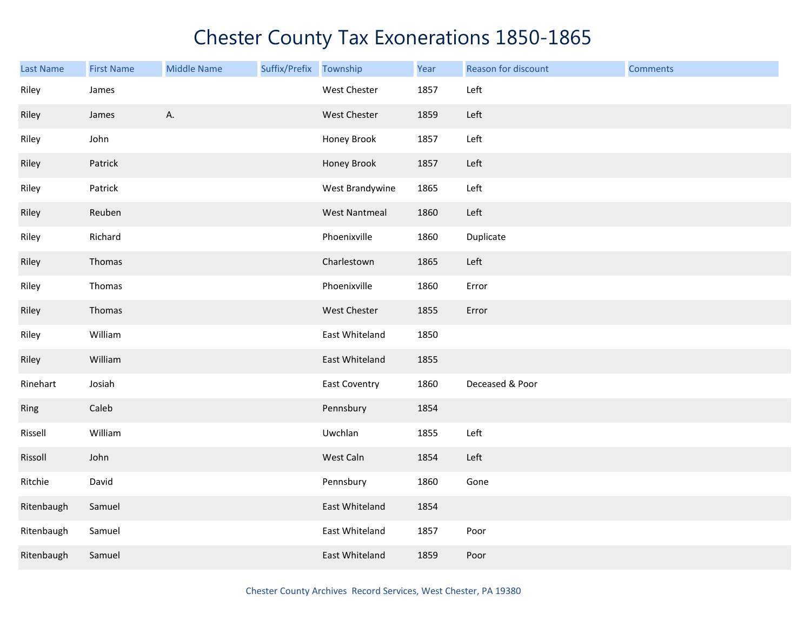| <b>Last Name</b> | <b>First Name</b> | <b>Middle Name</b> | Suffix/Prefix Township |                      | Year | Reason for discount | <b>Comments</b> |
|------------------|-------------------|--------------------|------------------------|----------------------|------|---------------------|-----------------|
| Riley            | James             |                    |                        | West Chester         | 1857 | Left                |                 |
| Riley            | James             | А.                 |                        | West Chester         | 1859 | Left                |                 |
| Riley            | John              |                    |                        | Honey Brook          | 1857 | Left                |                 |
| Riley            | Patrick           |                    |                        | Honey Brook          | 1857 | Left                |                 |
| Riley            | Patrick           |                    |                        | West Brandywine      | 1865 | Left                |                 |
| Riley            | Reuben            |                    |                        | <b>West Nantmeal</b> | 1860 | Left                |                 |
| Riley            | Richard           |                    |                        | Phoenixville         | 1860 | Duplicate           |                 |
| Riley            | Thomas            |                    |                        | Charlestown          | 1865 | Left                |                 |
| Riley            | Thomas            |                    |                        | Phoenixville         | 1860 | Error               |                 |
| Riley            | Thomas            |                    |                        | West Chester         | 1855 | Error               |                 |
| Riley            | William           |                    |                        | East Whiteland       | 1850 |                     |                 |
| Riley            | William           |                    |                        | East Whiteland       | 1855 |                     |                 |
| Rinehart         | Josiah            |                    |                        | <b>East Coventry</b> | 1860 | Deceased & Poor     |                 |
| Ring             | Caleb             |                    |                        | Pennsbury            | 1854 |                     |                 |
| Rissell          | William           |                    |                        | Uwchlan              | 1855 | Left                |                 |
| Rissoll          | John              |                    |                        | West Caln            | 1854 | Left                |                 |
| Ritchie          | David             |                    |                        | Pennsbury            | 1860 | Gone                |                 |
| Ritenbaugh       | Samuel            |                    |                        | East Whiteland       | 1854 |                     |                 |
| Ritenbaugh       | Samuel            |                    |                        | East Whiteland       | 1857 | Poor                |                 |
| Ritenbaugh       | Samuel            |                    |                        | East Whiteland       | 1859 | Poor                |                 |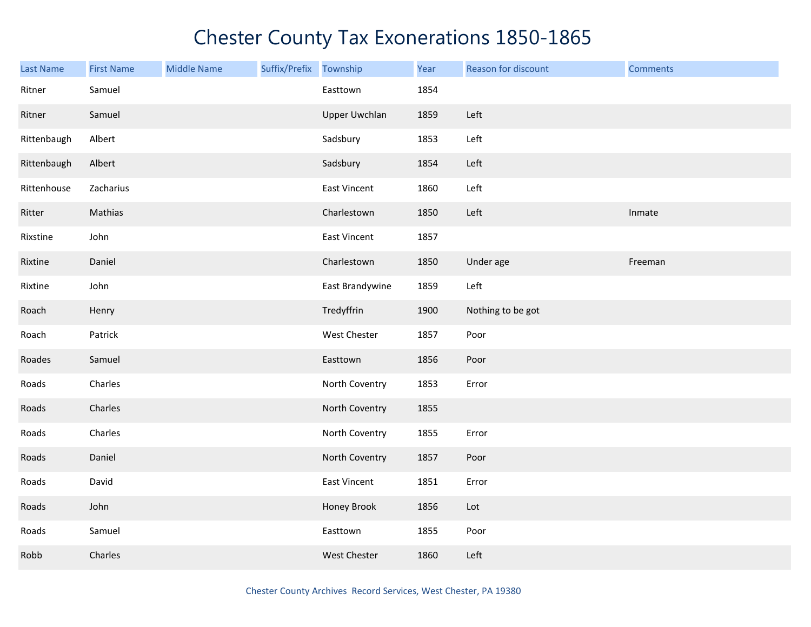| Last Name   | <b>First Name</b> | <b>Middle Name</b> | Suffix/Prefix Township |                      | Year | Reason for discount | <b>Comments</b> |
|-------------|-------------------|--------------------|------------------------|----------------------|------|---------------------|-----------------|
| Ritner      | Samuel            |                    |                        | Easttown             | 1854 |                     |                 |
| Ritner      | Samuel            |                    |                        | <b>Upper Uwchlan</b> | 1859 | Left                |                 |
| Rittenbaugh | Albert            |                    |                        | Sadsbury             | 1853 | Left                |                 |
| Rittenbaugh | Albert            |                    |                        | Sadsbury             | 1854 | Left                |                 |
| Rittenhouse | Zacharius         |                    |                        | <b>East Vincent</b>  | 1860 | Left                |                 |
| Ritter      | Mathias           |                    |                        | Charlestown          | 1850 | Left                | Inmate          |
| Rixstine    | John              |                    |                        | East Vincent         | 1857 |                     |                 |
| Rixtine     | Daniel            |                    |                        | Charlestown          | 1850 | Under age           | Freeman         |
| Rixtine     | John              |                    |                        | East Brandywine      | 1859 | Left                |                 |
| Roach       | Henry             |                    |                        | Tredyffrin           | 1900 | Nothing to be got   |                 |
| Roach       | Patrick           |                    |                        | West Chester         | 1857 | Poor                |                 |
| Roades      | Samuel            |                    |                        | Easttown             | 1856 | Poor                |                 |
| Roads       | Charles           |                    |                        | North Coventry       | 1853 | Error               |                 |
| Roads       | Charles           |                    |                        | North Coventry       | 1855 |                     |                 |
| Roads       | Charles           |                    |                        | North Coventry       | 1855 | Error               |                 |
| Roads       | Daniel            |                    |                        | North Coventry       | 1857 | Poor                |                 |
| Roads       | David             |                    |                        | <b>East Vincent</b>  | 1851 | Error               |                 |
| Roads       | John              |                    |                        | Honey Brook          | 1856 | Lot                 |                 |
| Roads       | Samuel            |                    |                        | Easttown             | 1855 | Poor                |                 |
| Robb        | Charles           |                    |                        | <b>West Chester</b>  | 1860 | Left                |                 |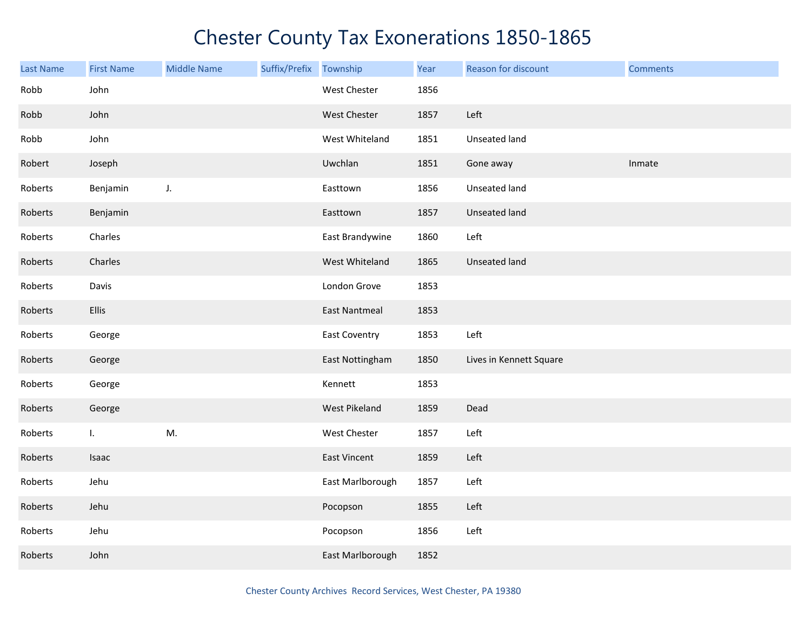| Last Name | <b>First Name</b> | <b>Middle Name</b> | Suffix/Prefix | Township             | Year | <b>Reason for discount</b> | <b>Comments</b> |
|-----------|-------------------|--------------------|---------------|----------------------|------|----------------------------|-----------------|
| Robb      | John              |                    |               | West Chester         | 1856 |                            |                 |
| Robb      | John              |                    |               | West Chester         | 1857 | Left                       |                 |
| Robb      | John              |                    |               | West Whiteland       | 1851 | Unseated land              |                 |
| Robert    | Joseph            |                    |               | Uwchlan              | 1851 | Gone away                  | Inmate          |
| Roberts   | Benjamin          | J.                 |               | Easttown             | 1856 | <b>Unseated land</b>       |                 |
| Roberts   | Benjamin          |                    |               | Easttown             | 1857 | Unseated land              |                 |
| Roberts   | Charles           |                    |               | East Brandywine      | 1860 | Left                       |                 |
| Roberts   | Charles           |                    |               | West Whiteland       | 1865 | Unseated land              |                 |
| Roberts   | Davis             |                    |               | London Grove         | 1853 |                            |                 |
| Roberts   | Ellis             |                    |               | <b>East Nantmeal</b> | 1853 |                            |                 |
| Roberts   | George            |                    |               | <b>East Coventry</b> | 1853 | Left                       |                 |
| Roberts   | George            |                    |               | East Nottingham      | 1850 | Lives in Kennett Square    |                 |
| Roberts   | George            |                    |               | Kennett              | 1853 |                            |                 |
| Roberts   | George            |                    |               | West Pikeland        | 1859 | Dead                       |                 |
| Roberts   | L.                | M.                 |               | West Chester         | 1857 | Left                       |                 |
| Roberts   | Isaac             |                    |               | <b>East Vincent</b>  | 1859 | Left                       |                 |
| Roberts   | Jehu              |                    |               | East Marlborough     | 1857 | Left                       |                 |
| Roberts   | Jehu              |                    |               | Pocopson             | 1855 | Left                       |                 |
| Roberts   | Jehu              |                    |               | Pocopson             | 1856 | Left                       |                 |
| Roberts   | John              |                    |               | East Marlborough     | 1852 |                            |                 |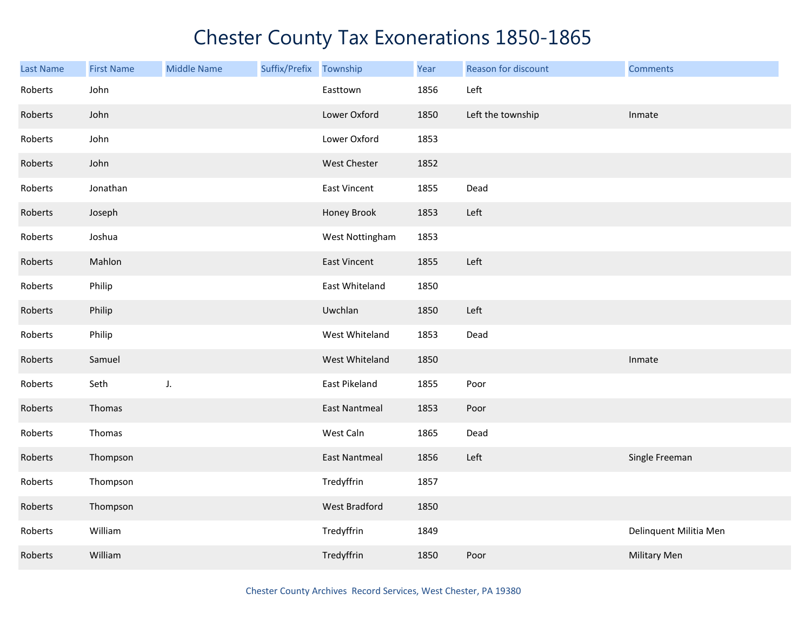| <b>Last Name</b> | <b>First Name</b> | <b>Middle Name</b> | Suffix/Prefix | Township             | Year | Reason for discount | <b>Comments</b>        |
|------------------|-------------------|--------------------|---------------|----------------------|------|---------------------|------------------------|
| Roberts          | John              |                    |               | Easttown             | 1856 | Left                |                        |
| Roberts          | John              |                    |               | Lower Oxford         | 1850 | Left the township   | Inmate                 |
| Roberts          | John              |                    |               | Lower Oxford         | 1853 |                     |                        |
| Roberts          | John              |                    |               | West Chester         | 1852 |                     |                        |
| Roberts          | Jonathan          |                    |               | <b>East Vincent</b>  | 1855 | Dead                |                        |
| Roberts          | Joseph            |                    |               | Honey Brook          | 1853 | Left                |                        |
| Roberts          | Joshua            |                    |               | West Nottingham      | 1853 |                     |                        |
| Roberts          | Mahlon            |                    |               | <b>East Vincent</b>  | 1855 | Left                |                        |
| Roberts          | Philip            |                    |               | East Whiteland       | 1850 |                     |                        |
| Roberts          | Philip            |                    |               | Uwchlan              | 1850 | Left                |                        |
| Roberts          | Philip            |                    |               | West Whiteland       | 1853 | Dead                |                        |
| Roberts          | Samuel            |                    |               | West Whiteland       | 1850 |                     | Inmate                 |
| Roberts          | Seth              | J.                 |               | East Pikeland        | 1855 | Poor                |                        |
| Roberts          | Thomas            |                    |               | <b>East Nantmeal</b> | 1853 | Poor                |                        |
| Roberts          | Thomas            |                    |               | West Caln            | 1865 | Dead                |                        |
| Roberts          | Thompson          |                    |               | <b>East Nantmeal</b> | 1856 | Left                | Single Freeman         |
| Roberts          | Thompson          |                    |               | Tredyffrin           | 1857 |                     |                        |
| Roberts          | Thompson          |                    |               | <b>West Bradford</b> | 1850 |                     |                        |
| Roberts          | William           |                    |               | Tredyffrin           | 1849 |                     | Delinquent Militia Men |
| Roberts          | William           |                    |               | Tredyffrin           | 1850 | Poor                | <b>Military Men</b>    |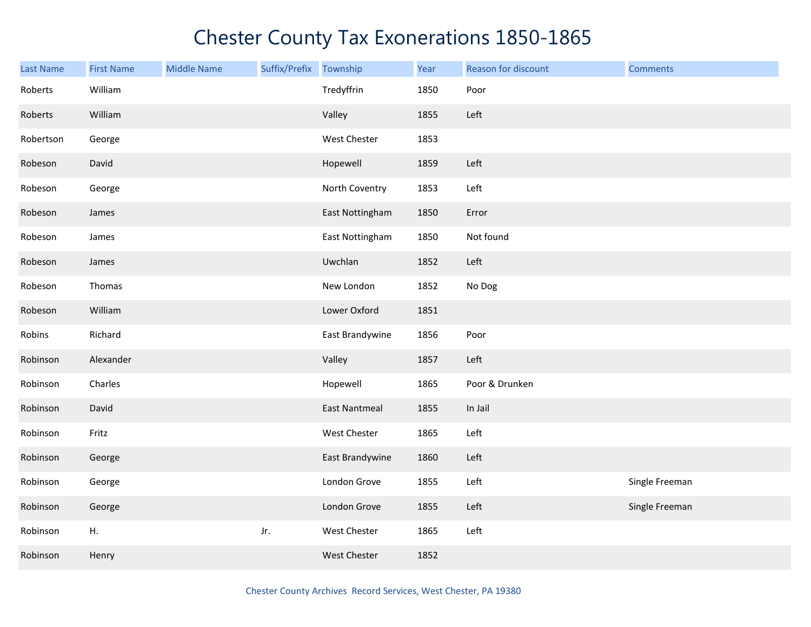| <b>Last Name</b> | <b>First Name</b> | <b>Middle Name</b> | Suffix/Prefix Township |                      | Year | Reason for discount | <b>Comments</b> |
|------------------|-------------------|--------------------|------------------------|----------------------|------|---------------------|-----------------|
| Roberts          | William           |                    |                        | Tredyffrin           | 1850 | Poor                |                 |
| Roberts          | William           |                    |                        | Valley               | 1855 | Left                |                 |
| Robertson        | George            |                    |                        | West Chester         | 1853 |                     |                 |
| Robeson          | David             |                    |                        | Hopewell             | 1859 | Left                |                 |
| Robeson          | George            |                    |                        | North Coventry       | 1853 | Left                |                 |
| Robeson          | James             |                    |                        | East Nottingham      | 1850 | Error               |                 |
| Robeson          | James             |                    |                        | East Nottingham      | 1850 | Not found           |                 |
| Robeson          | James             |                    |                        | Uwchlan              | 1852 | Left                |                 |
| Robeson          | Thomas            |                    |                        | New London           | 1852 | No Dog              |                 |
| Robeson          | William           |                    |                        | Lower Oxford         | 1851 |                     |                 |
| Robins           | Richard           |                    |                        | East Brandywine      | 1856 | Poor                |                 |
| Robinson         | Alexander         |                    |                        | Valley               | 1857 | Left                |                 |
| Robinson         | Charles           |                    |                        | Hopewell             | 1865 | Poor & Drunken      |                 |
| Robinson         | David             |                    |                        | <b>East Nantmeal</b> | 1855 | In Jail             |                 |
| Robinson         | Fritz             |                    |                        | West Chester         | 1865 | Left                |                 |
| Robinson         | George            |                    |                        | East Brandywine      | 1860 | Left                |                 |
| Robinson         | George            |                    |                        | London Grove         | 1855 | Left                | Single Freeman  |
| Robinson         | George            |                    |                        | London Grove         | 1855 | Left                | Single Freeman  |
| Robinson         | Η.                |                    | Jr.                    | West Chester         | 1865 | Left                |                 |
| Robinson         | Henry             |                    |                        | West Chester         | 1852 |                     |                 |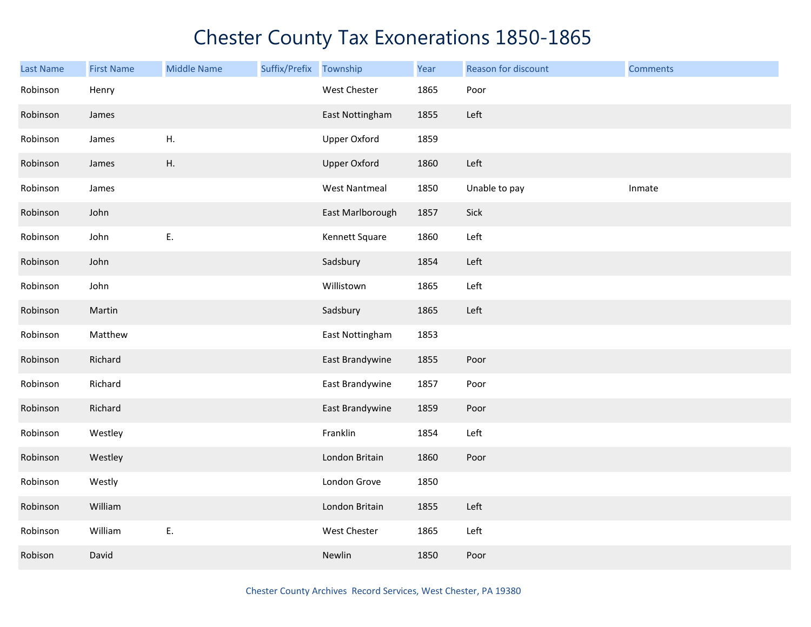| Last Name | <b>First Name</b> | <b>Middle Name</b> | Suffix/Prefix Township |                      | Year | Reason for discount | <b>Comments</b> |
|-----------|-------------------|--------------------|------------------------|----------------------|------|---------------------|-----------------|
| Robinson  | Henry             |                    |                        | West Chester         | 1865 | Poor                |                 |
| Robinson  | James             |                    |                        | East Nottingham      | 1855 | Left                |                 |
| Robinson  | James             | Η.                 |                        | <b>Upper Oxford</b>  | 1859 |                     |                 |
| Robinson  | James             | Η.                 |                        | <b>Upper Oxford</b>  | 1860 | Left                |                 |
| Robinson  | James             |                    |                        | <b>West Nantmeal</b> | 1850 | Unable to pay       | Inmate          |
| Robinson  | John              |                    |                        | East Marlborough     | 1857 | Sick                |                 |
| Robinson  | John              | E.                 |                        | Kennett Square       | 1860 | Left                |                 |
| Robinson  | John              |                    |                        | Sadsbury             | 1854 | Left                |                 |
| Robinson  | John              |                    |                        | Willistown           | 1865 | Left                |                 |
| Robinson  | Martin            |                    |                        | Sadsbury             | 1865 | Left                |                 |
| Robinson  | Matthew           |                    |                        | East Nottingham      | 1853 |                     |                 |
| Robinson  | Richard           |                    |                        | East Brandywine      | 1855 | Poor                |                 |
| Robinson  | Richard           |                    |                        | East Brandywine      | 1857 | Poor                |                 |
| Robinson  | Richard           |                    |                        | East Brandywine      | 1859 | Poor                |                 |
| Robinson  | Westley           |                    |                        | Franklin             | 1854 | Left                |                 |
| Robinson  | Westley           |                    |                        | London Britain       | 1860 | Poor                |                 |
| Robinson  | Westly            |                    |                        | London Grove         | 1850 |                     |                 |
| Robinson  | William           |                    |                        | London Britain       | 1855 | Left                |                 |
| Robinson  | William           | Ε.                 |                        | West Chester         | 1865 | Left                |                 |
| Robison   | David             |                    |                        | Newlin               | 1850 | Poor                |                 |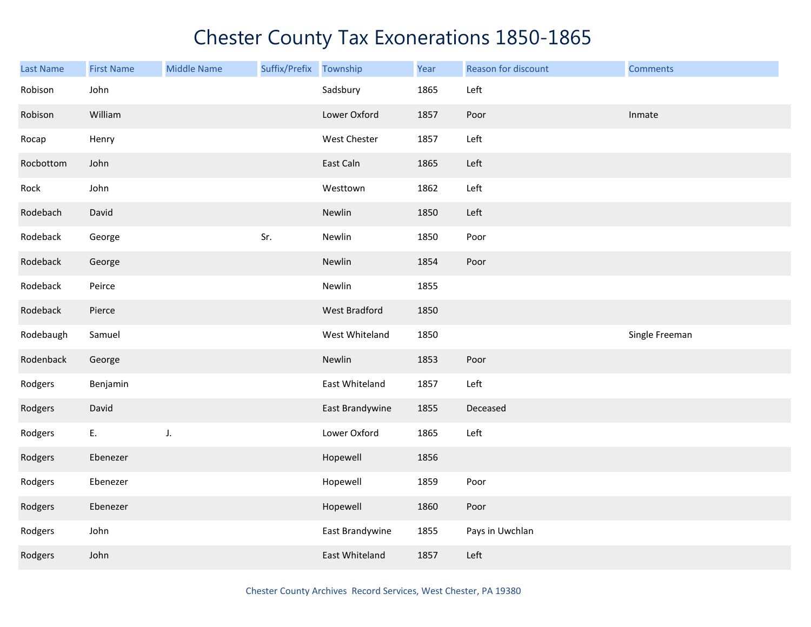| <b>Last Name</b> | <b>First Name</b> | <b>Middle Name</b> | Suffix/Prefix Township |                 | Year | Reason for discount | <b>Comments</b> |
|------------------|-------------------|--------------------|------------------------|-----------------|------|---------------------|-----------------|
| Robison          | John              |                    |                        | Sadsbury        | 1865 | Left                |                 |
| Robison          | William           |                    |                        | Lower Oxford    | 1857 | Poor                | Inmate          |
| Rocap            | Henry             |                    |                        | West Chester    | 1857 | Left                |                 |
| Rocbottom        | John              |                    |                        | East Caln       | 1865 | Left                |                 |
| Rock             | John              |                    |                        | Westtown        | 1862 | Left                |                 |
| Rodebach         | David             |                    |                        | Newlin          | 1850 | Left                |                 |
| Rodeback         | George            |                    | Sr.                    | Newlin          | 1850 | Poor                |                 |
| Rodeback         | George            |                    |                        | Newlin          | 1854 | Poor                |                 |
| Rodeback         | Peirce            |                    |                        | Newlin          | 1855 |                     |                 |
| Rodeback         | Pierce            |                    |                        | West Bradford   | 1850 |                     |                 |
| Rodebaugh        | Samuel            |                    |                        | West Whiteland  | 1850 |                     | Single Freeman  |
| Rodenback        | George            |                    |                        | Newlin          | 1853 | Poor                |                 |
| Rodgers          | Benjamin          |                    |                        | East Whiteland  | 1857 | Left                |                 |
| Rodgers          | David             |                    |                        | East Brandywine | 1855 | Deceased            |                 |
| Rodgers          | E.                | J.                 |                        | Lower Oxford    | 1865 | Left                |                 |
| Rodgers          | Ebenezer          |                    |                        | Hopewell        | 1856 |                     |                 |
| Rodgers          | Ebenezer          |                    |                        | Hopewell        | 1859 | Poor                |                 |
| Rodgers          | Ebenezer          |                    |                        | Hopewell        | 1860 | Poor                |                 |
| Rodgers          | John              |                    |                        | East Brandywine | 1855 | Pays in Uwchlan     |                 |
| Rodgers          | John              |                    |                        | East Whiteland  | 1857 | Left                |                 |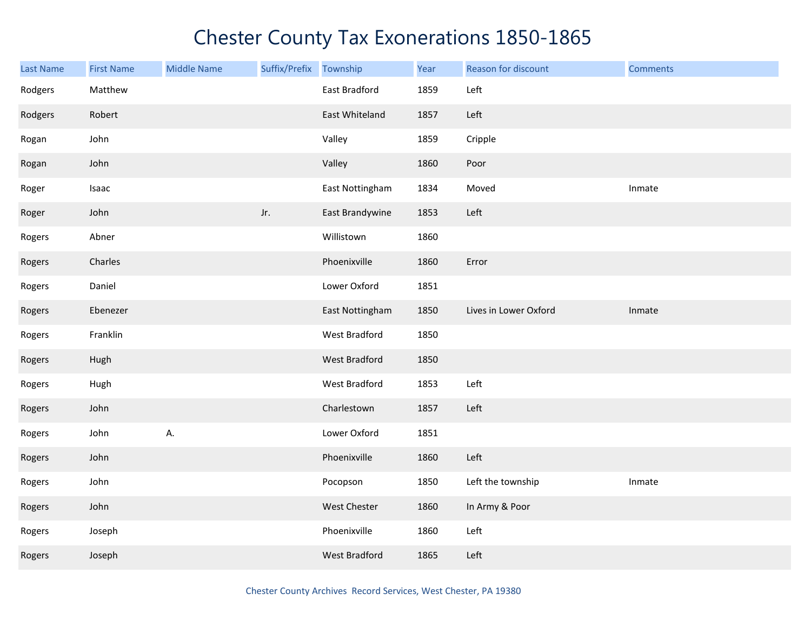| Last Name | <b>First Name</b> | <b>Middle Name</b> | Suffix/Prefix | Township             | Year | Reason for discount   | <b>Comments</b> |
|-----------|-------------------|--------------------|---------------|----------------------|------|-----------------------|-----------------|
| Rodgers   | Matthew           |                    |               | East Bradford        | 1859 | Left                  |                 |
| Rodgers   | Robert            |                    |               | East Whiteland       | 1857 | Left                  |                 |
| Rogan     | John              |                    |               | Valley               | 1859 | Cripple               |                 |
| Rogan     | John              |                    |               | Valley               | 1860 | Poor                  |                 |
| Roger     | Isaac             |                    |               | East Nottingham      | 1834 | Moved                 | Inmate          |
| Roger     | John              |                    | Jr.           | East Brandywine      | 1853 | Left                  |                 |
| Rogers    | Abner             |                    |               | Willistown           | 1860 |                       |                 |
| Rogers    | Charles           |                    |               | Phoenixville         | 1860 | Error                 |                 |
| Rogers    | Daniel            |                    |               | Lower Oxford         | 1851 |                       |                 |
| Rogers    | Ebenezer          |                    |               | East Nottingham      | 1850 | Lives in Lower Oxford | Inmate          |
| Rogers    | Franklin          |                    |               | West Bradford        | 1850 |                       |                 |
| Rogers    | Hugh              |                    |               | <b>West Bradford</b> | 1850 |                       |                 |
| Rogers    | Hugh              |                    |               | West Bradford        | 1853 | Left                  |                 |
| Rogers    | John              |                    |               | Charlestown          | 1857 | Left                  |                 |
| Rogers    | John              | А.                 |               | Lower Oxford         | 1851 |                       |                 |
| Rogers    | John              |                    |               | Phoenixville         | 1860 | Left                  |                 |
| Rogers    | John              |                    |               | Pocopson             | 1850 | Left the township     | Inmate          |
| Rogers    | John              |                    |               | West Chester         | 1860 | In Army & Poor        |                 |
| Rogers    | Joseph            |                    |               | Phoenixville         | 1860 | Left                  |                 |
| Rogers    | Joseph            |                    |               | West Bradford        | 1865 | Left                  |                 |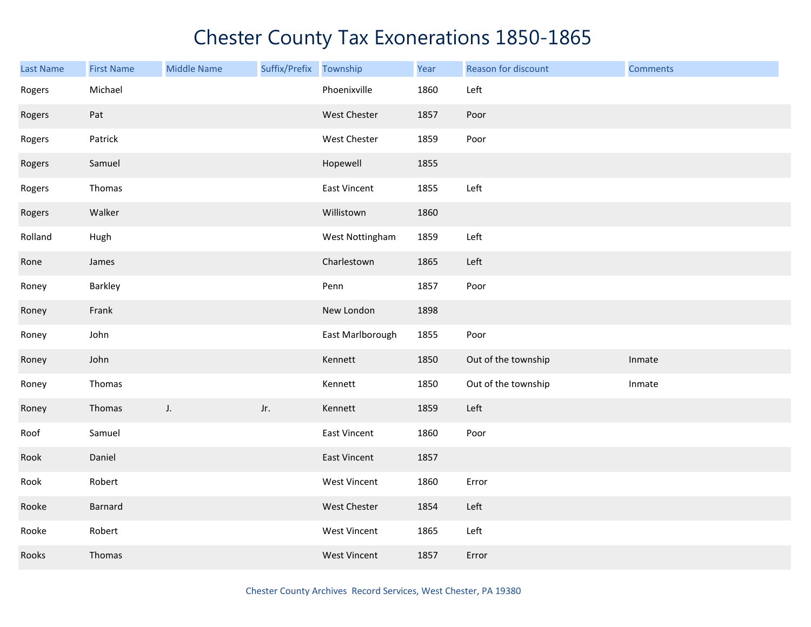| Last Name | <b>First Name</b> | <b>Middle Name</b> | Suffix/Prefix | Township            | Year | Reason for discount | <b>Comments</b> |
|-----------|-------------------|--------------------|---------------|---------------------|------|---------------------|-----------------|
| Rogers    | Michael           |                    |               | Phoenixville        | 1860 | Left                |                 |
| Rogers    | Pat               |                    |               | West Chester        | 1857 | Poor                |                 |
| Rogers    | Patrick           |                    |               | West Chester        | 1859 | Poor                |                 |
| Rogers    | Samuel            |                    |               | Hopewell            | 1855 |                     |                 |
| Rogers    | Thomas            |                    |               | East Vincent        | 1855 | Left                |                 |
| Rogers    | Walker            |                    |               | Willistown          | 1860 |                     |                 |
| Rolland   | Hugh              |                    |               | West Nottingham     | 1859 | Left                |                 |
| Rone      | James             |                    |               | Charlestown         | 1865 | Left                |                 |
| Roney     | Barkley           |                    |               | Penn                | 1857 | Poor                |                 |
| Roney     | Frank             |                    |               | New London          | 1898 |                     |                 |
| Roney     | John              |                    |               | East Marlborough    | 1855 | Poor                |                 |
| Roney     | John              |                    |               | Kennett             | 1850 | Out of the township | Inmate          |
| Roney     | Thomas            |                    |               | Kennett             | 1850 | Out of the township | Inmate          |
| Roney     | Thomas            | J.                 | Jr.           | Kennett             | 1859 | Left                |                 |
| Roof      | Samuel            |                    |               | East Vincent        | 1860 | Poor                |                 |
| Rook      | Daniel            |                    |               | East Vincent        | 1857 |                     |                 |
| Rook      | Robert            |                    |               | West Vincent        | 1860 | Error               |                 |
| Rooke     | Barnard           |                    |               | West Chester        | 1854 | Left                |                 |
| Rooke     | Robert            |                    |               | West Vincent        | 1865 | Left                |                 |
| Rooks     | Thomas            |                    |               | <b>West Vincent</b> | 1857 | Error               |                 |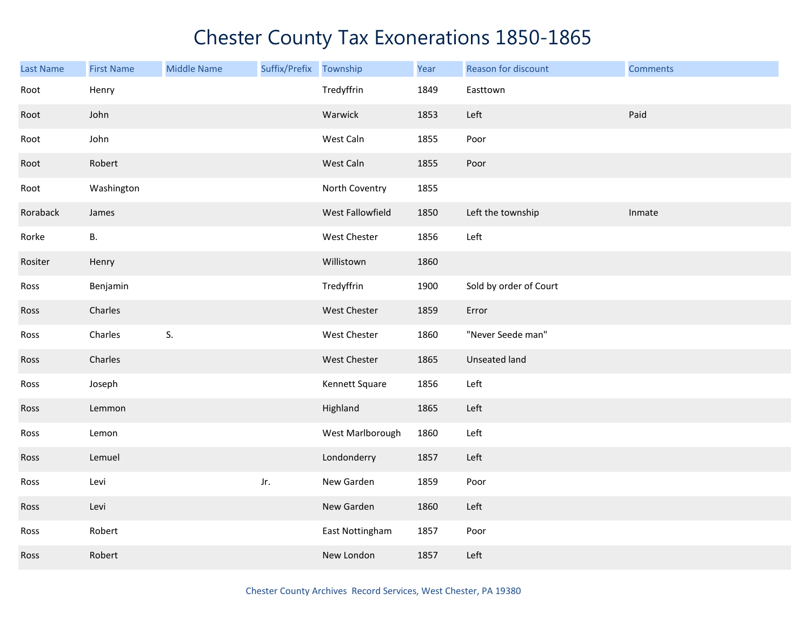| <b>Last Name</b> | <b>First Name</b> | <b>Middle Name</b> | Suffix/Prefix | Township         | Year | Reason for discount    | <b>Comments</b> |
|------------------|-------------------|--------------------|---------------|------------------|------|------------------------|-----------------|
| Root             | Henry             |                    |               | Tredyffrin       | 1849 | Easttown               |                 |
| Root             | John              |                    |               | Warwick          | 1853 | Left                   | Paid            |
| Root             | John              |                    |               | West Caln        | 1855 | Poor                   |                 |
| Root             | Robert            |                    |               | West Caln        | 1855 | Poor                   |                 |
| Root             | Washington        |                    |               | North Coventry   | 1855 |                        |                 |
| Roraback         | James             |                    |               | West Fallowfield | 1850 | Left the township      | Inmate          |
| Rorke            | В.                |                    |               | West Chester     | 1856 | Left                   |                 |
| Rositer          | Henry             |                    |               | Willistown       | 1860 |                        |                 |
| Ross             | Benjamin          |                    |               | Tredyffrin       | 1900 | Sold by order of Court |                 |
| Ross             | Charles           |                    |               | West Chester     | 1859 | Error                  |                 |
| Ross             | Charles           | S.                 |               | West Chester     | 1860 | "Never Seede man"      |                 |
| Ross             | Charles           |                    |               | West Chester     | 1865 | Unseated land          |                 |
| Ross             | Joseph            |                    |               | Kennett Square   | 1856 | Left                   |                 |
| Ross             | Lemmon            |                    |               | Highland         | 1865 | Left                   |                 |
| Ross             | Lemon             |                    |               | West Marlborough | 1860 | Left                   |                 |
| Ross             | Lemuel            |                    |               | Londonderry      | 1857 | Left                   |                 |
| Ross             | Levi              |                    | Jr.           | New Garden       | 1859 | Poor                   |                 |
| Ross             | Levi              |                    |               | New Garden       | 1860 | Left                   |                 |
| Ross             | Robert            |                    |               | East Nottingham  | 1857 | Poor                   |                 |
| <b>Ross</b>      | Robert            |                    |               | New London       | 1857 | Left                   |                 |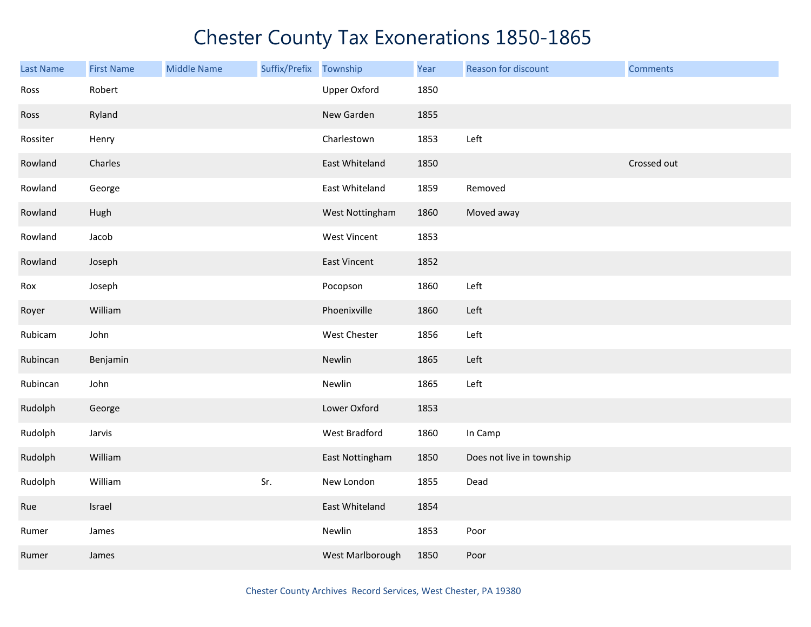| Last Name | <b>First Name</b> | <b>Middle Name</b> | Suffix/Prefix Township |                  | Year | Reason for discount       | <b>Comments</b> |
|-----------|-------------------|--------------------|------------------------|------------------|------|---------------------------|-----------------|
| Ross      | Robert            |                    |                        | Upper Oxford     | 1850 |                           |                 |
| Ross      | Ryland            |                    |                        | New Garden       | 1855 |                           |                 |
| Rossiter  | Henry             |                    |                        | Charlestown      | 1853 | Left                      |                 |
| Rowland   | Charles           |                    |                        | East Whiteland   | 1850 |                           | Crossed out     |
| Rowland   | George            |                    |                        | East Whiteland   | 1859 | Removed                   |                 |
| Rowland   | Hugh              |                    |                        | West Nottingham  | 1860 | Moved away                |                 |
| Rowland   | Jacob             |                    |                        | West Vincent     | 1853 |                           |                 |
| Rowland   | Joseph            |                    |                        | East Vincent     | 1852 |                           |                 |
| Rox       | Joseph            |                    |                        | Pocopson         | 1860 | Left                      |                 |
| Royer     | William           |                    |                        | Phoenixville     | 1860 | Left                      |                 |
| Rubicam   | John              |                    |                        | West Chester     | 1856 | Left                      |                 |
| Rubincan  | Benjamin          |                    |                        | Newlin           | 1865 | Left                      |                 |
| Rubincan  | John              |                    |                        | Newlin           | 1865 | Left                      |                 |
| Rudolph   | George            |                    |                        | Lower Oxford     | 1853 |                           |                 |
| Rudolph   | Jarvis            |                    |                        | West Bradford    | 1860 | In Camp                   |                 |
| Rudolph   | William           |                    |                        | East Nottingham  | 1850 | Does not live in township |                 |
| Rudolph   | William           |                    | Sr.                    | New London       | 1855 | Dead                      |                 |
| Rue       | Israel            |                    |                        | East Whiteland   | 1854 |                           |                 |
| Rumer     | James             |                    |                        | Newlin           | 1853 | Poor                      |                 |
| Rumer     | James             |                    |                        | West Marlborough | 1850 | Poor                      |                 |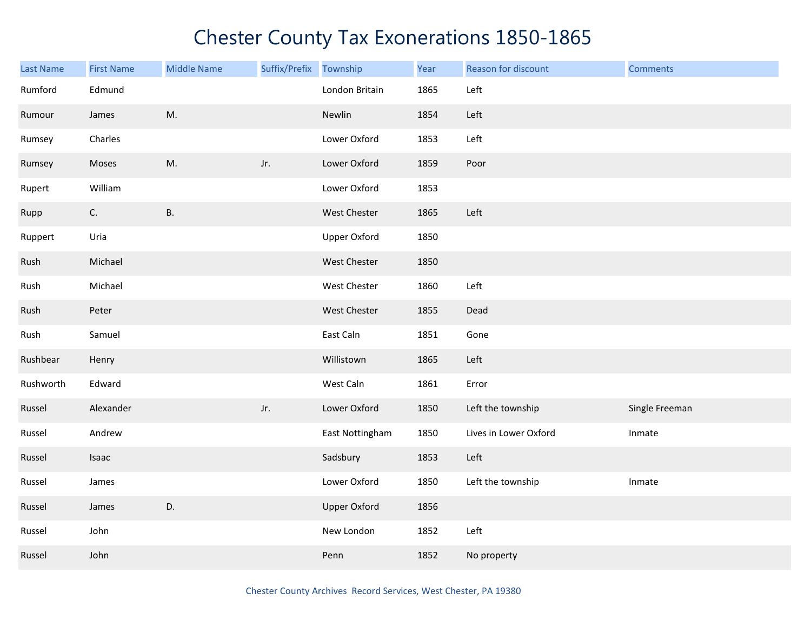| Last Name | <b>First Name</b> | <b>Middle Name</b> | Suffix/Prefix | Township            | Year | Reason for discount   | <b>Comments</b> |
|-----------|-------------------|--------------------|---------------|---------------------|------|-----------------------|-----------------|
| Rumford   | Edmund            |                    |               | London Britain      | 1865 | Left                  |                 |
| Rumour    | James             | M.                 |               | Newlin              | 1854 | Left                  |                 |
| Rumsey    | Charles           |                    |               | Lower Oxford        | 1853 | Left                  |                 |
| Rumsey    | Moses             | M.                 | Jr.           | Lower Oxford        | 1859 | Poor                  |                 |
| Rupert    | William           |                    |               | Lower Oxford        | 1853 |                       |                 |
| Rupp      | C.                | <b>B.</b>          |               | West Chester        | 1865 | Left                  |                 |
| Ruppert   | Uria              |                    |               | <b>Upper Oxford</b> | 1850 |                       |                 |
| Rush      | Michael           |                    |               | West Chester        | 1850 |                       |                 |
| Rush      | Michael           |                    |               | West Chester        | 1860 | Left                  |                 |
| Rush      | Peter             |                    |               | West Chester        | 1855 | Dead                  |                 |
| Rush      | Samuel            |                    |               | East Caln           | 1851 | Gone                  |                 |
| Rushbear  | Henry             |                    |               | Willistown          | 1865 | Left                  |                 |
| Rushworth | Edward            |                    |               | West Caln           | 1861 | Error                 |                 |
| Russel    | Alexander         |                    | Jr.           | Lower Oxford        | 1850 | Left the township     | Single Freeman  |
| Russel    | Andrew            |                    |               | East Nottingham     | 1850 | Lives in Lower Oxford | Inmate          |
| Russel    | Isaac             |                    |               | Sadsbury            | 1853 | Left                  |                 |
| Russel    | James             |                    |               | Lower Oxford        | 1850 | Left the township     | Inmate          |
| Russel    | James             | D.                 |               | <b>Upper Oxford</b> | 1856 |                       |                 |
| Russel    | John              |                    |               | New London          | 1852 | Left                  |                 |
| Russel    | John              |                    |               | Penn                | 1852 | No property           |                 |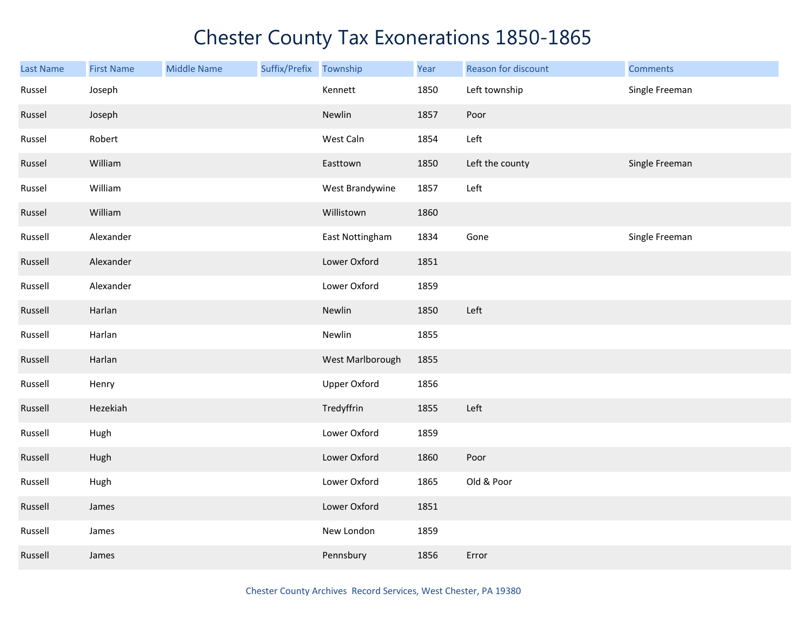| <b>Last Name</b> | <b>First Name</b> | <b>Middle Name</b> | Suffix/Prefix | Township            | Year | Reason for discount | <b>Comments</b> |
|------------------|-------------------|--------------------|---------------|---------------------|------|---------------------|-----------------|
| Russel           | Joseph            |                    |               | Kennett             | 1850 | Left township       | Single Freeman  |
| Russel           | Joseph            |                    |               | Newlin              | 1857 | Poor                |                 |
| Russel           | Robert            |                    |               | West Caln           | 1854 | Left                |                 |
| Russel           | William           |                    |               | Easttown            | 1850 | Left the county     | Single Freeman  |
| Russel           | William           |                    |               | West Brandywine     | 1857 | Left                |                 |
| Russel           | William           |                    |               | Willistown          | 1860 |                     |                 |
| Russell          | Alexander         |                    |               | East Nottingham     | 1834 | Gone                | Single Freeman  |
| Russell          | Alexander         |                    |               | Lower Oxford        | 1851 |                     |                 |
| Russell          | Alexander         |                    |               | Lower Oxford        | 1859 |                     |                 |
| Russell          | Harlan            |                    |               | Newlin              | 1850 | Left                |                 |
| Russell          | Harlan            |                    |               | Newlin              | 1855 |                     |                 |
| Russell          | Harlan            |                    |               | West Marlborough    | 1855 |                     |                 |
| Russell          | Henry             |                    |               | <b>Upper Oxford</b> | 1856 |                     |                 |
| Russell          | Hezekiah          |                    |               | Tredyffrin          | 1855 | Left                |                 |
| Russell          | Hugh              |                    |               | Lower Oxford        | 1859 |                     |                 |
| Russell          | Hugh              |                    |               | Lower Oxford        | 1860 | Poor                |                 |
| Russell          | Hugh              |                    |               | Lower Oxford        | 1865 | Old & Poor          |                 |
| Russell          | James             |                    |               | Lower Oxford        | 1851 |                     |                 |
| Russell          | James             |                    |               | New London          | 1859 |                     |                 |
| Russell          | James             |                    |               | Pennsbury           | 1856 | Error               |                 |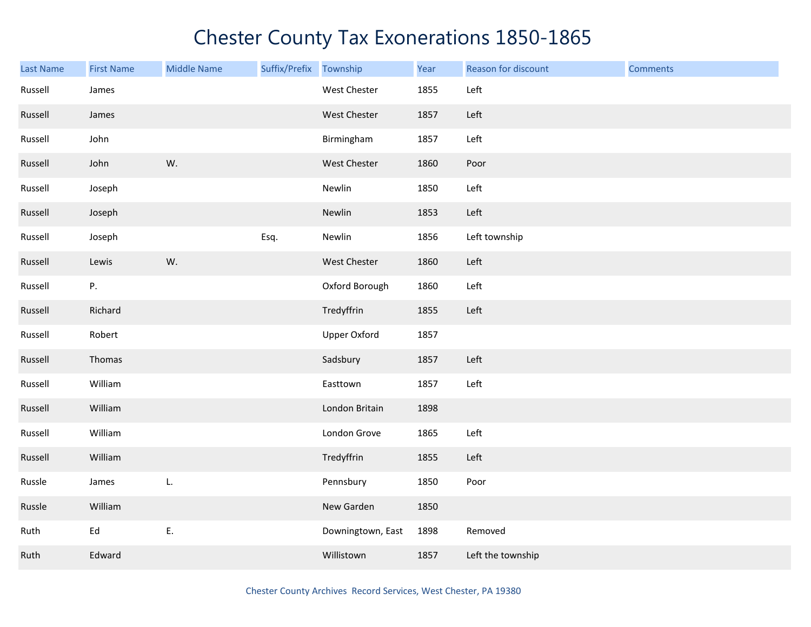| <b>Last Name</b> | <b>First Name</b> | <b>Middle Name</b> | Suffix/Prefix Township |                     | Year | Reason for discount | <b>Comments</b> |
|------------------|-------------------|--------------------|------------------------|---------------------|------|---------------------|-----------------|
| Russell          | James             |                    |                        | West Chester        | 1855 | Left                |                 |
| Russell          | James             |                    |                        | West Chester        | 1857 | Left                |                 |
| Russell          | John              |                    |                        | Birmingham          | 1857 | Left                |                 |
| Russell          | John              | W.                 |                        | <b>West Chester</b> | 1860 | Poor                |                 |
| Russell          | Joseph            |                    |                        | Newlin              | 1850 | Left                |                 |
| Russell          | Joseph            |                    |                        | Newlin              | 1853 | Left                |                 |
| Russell          | Joseph            |                    | Esq.                   | Newlin              | 1856 | Left township       |                 |
| Russell          | Lewis             | W.                 |                        | West Chester        | 1860 | Left                |                 |
| Russell          | Ρ.                |                    |                        | Oxford Borough      | 1860 | Left                |                 |
| Russell          | Richard           |                    |                        | Tredyffrin          | 1855 | Left                |                 |
| Russell          | Robert            |                    |                        | <b>Upper Oxford</b> | 1857 |                     |                 |
| Russell          | Thomas            |                    |                        | Sadsbury            | 1857 | Left                |                 |
| Russell          | William           |                    |                        | Easttown            | 1857 | Left                |                 |
| Russell          | William           |                    |                        | London Britain      | 1898 |                     |                 |
| Russell          | William           |                    |                        | London Grove        | 1865 | Left                |                 |
| Russell          | William           |                    |                        | Tredyffrin          | 1855 | Left                |                 |
| Russle           | James             | L.                 |                        | Pennsbury           | 1850 | Poor                |                 |
| Russle           | William           |                    |                        | New Garden          | 1850 |                     |                 |
| Ruth             | Ed                | Ε.                 |                        | Downingtown, East   | 1898 | Removed             |                 |
| Ruth             | Edward            |                    |                        | Willistown          | 1857 | Left the township   |                 |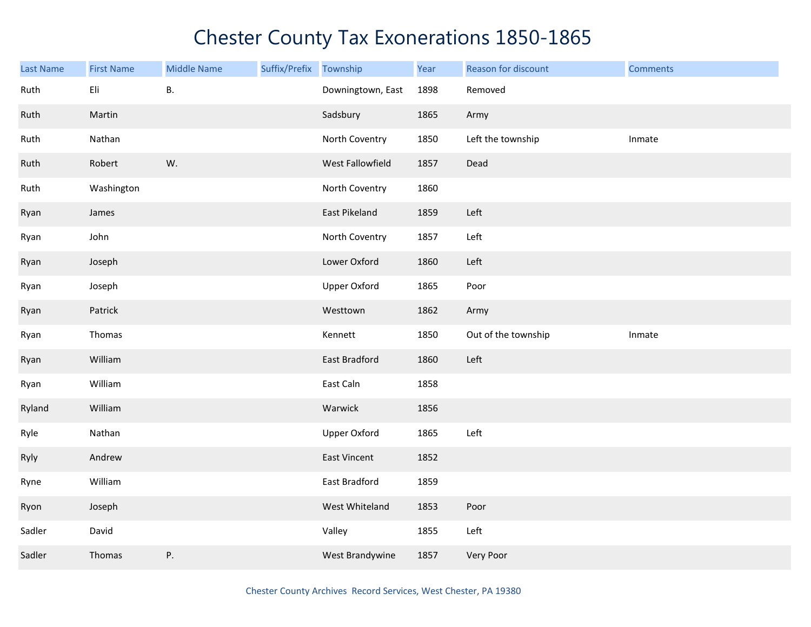| <b>Last Name</b> | <b>First Name</b> | <b>Middle Name</b> | Suffix/Prefix | Township          | Year | Reason for discount | <b>Comments</b> |
|------------------|-------------------|--------------------|---------------|-------------------|------|---------------------|-----------------|
| Ruth             | Eli               | Β.                 |               | Downingtown, East | 1898 | Removed             |                 |
| Ruth             | Martin            |                    |               | Sadsbury          | 1865 | Army                |                 |
| Ruth             | Nathan            |                    |               | North Coventry    | 1850 | Left the township   | Inmate          |
| Ruth             | Robert            | W.                 |               | West Fallowfield  | 1857 | Dead                |                 |
| Ruth             | Washington        |                    |               | North Coventry    | 1860 |                     |                 |
| Ryan             | James             |                    |               | East Pikeland     | 1859 | Left                |                 |
| Ryan             | John              |                    |               | North Coventry    | 1857 | Left                |                 |
| Ryan             | Joseph            |                    |               | Lower Oxford      | 1860 | Left                |                 |
| Ryan             | Joseph            |                    |               | Upper Oxford      | 1865 | Poor                |                 |
| Ryan             | Patrick           |                    |               | Westtown          | 1862 | Army                |                 |
| Ryan             | Thomas            |                    |               | Kennett           | 1850 | Out of the township | Inmate          |
| Ryan             | William           |                    |               | East Bradford     | 1860 | Left                |                 |
| Ryan             | William           |                    |               | East Caln         | 1858 |                     |                 |
| Ryland           | William           |                    |               | Warwick           | 1856 |                     |                 |
| Ryle             | Nathan            |                    |               | Upper Oxford      | 1865 | Left                |                 |
| Ryly             | Andrew            |                    |               | East Vincent      | 1852 |                     |                 |
| Ryne             | William           |                    |               | East Bradford     | 1859 |                     |                 |
| Ryon             | Joseph            |                    |               | West Whiteland    | 1853 | Poor                |                 |
| Sadler           | David             |                    |               | Valley            | 1855 | Left                |                 |
| Sadler           | Thomas            | ${\sf P}.$         |               | West Brandywine   | 1857 | Very Poor           |                 |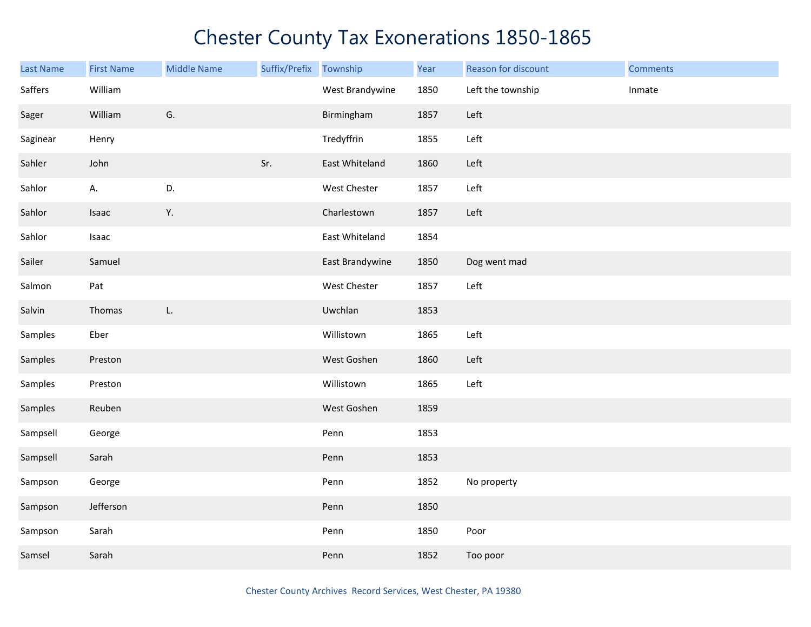| <b>Last Name</b> | <b>First Name</b> | <b>Middle Name</b> | Suffix/Prefix | Township        | Year | Reason for discount | <b>Comments</b> |
|------------------|-------------------|--------------------|---------------|-----------------|------|---------------------|-----------------|
| Saffers          | William           |                    |               | West Brandywine | 1850 | Left the township   | Inmate          |
| Sager            | William           | G.                 |               | Birmingham      | 1857 | Left                |                 |
| Saginear         | Henry             |                    |               | Tredyffrin      | 1855 | Left                |                 |
| Sahler           | John              |                    | Sr.           | East Whiteland  | 1860 | Left                |                 |
| Sahlor           | А.                | D.                 |               | West Chester    | 1857 | Left                |                 |
| Sahlor           | Isaac             | Υ.                 |               | Charlestown     | 1857 | Left                |                 |
| Sahlor           | Isaac             |                    |               | East Whiteland  | 1854 |                     |                 |
| Sailer           | Samuel            |                    |               | East Brandywine | 1850 | Dog went mad        |                 |
| Salmon           | Pat               |                    |               | West Chester    | 1857 | Left                |                 |
| Salvin           | Thomas            | L.                 |               | Uwchlan         | 1853 |                     |                 |
| Samples          | Eber              |                    |               | Willistown      | 1865 | Left                |                 |
| Samples          | Preston           |                    |               | West Goshen     | 1860 | Left                |                 |
| Samples          | Preston           |                    |               | Willistown      | 1865 | Left                |                 |
| Samples          | Reuben            |                    |               | West Goshen     | 1859 |                     |                 |
| Sampsell         | George            |                    |               | Penn            | 1853 |                     |                 |
| Sampsell         | Sarah             |                    |               | Penn            | 1853 |                     |                 |
| Sampson          | George            |                    |               | Penn            | 1852 | No property         |                 |
| Sampson          | Jefferson         |                    |               | Penn            | 1850 |                     |                 |
| Sampson          | Sarah             |                    |               | Penn            | 1850 | Poor                |                 |
| Samsel           | Sarah             |                    |               | Penn            | 1852 | Too poor            |                 |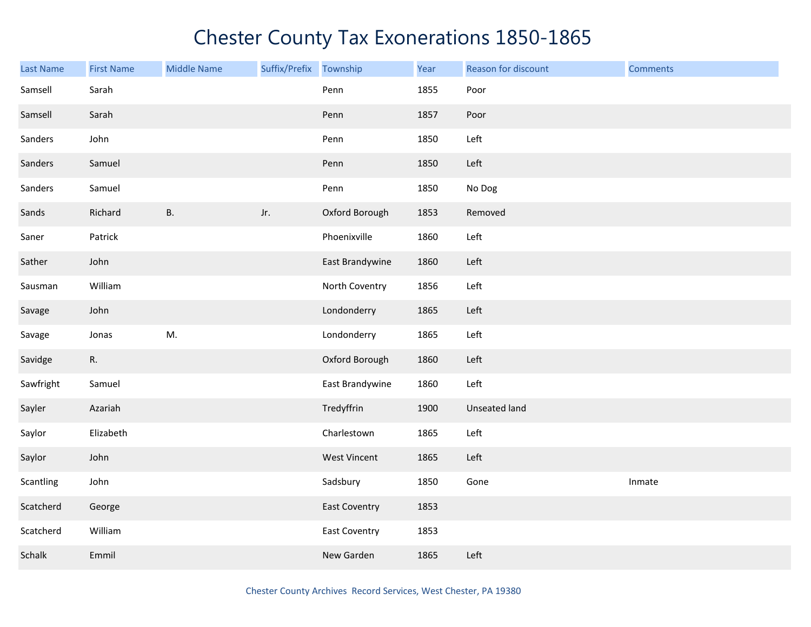| Last Name | <b>First Name</b> | <b>Middle Name</b> | Suffix/Prefix | Township             | Year | Reason for discount | <b>Comments</b> |
|-----------|-------------------|--------------------|---------------|----------------------|------|---------------------|-----------------|
| Samsell   | Sarah             |                    |               | Penn                 | 1855 | Poor                |                 |
| Samsell   | Sarah             |                    |               | Penn                 | 1857 | Poor                |                 |
| Sanders   | John              |                    |               | Penn                 | 1850 | Left                |                 |
| Sanders   | Samuel            |                    |               | Penn                 | 1850 | Left                |                 |
| Sanders   | Samuel            |                    |               | Penn                 | 1850 | No Dog              |                 |
| Sands     | Richard           | <b>B.</b>          | Jr.           | Oxford Borough       | 1853 | Removed             |                 |
| Saner     | Patrick           |                    |               | Phoenixville         | 1860 | Left                |                 |
| Sather    | John              |                    |               | East Brandywine      | 1860 | Left                |                 |
| Sausman   | William           |                    |               | North Coventry       | 1856 | Left                |                 |
| Savage    | John              |                    |               | Londonderry          | 1865 | Left                |                 |
| Savage    | Jonas             | M.                 |               | Londonderry          | 1865 | Left                |                 |
| Savidge   | R.                |                    |               | Oxford Borough       | 1860 | Left                |                 |
| Sawfright | Samuel            |                    |               | East Brandywine      | 1860 | Left                |                 |
| Sayler    | Azariah           |                    |               | Tredyffrin           | 1900 | Unseated land       |                 |
| Saylor    | Elizabeth         |                    |               | Charlestown          | 1865 | Left                |                 |
| Saylor    | John              |                    |               | <b>West Vincent</b>  | 1865 | Left                |                 |
| Scantling | John              |                    |               | Sadsbury             | 1850 | Gone                | Inmate          |
| Scatcherd | George            |                    |               | <b>East Coventry</b> | 1853 |                     |                 |
| Scatcherd | William           |                    |               | <b>East Coventry</b> | 1853 |                     |                 |
| Schalk    | Emmil             |                    |               | New Garden           | 1865 | Left                |                 |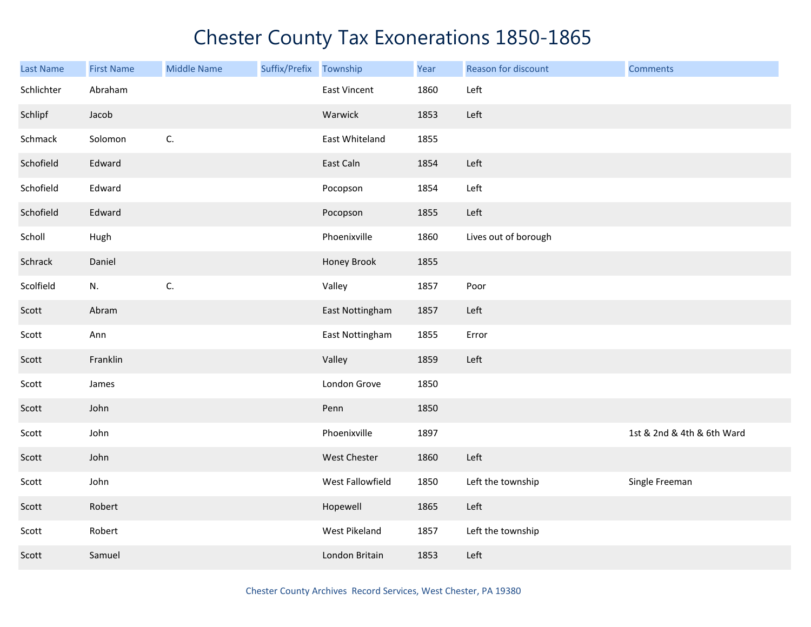| <b>Last Name</b> | <b>First Name</b> | <b>Middle Name</b> | Suffix/Prefix Township |                     | Year | Reason for discount  | <b>Comments</b>            |
|------------------|-------------------|--------------------|------------------------|---------------------|------|----------------------|----------------------------|
| Schlichter       | Abraham           |                    |                        | <b>East Vincent</b> | 1860 | Left                 |                            |
| Schlipf          | Jacob             |                    |                        | Warwick             | 1853 | Left                 |                            |
| Schmack          | Solomon           | C.                 |                        | East Whiteland      | 1855 |                      |                            |
| Schofield        | Edward            |                    |                        | East Caln           | 1854 | Left                 |                            |
| Schofield        | Edward            |                    |                        | Pocopson            | 1854 | Left                 |                            |
| Schofield        | Edward            |                    |                        | Pocopson            | 1855 | Left                 |                            |
| Scholl           | Hugh              |                    |                        | Phoenixville        | 1860 | Lives out of borough |                            |
| Schrack          | Daniel            |                    |                        | Honey Brook         | 1855 |                      |                            |
| Scolfield        | N.                | C.                 |                        | Valley              | 1857 | Poor                 |                            |
| Scott            | Abram             |                    |                        | East Nottingham     | 1857 | Left                 |                            |
| Scott            | Ann               |                    |                        | East Nottingham     | 1855 | Error                |                            |
| Scott            | Franklin          |                    |                        | Valley              | 1859 | Left                 |                            |
| Scott            | James             |                    |                        | London Grove        | 1850 |                      |                            |
| Scott            | John              |                    |                        | Penn                | 1850 |                      |                            |
| Scott            | John              |                    |                        | Phoenixville        | 1897 |                      | 1st & 2nd & 4th & 6th Ward |
| Scott            | John              |                    |                        | West Chester        | 1860 | Left                 |                            |
| Scott            | John              |                    |                        | West Fallowfield    | 1850 | Left the township    | Single Freeman             |
| Scott            | Robert            |                    |                        | Hopewell            | 1865 | Left                 |                            |
| Scott            | Robert            |                    |                        | West Pikeland       | 1857 | Left the township    |                            |
| Scott            | Samuel            |                    |                        | London Britain      | 1853 | Left                 |                            |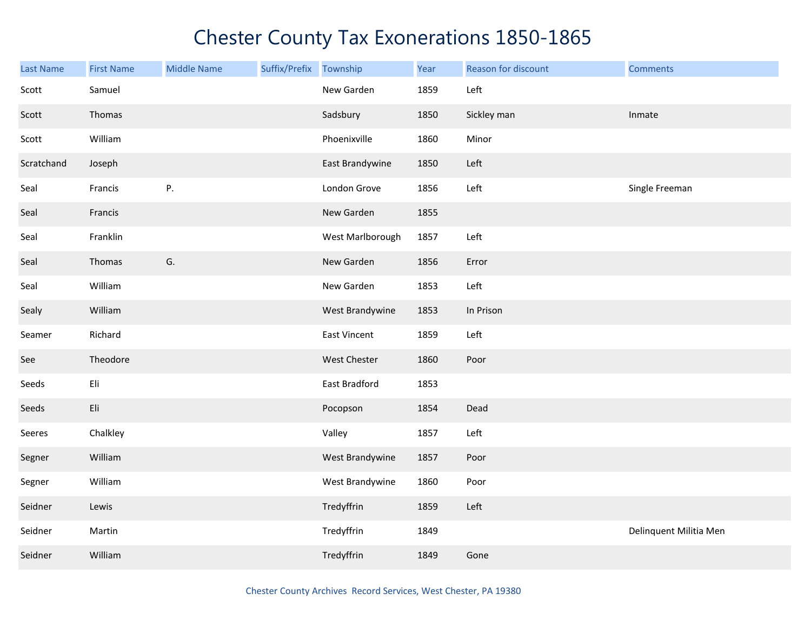| Last Name  | <b>First Name</b> | <b>Middle Name</b> | Suffix/Prefix Township |                     | Year | Reason for discount | <b>Comments</b>        |
|------------|-------------------|--------------------|------------------------|---------------------|------|---------------------|------------------------|
| Scott      | Samuel            |                    |                        | New Garden          | 1859 | Left                |                        |
| Scott      | Thomas            |                    |                        | Sadsbury            | 1850 | Sickley man         | Inmate                 |
| Scott      | William           |                    |                        | Phoenixville        | 1860 | Minor               |                        |
| Scratchand | Joseph            |                    |                        | East Brandywine     | 1850 | Left                |                        |
| Seal       | Francis           | Ρ.                 |                        | London Grove        | 1856 | Left                | Single Freeman         |
| Seal       | Francis           |                    |                        | New Garden          | 1855 |                     |                        |
| Seal       | Franklin          |                    |                        | West Marlborough    | 1857 | Left                |                        |
| Seal       | Thomas            | G.                 |                        | New Garden          | 1856 | Error               |                        |
| Seal       | William           |                    |                        | New Garden          | 1853 | Left                |                        |
| Sealy      | William           |                    |                        | West Brandywine     | 1853 | In Prison           |                        |
| Seamer     | Richard           |                    |                        | <b>East Vincent</b> | 1859 | Left                |                        |
| See        | Theodore          |                    |                        | West Chester        | 1860 | Poor                |                        |
| Seeds      | Eli               |                    |                        | East Bradford       | 1853 |                     |                        |
| Seeds      | Eli               |                    |                        | Pocopson            | 1854 | Dead                |                        |
| Seeres     | Chalkley          |                    |                        | Valley              | 1857 | Left                |                        |
| Segner     | William           |                    |                        | West Brandywine     | 1857 | Poor                |                        |
| Segner     | William           |                    |                        | West Brandywine     | 1860 | Poor                |                        |
| Seidner    | Lewis             |                    |                        | Tredyffrin          | 1859 | Left                |                        |
| Seidner    | Martin            |                    |                        | Tredyffrin          | 1849 |                     | Delinquent Militia Men |
| Seidner    | William           |                    |                        | Tredyffrin          | 1849 | Gone                |                        |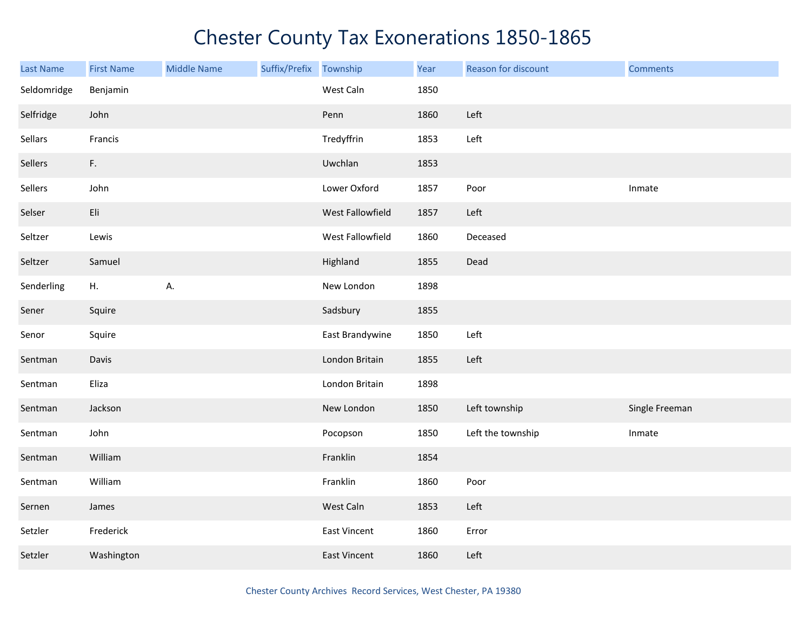| <b>Last Name</b> | <b>First Name</b> | <b>Middle Name</b> | Suffix/Prefix Township |                  | Year | Reason for discount | <b>Comments</b> |
|------------------|-------------------|--------------------|------------------------|------------------|------|---------------------|-----------------|
| Seldomridge      | Benjamin          |                    |                        | West Caln        | 1850 |                     |                 |
| Selfridge        | John              |                    |                        | Penn             | 1860 | Left                |                 |
| Sellars          | Francis           |                    |                        | Tredyffrin       | 1853 | Left                |                 |
| Sellers          | F.                |                    |                        | Uwchlan          | 1853 |                     |                 |
| Sellers          | John              |                    |                        | Lower Oxford     | 1857 | Poor                | Inmate          |
| Selser           | Eli               |                    |                        | West Fallowfield | 1857 | Left                |                 |
| Seltzer          | Lewis             |                    |                        | West Fallowfield | 1860 | Deceased            |                 |
| Seltzer          | Samuel            |                    |                        | Highland         | 1855 | Dead                |                 |
| Senderling       | H.                | А.                 |                        | New London       | 1898 |                     |                 |
| Sener            | Squire            |                    |                        | Sadsbury         | 1855 |                     |                 |
| Senor            | Squire            |                    |                        | East Brandywine  | 1850 | Left                |                 |
| Sentman          | Davis             |                    |                        | London Britain   | 1855 | Left                |                 |
| Sentman          | Eliza             |                    |                        | London Britain   | 1898 |                     |                 |
| Sentman          | Jackson           |                    |                        | New London       | 1850 | Left township       | Single Freeman  |
| Sentman          | John              |                    |                        | Pocopson         | 1850 | Left the township   | Inmate          |
| Sentman          | William           |                    |                        | Franklin         | 1854 |                     |                 |
| Sentman          | William           |                    |                        | Franklin         | 1860 | Poor                |                 |
| Sernen           | James             |                    |                        | West Caln        | 1853 | Left                |                 |
| Setzler          | Frederick         |                    |                        | East Vincent     | 1860 | Error               |                 |
| Setzler          | Washington        |                    |                        | East Vincent     | 1860 | Left                |                 |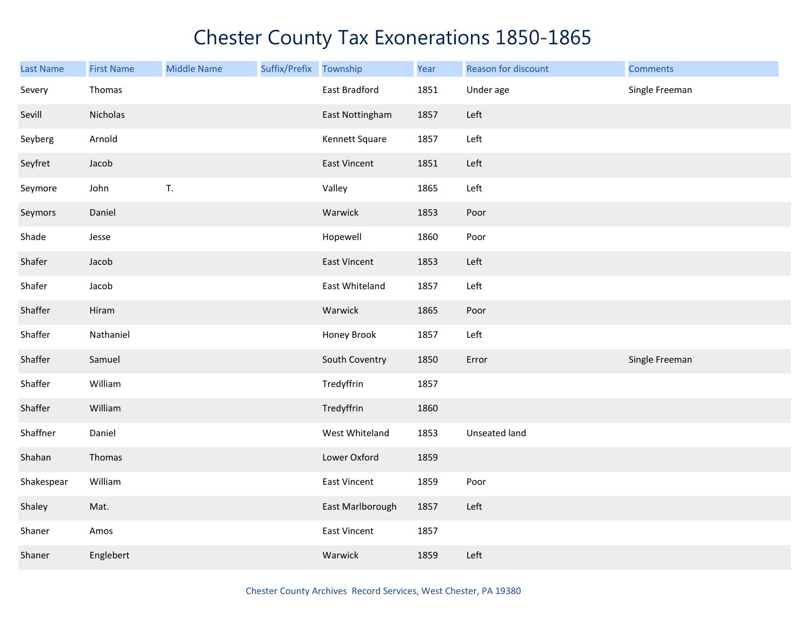| <b>Last Name</b> | <b>First Name</b> | <b>Middle Name</b> | Suffix/Prefix Township |                     | Year | Reason for discount | <b>Comments</b> |
|------------------|-------------------|--------------------|------------------------|---------------------|------|---------------------|-----------------|
| Severy           | Thomas            |                    |                        | East Bradford       | 1851 | Under age           | Single Freeman  |
| Sevill           | Nicholas          |                    |                        | East Nottingham     | 1857 | Left                |                 |
| Seyberg          | Arnold            |                    |                        | Kennett Square      | 1857 | Left                |                 |
| Seyfret          | Jacob             |                    |                        | East Vincent        | 1851 | Left                |                 |
| Seymore          | John              | T.                 |                        | Valley              | 1865 | Left                |                 |
| Seymors          | Daniel            |                    |                        | Warwick             | 1853 | Poor                |                 |
| Shade            | Jesse             |                    |                        | Hopewell            | 1860 | Poor                |                 |
| Shafer           | Jacob             |                    |                        | <b>East Vincent</b> | 1853 | Left                |                 |
| Shafer           | Jacob             |                    |                        | East Whiteland      | 1857 | Left                |                 |
| Shaffer          | Hiram             |                    |                        | Warwick             | 1865 | Poor                |                 |
| Shaffer          | Nathaniel         |                    |                        | Honey Brook         | 1857 | Left                |                 |
| Shaffer          | Samuel            |                    |                        | South Coventry      | 1850 | Error               | Single Freeman  |
| Shaffer          | William           |                    |                        | Tredyffrin          | 1857 |                     |                 |
| Shaffer          | William           |                    |                        | Tredyffrin          | 1860 |                     |                 |
| Shaffner         | Daniel            |                    |                        | West Whiteland      | 1853 | Unseated land       |                 |
| Shahan           | Thomas            |                    |                        | Lower Oxford        | 1859 |                     |                 |
| Shakespear       | William           |                    |                        | <b>East Vincent</b> | 1859 | Poor                |                 |
| Shaley           | Mat.              |                    |                        | East Marlborough    | 1857 | Left                |                 |
| Shaner           | Amos              |                    |                        | <b>East Vincent</b> | 1857 |                     |                 |
| Shaner           | Englebert         |                    |                        | Warwick             | 1859 | Left                |                 |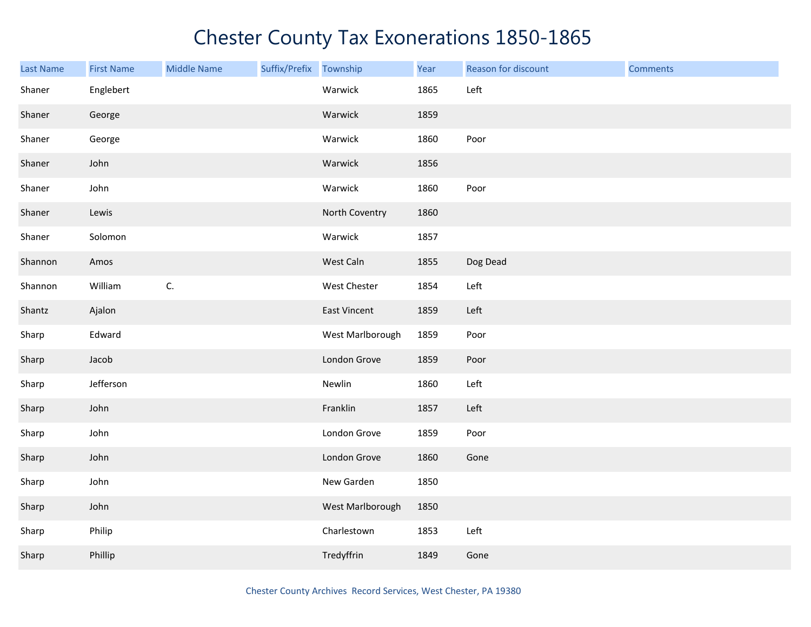| <b>Last Name</b> | <b>First Name</b> | <b>Middle Name</b> | Suffix/Prefix Township |                  | Year | Reason for discount | <b>Comments</b> |
|------------------|-------------------|--------------------|------------------------|------------------|------|---------------------|-----------------|
| Shaner           | Englebert         |                    |                        | Warwick          | 1865 | Left                |                 |
| Shaner           | George            |                    |                        | Warwick          | 1859 |                     |                 |
| Shaner           | George            |                    |                        | Warwick          | 1860 | Poor                |                 |
| Shaner           | John              |                    |                        | Warwick          | 1856 |                     |                 |
| Shaner           | John              |                    |                        | Warwick          | 1860 | Poor                |                 |
| Shaner           | Lewis             |                    |                        | North Coventry   | 1860 |                     |                 |
| Shaner           | Solomon           |                    |                        | Warwick          | 1857 |                     |                 |
| Shannon          | Amos              |                    |                        | West Caln        | 1855 | Dog Dead            |                 |
| Shannon          | William           | C.                 |                        | West Chester     | 1854 | Left                |                 |
| Shantz           | Ajalon            |                    |                        | East Vincent     | 1859 | Left                |                 |
| Sharp            | Edward            |                    |                        | West Marlborough | 1859 | Poor                |                 |
| Sharp            | Jacob             |                    |                        | London Grove     | 1859 | Poor                |                 |
| Sharp            | Jefferson         |                    |                        | Newlin           | 1860 | Left                |                 |
| Sharp            | John              |                    |                        | Franklin         | 1857 | Left                |                 |
| Sharp            | John              |                    |                        | London Grove     | 1859 | Poor                |                 |
| Sharp            | John              |                    |                        | London Grove     | 1860 | Gone                |                 |
| Sharp            | John              |                    |                        | New Garden       | 1850 |                     |                 |
| Sharp            | John              |                    |                        | West Marlborough | 1850 |                     |                 |
| Sharp            | Philip            |                    |                        | Charlestown      | 1853 | Left                |                 |
| Sharp            | Phillip           |                    |                        | Tredyffrin       | 1849 | Gone                |                 |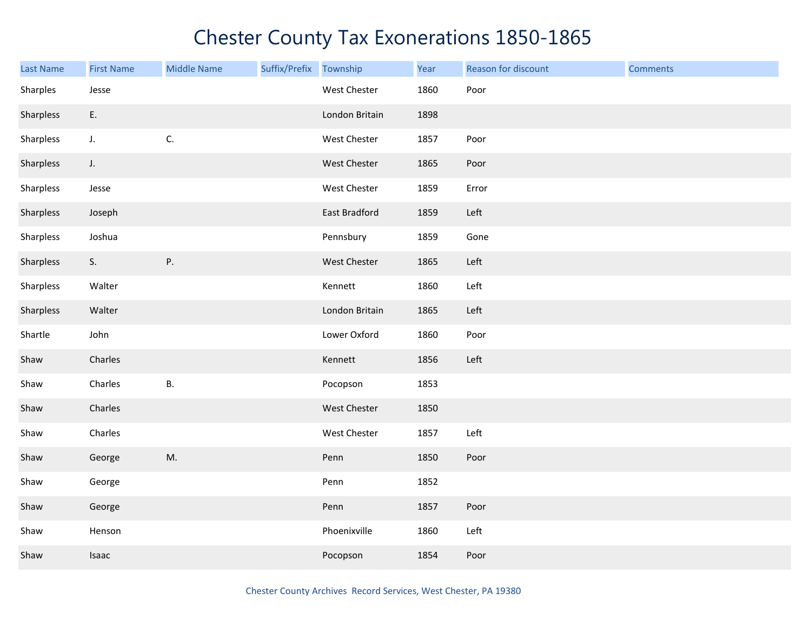| <b>Last Name</b> | <b>First Name</b> | <b>Middle Name</b> | Suffix/Prefix | Township            | Year | Reason for discount | <b>Comments</b> |
|------------------|-------------------|--------------------|---------------|---------------------|------|---------------------|-----------------|
| Sharples         | Jesse             |                    |               | West Chester        | 1860 | Poor                |                 |
| Sharpless        | E.                |                    |               | London Britain      | 1898 |                     |                 |
| Sharpless        | J.                | C.                 |               | West Chester        | 1857 | Poor                |                 |
| Sharpless        | $J_{\star}$       |                    |               | <b>West Chester</b> | 1865 | Poor                |                 |
| Sharpless        | Jesse             |                    |               | West Chester        | 1859 | Error               |                 |
| Sharpless        | Joseph            |                    |               | East Bradford       | 1859 | Left                |                 |
| Sharpless        | Joshua            |                    |               | Pennsbury           | 1859 | Gone                |                 |
| Sharpless        | S.                | Ρ.                 |               | West Chester        | 1865 | Left                |                 |
| Sharpless        | Walter            |                    |               | Kennett             | 1860 | Left                |                 |
| Sharpless        | Walter            |                    |               | London Britain      | 1865 | Left                |                 |
| Shartle          | John              |                    |               | Lower Oxford        | 1860 | Poor                |                 |
| Shaw             | Charles           |                    |               | Kennett             | 1856 | Left                |                 |
| Shaw             | Charles           | <b>B.</b>          |               | Pocopson            | 1853 |                     |                 |
| Shaw             | Charles           |                    |               | West Chester        | 1850 |                     |                 |
| Shaw             | Charles           |                    |               | West Chester        | 1857 | Left                |                 |
| Shaw             | George            | M.                 |               | Penn                | 1850 | Poor                |                 |
| Shaw             | George            |                    |               | Penn                | 1852 |                     |                 |
| Shaw             | George            |                    |               | Penn                | 1857 | Poor                |                 |
| Shaw             | Henson            |                    |               | Phoenixville        | 1860 | Left                |                 |
| Shaw             | Isaac             |                    |               | Pocopson            | 1854 | Poor                |                 |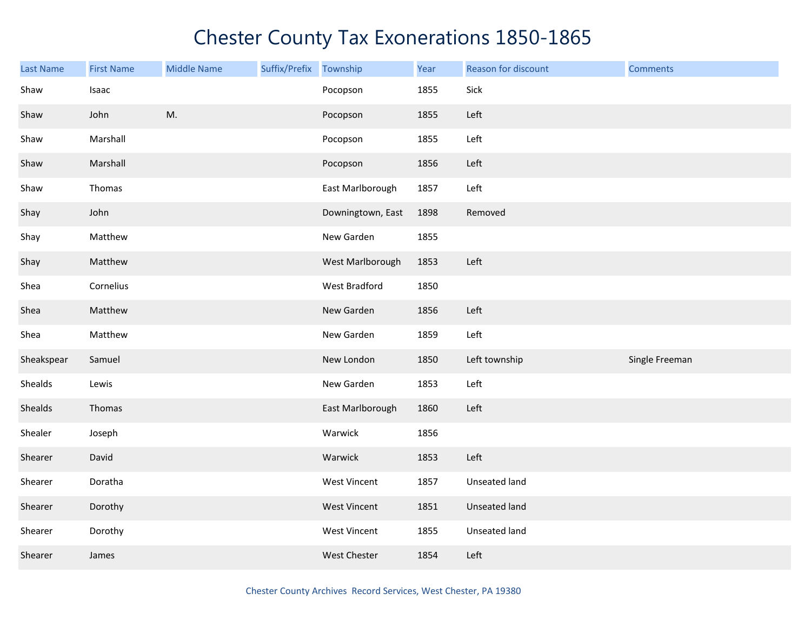| <b>Last Name</b> | <b>First Name</b> | <b>Middle Name</b> | Suffix/Prefix | Township          | Year | Reason for discount | <b>Comments</b> |
|------------------|-------------------|--------------------|---------------|-------------------|------|---------------------|-----------------|
| Shaw             | Isaac             |                    |               | Pocopson          | 1855 | Sick                |                 |
| Shaw             | John              | M.                 |               | Pocopson          | 1855 | Left                |                 |
| Shaw             | Marshall          |                    |               | Pocopson          | 1855 | Left                |                 |
| Shaw             | Marshall          |                    |               | Pocopson          | 1856 | Left                |                 |
| Shaw             | Thomas            |                    |               | East Marlborough  | 1857 | Left                |                 |
| Shay             | John              |                    |               | Downingtown, East | 1898 | Removed             |                 |
| Shay             | Matthew           |                    |               | New Garden        | 1855 |                     |                 |
| Shay             | Matthew           |                    |               | West Marlborough  | 1853 | Left                |                 |
| Shea             | Cornelius         |                    |               | West Bradford     | 1850 |                     |                 |
| Shea             | Matthew           |                    |               | New Garden        | 1856 | Left                |                 |
| Shea             | Matthew           |                    |               | New Garden        | 1859 | Left                |                 |
| Sheakspear       | Samuel            |                    |               | New London        | 1850 | Left township       | Single Freeman  |
| Shealds          | Lewis             |                    |               | New Garden        | 1853 | Left                |                 |
| Shealds          | Thomas            |                    |               | East Marlborough  | 1860 | Left                |                 |
| Shealer          | Joseph            |                    |               | Warwick           | 1856 |                     |                 |
| Shearer          | David             |                    |               | Warwick           | 1853 | Left                |                 |
| Shearer          | Doratha           |                    |               | West Vincent      | 1857 | Unseated land       |                 |
| Shearer          | Dorothy           |                    |               | West Vincent      | 1851 | Unseated land       |                 |
| Shearer          | Dorothy           |                    |               | West Vincent      | 1855 | Unseated land       |                 |
| Shearer          | James             |                    |               | West Chester      | 1854 | Left                |                 |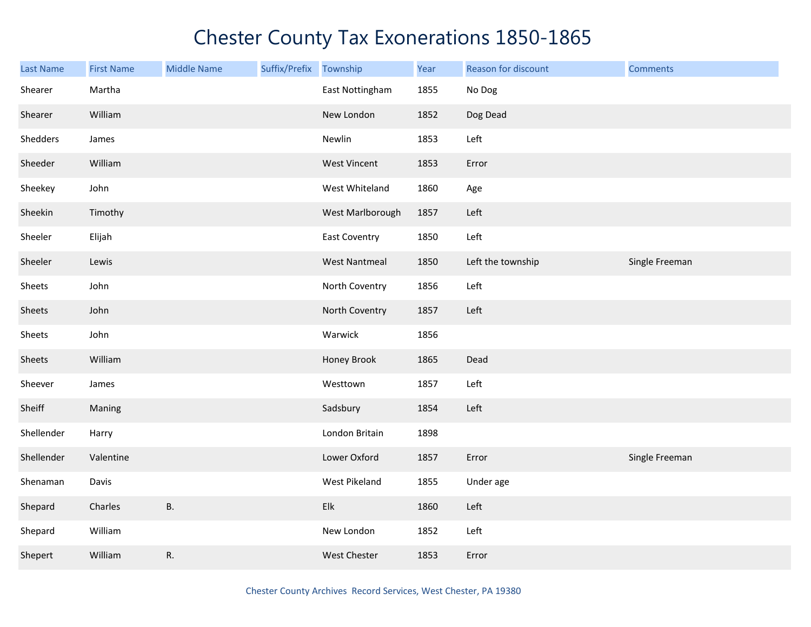| <b>Last Name</b> | <b>First Name</b> | <b>Middle Name</b> | Suffix/Prefix Township |                      | Year | Reason for discount | <b>Comments</b> |
|------------------|-------------------|--------------------|------------------------|----------------------|------|---------------------|-----------------|
| Shearer          | Martha            |                    |                        | East Nottingham      | 1855 | No Dog              |                 |
| Shearer          | William           |                    |                        | New London           | 1852 | Dog Dead            |                 |
| Shedders         | James             |                    |                        | Newlin               | 1853 | Left                |                 |
| Sheeder          | William           |                    |                        | <b>West Vincent</b>  | 1853 | Error               |                 |
| Sheekey          | John              |                    |                        | West Whiteland       | 1860 | Age                 |                 |
| Sheekin          | Timothy           |                    |                        | West Marlborough     | 1857 | Left                |                 |
| Sheeler          | Elijah            |                    |                        | <b>East Coventry</b> | 1850 | Left                |                 |
| Sheeler          | Lewis             |                    |                        | <b>West Nantmeal</b> | 1850 | Left the township   | Single Freeman  |
| Sheets           | John              |                    |                        | North Coventry       | 1856 | Left                |                 |
| Sheets           | John              |                    |                        | North Coventry       | 1857 | Left                |                 |
| Sheets           | John              |                    |                        | Warwick              | 1856 |                     |                 |
| Sheets           | William           |                    |                        | Honey Brook          | 1865 | Dead                |                 |
| Sheever          | James             |                    |                        | Westtown             | 1857 | Left                |                 |
| Sheiff           | Maning            |                    |                        | Sadsbury             | 1854 | Left                |                 |
| Shellender       | Harry             |                    |                        | London Britain       | 1898 |                     |                 |
| Shellender       | Valentine         |                    |                        | Lower Oxford         | 1857 | Error               | Single Freeman  |
| Shenaman         | Davis             |                    |                        | West Pikeland        | 1855 | Under age           |                 |
| Shepard          | Charles           | <b>B.</b>          |                        | Elk                  | 1860 | Left                |                 |
| Shepard          | William           |                    |                        | New London           | 1852 | Left                |                 |
| Shepert          | William           | R.                 |                        | <b>West Chester</b>  | 1853 | Error               |                 |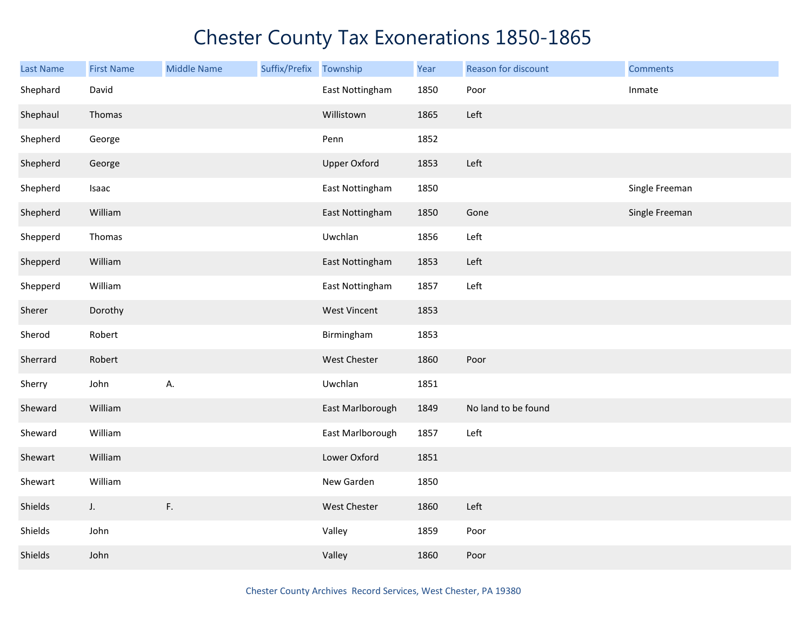| <b>Last Name</b> | <b>First Name</b> | <b>Middle Name</b> | Suffix/Prefix | Township            | Year | Reason for discount | <b>Comments</b> |
|------------------|-------------------|--------------------|---------------|---------------------|------|---------------------|-----------------|
| Shephard         | David             |                    |               | East Nottingham     | 1850 | Poor                | Inmate          |
| Shephaul         | Thomas            |                    |               | Willistown          | 1865 | Left                |                 |
| Shepherd         | George            |                    |               | Penn                | 1852 |                     |                 |
| Shepherd         | George            |                    |               | <b>Upper Oxford</b> | 1853 | Left                |                 |
| Shepherd         | Isaac             |                    |               | East Nottingham     | 1850 |                     | Single Freeman  |
| Shepherd         | William           |                    |               | East Nottingham     | 1850 | Gone                | Single Freeman  |
| Shepperd         | Thomas            |                    |               | Uwchlan             | 1856 | Left                |                 |
| Shepperd         | William           |                    |               | East Nottingham     | 1853 | Left                |                 |
| Shepperd         | William           |                    |               | East Nottingham     | 1857 | Left                |                 |
| Sherer           | Dorothy           |                    |               | <b>West Vincent</b> | 1853 |                     |                 |
| Sherod           | Robert            |                    |               | Birmingham          | 1853 |                     |                 |
| Sherrard         | Robert            |                    |               | West Chester        | 1860 | Poor                |                 |
| Sherry           | John              | А.                 |               | Uwchlan             | 1851 |                     |                 |
| Sheward          | William           |                    |               | East Marlborough    | 1849 | No land to be found |                 |
| Sheward          | William           |                    |               | East Marlborough    | 1857 | Left                |                 |
| Shewart          | William           |                    |               | Lower Oxford        | 1851 |                     |                 |
| Shewart          | William           |                    |               | New Garden          | 1850 |                     |                 |
| Shields          | J.                | F.                 |               | West Chester        | 1860 | Left                |                 |
| Shields          | John              |                    |               | Valley              | 1859 | Poor                |                 |
| Shields          | John              |                    |               | Valley              | 1860 | Poor                |                 |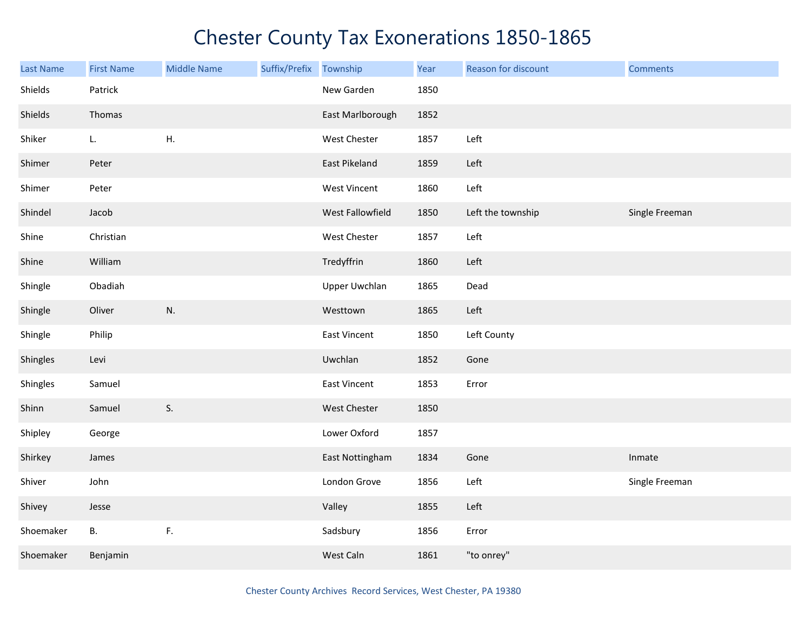| Last Name | <b>First Name</b> | <b>Middle Name</b> | Suffix/Prefix Township |                      | Year | Reason for discount | <b>Comments</b> |
|-----------|-------------------|--------------------|------------------------|----------------------|------|---------------------|-----------------|
| Shields   | Patrick           |                    |                        | New Garden           | 1850 |                     |                 |
| Shields   | Thomas            |                    |                        | East Marlborough     | 1852 |                     |                 |
| Shiker    | L.                | H.                 |                        | West Chester         | 1857 | Left                |                 |
| Shimer    | Peter             |                    |                        | East Pikeland        | 1859 | Left                |                 |
| Shimer    | Peter             |                    |                        | <b>West Vincent</b>  | 1860 | Left                |                 |
| Shindel   | Jacob             |                    |                        | West Fallowfield     | 1850 | Left the township   | Single Freeman  |
| Shine     | Christian         |                    |                        | West Chester         | 1857 | Left                |                 |
| Shine     | William           |                    |                        | Tredyffrin           | 1860 | Left                |                 |
| Shingle   | Obadiah           |                    |                        | <b>Upper Uwchlan</b> | 1865 | Dead                |                 |
| Shingle   | Oliver            | N.                 |                        | Westtown             | 1865 | Left                |                 |
| Shingle   | Philip            |                    |                        | <b>East Vincent</b>  | 1850 | Left County         |                 |
| Shingles  | Levi              |                    |                        | Uwchlan              | 1852 | Gone                |                 |
| Shingles  | Samuel            |                    |                        | <b>East Vincent</b>  | 1853 | Error               |                 |
| Shinn     | Samuel            | S.                 |                        | West Chester         | 1850 |                     |                 |
| Shipley   | George            |                    |                        | Lower Oxford         | 1857 |                     |                 |
| Shirkey   | James             |                    |                        | East Nottingham      | 1834 | Gone                | Inmate          |
| Shiver    | John              |                    |                        | London Grove         | 1856 | Left                | Single Freeman  |
| Shivey    | Jesse             |                    |                        | Valley               | 1855 | Left                |                 |
| Shoemaker | <b>B.</b>         | F.                 |                        | Sadsbury             | 1856 | Error               |                 |
| Shoemaker | Benjamin          |                    |                        | West Caln            | 1861 | "to onrey"          |                 |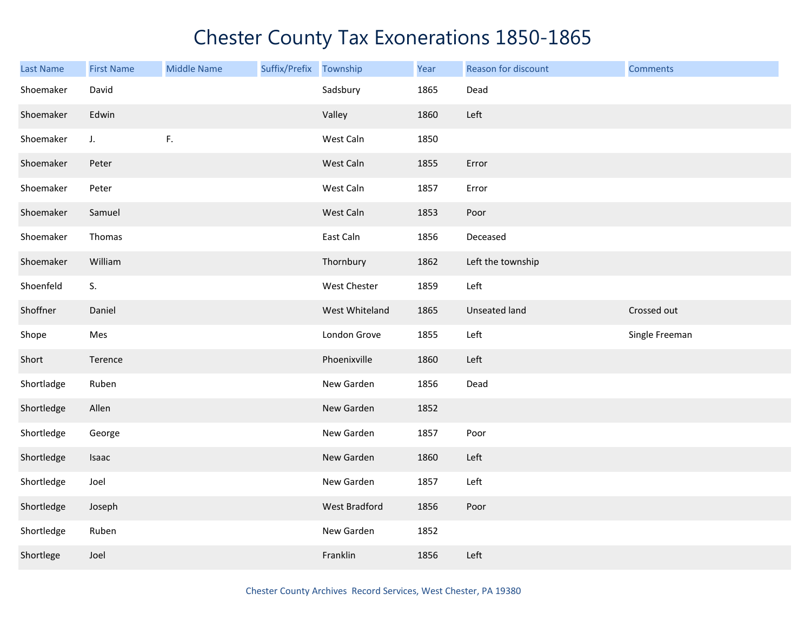| <b>Last Name</b> | <b>First Name</b> | <b>Middle Name</b> | Suffix/Prefix Township |                | Year | Reason for discount | <b>Comments</b> |
|------------------|-------------------|--------------------|------------------------|----------------|------|---------------------|-----------------|
| Shoemaker        | David             |                    |                        | Sadsbury       | 1865 | Dead                |                 |
| Shoemaker        | Edwin             |                    |                        | Valley         | 1860 | Left                |                 |
| Shoemaker        | J.                | F.                 |                        | West Caln      | 1850 |                     |                 |
| Shoemaker        | Peter             |                    |                        | West Caln      | 1855 | Error               |                 |
| Shoemaker        | Peter             |                    |                        | West Caln      | 1857 | Error               |                 |
| Shoemaker        | Samuel            |                    |                        | West Caln      | 1853 | Poor                |                 |
| Shoemaker        | Thomas            |                    |                        | East Caln      | 1856 | Deceased            |                 |
| Shoemaker        | William           |                    |                        | Thornbury      | 1862 | Left the township   |                 |
| Shoenfeld        | S.                |                    |                        | West Chester   | 1859 | Left                |                 |
| Shoffner         | Daniel            |                    |                        | West Whiteland | 1865 | Unseated land       | Crossed out     |
| Shope            | Mes               |                    |                        | London Grove   | 1855 | Left                | Single Freeman  |
| Short            | Terence           |                    |                        | Phoenixville   | 1860 | Left                |                 |
| Shortladge       |                   |                    |                        |                |      |                     |                 |
|                  | Ruben             |                    |                        | New Garden     | 1856 | Dead                |                 |
| Shortledge       | Allen             |                    |                        | New Garden     | 1852 |                     |                 |
| Shortledge       | George            |                    |                        | New Garden     | 1857 | Poor                |                 |
| Shortledge       | Isaac             |                    |                        | New Garden     | 1860 | Left                |                 |
| Shortledge       | Joel              |                    |                        | New Garden     | 1857 | Left                |                 |
| Shortledge       | Joseph            |                    |                        | West Bradford  | 1856 | Poor                |                 |
| Shortledge       | Ruben             |                    |                        | New Garden     | 1852 |                     |                 |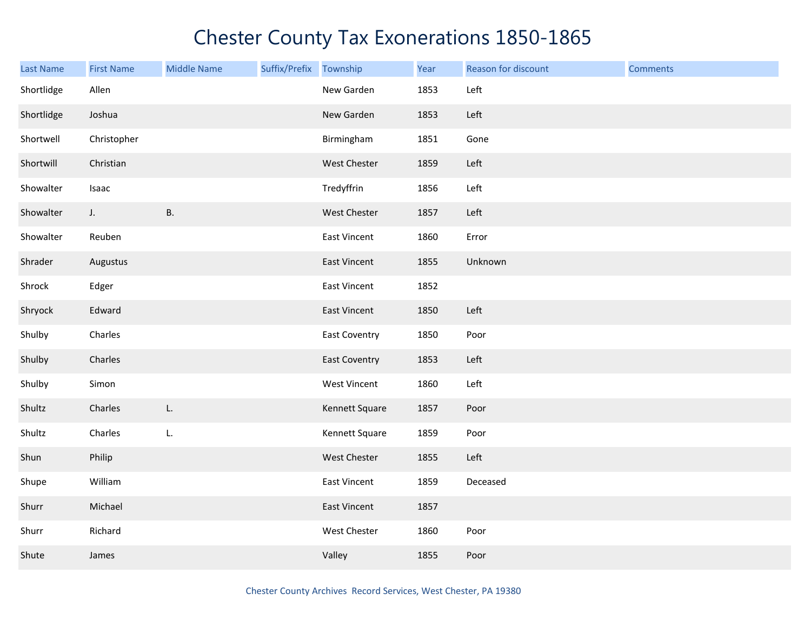| <b>Last Name</b> | <b>First Name</b> | <b>Middle Name</b> | Suffix/Prefix Township |                      | Year | Reason for discount | <b>Comments</b> |
|------------------|-------------------|--------------------|------------------------|----------------------|------|---------------------|-----------------|
| Shortlidge       | Allen             |                    |                        | New Garden           | 1853 | Left                |                 |
| Shortlidge       | Joshua            |                    |                        | New Garden           | 1853 | Left                |                 |
| Shortwell        | Christopher       |                    |                        | Birmingham           | 1851 | Gone                |                 |
| Shortwill        | Christian         |                    |                        | West Chester         | 1859 | Left                |                 |
| Showalter        | Isaac             |                    |                        | Tredyffrin           | 1856 | Left                |                 |
| Showalter        | J.                | <b>B.</b>          |                        | West Chester         | 1857 | Left                |                 |
| Showalter        | Reuben            |                    |                        | East Vincent         | 1860 | Error               |                 |
| Shrader          | Augustus          |                    |                        | East Vincent         | 1855 | Unknown             |                 |
| Shrock           | Edger             |                    |                        | East Vincent         | 1852 |                     |                 |
| Shryock          | Edward            |                    |                        | East Vincent         | 1850 | Left                |                 |
| Shulby           | Charles           |                    |                        | <b>East Coventry</b> | 1850 | Poor                |                 |
| Shulby           | Charles           |                    |                        | <b>East Coventry</b> | 1853 | Left                |                 |
| Shulby           | Simon             |                    |                        | <b>West Vincent</b>  | 1860 | Left                |                 |
| Shultz           | Charles           | L.                 |                        | Kennett Square       | 1857 | Poor                |                 |
| Shultz           | Charles           | L.                 |                        | Kennett Square       | 1859 | Poor                |                 |
| Shun             | Philip            |                    |                        | West Chester         | 1855 | Left                |                 |
| Shupe            | William           |                    |                        | East Vincent         | 1859 | Deceased            |                 |
| Shurr            | Michael           |                    |                        | <b>East Vincent</b>  | 1857 |                     |                 |
| Shurr            | Richard           |                    |                        | West Chester         | 1860 | Poor                |                 |
| Shute            | James             |                    |                        | Valley               | 1855 | Poor                |                 |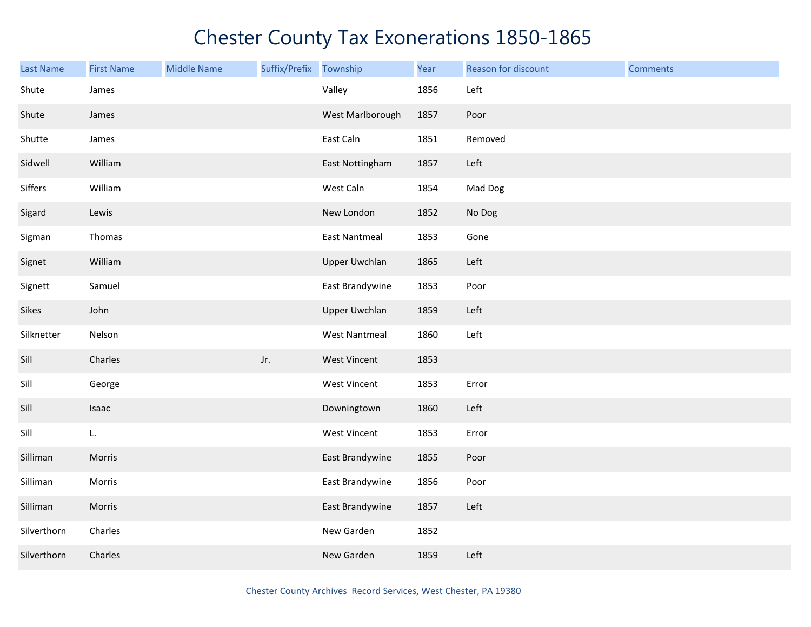| <b>Last Name</b> | <b>First Name</b> | <b>Middle Name</b> | Suffix/Prefix Township |                      | Year | Reason for discount | <b>Comments</b> |
|------------------|-------------------|--------------------|------------------------|----------------------|------|---------------------|-----------------|
| Shute            | James             |                    |                        | Valley               | 1856 | Left                |                 |
| Shute            | James             |                    |                        | West Marlborough     | 1857 | Poor                |                 |
| Shutte           | James             |                    |                        | East Caln            | 1851 | Removed             |                 |
| Sidwell          | William           |                    |                        | East Nottingham      | 1857 | Left                |                 |
| Siffers          | William           |                    |                        | West Caln            | 1854 | Mad Dog             |                 |
| Sigard           | Lewis             |                    |                        | New London           | 1852 | No Dog              |                 |
| Sigman           | Thomas            |                    |                        | <b>East Nantmeal</b> | 1853 | Gone                |                 |
| Signet           | William           |                    |                        | <b>Upper Uwchlan</b> | 1865 | Left                |                 |
| Signett          | Samuel            |                    |                        | East Brandywine      | 1853 | Poor                |                 |
| Sikes            | John              |                    |                        | <b>Upper Uwchlan</b> | 1859 | Left                |                 |
| Silknetter       | Nelson            |                    |                        | <b>West Nantmeal</b> | 1860 | Left                |                 |
| Sill             | Charles           |                    | Jr.                    | <b>West Vincent</b>  | 1853 |                     |                 |
| Sill             | George            |                    |                        | West Vincent         | 1853 | Error               |                 |
| Sill             | Isaac             |                    |                        | Downingtown          | 1860 | Left                |                 |
| Sill             | L.                |                    |                        | West Vincent         | 1853 | Error               |                 |
| Silliman         | Morris            |                    |                        | East Brandywine      | 1855 | Poor                |                 |
| Silliman         | Morris            |                    |                        | East Brandywine      | 1856 | Poor                |                 |
| Silliman         | Morris            |                    |                        | East Brandywine      | 1857 | Left                |                 |
| Silverthorn      | Charles           |                    |                        | New Garden           | 1852 |                     |                 |
| Silverthorn      | Charles           |                    |                        | New Garden           | 1859 | Left                |                 |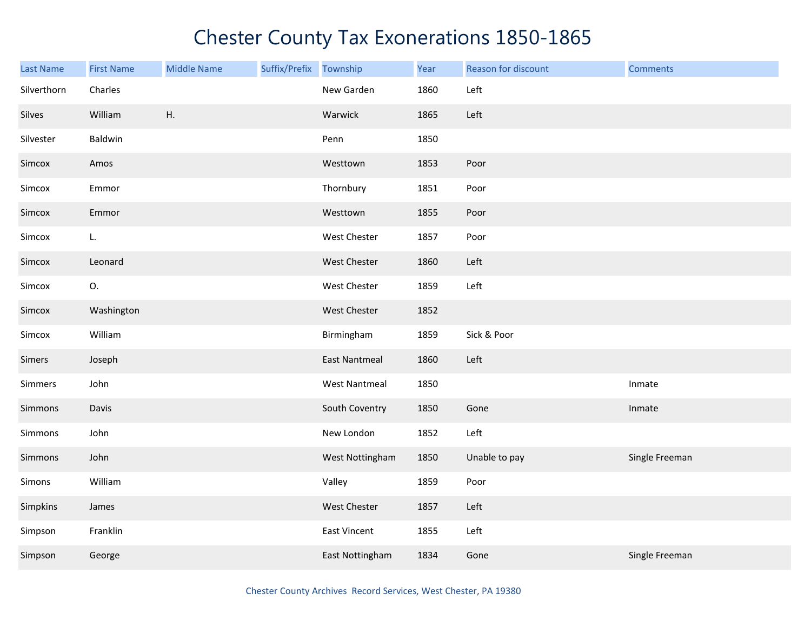| Last Name   | <b>First Name</b> | <b>Middle Name</b> | Suffix/Prefix | Township             | Year | Reason for discount | <b>Comments</b> |
|-------------|-------------------|--------------------|---------------|----------------------|------|---------------------|-----------------|
| Silverthorn | Charles           |                    |               | New Garden           | 1860 | Left                |                 |
| Silves      | William           | Η.                 |               | Warwick              | 1865 | Left                |                 |
| Silvester   | Baldwin           |                    |               | Penn                 | 1850 |                     |                 |
| Simcox      | Amos              |                    |               | Westtown             | 1853 | Poor                |                 |
| Simcox      | Emmor             |                    |               | Thornbury            | 1851 | Poor                |                 |
| Simcox      | Emmor             |                    |               | Westtown             | 1855 | Poor                |                 |
| Simcox      | L.                |                    |               | West Chester         | 1857 | Poor                |                 |
| Simcox      | Leonard           |                    |               | West Chester         | 1860 | Left                |                 |
| Simcox      | О.                |                    |               | West Chester         | 1859 | Left                |                 |
| Simcox      | Washington        |                    |               | <b>West Chester</b>  | 1852 |                     |                 |
| Simcox      | William           |                    |               | Birmingham           | 1859 | Sick & Poor         |                 |
| Simers      | Joseph            |                    |               | <b>East Nantmeal</b> | 1860 | Left                |                 |
| Simmers     | John              |                    |               | <b>West Nantmeal</b> | 1850 |                     | Inmate          |
| Simmons     | Davis             |                    |               | South Coventry       | 1850 | Gone                | Inmate          |
| Simmons     | John              |                    |               | New London           | 1852 | Left                |                 |
| Simmons     | John              |                    |               | West Nottingham      | 1850 | Unable to pay       | Single Freeman  |
| Simons      | William           |                    |               | Valley               | 1859 | Poor                |                 |
| Simpkins    | James             |                    |               | West Chester         | 1857 | Left                |                 |
| Simpson     | Franklin          |                    |               | East Vincent         | 1855 | Left                |                 |
| Simpson     | George            |                    |               | East Nottingham      | 1834 | Gone                | Single Freeman  |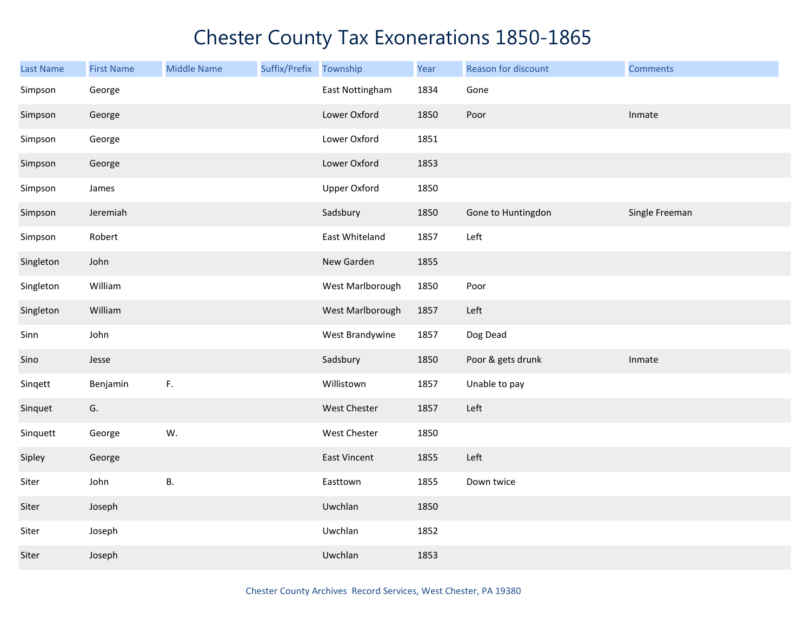| <b>Last Name</b> | <b>First Name</b> | <b>Middle Name</b> | Suffix/Prefix Township |                     | Year | Reason for discount | <b>Comments</b> |
|------------------|-------------------|--------------------|------------------------|---------------------|------|---------------------|-----------------|
| Simpson          | George            |                    |                        | East Nottingham     | 1834 | Gone                |                 |
| Simpson          | George            |                    |                        | Lower Oxford        | 1850 | Poor                | Inmate          |
| Simpson          | George            |                    |                        | Lower Oxford        | 1851 |                     |                 |
| Simpson          | George            |                    |                        | Lower Oxford        | 1853 |                     |                 |
| Simpson          | James             |                    |                        | <b>Upper Oxford</b> | 1850 |                     |                 |
| Simpson          | Jeremiah          |                    |                        | Sadsbury            | 1850 | Gone to Huntingdon  | Single Freeman  |
| Simpson          | Robert            |                    |                        | East Whiteland      | 1857 | Left                |                 |
| Singleton        | John              |                    |                        | New Garden          | 1855 |                     |                 |
| Singleton        | William           |                    |                        | West Marlborough    | 1850 | Poor                |                 |
| Singleton        | William           |                    |                        | West Marlborough    | 1857 | Left                |                 |
| Sinn             | John              |                    |                        | West Brandywine     | 1857 | Dog Dead            |                 |
| Sino             | Jesse             |                    |                        | Sadsbury            | 1850 | Poor & gets drunk   | Inmate          |
| Singett          | Benjamin          | F.                 |                        | Willistown          | 1857 | Unable to pay       |                 |
| Sinquet          | G.                |                    |                        | West Chester        | 1857 | Left                |                 |
| Sinquett         | George            | W.                 |                        | West Chester        | 1850 |                     |                 |
| Sipley           | George            |                    |                        | East Vincent        | 1855 | Left                |                 |
| Siter            | John              | <b>B.</b>          |                        | Easttown            | 1855 | Down twice          |                 |
| Siter            | Joseph            |                    |                        | Uwchlan             | 1850 |                     |                 |
| Siter            | Joseph            |                    |                        | Uwchlan             | 1852 |                     |                 |
| Siter            | Joseph            |                    |                        | Uwchlan             | 1853 |                     |                 |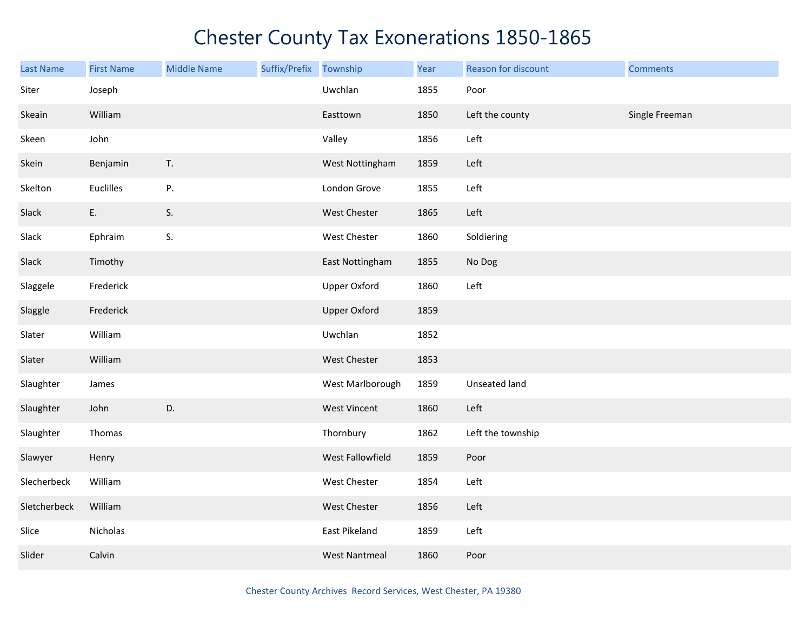| <b>Last Name</b> | <b>First Name</b> | <b>Middle Name</b> | Suffix/Prefix | Township             | Year | Reason for discount | <b>Comments</b> |
|------------------|-------------------|--------------------|---------------|----------------------|------|---------------------|-----------------|
| Siter            | Joseph            |                    |               | Uwchlan              | 1855 | Poor                |                 |
| Skeain           | William           |                    |               | Easttown             | 1850 | Left the county     | Single Freeman  |
| Skeen            | John              |                    |               | Valley               | 1856 | Left                |                 |
| Skein            | Benjamin          | $\mathsf T.$       |               | West Nottingham      | 1859 | Left                |                 |
| Skelton          | Euclilles         | ${\sf P}.$         |               | London Grove         | 1855 | Left                |                 |
| Slack            | E.                | S.                 |               | West Chester         | 1865 | Left                |                 |
| Slack            | Ephraim           | S.                 |               | West Chester         | 1860 | Soldiering          |                 |
| Slack            | Timothy           |                    |               | East Nottingham      | 1855 | No Dog              |                 |
| Slaggele         | Frederick         |                    |               | <b>Upper Oxford</b>  | 1860 | Left                |                 |
| Slaggle          | Frederick         |                    |               | <b>Upper Oxford</b>  | 1859 |                     |                 |
| Slater           | William           |                    |               | Uwchlan              | 1852 |                     |                 |
| Slater           | William           |                    |               | West Chester         | 1853 |                     |                 |
| Slaughter        | James             |                    |               | West Marlborough     | 1859 | Unseated land       |                 |
| Slaughter        | John              | D.                 |               | West Vincent         | 1860 | Left                |                 |
| Slaughter        | Thomas            |                    |               | Thornbury            | 1862 | Left the township   |                 |
| Slawyer          | Henry             |                    |               | West Fallowfield     | 1859 | Poor                |                 |
| Slecherbeck      | William           |                    |               | West Chester         | 1854 | Left                |                 |
| Sletcherbeck     | William           |                    |               | <b>West Chester</b>  | 1856 | Left                |                 |
| Slice            | Nicholas          |                    |               | East Pikeland        | 1859 | Left                |                 |
| Slider           | Calvin            |                    |               | <b>West Nantmeal</b> | 1860 | Poor                |                 |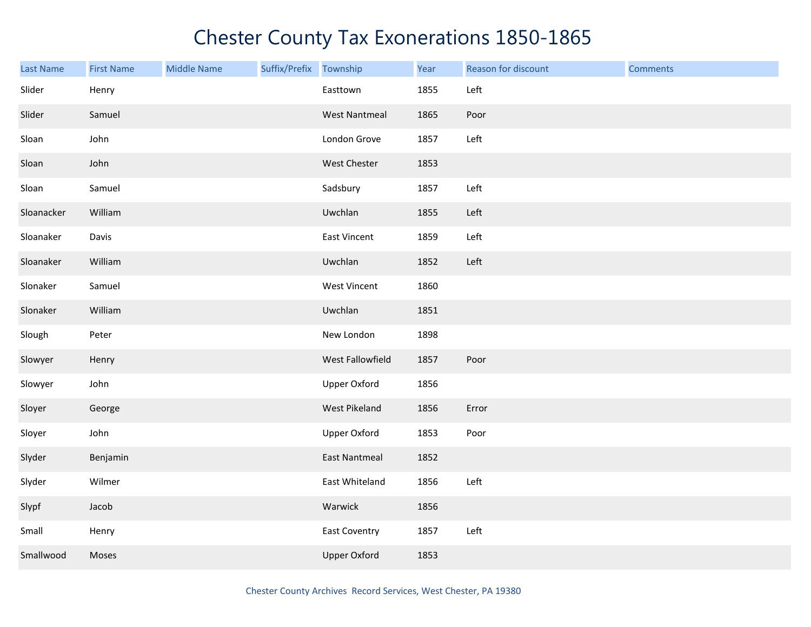| <b>Last Name</b> | <b>First Name</b> | <b>Middle Name</b> | Suffix/Prefix Township |                      | Year | Reason for discount | <b>Comments</b> |
|------------------|-------------------|--------------------|------------------------|----------------------|------|---------------------|-----------------|
| Slider           | Henry             |                    |                        | Easttown             | 1855 | Left                |                 |
| Slider           | Samuel            |                    |                        | <b>West Nantmeal</b> | 1865 | Poor                |                 |
| Sloan            | John              |                    |                        | London Grove         | 1857 | Left                |                 |
| Sloan            | John              |                    |                        | West Chester         | 1853 |                     |                 |
| Sloan            | Samuel            |                    |                        | Sadsbury             | 1857 | Left                |                 |
| Sloanacker       | William           |                    |                        | Uwchlan              | 1855 | Left                |                 |
| Sloanaker        | Davis             |                    |                        | East Vincent         | 1859 | Left                |                 |
| Sloanaker        | William           |                    |                        | Uwchlan              | 1852 | Left                |                 |
| Slonaker         | Samuel            |                    |                        | <b>West Vincent</b>  | 1860 |                     |                 |
| Slonaker         | William           |                    |                        | Uwchlan              | 1851 |                     |                 |
| Slough           | Peter             |                    |                        | New London           | 1898 |                     |                 |
| Slowyer          | Henry             |                    |                        | West Fallowfield     | 1857 | Poor                |                 |
| Slowyer          | John              |                    |                        | <b>Upper Oxford</b>  | 1856 |                     |                 |
| Sloyer           | George            |                    |                        | West Pikeland        | 1856 | Error               |                 |
| Sloyer           | John              |                    |                        | <b>Upper Oxford</b>  | 1853 | Poor                |                 |
| Slyder           | Benjamin          |                    |                        | <b>East Nantmeal</b> | 1852 |                     |                 |
| Slyder           | Wilmer            |                    |                        | East Whiteland       | 1856 | Left                |                 |
| Slypf            | Jacob             |                    |                        | Warwick              | 1856 |                     |                 |
| Small            | Henry             |                    |                        | <b>East Coventry</b> | 1857 | Left                |                 |
| Smallwood        | Moses             |                    |                        | <b>Upper Oxford</b>  | 1853 |                     |                 |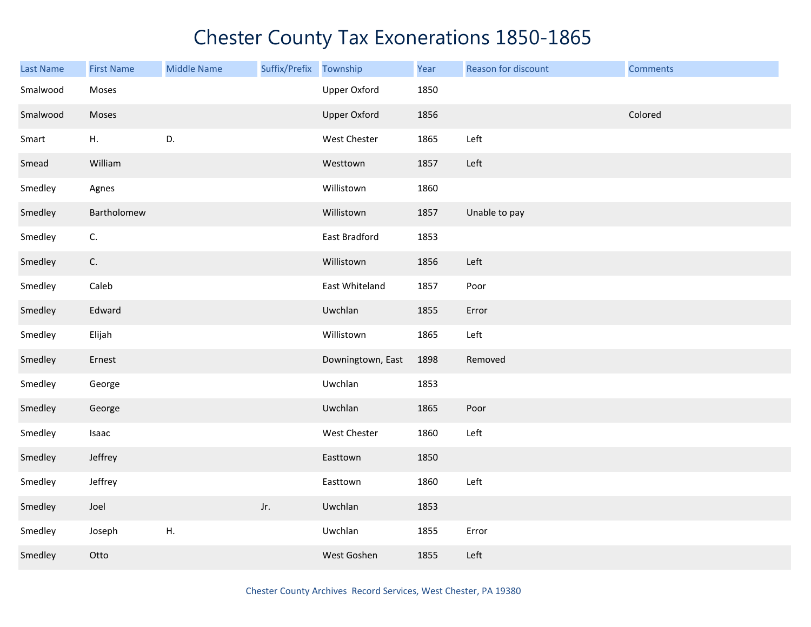| <b>Last Name</b> | <b>First Name</b> | <b>Middle Name</b> | Suffix/Prefix Township |                     | Year | Reason for discount | <b>Comments</b> |
|------------------|-------------------|--------------------|------------------------|---------------------|------|---------------------|-----------------|
| Smalwood         | Moses             |                    |                        | <b>Upper Oxford</b> | 1850 |                     |                 |
| Smalwood         | Moses             |                    |                        | Upper Oxford        | 1856 |                     | Colored         |
| Smart            | Η.                | D.                 |                        | West Chester        | 1865 | Left                |                 |
| Smead            | William           |                    |                        | Westtown            | 1857 | Left                |                 |
| Smedley          | Agnes             |                    |                        | Willistown          | 1860 |                     |                 |
| Smedley          | Bartholomew       |                    |                        | Willistown          | 1857 | Unable to pay       |                 |
| Smedley          | C.                |                    |                        | East Bradford       | 1853 |                     |                 |
| Smedley          | C.                |                    |                        | Willistown          | 1856 | Left                |                 |
| Smedley          | Caleb             |                    |                        | East Whiteland      | 1857 | Poor                |                 |
| Smedley          | Edward            |                    |                        | Uwchlan             | 1855 | Error               |                 |
| Smedley          | Elijah            |                    |                        | Willistown          | 1865 | Left                |                 |
| Smedley          | Ernest            |                    |                        | Downingtown, East   | 1898 | Removed             |                 |
| Smedley          | George            |                    |                        | Uwchlan             | 1853 |                     |                 |
| Smedley          | George            |                    |                        | Uwchlan             | 1865 | Poor                |                 |
| Smedley          | Isaac             |                    |                        | West Chester        | 1860 | Left                |                 |
| Smedley          | Jeffrey           |                    |                        | Easttown            | 1850 |                     |                 |
| Smedley          | Jeffrey           |                    |                        | Easttown            | 1860 | Left                |                 |
| Smedley          | Joel              |                    | Jr.                    | Uwchlan             | 1853 |                     |                 |
| Smedley          | Joseph            | Η.                 |                        | Uwchlan             | 1855 | Error               |                 |
| Smedley          | Otto              |                    |                        | West Goshen         | 1855 | Left                |                 |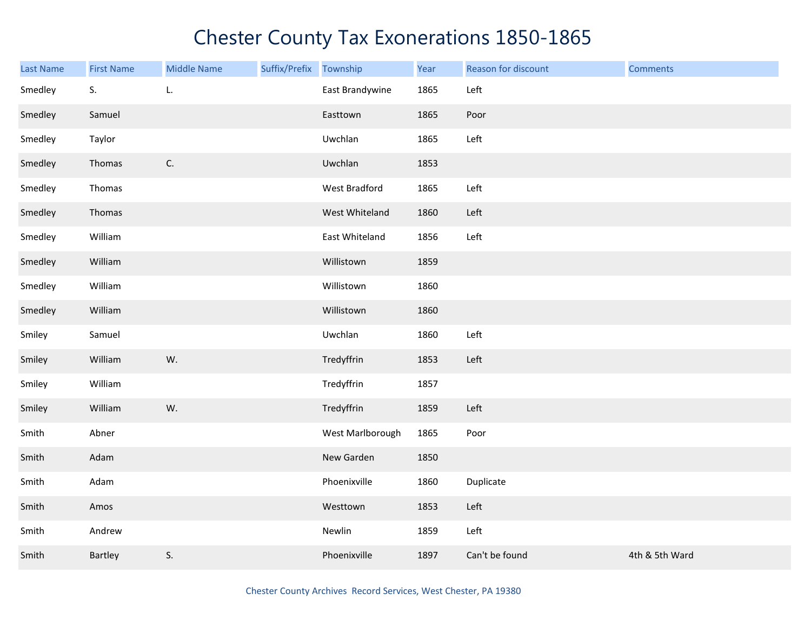| Last Name | <b>First Name</b> | <b>Middle Name</b> | Suffix/Prefix | Township         | Year | Reason for discount | <b>Comments</b> |
|-----------|-------------------|--------------------|---------------|------------------|------|---------------------|-----------------|
| Smedley   | S.                | L.                 |               | East Brandywine  | 1865 | Left                |                 |
| Smedley   | Samuel            |                    |               | Easttown         | 1865 | Poor                |                 |
| Smedley   | Taylor            |                    |               | Uwchlan          | 1865 | Left                |                 |
| Smedley   | Thomas            | $\mathsf{C}.$      |               | Uwchlan          | 1853 |                     |                 |
| Smedley   | Thomas            |                    |               | West Bradford    | 1865 | Left                |                 |
| Smedley   | Thomas            |                    |               | West Whiteland   | 1860 | Left                |                 |
| Smedley   | William           |                    |               | East Whiteland   | 1856 | Left                |                 |
| Smedley   | William           |                    |               | Willistown       | 1859 |                     |                 |
| Smedley   | William           |                    |               | Willistown       | 1860 |                     |                 |
| Smedley   | William           |                    |               | Willistown       | 1860 |                     |                 |
| Smiley    | Samuel            |                    |               | Uwchlan          | 1860 | Left                |                 |
| Smiley    | William           | W.                 |               | Tredyffrin       | 1853 | Left                |                 |
| Smiley    | William           |                    |               | Tredyffrin       | 1857 |                     |                 |
| Smiley    | William           | W.                 |               | Tredyffrin       | 1859 | Left                |                 |
| Smith     | Abner             |                    |               | West Marlborough | 1865 | Poor                |                 |
| Smith     | Adam              |                    |               | New Garden       | 1850 |                     |                 |
| Smith     | Adam              |                    |               | Phoenixville     | 1860 | Duplicate           |                 |
| Smith     | Amos              |                    |               | Westtown         | 1853 | Left                |                 |
| Smith     | Andrew            |                    |               | Newlin           | 1859 | Left                |                 |
| Smith     | Bartley           | S.                 |               | Phoenixville     | 1897 | Can't be found      | 4th & 5th Ward  |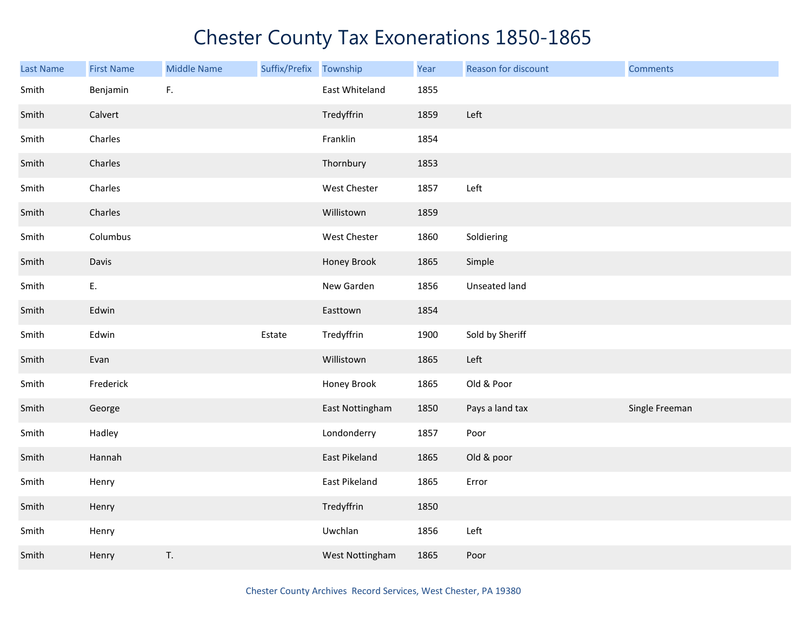| <b>Last Name</b> | <b>First Name</b> | <b>Middle Name</b> | Suffix/Prefix | Township        | Year | Reason for discount | <b>Comments</b> |
|------------------|-------------------|--------------------|---------------|-----------------|------|---------------------|-----------------|
| Smith            | Benjamin          | F.                 |               | East Whiteland  | 1855 |                     |                 |
| Smith            | Calvert           |                    |               | Tredyffrin      | 1859 | Left                |                 |
| Smith            | Charles           |                    |               | Franklin        | 1854 |                     |                 |
| Smith            | Charles           |                    |               | Thornbury       | 1853 |                     |                 |
| Smith            | Charles           |                    |               | West Chester    | 1857 | Left                |                 |
| Smith            | Charles           |                    |               | Willistown      | 1859 |                     |                 |
| Smith            | Columbus          |                    |               | West Chester    | 1860 | Soldiering          |                 |
| Smith            | Davis             |                    |               | Honey Brook     | 1865 | Simple              |                 |
| Smith            | E.                |                    |               | New Garden      | 1856 | Unseated land       |                 |
| Smith            | Edwin             |                    |               | Easttown        | 1854 |                     |                 |
| Smith            | Edwin             |                    | Estate        | Tredyffrin      | 1900 | Sold by Sheriff     |                 |
| Smith            | Evan              |                    |               | Willistown      | 1865 | Left                |                 |
| Smith            | Frederick         |                    |               | Honey Brook     | 1865 | Old & Poor          |                 |
| Smith            | George            |                    |               | East Nottingham | 1850 | Pays a land tax     | Single Freeman  |
| Smith            | Hadley            |                    |               | Londonderry     | 1857 | Poor                |                 |
| Smith            | Hannah            |                    |               | East Pikeland   | 1865 | Old & poor          |                 |
| Smith            | Henry             |                    |               | East Pikeland   | 1865 | Error               |                 |
| Smith            | Henry             |                    |               | Tredyffrin      | 1850 |                     |                 |
| Smith            | Henry             |                    |               | Uwchlan         | 1856 | Left                |                 |
| Smith            | Henry             | T.                 |               | West Nottingham | 1865 | Poor                |                 |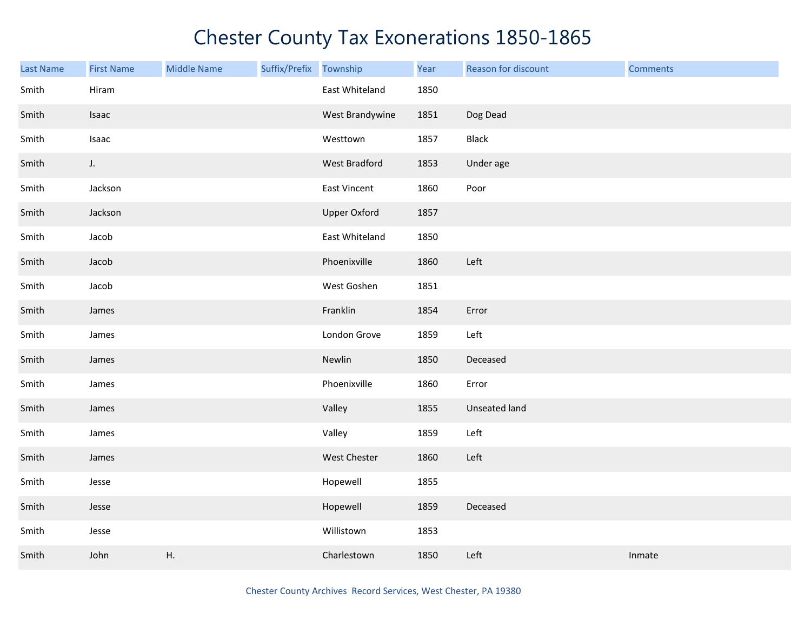| <b>Last Name</b> | <b>First Name</b> | <b>Middle Name</b> | Suffix/Prefix | Township            | Year | Reason for discount | <b>Comments</b> |
|------------------|-------------------|--------------------|---------------|---------------------|------|---------------------|-----------------|
| Smith            | Hiram             |                    |               | East Whiteland      | 1850 |                     |                 |
| Smith            | Isaac             |                    |               | West Brandywine     | 1851 | Dog Dead            |                 |
| Smith            | Isaac             |                    |               | Westtown            | 1857 | Black               |                 |
| Smith            | $J_{\star}$       |                    |               | West Bradford       | 1853 | Under age           |                 |
| Smith            | Jackson           |                    |               | East Vincent        | 1860 | Poor                |                 |
| Smith            | Jackson           |                    |               | <b>Upper Oxford</b> | 1857 |                     |                 |
| Smith            | Jacob             |                    |               | East Whiteland      | 1850 |                     |                 |
| Smith            | Jacob             |                    |               | Phoenixville        | 1860 | Left                |                 |
| Smith            | Jacob             |                    |               | West Goshen         | 1851 |                     |                 |
| Smith            | James             |                    |               | Franklin            | 1854 | Error               |                 |
| Smith            | James             |                    |               | London Grove        | 1859 | Left                |                 |
| Smith            | James             |                    |               | Newlin              | 1850 | Deceased            |                 |
| Smith            | James             |                    |               | Phoenixville        | 1860 | Error               |                 |
| Smith            | James             |                    |               | Valley              | 1855 | Unseated land       |                 |
| Smith            | James             |                    |               | Valley              | 1859 | Left                |                 |
| Smith            | James             |                    |               | West Chester        | 1860 | Left                |                 |
| Smith            | Jesse             |                    |               | Hopewell            | 1855 |                     |                 |
| Smith            | Jesse             |                    |               | Hopewell            | 1859 | Deceased            |                 |
| Smith            | Jesse             |                    |               | Willistown          | 1853 |                     |                 |
| Smith            | John              | Η.                 |               | Charlestown         | 1850 | Left                | Inmate          |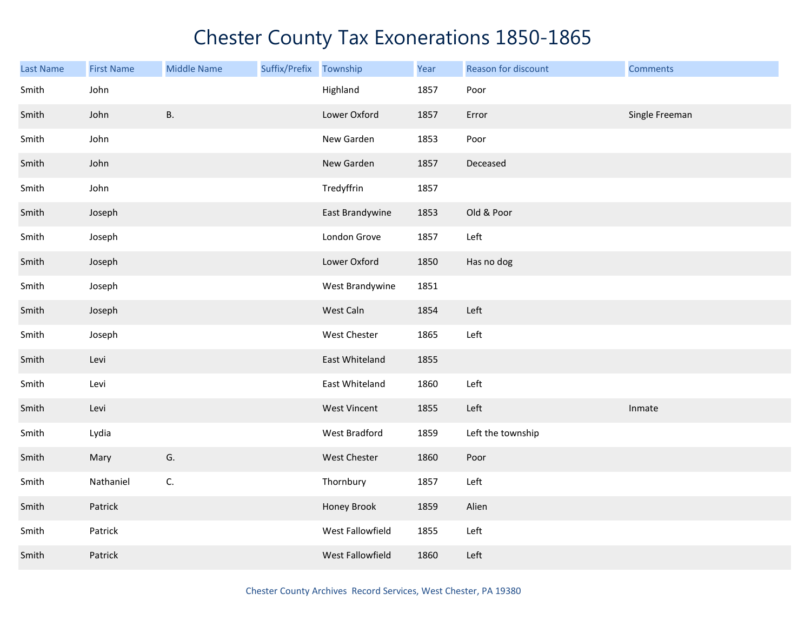| Last Name | <b>First Name</b> | <b>Middle Name</b> | Suffix/Prefix | Township         | Year | Reason for discount | <b>Comments</b> |
|-----------|-------------------|--------------------|---------------|------------------|------|---------------------|-----------------|
| Smith     | John              |                    |               | Highland         | 1857 | Poor                |                 |
| Smith     | John              | <b>B.</b>          |               | Lower Oxford     | 1857 | Error               | Single Freeman  |
| Smith     | John              |                    |               | New Garden       | 1853 | Poor                |                 |
| Smith     | John              |                    |               | New Garden       | 1857 | Deceased            |                 |
| Smith     | John              |                    |               | Tredyffrin       | 1857 |                     |                 |
| Smith     | Joseph            |                    |               | East Brandywine  | 1853 | Old & Poor          |                 |
| Smith     | Joseph            |                    |               | London Grove     | 1857 | Left                |                 |
| Smith     | Joseph            |                    |               | Lower Oxford     | 1850 | Has no dog          |                 |
| Smith     | Joseph            |                    |               | West Brandywine  | 1851 |                     |                 |
| Smith     | Joseph            |                    |               | West Caln        | 1854 | Left                |                 |
| Smith     | Joseph            |                    |               | West Chester     | 1865 | Left                |                 |
| Smith     | Levi              |                    |               | East Whiteland   | 1855 |                     |                 |
| Smith     | Levi              |                    |               | East Whiteland   | 1860 | Left                |                 |
| Smith     | Levi              |                    |               | West Vincent     | 1855 | Left                | Inmate          |
| Smith     | Lydia             |                    |               | West Bradford    | 1859 | Left the township   |                 |
| Smith     | Mary              | G.                 |               | West Chester     | 1860 | Poor                |                 |
| Smith     | Nathaniel         | C.                 |               | Thornbury        | 1857 | Left                |                 |
| Smith     | Patrick           |                    |               | Honey Brook      | 1859 | Alien               |                 |
| Smith     | Patrick           |                    |               | West Fallowfield | 1855 | Left                |                 |
| Smith     | Patrick           |                    |               | West Fallowfield | 1860 | Left                |                 |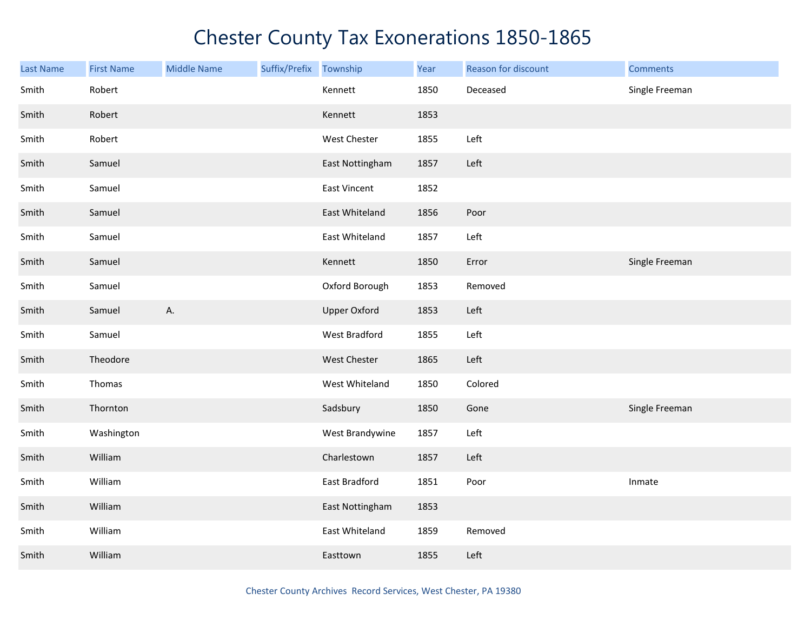| <b>Last Name</b> | <b>First Name</b> | <b>Middle Name</b> | Suffix/Prefix | Township            | Year | Reason for discount | <b>Comments</b> |
|------------------|-------------------|--------------------|---------------|---------------------|------|---------------------|-----------------|
| Smith            | Robert            |                    |               | Kennett             | 1850 | Deceased            | Single Freeman  |
| Smith            | Robert            |                    |               | Kennett             | 1853 |                     |                 |
| Smith            | Robert            |                    |               | West Chester        | 1855 | Left                |                 |
| Smith            | Samuel            |                    |               | East Nottingham     | 1857 | Left                |                 |
| Smith            | Samuel            |                    |               | East Vincent        | 1852 |                     |                 |
| Smith            | Samuel            |                    |               | East Whiteland      | 1856 | Poor                |                 |
| Smith            | Samuel            |                    |               | East Whiteland      | 1857 | Left                |                 |
| Smith            | Samuel            |                    |               | Kennett             | 1850 | Error               | Single Freeman  |
| Smith            | Samuel            |                    |               | Oxford Borough      | 1853 | Removed             |                 |
| Smith            | Samuel            | А.                 |               | <b>Upper Oxford</b> | 1853 | Left                |                 |
| Smith            | Samuel            |                    |               | West Bradford       | 1855 | Left                |                 |
| Smith            | Theodore          |                    |               | West Chester        | 1865 | Left                |                 |
| Smith            | Thomas            |                    |               | West Whiteland      | 1850 | Colored             |                 |
| Smith            | Thornton          |                    |               | Sadsbury            | 1850 | Gone                | Single Freeman  |
| Smith            | Washington        |                    |               | West Brandywine     | 1857 | Left                |                 |
| Smith            | William           |                    |               | Charlestown         | 1857 | Left                |                 |
| Smith            | William           |                    |               | East Bradford       | 1851 | Poor                | Inmate          |
| Smith            | William           |                    |               | East Nottingham     | 1853 |                     |                 |
| Smith            | William           |                    |               | East Whiteland      | 1859 | Removed             |                 |
| Smith            | William           |                    |               | Easttown            | 1855 | Left                |                 |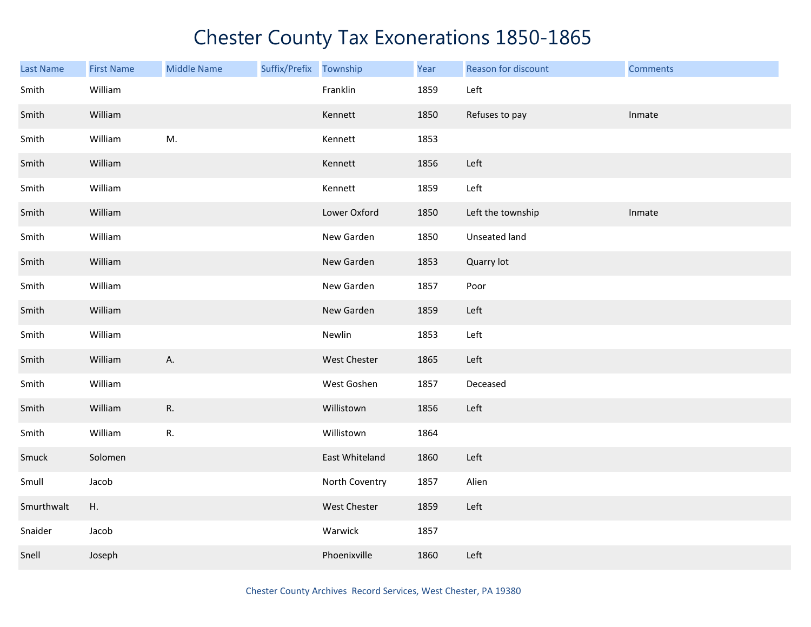| <b>Last Name</b> | <b>First Name</b> | <b>Middle Name</b> | Suffix/Prefix Township |                | Year | Reason for discount | <b>Comments</b> |
|------------------|-------------------|--------------------|------------------------|----------------|------|---------------------|-----------------|
| Smith            | William           |                    |                        | Franklin       | 1859 | Left                |                 |
| Smith            | William           |                    |                        | Kennett        | 1850 | Refuses to pay      | Inmate          |
| Smith            | William           | M.                 |                        | Kennett        | 1853 |                     |                 |
| Smith            | William           |                    |                        | Kennett        | 1856 | Left                |                 |
| Smith            | William           |                    |                        | Kennett        | 1859 | Left                |                 |
| Smith            | William           |                    |                        | Lower Oxford   | 1850 | Left the township   | Inmate          |
| Smith            | William           |                    |                        | New Garden     | 1850 | Unseated land       |                 |
| Smith            | William           |                    |                        | New Garden     | 1853 | Quarry lot          |                 |
| Smith            | William           |                    |                        | New Garden     | 1857 | Poor                |                 |
| Smith            | William           |                    |                        | New Garden     | 1859 | Left                |                 |
| Smith            | William           |                    |                        | Newlin         | 1853 | Left                |                 |
| Smith            | William           | А.                 |                        | West Chester   | 1865 | Left                |                 |
| Smith            | William           |                    |                        | West Goshen    | 1857 | Deceased            |                 |
| Smith            | William           | R.                 |                        | Willistown     | 1856 | Left                |                 |
| Smith            | William           | ${\sf R}.$         |                        | Willistown     | 1864 |                     |                 |
| Smuck            | Solomen           |                    |                        | East Whiteland | 1860 | Left                |                 |
| Smull            | Jacob             |                    |                        | North Coventry | 1857 | Alien               |                 |
| Smurthwalt       | Η.                |                    |                        | West Chester   | 1859 | Left                |                 |
| Snaider          | Jacob             |                    |                        | Warwick        | 1857 |                     |                 |
| Snell            | Joseph            |                    |                        | Phoenixville   | 1860 | Left                |                 |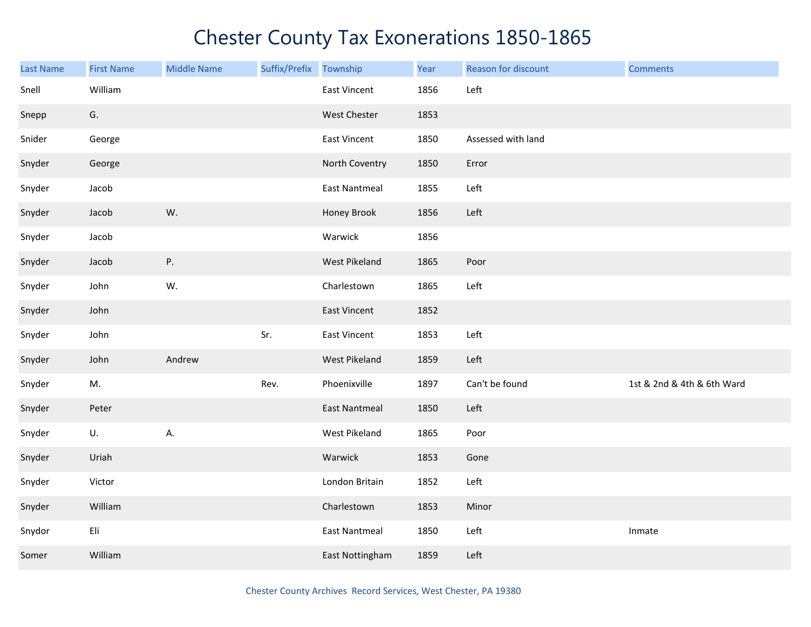| Last Name | <b>First Name</b> | <b>Middle Name</b> | Suffix/Prefix | Township             | Year | Reason for discount | <b>Comments</b>            |
|-----------|-------------------|--------------------|---------------|----------------------|------|---------------------|----------------------------|
| Snell     | William           |                    |               | East Vincent         | 1856 | Left                |                            |
| Snepp     | G.                |                    |               | West Chester         | 1853 |                     |                            |
| Snider    | George            |                    |               | East Vincent         | 1850 | Assessed with land  |                            |
| Snyder    | George            |                    |               | North Coventry       | 1850 | Error               |                            |
| Snyder    | Jacob             |                    |               | <b>East Nantmeal</b> | 1855 | Left                |                            |
| Snyder    | Jacob             | W.                 |               | Honey Brook          | 1856 | Left                |                            |
| Snyder    | Jacob             |                    |               | Warwick              | 1856 |                     |                            |
| Snyder    | Jacob             | Ρ.                 |               | West Pikeland        | 1865 | Poor                |                            |
| Snyder    | John              | W.                 |               | Charlestown          | 1865 | Left                |                            |
| Snyder    | John              |                    |               | East Vincent         | 1852 |                     |                            |
| Snyder    | John              |                    | Sr.           | East Vincent         | 1853 | Left                |                            |
| Snyder    | John              | Andrew             |               | West Pikeland        | 1859 | Left                |                            |
| Snyder    | M.                |                    | Rev.          | Phoenixville         | 1897 | Can't be found      | 1st & 2nd & 4th & 6th Ward |
| Snyder    | Peter             |                    |               | <b>East Nantmeal</b> | 1850 | Left                |                            |
| Snyder    | U.                | А.                 |               | West Pikeland        | 1865 | Poor                |                            |
| Snyder    | Uriah             |                    |               | Warwick              | 1853 | Gone                |                            |
| Snyder    | Victor            |                    |               | London Britain       | 1852 | Left                |                            |
| Snyder    | William           |                    |               | Charlestown          | 1853 | Minor               |                            |
| Snydor    | Eli               |                    |               | <b>East Nantmeal</b> | 1850 | Left                | Inmate                     |
| Somer     | William           |                    |               | East Nottingham      | 1859 | Left                |                            |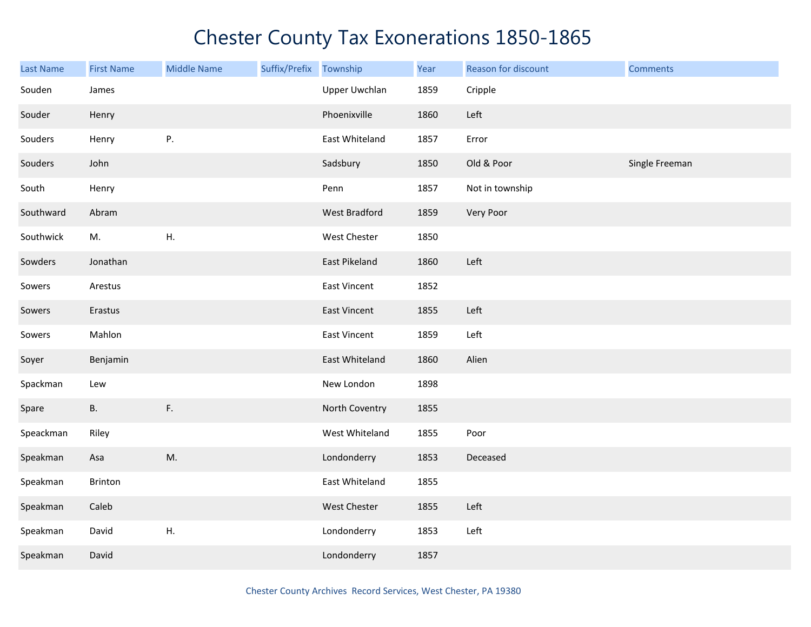| Last Name | <b>First Name</b> | <b>Middle Name</b> | Suffix/Prefix | Township             | Year | Reason for discount | <b>Comments</b> |
|-----------|-------------------|--------------------|---------------|----------------------|------|---------------------|-----------------|
| Souden    | James             |                    |               | <b>Upper Uwchlan</b> | 1859 | Cripple             |                 |
| Souder    | Henry             |                    |               | Phoenixville         | 1860 | Left                |                 |
| Souders   | Henry             | Ρ.                 |               | East Whiteland       | 1857 | Error               |                 |
| Souders   | John              |                    |               | Sadsbury             | 1850 | Old & Poor          | Single Freeman  |
| South     | Henry             |                    |               | Penn                 | 1857 | Not in township     |                 |
| Southward | Abram             |                    |               | West Bradford        | 1859 | Very Poor           |                 |
| Southwick | M.                | Η.                 |               | West Chester         | 1850 |                     |                 |
| Sowders   | Jonathan          |                    |               | East Pikeland        | 1860 | Left                |                 |
| Sowers    | Arestus           |                    |               | East Vincent         | 1852 |                     |                 |
| Sowers    | Erastus           |                    |               | East Vincent         | 1855 | Left                |                 |
| Sowers    | Mahlon            |                    |               | East Vincent         | 1859 | Left                |                 |
| Soyer     | Benjamin          |                    |               | East Whiteland       | 1860 | Alien               |                 |
| Spackman  | Lew               |                    |               | New London           | 1898 |                     |                 |
| Spare     | <b>B.</b>         | F.                 |               | North Coventry       | 1855 |                     |                 |
| Speackman | Riley             |                    |               | West Whiteland       | 1855 | Poor                |                 |
| Speakman  | Asa               | M.                 |               | Londonderry          | 1853 | Deceased            |                 |
| Speakman  | Brinton           |                    |               | East Whiteland       | 1855 |                     |                 |
| Speakman  | Caleb             |                    |               | West Chester         | 1855 | Left                |                 |
| Speakman  | David             | Η.                 |               | Londonderry          | 1853 | Left                |                 |
| Speakman  | David             |                    |               | Londonderry          | 1857 |                     |                 |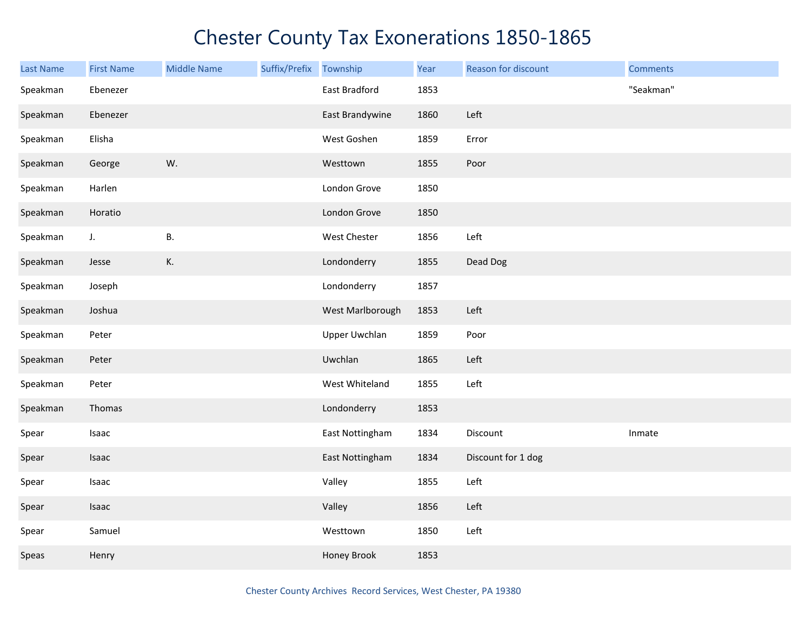| <b>Last Name</b> | <b>First Name</b> | <b>Middle Name</b> | Suffix/Prefix Township |                  | Year | Reason for discount | <b>Comments</b> |
|------------------|-------------------|--------------------|------------------------|------------------|------|---------------------|-----------------|
| Speakman         | Ebenezer          |                    |                        | East Bradford    | 1853 |                     | "Seakman"       |
| Speakman         | Ebenezer          |                    |                        | East Brandywine  | 1860 | Left                |                 |
| Speakman         | Elisha            |                    |                        | West Goshen      | 1859 | Error               |                 |
| Speakman         | George            | W.                 |                        | Westtown         | 1855 | Poor                |                 |
| Speakman         | Harlen            |                    |                        | London Grove     | 1850 |                     |                 |
| Speakman         | Horatio           |                    |                        | London Grove     | 1850 |                     |                 |
| Speakman         | $J_{\star}$       | <b>B.</b>          |                        | West Chester     | 1856 | Left                |                 |
| Speakman         | Jesse             | К.                 |                        | Londonderry      | 1855 | Dead Dog            |                 |
| Speakman         | Joseph            |                    |                        | Londonderry      | 1857 |                     |                 |
| Speakman         | Joshua            |                    |                        | West Marlborough | 1853 | Left                |                 |
| Speakman         | Peter             |                    |                        | Upper Uwchlan    | 1859 | Poor                |                 |
| Speakman         | Peter             |                    |                        | Uwchlan          | 1865 | Left                |                 |
| Speakman         | Peter             |                    |                        | West Whiteland   | 1855 | Left                |                 |
| Speakman         | Thomas            |                    |                        | Londonderry      | 1853 |                     |                 |
| Spear            | Isaac             |                    |                        | East Nottingham  | 1834 | Discount            | Inmate          |
| Spear            | Isaac             |                    |                        | East Nottingham  | 1834 | Discount for 1 dog  |                 |
| Spear            | Isaac             |                    |                        | Valley           | 1855 | Left                |                 |
| Spear            | Isaac             |                    |                        | Valley           | 1856 | Left                |                 |
| Spear            | Samuel            |                    |                        | Westtown         | 1850 | Left                |                 |
| Speas            | Henry             |                    |                        | Honey Brook      | 1853 |                     |                 |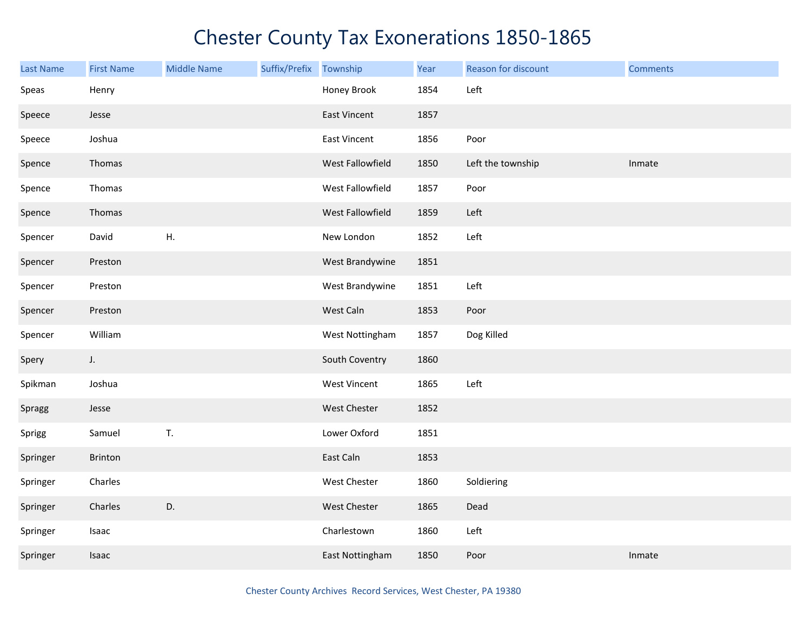| <b>Last Name</b> | <b>First Name</b> | <b>Middle Name</b> | Suffix/Prefix | Township            | Year | Reason for discount | <b>Comments</b> |
|------------------|-------------------|--------------------|---------------|---------------------|------|---------------------|-----------------|
| Speas            | Henry             |                    |               | Honey Brook         | 1854 | Left                |                 |
| Speece           | Jesse             |                    |               | East Vincent        | 1857 |                     |                 |
| Speece           | Joshua            |                    |               | <b>East Vincent</b> | 1856 | Poor                |                 |
| Spence           | Thomas            |                    |               | West Fallowfield    | 1850 | Left the township   | Inmate          |
| Spence           | Thomas            |                    |               | West Fallowfield    | 1857 | Poor                |                 |
| Spence           | Thomas            |                    |               | West Fallowfield    | 1859 | Left                |                 |
| Spencer          | David             | Η.                 |               | New London          | 1852 | Left                |                 |
| Spencer          | Preston           |                    |               | West Brandywine     | 1851 |                     |                 |
| Spencer          | Preston           |                    |               | West Brandywine     | 1851 | Left                |                 |
| Spencer          | Preston           |                    |               | West Caln           | 1853 | Poor                |                 |
| Spencer          | William           |                    |               | West Nottingham     | 1857 | Dog Killed          |                 |
| Spery            | $J_{\star}$       |                    |               | South Coventry      | 1860 |                     |                 |
| Spikman          | Joshua            |                    |               | West Vincent        | 1865 | Left                |                 |
| Spragg           | Jesse             |                    |               | West Chester        | 1852 |                     |                 |
| Sprigg           | Samuel            | T.                 |               | Lower Oxford        | 1851 |                     |                 |
| Springer         | Brinton           |                    |               | East Caln           | 1853 |                     |                 |
| Springer         | Charles           |                    |               | West Chester        | 1860 | Soldiering          |                 |
| Springer         | Charles           | D.                 |               | West Chester        | 1865 | Dead                |                 |
| Springer         | Isaac             |                    |               | Charlestown         | 1860 | Left                |                 |
| Springer         | Isaac             |                    |               | East Nottingham     | 1850 | Poor                | Inmate          |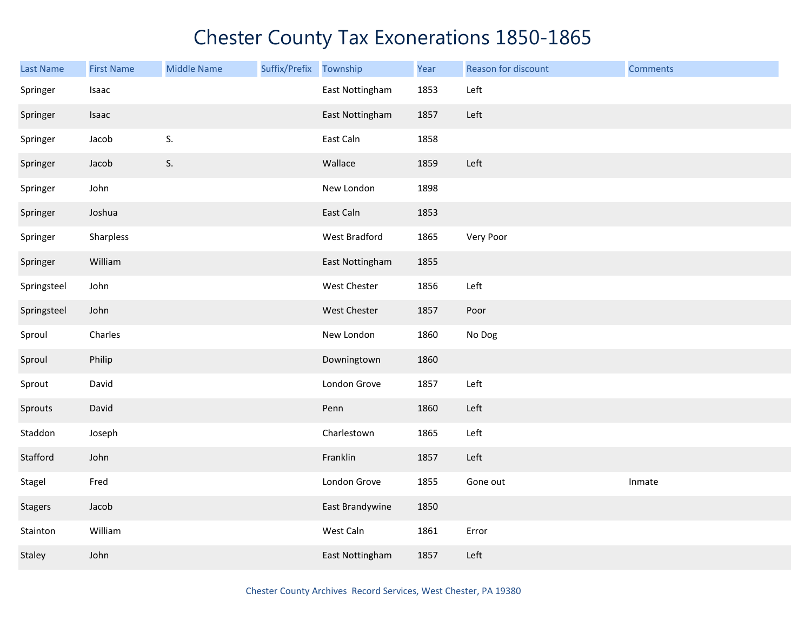| <b>Last Name</b> | <b>First Name</b> | <b>Middle Name</b> | Suffix/Prefix | Township            | Year | Reason for discount | <b>Comments</b> |
|------------------|-------------------|--------------------|---------------|---------------------|------|---------------------|-----------------|
| Springer         | Isaac             |                    |               | East Nottingham     | 1853 | Left                |                 |
| Springer         | Isaac             |                    |               | East Nottingham     | 1857 | Left                |                 |
| Springer         | Jacob             | S.                 |               | East Caln           | 1858 |                     |                 |
| Springer         | Jacob             | S.                 |               | Wallace             | 1859 | Left                |                 |
| Springer         | John              |                    |               | New London          | 1898 |                     |                 |
| Springer         | Joshua            |                    |               | East Caln           | 1853 |                     |                 |
| Springer         | Sharpless         |                    |               | West Bradford       | 1865 | Very Poor           |                 |
| Springer         | William           |                    |               | East Nottingham     | 1855 |                     |                 |
| Springsteel      | John              |                    |               | West Chester        | 1856 | Left                |                 |
| Springsteel      | John              |                    |               | <b>West Chester</b> | 1857 | Poor                |                 |
| Sproul           | Charles           |                    |               | New London          | 1860 | No Dog              |                 |
| Sproul           | Philip            |                    |               | Downingtown         | 1860 |                     |                 |
| Sprout           | David             |                    |               | London Grove        | 1857 | Left                |                 |
| Sprouts          | David             |                    |               | Penn                | 1860 | Left                |                 |
| Staddon          | Joseph            |                    |               | Charlestown         | 1865 | Left                |                 |
| Stafford         | John              |                    |               | Franklin            | 1857 | Left                |                 |
| Stagel           | Fred              |                    |               | London Grove        | 1855 | Gone out            | Inmate          |
| <b>Stagers</b>   | Jacob             |                    |               | East Brandywine     | 1850 |                     |                 |
| Stainton         | William           |                    |               | West Caln           | 1861 | Error               |                 |
| Staley           | John              |                    |               | East Nottingham     | 1857 | Left                |                 |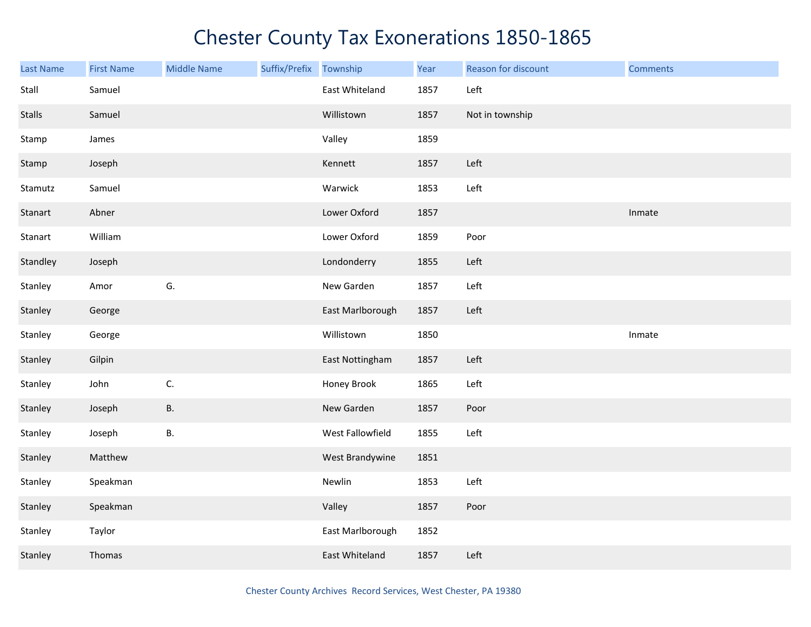| <b>Last Name</b> | <b>First Name</b> | <b>Middle Name</b> | Suffix/Prefix | Township         | Year | Reason for discount | <b>Comments</b> |
|------------------|-------------------|--------------------|---------------|------------------|------|---------------------|-----------------|
| Stall            | Samuel            |                    |               | East Whiteland   | 1857 | Left                |                 |
| <b>Stalls</b>    | Samuel            |                    |               | Willistown       | 1857 | Not in township     |                 |
| Stamp            | James             |                    |               | Valley           | 1859 |                     |                 |
| Stamp            | Joseph            |                    |               | Kennett          | 1857 | Left                |                 |
| Stamutz          | Samuel            |                    |               | Warwick          | 1853 | Left                |                 |
| Stanart          | Abner             |                    |               | Lower Oxford     | 1857 |                     | Inmate          |
| Stanart          | William           |                    |               | Lower Oxford     | 1859 | Poor                |                 |
| Standley         | Joseph            |                    |               | Londonderry      | 1855 | Left                |                 |
| Stanley          | Amor              | G.                 |               | New Garden       | 1857 | Left                |                 |
| Stanley          | George            |                    |               | East Marlborough | 1857 | Left                |                 |
| Stanley          | George            |                    |               | Willistown       | 1850 |                     | Inmate          |
| Stanley          | Gilpin            |                    |               | East Nottingham  | 1857 | Left                |                 |
| Stanley          | John              | C.                 |               | Honey Brook      | 1865 | Left                |                 |
| Stanley          | Joseph            | <b>B.</b>          |               | New Garden       | 1857 | Poor                |                 |
| Stanley          | Joseph            | В.                 |               | West Fallowfield | 1855 | Left                |                 |
| Stanley          | Matthew           |                    |               | West Brandywine  | 1851 |                     |                 |
| Stanley          | Speakman          |                    |               | Newlin           | 1853 | Left                |                 |
| Stanley          | Speakman          |                    |               | Valley           | 1857 | Poor                |                 |
| Stanley          | Taylor            |                    |               | East Marlborough | 1852 |                     |                 |
| Stanley          | Thomas            |                    |               | East Whiteland   | 1857 | Left                |                 |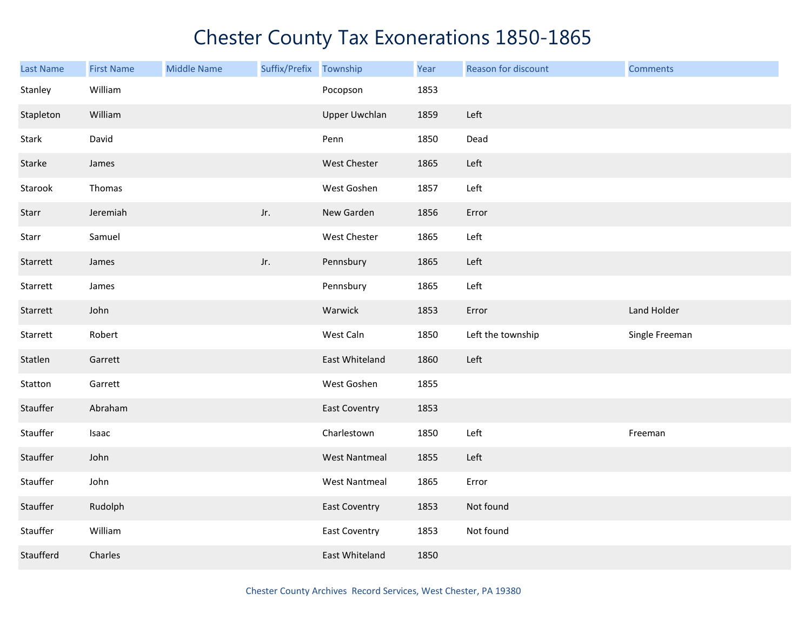| <b>Last Name</b> | <b>First Name</b> | <b>Middle Name</b> | Suffix/Prefix | Township             | Year | Reason for discount | <b>Comments</b> |
|------------------|-------------------|--------------------|---------------|----------------------|------|---------------------|-----------------|
| Stanley          | William           |                    |               | Pocopson             | 1853 |                     |                 |
| Stapleton        | William           |                    |               | Upper Uwchlan        | 1859 | Left                |                 |
| Stark            | David             |                    |               | Penn                 | 1850 | Dead                |                 |
| Starke           | James             |                    |               | West Chester         | 1865 | Left                |                 |
| Starook          | Thomas            |                    |               | West Goshen          | 1857 | Left                |                 |
| Starr            | Jeremiah          |                    | Jr.           | New Garden           | 1856 | Error               |                 |
| Starr            | Samuel            |                    |               | West Chester         | 1865 | Left                |                 |
| Starrett         | James             |                    | Jr.           | Pennsbury            | 1865 | Left                |                 |
| Starrett         | James             |                    |               | Pennsbury            | 1865 | Left                |                 |
| Starrett         | John              |                    |               | Warwick              | 1853 | Error               | Land Holder     |
| Starrett         | Robert            |                    |               | West Caln            | 1850 | Left the township   | Single Freeman  |
| Statlen          | Garrett           |                    |               | East Whiteland       | 1860 | Left                |                 |
| Statton          | Garrett           |                    |               | West Goshen          | 1855 |                     |                 |
| Stauffer         | Abraham           |                    |               | <b>East Coventry</b> | 1853 |                     |                 |
| Stauffer         | Isaac             |                    |               | Charlestown          | 1850 | Left                | Freeman         |
| Stauffer         | John              |                    |               | <b>West Nantmeal</b> | 1855 | Left                |                 |
| Stauffer         | John              |                    |               | <b>West Nantmeal</b> | 1865 | Error               |                 |
| Stauffer         | Rudolph           |                    |               | <b>East Coventry</b> | 1853 | Not found           |                 |
| Stauffer         | William           |                    |               | <b>East Coventry</b> | 1853 | Not found           |                 |
| Staufferd        | Charles           |                    |               | East Whiteland       | 1850 |                     |                 |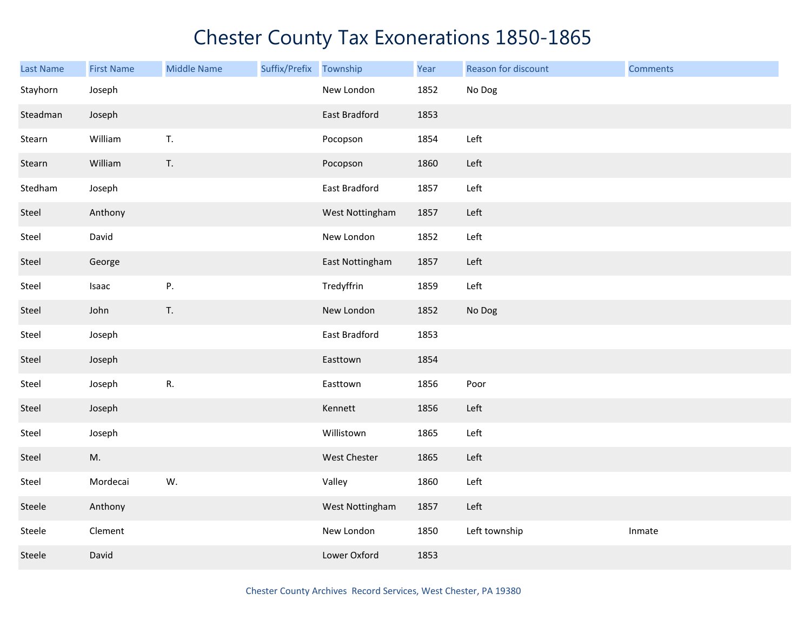| <b>Last Name</b> | <b>First Name</b> | <b>Middle Name</b> | Suffix/Prefix | Township             | Year | Reason for discount | <b>Comments</b> |
|------------------|-------------------|--------------------|---------------|----------------------|------|---------------------|-----------------|
| Stayhorn         | Joseph            |                    |               | New London           | 1852 | No Dog              |                 |
| Steadman         | Joseph            |                    |               | <b>East Bradford</b> | 1853 |                     |                 |
| Stearn           | William           | T.                 |               | Pocopson             | 1854 | Left                |                 |
| Stearn           | William           | T.                 |               | Pocopson             | 1860 | Left                |                 |
| Stedham          | Joseph            |                    |               | East Bradford        | 1857 | Left                |                 |
| Steel            | Anthony           |                    |               | West Nottingham      | 1857 | Left                |                 |
| Steel            | David             |                    |               | New London           | 1852 | Left                |                 |
| Steel            | George            |                    |               | East Nottingham      | 1857 | Left                |                 |
| Steel            | Isaac             | Ρ.                 |               | Tredyffrin           | 1859 | Left                |                 |
| Steel            | John              | T.                 |               | New London           | 1852 | No Dog              |                 |
| Steel            | Joseph            |                    |               | East Bradford        | 1853 |                     |                 |
| Steel            | Joseph            |                    |               | Easttown             | 1854 |                     |                 |
| Steel            | Joseph            | R.                 |               | Easttown             | 1856 | Poor                |                 |
| Steel            | Joseph            |                    |               | Kennett              | 1856 | Left                |                 |
| Steel            | Joseph            |                    |               | Willistown           | 1865 | Left                |                 |
| Steel            | M.                |                    |               | West Chester         | 1865 | Left                |                 |
| Steel            | Mordecai          | W.                 |               | Valley               | 1860 | Left                |                 |
| Steele           | Anthony           |                    |               | West Nottingham      | 1857 | Left                |                 |
| Steele           | Clement           |                    |               | New London           | 1850 | Left township       | Inmate          |
| Steele           | David             |                    |               | Lower Oxford         | 1853 |                     |                 |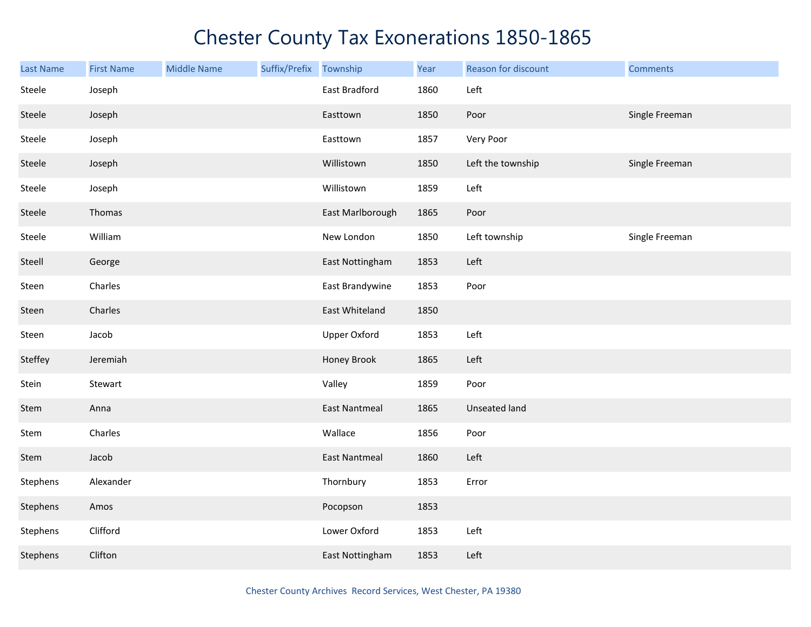| <b>Last Name</b> | <b>First Name</b> | <b>Middle Name</b> | Suffix/Prefix | Township             | Year | Reason for discount | <b>Comments</b> |
|------------------|-------------------|--------------------|---------------|----------------------|------|---------------------|-----------------|
| Steele           | Joseph            |                    |               | East Bradford        | 1860 | Left                |                 |
| Steele           | Joseph            |                    |               | Easttown             | 1850 | Poor                | Single Freeman  |
| Steele           | Joseph            |                    |               | Easttown             | 1857 | Very Poor           |                 |
| Steele           | Joseph            |                    |               | Willistown           | 1850 | Left the township   | Single Freeman  |
| Steele           | Joseph            |                    |               | Willistown           | 1859 | Left                |                 |
| Steele           | Thomas            |                    |               | East Marlborough     | 1865 | Poor                |                 |
| Steele           | William           |                    |               | New London           | 1850 | Left township       | Single Freeman  |
| Steell           | George            |                    |               | East Nottingham      | 1853 | Left                |                 |
| Steen            | Charles           |                    |               | East Brandywine      | 1853 | Poor                |                 |
| Steen            | Charles           |                    |               | East Whiteland       | 1850 |                     |                 |
| Steen            | Jacob             |                    |               | <b>Upper Oxford</b>  | 1853 | Left                |                 |
| Steffey          | Jeremiah          |                    |               | Honey Brook          | 1865 | Left                |                 |
| Stein            | Stewart           |                    |               | Valley               | 1859 | Poor                |                 |
| Stem             | Anna              |                    |               | <b>East Nantmeal</b> | 1865 | Unseated land       |                 |
| Stem             | Charles           |                    |               | Wallace              | 1856 | Poor                |                 |
| Stem             | Jacob             |                    |               | <b>East Nantmeal</b> | 1860 | Left                |                 |
| Stephens         | Alexander         |                    |               | Thornbury            | 1853 | Error               |                 |
| Stephens         | Amos              |                    |               | Pocopson             | 1853 |                     |                 |
| Stephens         | Clifford          |                    |               | Lower Oxford         | 1853 | Left                |                 |
| Stephens         | Clifton           |                    |               | East Nottingham      | 1853 | Left                |                 |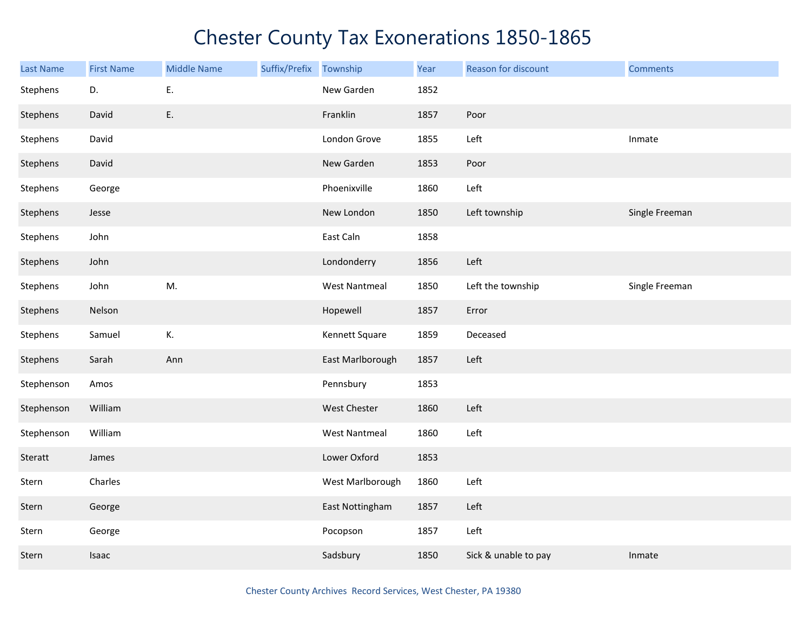| <b>Last Name</b> | <b>First Name</b> | <b>Middle Name</b> | Suffix/Prefix Township |                      | Year | Reason for discount  | <b>Comments</b> |
|------------------|-------------------|--------------------|------------------------|----------------------|------|----------------------|-----------------|
| Stephens         | D.                | Ε.                 |                        | New Garden           | 1852 |                      |                 |
| Stephens         | David             | E.                 |                        | Franklin             | 1857 | Poor                 |                 |
| Stephens         | David             |                    |                        | London Grove         | 1855 | Left                 | Inmate          |
| Stephens         | David             |                    |                        | New Garden           | 1853 | Poor                 |                 |
| Stephens         | George            |                    |                        | Phoenixville         | 1860 | Left                 |                 |
| Stephens         | Jesse             |                    |                        | New London           | 1850 | Left township        | Single Freeman  |
| Stephens         | John              |                    |                        | East Caln            | 1858 |                      |                 |
| Stephens         | John              |                    |                        | Londonderry          | 1856 | Left                 |                 |
| Stephens         | John              | M.                 |                        | <b>West Nantmeal</b> | 1850 | Left the township    | Single Freeman  |
| Stephens         | Nelson            |                    |                        | Hopewell             | 1857 | Error                |                 |
| Stephens         | Samuel            | К.                 |                        | Kennett Square       | 1859 | Deceased             |                 |
| Stephens         | Sarah             | Ann                |                        | East Marlborough     | 1857 | Left                 |                 |
| Stephenson       | Amos              |                    |                        | Pennsbury            | 1853 |                      |                 |
| Stephenson       | William           |                    |                        | West Chester         | 1860 | Left                 |                 |
| Stephenson       | William           |                    |                        | <b>West Nantmeal</b> | 1860 | Left                 |                 |
| Steratt          | James             |                    |                        | Lower Oxford         | 1853 |                      |                 |
| Stern            | Charles           |                    |                        | West Marlborough     | 1860 | Left                 |                 |
| Stern            | George            |                    |                        | East Nottingham      | 1857 | Left                 |                 |
| Stern            | George            |                    |                        | Pocopson             | 1857 | Left                 |                 |
| Stern            | Isaac             |                    |                        | Sadsbury             | 1850 | Sick & unable to pay | Inmate          |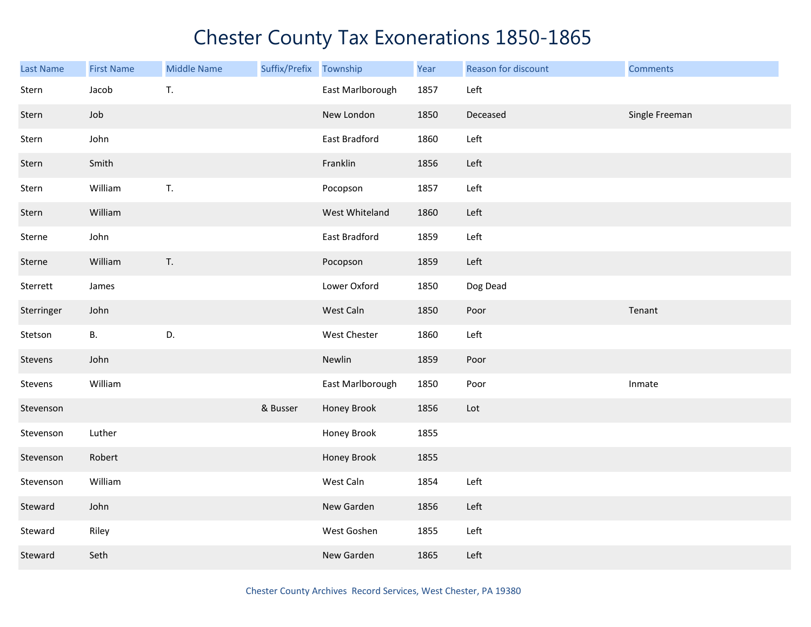| <b>Last Name</b> | <b>First Name</b> | <b>Middle Name</b> | Suffix/Prefix | Township         | Year | Reason for discount | <b>Comments</b> |
|------------------|-------------------|--------------------|---------------|------------------|------|---------------------|-----------------|
| Stern            | Jacob             | T.                 |               | East Marlborough | 1857 | Left                |                 |
| Stern            | Job               |                    |               | New London       | 1850 | Deceased            | Single Freeman  |
| Stern            | John              |                    |               | East Bradford    | 1860 | Left                |                 |
| Stern            | Smith             |                    |               | Franklin         | 1856 | Left                |                 |
| Stern            | William           | T.                 |               | Pocopson         | 1857 | Left                |                 |
| Stern            | William           |                    |               | West Whiteland   | 1860 | Left                |                 |
| Sterne           | John              |                    |               | East Bradford    | 1859 | Left                |                 |
| Sterne           | William           | T.                 |               | Pocopson         | 1859 | Left                |                 |
| Sterrett         | James             |                    |               | Lower Oxford     | 1850 | Dog Dead            |                 |
| Sterringer       | John              |                    |               | West Caln        | 1850 | Poor                | Tenant          |
| Stetson          | В.                | D.                 |               | West Chester     | 1860 | Left                |                 |
| Stevens          | John              |                    |               | Newlin           | 1859 | Poor                |                 |
| Stevens          | William           |                    |               | East Marlborough | 1850 | Poor                | Inmate          |
| Stevenson        |                   |                    | & Busser      | Honey Brook      | 1856 | Lot                 |                 |
| Stevenson        | Luther            |                    |               | Honey Brook      | 1855 |                     |                 |
| Stevenson        | Robert            |                    |               | Honey Brook      | 1855 |                     |                 |
| Stevenson        | William           |                    |               | West Caln        | 1854 | Left                |                 |
| Steward          | John              |                    |               | New Garden       | 1856 | Left                |                 |
| Steward          | Riley             |                    |               | West Goshen      | 1855 | Left                |                 |
| Steward          | Seth              |                    |               | New Garden       | 1865 | Left                |                 |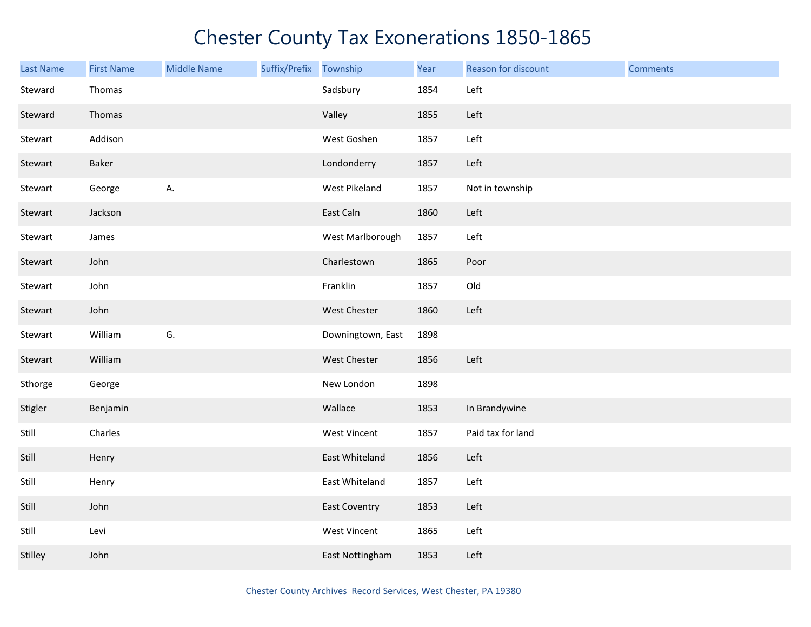| Last Name | <b>First Name</b> | <b>Middle Name</b> | Suffix/Prefix | Township             | Year | Reason for discount | <b>Comments</b> |
|-----------|-------------------|--------------------|---------------|----------------------|------|---------------------|-----------------|
| Steward   | Thomas            |                    |               | Sadsbury             | 1854 | Left                |                 |
| Steward   | Thomas            |                    |               | Valley               | 1855 | Left                |                 |
| Stewart   | Addison           |                    |               | West Goshen          | 1857 | Left                |                 |
| Stewart   | Baker             |                    |               | Londonderry          | 1857 | Left                |                 |
| Stewart   | George            | А.                 |               | West Pikeland        | 1857 | Not in township     |                 |
| Stewart   | Jackson           |                    |               | East Caln            | 1860 | Left                |                 |
| Stewart   | James             |                    |               | West Marlborough     | 1857 | Left                |                 |
| Stewart   | John              |                    |               | Charlestown          | 1865 | Poor                |                 |
| Stewart   | John              |                    |               | Franklin             | 1857 | Old                 |                 |
| Stewart   | John              |                    |               | West Chester         | 1860 | Left                |                 |
| Stewart   | William           | G.                 |               | Downingtown, East    | 1898 |                     |                 |
| Stewart   | William           |                    |               | West Chester         | 1856 | Left                |                 |
| Sthorge   | George            |                    |               | New London           | 1898 |                     |                 |
| Stigler   | Benjamin          |                    |               | Wallace              | 1853 | In Brandywine       |                 |
| Still     | Charles           |                    |               | West Vincent         | 1857 | Paid tax for land   |                 |
| Still     | Henry             |                    |               | East Whiteland       | 1856 | Left                |                 |
| Still     | Henry             |                    |               | East Whiteland       | 1857 | Left                |                 |
| Still     | John              |                    |               | <b>East Coventry</b> | 1853 | Left                |                 |
| Still     | Levi              |                    |               | <b>West Vincent</b>  | 1865 | Left                |                 |
| Stilley   | John              |                    |               | East Nottingham      | 1853 | Left                |                 |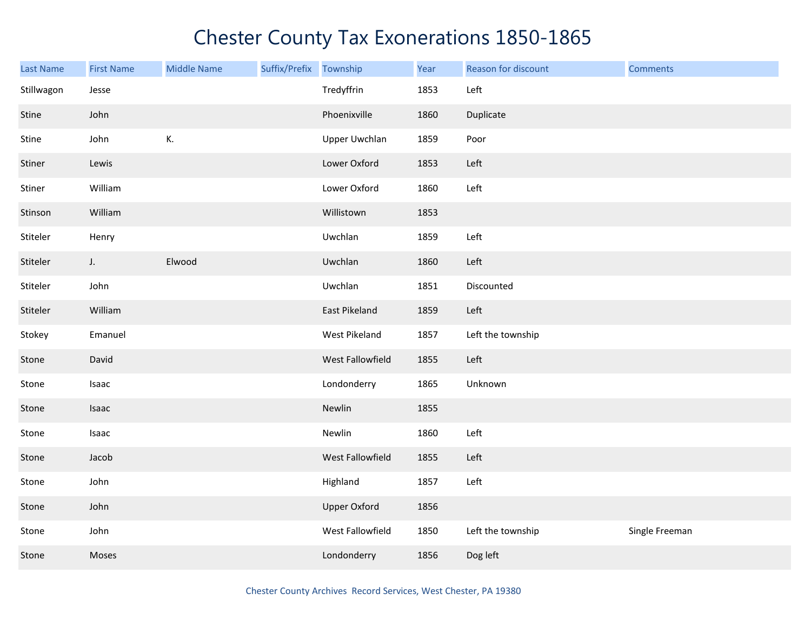| Last Name  | <b>First Name</b> | <b>Middle Name</b> | Suffix/Prefix | Township            | Year | Reason for discount | <b>Comments</b> |
|------------|-------------------|--------------------|---------------|---------------------|------|---------------------|-----------------|
| Stillwagon | Jesse             |                    |               | Tredyffrin          | 1853 | Left                |                 |
| Stine      | John              |                    |               | Phoenixville        | 1860 | Duplicate           |                 |
| Stine      | John              | К.                 |               | Upper Uwchlan       | 1859 | Poor                |                 |
| Stiner     | Lewis             |                    |               | Lower Oxford        | 1853 | Left                |                 |
| Stiner     | William           |                    |               | Lower Oxford        | 1860 | Left                |                 |
| Stinson    | William           |                    |               | Willistown          | 1853 |                     |                 |
| Stiteler   | Henry             |                    |               | Uwchlan             | 1859 | Left                |                 |
| Stiteler   | J.                | Elwood             |               | Uwchlan             | 1860 | Left                |                 |
| Stiteler   | John              |                    |               | Uwchlan             | 1851 | Discounted          |                 |
| Stiteler   | William           |                    |               | East Pikeland       | 1859 | Left                |                 |
| Stokey     | Emanuel           |                    |               | West Pikeland       | 1857 | Left the township   |                 |
| Stone      | David             |                    |               | West Fallowfield    | 1855 | Left                |                 |
| Stone      | Isaac             |                    |               | Londonderry         | 1865 | Unknown             |                 |
| Stone      | Isaac             |                    |               | Newlin              | 1855 |                     |                 |
| Stone      | Isaac             |                    |               | Newlin              | 1860 | Left                |                 |
| Stone      | Jacob             |                    |               | West Fallowfield    | 1855 | Left                |                 |
| Stone      | John              |                    |               | Highland            | 1857 | Left                |                 |
| Stone      | John              |                    |               | <b>Upper Oxford</b> | 1856 |                     |                 |
| Stone      | John              |                    |               | West Fallowfield    | 1850 | Left the township   | Single Freeman  |
| Stone      | Moses             |                    |               | Londonderry         | 1856 | Dog left            |                 |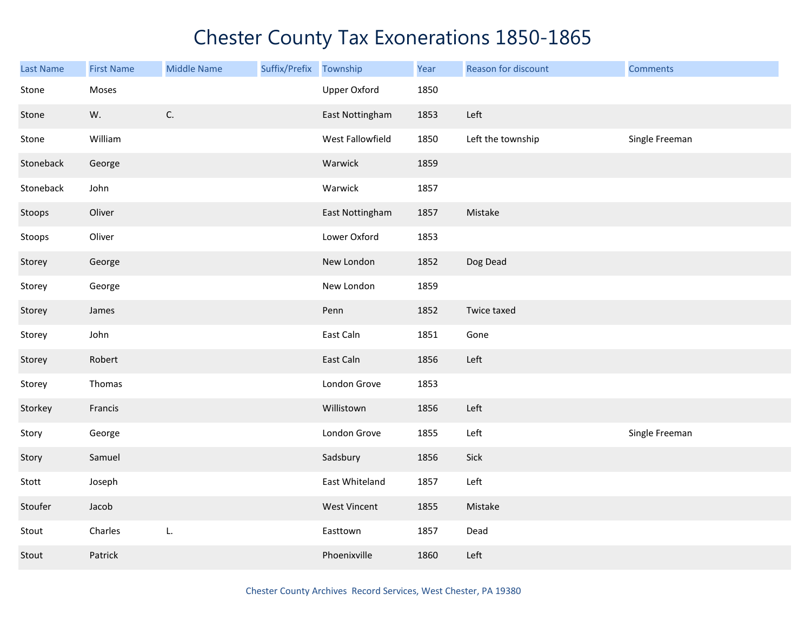| <b>Last Name</b> | <b>First Name</b> | <b>Middle Name</b> | Suffix/Prefix | Township            | Year | Reason for discount | <b>Comments</b> |
|------------------|-------------------|--------------------|---------------|---------------------|------|---------------------|-----------------|
| Stone            | Moses             |                    |               | <b>Upper Oxford</b> | 1850 |                     |                 |
| Stone            | W.                | $\mathsf{C}.$      |               | East Nottingham     | 1853 | Left                |                 |
| Stone            | William           |                    |               | West Fallowfield    | 1850 | Left the township   | Single Freeman  |
| Stoneback        | George            |                    |               | Warwick             | 1859 |                     |                 |
| Stoneback        | John              |                    |               | Warwick             | 1857 |                     |                 |
| Stoops           | Oliver            |                    |               | East Nottingham     | 1857 | Mistake             |                 |
| Stoops           | Oliver            |                    |               | Lower Oxford        | 1853 |                     |                 |
| Storey           | George            |                    |               | New London          | 1852 | Dog Dead            |                 |
| Storey           | George            |                    |               | New London          | 1859 |                     |                 |
| Storey           | James             |                    |               | Penn                | 1852 | Twice taxed         |                 |
| Storey           | John              |                    |               | East Caln           | 1851 | Gone                |                 |
| Storey           | Robert            |                    |               | East Caln           | 1856 | Left                |                 |
| Storey           | Thomas            |                    |               | London Grove        | 1853 |                     |                 |
| Storkey          | Francis           |                    |               | Willistown          | 1856 | Left                |                 |
| Story            | George            |                    |               | London Grove        | 1855 | Left                | Single Freeman  |
| Story            | Samuel            |                    |               | Sadsbury            | 1856 | Sick                |                 |
| Stott            | Joseph            |                    |               | East Whiteland      | 1857 | Left                |                 |
| Stoufer          | Jacob             |                    |               | <b>West Vincent</b> | 1855 | Mistake             |                 |
| Stout            | Charles           | L.                 |               | Easttown            | 1857 | Dead                |                 |
| Stout            | Patrick           |                    |               | Phoenixville        | 1860 | Left                |                 |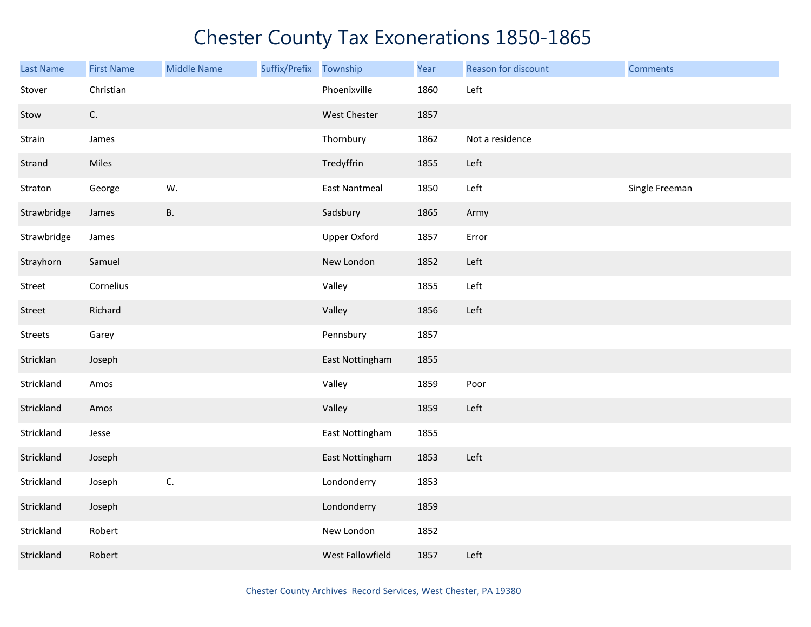| Last Name      | <b>First Name</b> | <b>Middle Name</b> | Suffix/Prefix Township |                      | Year | Reason for discount | <b>Comments</b> |
|----------------|-------------------|--------------------|------------------------|----------------------|------|---------------------|-----------------|
| Stover         | Christian         |                    |                        | Phoenixville         | 1860 | Left                |                 |
| Stow           | C.                |                    |                        | West Chester         | 1857 |                     |                 |
| Strain         | James             |                    |                        | Thornbury            | 1862 | Not a residence     |                 |
| Strand         | Miles             |                    |                        | Tredyffrin           | 1855 | Left                |                 |
| Straton        | George            | W.                 |                        | <b>East Nantmeal</b> | 1850 | Left                | Single Freeman  |
| Strawbridge    | James             | <b>B.</b>          |                        | Sadsbury             | 1865 | Army                |                 |
| Strawbridge    | James             |                    |                        | <b>Upper Oxford</b>  | 1857 | Error               |                 |
| Strayhorn      | Samuel            |                    |                        | New London           | 1852 | Left                |                 |
| Street         | Cornelius         |                    |                        | Valley               | 1855 | Left                |                 |
| Street         | Richard           |                    |                        | Valley               | 1856 | Left                |                 |
| <b>Streets</b> | Garey             |                    |                        | Pennsbury            | 1857 |                     |                 |
| Stricklan      | Joseph            |                    |                        | East Nottingham      | 1855 |                     |                 |
| Strickland     | Amos              |                    |                        | Valley               | 1859 | Poor                |                 |
| Strickland     | Amos              |                    |                        | Valley               | 1859 | Left                |                 |
| Strickland     | Jesse             |                    |                        | East Nottingham      | 1855 |                     |                 |
| Strickland     | Joseph            |                    |                        | East Nottingham      | 1853 | Left                |                 |
| Strickland     | Joseph            | C.                 |                        | Londonderry          | 1853 |                     |                 |
| Strickland     | Joseph            |                    |                        | Londonderry          | 1859 |                     |                 |
| Strickland     | Robert            |                    |                        | New London           | 1852 |                     |                 |
| Strickland     | Robert            |                    |                        | West Fallowfield     | 1857 | Left                |                 |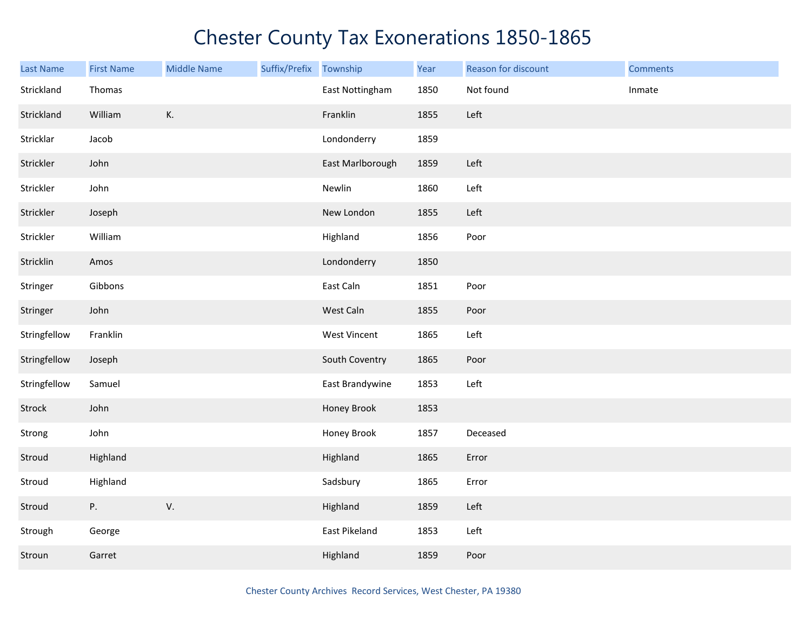| <b>Last Name</b> | <b>First Name</b> | <b>Middle Name</b> | Suffix/Prefix Township |                  | Year | Reason for discount | <b>Comments</b> |
|------------------|-------------------|--------------------|------------------------|------------------|------|---------------------|-----------------|
| Strickland       | Thomas            |                    |                        | East Nottingham  | 1850 | Not found           | Inmate          |
| Strickland       | William           | К.                 |                        | Franklin         | 1855 | Left                |                 |
| Stricklar        | Jacob             |                    |                        | Londonderry      | 1859 |                     |                 |
| Strickler        | John              |                    |                        | East Marlborough | 1859 | Left                |                 |
| Strickler        | John              |                    |                        | Newlin           | 1860 | Left                |                 |
| Strickler        | Joseph            |                    |                        | New London       | 1855 | Left                |                 |
| Strickler        | William           |                    |                        | Highland         | 1856 | Poor                |                 |
| Stricklin        | Amos              |                    |                        | Londonderry      | 1850 |                     |                 |
| Stringer         | Gibbons           |                    |                        | East Caln        | 1851 | Poor                |                 |
| Stringer         | John              |                    |                        | West Caln        | 1855 | Poor                |                 |
| Stringfellow     | Franklin          |                    |                        | West Vincent     | 1865 | Left                |                 |
| Stringfellow     | Joseph            |                    |                        | South Coventry   | 1865 | Poor                |                 |
| Stringfellow     | Samuel            |                    |                        | East Brandywine  | 1853 | Left                |                 |
| Strock           | John              |                    |                        | Honey Brook      | 1853 |                     |                 |
| Strong           | John              |                    |                        | Honey Brook      | 1857 | Deceased            |                 |
| Stroud           | Highland          |                    |                        | Highland         | 1865 | Error               |                 |
| Stroud           | Highland          |                    |                        | Sadsbury         | 1865 | Error               |                 |
| Stroud           | Ρ.                | V.                 |                        | Highland         | 1859 | Left                |                 |
| Strough          | George            |                    |                        | East Pikeland    | 1853 | Left                |                 |
| Stroun           | Garret            |                    |                        | Highland         | 1859 | Poor                |                 |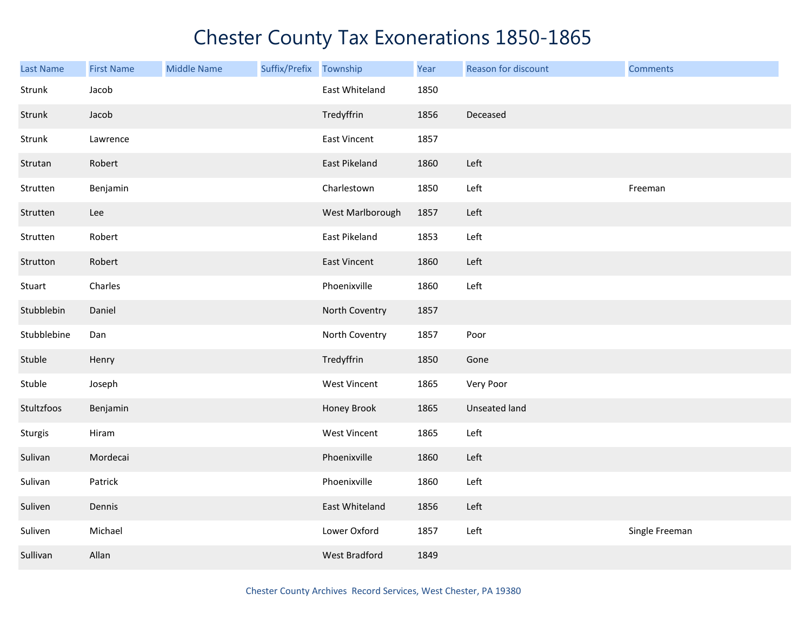| <b>Last Name</b> | <b>First Name</b> | <b>Middle Name</b> | Suffix/Prefix | Township            | Year | Reason for discount  | <b>Comments</b> |
|------------------|-------------------|--------------------|---------------|---------------------|------|----------------------|-----------------|
| Strunk           | Jacob             |                    |               | East Whiteland      | 1850 |                      |                 |
| Strunk           | Jacob             |                    |               | Tredyffrin          | 1856 | Deceased             |                 |
| Strunk           | Lawrence          |                    |               | <b>East Vincent</b> | 1857 |                      |                 |
| Strutan          | Robert            |                    |               | East Pikeland       | 1860 | Left                 |                 |
| Strutten         | Benjamin          |                    |               | Charlestown         | 1850 | Left                 | Freeman         |
| Strutten         | Lee               |                    |               | West Marlborough    | 1857 | Left                 |                 |
| Strutten         | Robert            |                    |               | East Pikeland       | 1853 | Left                 |                 |
| Strutton         | Robert            |                    |               | <b>East Vincent</b> | 1860 | Left                 |                 |
| Stuart           | Charles           |                    |               | Phoenixville        | 1860 | Left                 |                 |
| Stubblebin       | Daniel            |                    |               | North Coventry      | 1857 |                      |                 |
| Stubblebine      | Dan               |                    |               | North Coventry      | 1857 | Poor                 |                 |
| Stuble           | Henry             |                    |               | Tredyffrin          | 1850 | Gone                 |                 |
| Stuble           | Joseph            |                    |               | West Vincent        | 1865 | Very Poor            |                 |
| Stultzfoos       | Benjamin          |                    |               | Honey Brook         | 1865 | <b>Unseated land</b> |                 |
| Sturgis          | Hiram             |                    |               | West Vincent        | 1865 | Left                 |                 |
| Sulivan          | Mordecai          |                    |               | Phoenixville        | 1860 | Left                 |                 |
| Sulivan          | Patrick           |                    |               | Phoenixville        | 1860 | Left                 |                 |
| Suliven          | Dennis            |                    |               | East Whiteland      | 1856 | Left                 |                 |
| Suliven          | Michael           |                    |               | Lower Oxford        | 1857 | Left                 | Single Freeman  |
| Sullivan         | Allan             |                    |               | West Bradford       | 1849 |                      |                 |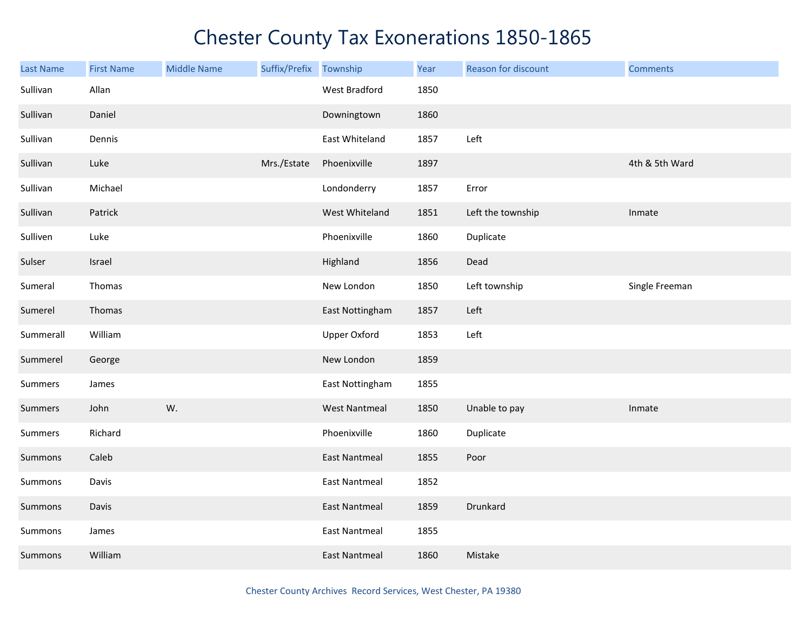| <b>Last Name</b> | <b>First Name</b> | <b>Middle Name</b> | Suffix/Prefix Township |                      | Year | Reason for discount | <b>Comments</b> |
|------------------|-------------------|--------------------|------------------------|----------------------|------|---------------------|-----------------|
| Sullivan         | Allan             |                    |                        | West Bradford        | 1850 |                     |                 |
| Sullivan         | Daniel            |                    |                        | Downingtown          | 1860 |                     |                 |
| Sullivan         | Dennis            |                    |                        | East Whiteland       | 1857 | Left                |                 |
| Sullivan         | Luke              |                    | Mrs./Estate            | Phoenixville         | 1897 |                     | 4th & 5th Ward  |
| Sullivan         | Michael           |                    |                        | Londonderry          | 1857 | Error               |                 |
| Sullivan         | Patrick           |                    |                        | West Whiteland       | 1851 | Left the township   | Inmate          |
| Sulliven         | Luke              |                    |                        | Phoenixville         | 1860 | Duplicate           |                 |
| Sulser           | Israel            |                    |                        | Highland             | 1856 | Dead                |                 |
| Sumeral          | Thomas            |                    |                        | New London           | 1850 | Left township       | Single Freeman  |
| Sumerel          | Thomas            |                    |                        | East Nottingham      | 1857 | Left                |                 |
| Summerall        | William           |                    |                        | <b>Upper Oxford</b>  | 1853 | Left                |                 |
| Summerel         | George            |                    |                        | New London           | 1859 |                     |                 |
| Summers          | James             |                    |                        | East Nottingham      | 1855 |                     |                 |
| Summers          | John              | W.                 |                        | <b>West Nantmeal</b> | 1850 | Unable to pay       | Inmate          |
| Summers          | Richard           |                    |                        | Phoenixville         | 1860 | Duplicate           |                 |
| Summons          | Caleb             |                    |                        | <b>East Nantmeal</b> | 1855 | Poor                |                 |
| Summons          | Davis             |                    |                        | <b>East Nantmeal</b> | 1852 |                     |                 |
| Summons          | Davis             |                    |                        | <b>East Nantmeal</b> | 1859 | Drunkard            |                 |
| Summons          | James             |                    |                        | <b>East Nantmeal</b> | 1855 |                     |                 |
| Summons          | William           |                    |                        | <b>East Nantmeal</b> | 1860 | Mistake             |                 |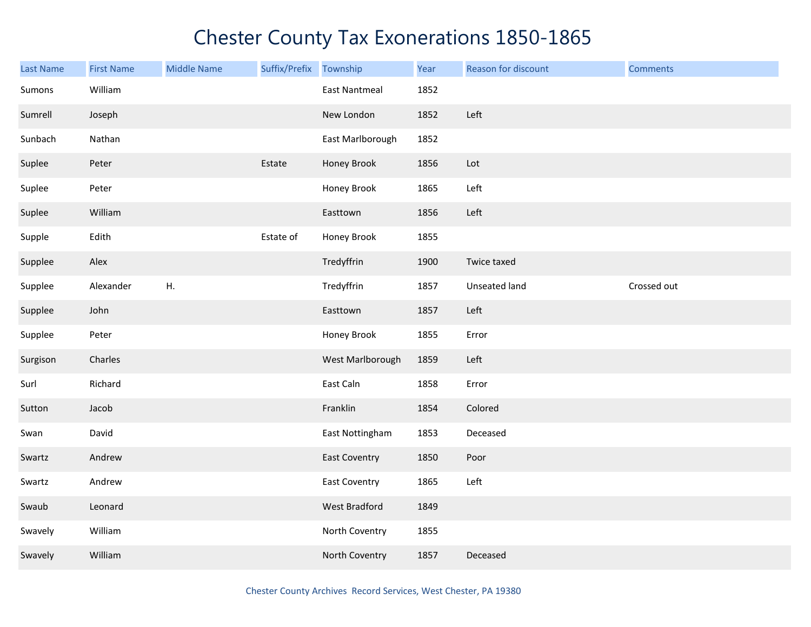| <b>Last Name</b> | <b>First Name</b> | <b>Middle Name</b> | Suffix/Prefix | Township             | Year | Reason for discount | <b>Comments</b> |
|------------------|-------------------|--------------------|---------------|----------------------|------|---------------------|-----------------|
| Sumons           | William           |                    |               | <b>East Nantmeal</b> | 1852 |                     |                 |
| Sumrell          | Joseph            |                    |               | New London           | 1852 | Left                |                 |
| Sunbach          | Nathan            |                    |               | East Marlborough     | 1852 |                     |                 |
| Suplee           | Peter             |                    | Estate        | Honey Brook          | 1856 | Lot                 |                 |
| Suplee           | Peter             |                    |               | Honey Brook          | 1865 | Left                |                 |
| Suplee           | William           |                    |               | Easttown             | 1856 | Left                |                 |
| Supple           | Edith             |                    | Estate of     | Honey Brook          | 1855 |                     |                 |
| Supplee          | Alex              |                    |               | Tredyffrin           | 1900 | Twice taxed         |                 |
| Supplee          | Alexander         | Η.                 |               | Tredyffrin           | 1857 | Unseated land       | Crossed out     |
| Supplee          | John              |                    |               | Easttown             | 1857 | Left                |                 |
| Supplee          | Peter             |                    |               | Honey Brook          | 1855 | Error               |                 |
| Surgison         | Charles           |                    |               | West Marlborough     | 1859 | Left                |                 |
| Surl             | Richard           |                    |               | East Caln            | 1858 | Error               |                 |
| Sutton           | Jacob             |                    |               | Franklin             | 1854 | Colored             |                 |
| Swan             | David             |                    |               | East Nottingham      | 1853 | Deceased            |                 |
| Swartz           | Andrew            |                    |               | <b>East Coventry</b> | 1850 | Poor                |                 |
| Swartz           | Andrew            |                    |               | <b>East Coventry</b> | 1865 | Left                |                 |
| Swaub            | Leonard           |                    |               | <b>West Bradford</b> | 1849 |                     |                 |
| Swavely          | William           |                    |               | North Coventry       | 1855 |                     |                 |
| Swavely          | William           |                    |               | North Coventry       | 1857 | Deceased            |                 |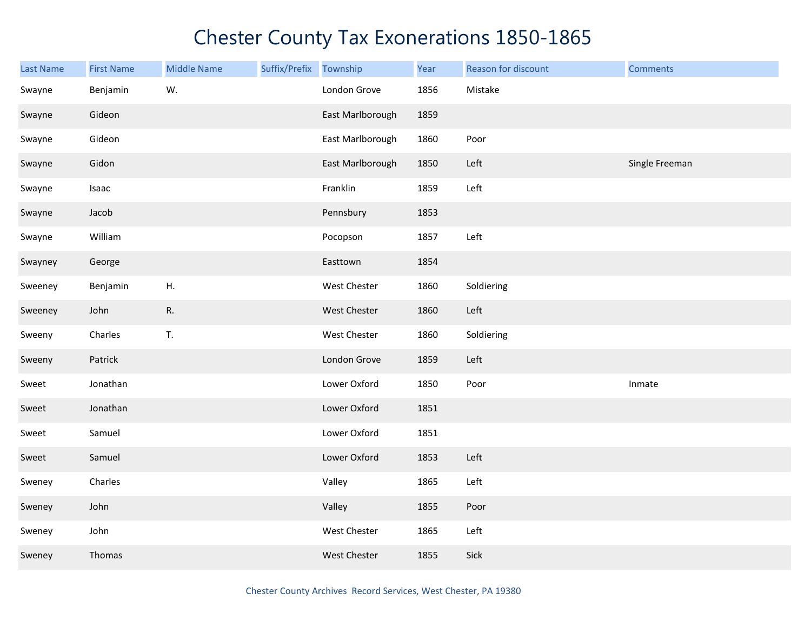| Last Name | <b>First Name</b> | <b>Middle Name</b> | Suffix/Prefix Township |                  | Year | Reason for discount | <b>Comments</b> |
|-----------|-------------------|--------------------|------------------------|------------------|------|---------------------|-----------------|
| Swayne    | Benjamin          | W.                 |                        | London Grove     | 1856 | Mistake             |                 |
| Swayne    | Gideon            |                    |                        | East Marlborough | 1859 |                     |                 |
| Swayne    | Gideon            |                    |                        | East Marlborough | 1860 | Poor                |                 |
| Swayne    | Gidon             |                    |                        | East Marlborough | 1850 | Left                | Single Freeman  |
| Swayne    | Isaac             |                    |                        | Franklin         | 1859 | Left                |                 |
| Swayne    | Jacob             |                    |                        | Pennsbury        | 1853 |                     |                 |
| Swayne    | William           |                    |                        | Pocopson         | 1857 | Left                |                 |
| Swayney   | George            |                    |                        | Easttown         | 1854 |                     |                 |
| Sweeney   | Benjamin          | ${\sf H}.$         |                        | West Chester     | 1860 | Soldiering          |                 |
| Sweeney   | John              | R.                 |                        | West Chester     | 1860 | Left                |                 |
| Sweeny    | Charles           | T.                 |                        | West Chester     | 1860 | Soldiering          |                 |
| Sweeny    | Patrick           |                    |                        | London Grove     | 1859 | Left                |                 |
| Sweet     | Jonathan          |                    |                        | Lower Oxford     | 1850 | Poor                | Inmate          |
| Sweet     | Jonathan          |                    |                        | Lower Oxford     | 1851 |                     |                 |
| Sweet     | Samuel            |                    |                        | Lower Oxford     | 1851 |                     |                 |
| Sweet     | Samuel            |                    |                        | Lower Oxford     | 1853 | Left                |                 |
| Sweney    | Charles           |                    |                        | Valley           | 1865 | Left                |                 |
| Sweney    | John              |                    |                        | Valley           | 1855 | Poor                |                 |
| Sweney    | John              |                    |                        | West Chester     | 1865 | Left                |                 |
| Sweney    | Thomas            |                    |                        | West Chester     | 1855 | Sick                |                 |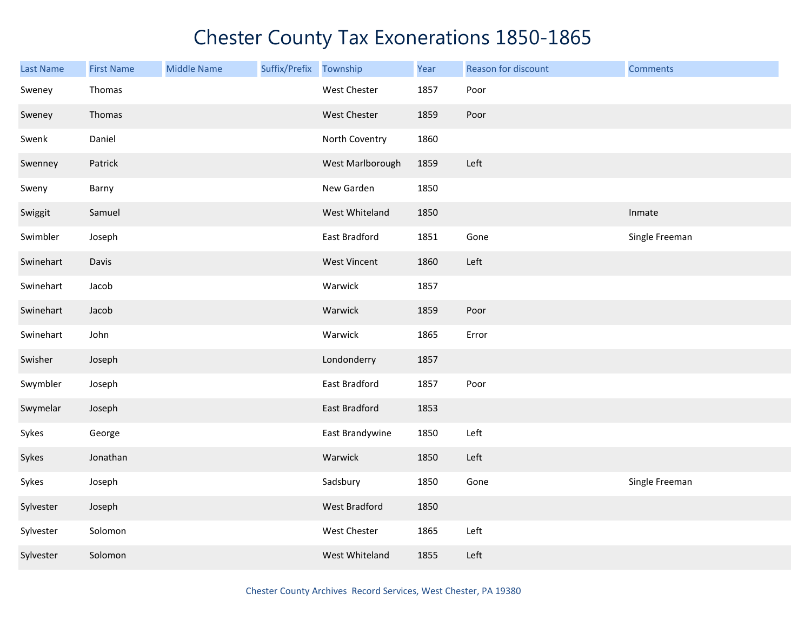| Last Name | <b>First Name</b> | <b>Middle Name</b> | Suffix/Prefix Township |                     | Year | Reason for discount | <b>Comments</b> |
|-----------|-------------------|--------------------|------------------------|---------------------|------|---------------------|-----------------|
| Sweney    | Thomas            |                    |                        | West Chester        | 1857 | Poor                |                 |
| Sweney    | Thomas            |                    |                        | West Chester        | 1859 | Poor                |                 |
| Swenk     | Daniel            |                    |                        | North Coventry      | 1860 |                     |                 |
| Swenney   | Patrick           |                    |                        | West Marlborough    | 1859 | Left                |                 |
| Sweny     | Barny             |                    |                        | New Garden          | 1850 |                     |                 |
| Swiggit   | Samuel            |                    |                        | West Whiteland      | 1850 |                     | Inmate          |
| Swimbler  | Joseph            |                    |                        | East Bradford       | 1851 | Gone                | Single Freeman  |
| Swinehart | Davis             |                    |                        | <b>West Vincent</b> | 1860 | Left                |                 |
| Swinehart | Jacob             |                    |                        | Warwick             | 1857 |                     |                 |
| Swinehart | Jacob             |                    |                        | Warwick             | 1859 | Poor                |                 |
| Swinehart | John              |                    |                        | Warwick             | 1865 | Error               |                 |
| Swisher   | Joseph            |                    |                        | Londonderry         | 1857 |                     |                 |
| Swymbler  | Joseph            |                    |                        | East Bradford       | 1857 | Poor                |                 |
| Swymelar  | Joseph            |                    |                        | East Bradford       | 1853 |                     |                 |
| Sykes     | George            |                    |                        | East Brandywine     | 1850 | Left                |                 |
| Sykes     | Jonathan          |                    |                        | Warwick             | 1850 | Left                |                 |
| Sykes     | Joseph            |                    |                        | Sadsbury            | 1850 | Gone                | Single Freeman  |
| Sylvester | Joseph            |                    |                        | West Bradford       | 1850 |                     |                 |
| Sylvester | Solomon           |                    |                        | West Chester        | 1865 | Left                |                 |
| Sylvester | Solomon           |                    |                        | West Whiteland      | 1855 | Left                |                 |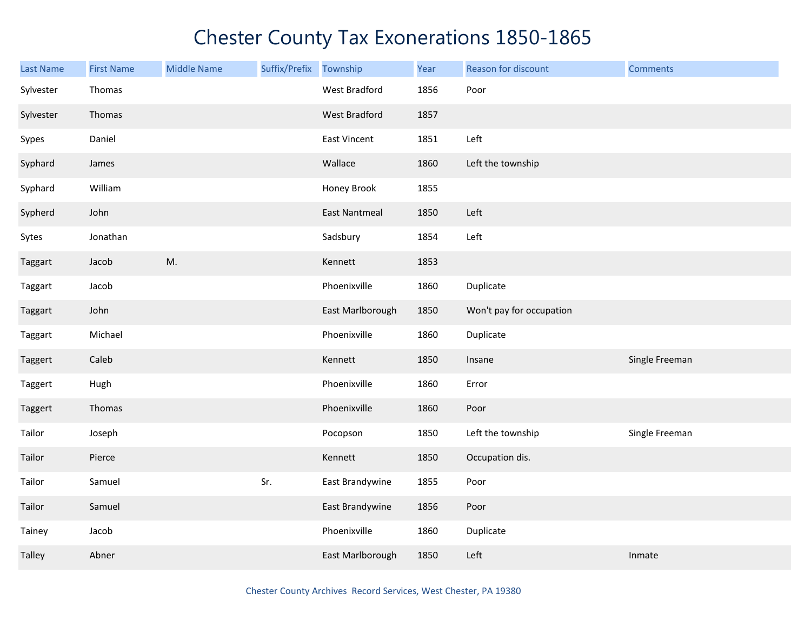| <b>Last Name</b> | <b>First Name</b> | <b>Middle Name</b> | Suffix/Prefix | Township             | Year | Reason for discount      | <b>Comments</b> |
|------------------|-------------------|--------------------|---------------|----------------------|------|--------------------------|-----------------|
| Sylvester        | Thomas            |                    |               | West Bradford        | 1856 | Poor                     |                 |
| Sylvester        | Thomas            |                    |               | <b>West Bradford</b> | 1857 |                          |                 |
| Sypes            | Daniel            |                    |               | <b>East Vincent</b>  | 1851 | Left                     |                 |
| Syphard          | James             |                    |               | Wallace              | 1860 | Left the township        |                 |
| Syphard          | William           |                    |               | Honey Brook          | 1855 |                          |                 |
| Sypherd          | John              |                    |               | <b>East Nantmeal</b> | 1850 | Left                     |                 |
| Sytes            | Jonathan          |                    |               | Sadsbury             | 1854 | Left                     |                 |
| Taggart          | Jacob             | M.                 |               | Kennett              | 1853 |                          |                 |
| Taggart          | Jacob             |                    |               | Phoenixville         | 1860 | Duplicate                |                 |
| Taggart          | John              |                    |               | East Marlborough     | 1850 | Won't pay for occupation |                 |
| Taggart          | Michael           |                    |               | Phoenixville         | 1860 | Duplicate                |                 |
| Taggert          | Caleb             |                    |               | Kennett              | 1850 | Insane                   | Single Freeman  |
| Taggert          | Hugh              |                    |               | Phoenixville         | 1860 | Error                    |                 |
| Taggert          | Thomas            |                    |               | Phoenixville         | 1860 | Poor                     |                 |
| Tailor           | Joseph            |                    |               | Pocopson             | 1850 | Left the township        | Single Freeman  |
| Tailor           | Pierce            |                    |               | Kennett              | 1850 | Occupation dis.          |                 |
| Tailor           | Samuel            |                    | Sr.           | East Brandywine      | 1855 | Poor                     |                 |
| Tailor           | Samuel            |                    |               | East Brandywine      | 1856 | Poor                     |                 |
| Tainey           | Jacob             |                    |               | Phoenixville         | 1860 | Duplicate                |                 |
| Talley           | Abner             |                    |               | East Marlborough     | 1850 | Left                     | Inmate          |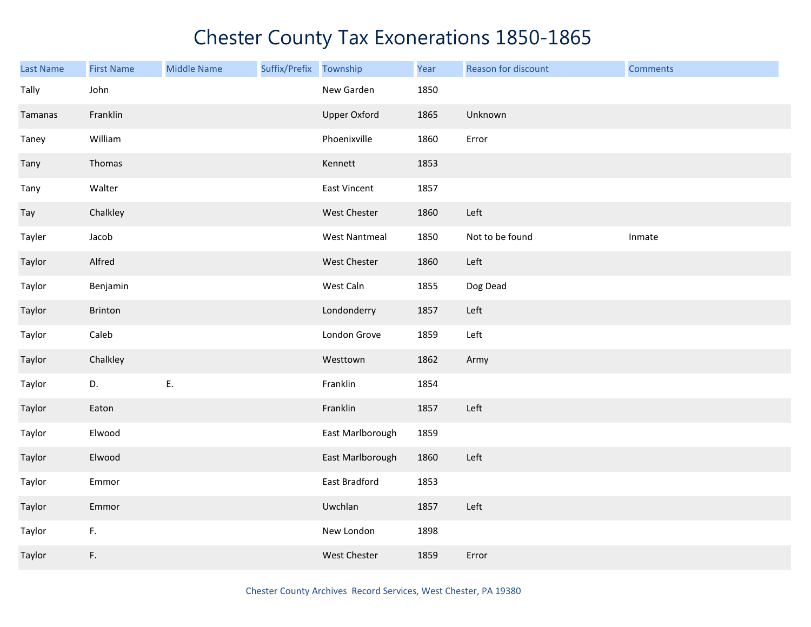| Last Name | <b>First Name</b> | <b>Middle Name</b> | Suffix/Prefix Township |                      | Year | Reason for discount | <b>Comments</b> |
|-----------|-------------------|--------------------|------------------------|----------------------|------|---------------------|-----------------|
| Tally     | John              |                    |                        | New Garden           | 1850 |                     |                 |
| Tamanas   | Franklin          |                    |                        | <b>Upper Oxford</b>  | 1865 | Unknown             |                 |
| Taney     | William           |                    |                        | Phoenixville         | 1860 | Error               |                 |
| Tany      | Thomas            |                    |                        | Kennett              | 1853 |                     |                 |
| Tany      | Walter            |                    |                        | <b>East Vincent</b>  | 1857 |                     |                 |
| Tay       | Chalkley          |                    |                        | West Chester         | 1860 | Left                |                 |
| Tayler    | Jacob             |                    |                        | <b>West Nantmeal</b> | 1850 | Not to be found     | Inmate          |
| Taylor    | Alfred            |                    |                        | West Chester         | 1860 | Left                |                 |
| Taylor    | Benjamin          |                    |                        | West Caln            | 1855 | Dog Dead            |                 |
| Taylor    | Brinton           |                    |                        | Londonderry          | 1857 | Left                |                 |
| Taylor    | Caleb             |                    |                        | London Grove         | 1859 | Left                |                 |
| Taylor    | Chalkley          |                    |                        | Westtown             | 1862 | Army                |                 |
| Taylor    | D.                | Ε.                 |                        | Franklin             | 1854 |                     |                 |
| Taylor    | Eaton             |                    |                        | Franklin             | 1857 | Left                |                 |
| Taylor    | Elwood            |                    |                        | East Marlborough     | 1859 |                     |                 |
| Taylor    | Elwood            |                    |                        | East Marlborough     | 1860 | Left                |                 |
| Taylor    | Emmor             |                    |                        | East Bradford        | 1853 |                     |                 |
| Taylor    | Emmor             |                    |                        | Uwchlan              | 1857 | Left                |                 |
| Taylor    | F.                |                    |                        | New London           | 1898 |                     |                 |
| Taylor    | F.                |                    |                        | West Chester         | 1859 | Error               |                 |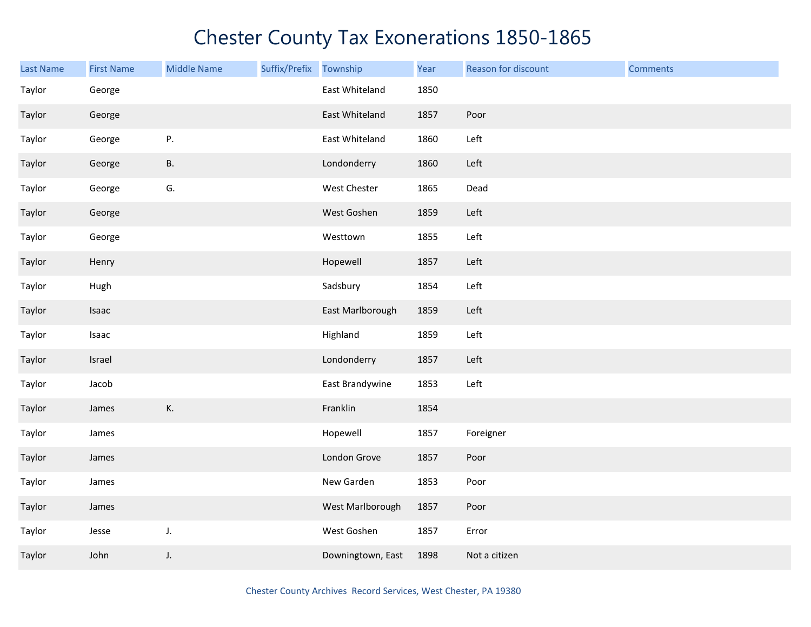| <b>Last Name</b> | <b>First Name</b> | <b>Middle Name</b> | Suffix/Prefix | Township          | Year | Reason for discount | <b>Comments</b> |
|------------------|-------------------|--------------------|---------------|-------------------|------|---------------------|-----------------|
| Taylor           | George            |                    |               | East Whiteland    | 1850 |                     |                 |
| Taylor           | George            |                    |               | East Whiteland    | 1857 | Poor                |                 |
| Taylor           | George            | P.                 |               | East Whiteland    | 1860 | Left                |                 |
| Taylor           | George            | В.                 |               | Londonderry       | 1860 | Left                |                 |
| Taylor           | George            | G.                 |               | West Chester      | 1865 | Dead                |                 |
| Taylor           | George            |                    |               | West Goshen       | 1859 | Left                |                 |
| Taylor           | George            |                    |               | Westtown          | 1855 | Left                |                 |
| Taylor           | Henry             |                    |               | Hopewell          | 1857 | Left                |                 |
| Taylor           | Hugh              |                    |               | Sadsbury          | 1854 | Left                |                 |
| Taylor           | Isaac             |                    |               | East Marlborough  | 1859 | Left                |                 |
| Taylor           | Isaac             |                    |               | Highland          | 1859 | Left                |                 |
| Taylor           | Israel            |                    |               | Londonderry       | 1857 | Left                |                 |
| Taylor           | Jacob             |                    |               | East Brandywine   | 1853 | Left                |                 |
| Taylor           | James             | К.                 |               | Franklin          | 1854 |                     |                 |
| Taylor           | James             |                    |               | Hopewell          | 1857 | Foreigner           |                 |
| Taylor           | James             |                    |               | London Grove      | 1857 | Poor                |                 |
| Taylor           | James             |                    |               | New Garden        | 1853 | Poor                |                 |
| Taylor           | James             |                    |               | West Marlborough  | 1857 | Poor                |                 |
| Taylor           | Jesse             | J.                 |               | West Goshen       | 1857 | Error               |                 |
| Taylor           | John              | J.                 |               | Downingtown, East | 1898 | Not a citizen       |                 |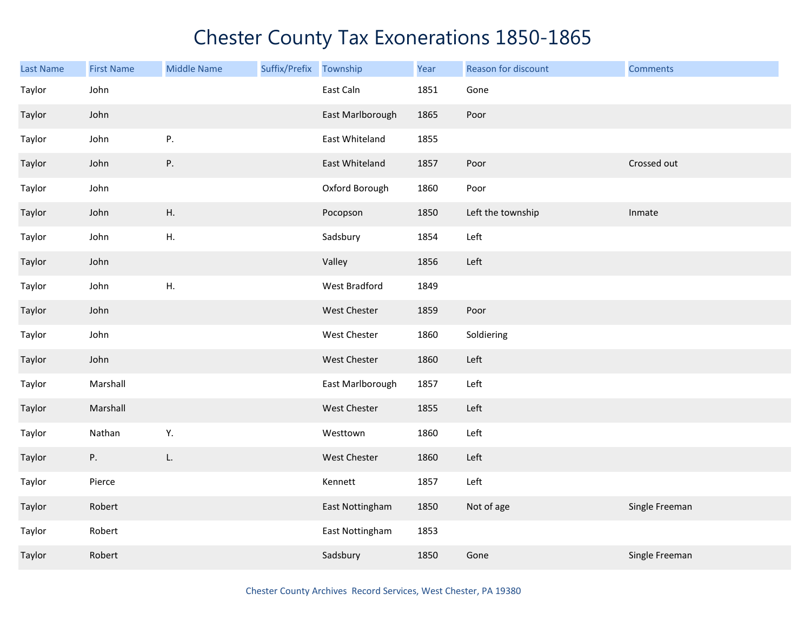| Last Name | <b>First Name</b> | <b>Middle Name</b> | Suffix/Prefix Township |                  | Year | Reason for discount | <b>Comments</b> |
|-----------|-------------------|--------------------|------------------------|------------------|------|---------------------|-----------------|
| Taylor    | John              |                    |                        | East Caln        | 1851 | Gone                |                 |
| Taylor    | John              |                    |                        | East Marlborough | 1865 | Poor                |                 |
| Taylor    | John              | Ρ.                 |                        | East Whiteland   | 1855 |                     |                 |
| Taylor    | John              | Ρ.                 |                        | East Whiteland   | 1857 | Poor                | Crossed out     |
| Taylor    | John              |                    |                        | Oxford Borough   | 1860 | Poor                |                 |
| Taylor    | John              | Η.                 |                        | Pocopson         | 1850 | Left the township   | Inmate          |
| Taylor    | John              | Η.                 |                        | Sadsbury         | 1854 | Left                |                 |
| Taylor    | John              |                    |                        | Valley           | 1856 | Left                |                 |
| Taylor    | John              | Η.                 |                        | West Bradford    | 1849 |                     |                 |
| Taylor    | John              |                    |                        | West Chester     | 1859 | Poor                |                 |
| Taylor    | John              |                    |                        | West Chester     | 1860 | Soldiering          |                 |
| Taylor    | John              |                    |                        | West Chester     | 1860 | Left                |                 |
| Taylor    | Marshall          |                    |                        | East Marlborough | 1857 | Left                |                 |
| Taylor    | Marshall          |                    |                        | West Chester     | 1855 | Left                |                 |
| Taylor    | Nathan            | Υ.                 |                        | Westtown         | 1860 | Left                |                 |
| Taylor    | Ρ.                | L.                 |                        | West Chester     | 1860 | Left                |                 |
| Taylor    | Pierce            |                    |                        | Kennett          | 1857 | Left                |                 |
| Taylor    | Robert            |                    |                        | East Nottingham  | 1850 | Not of age          | Single Freeman  |
| Taylor    | Robert            |                    |                        | East Nottingham  | 1853 |                     |                 |
| Taylor    | Robert            |                    |                        | Sadsbury         | 1850 | Gone                | Single Freeman  |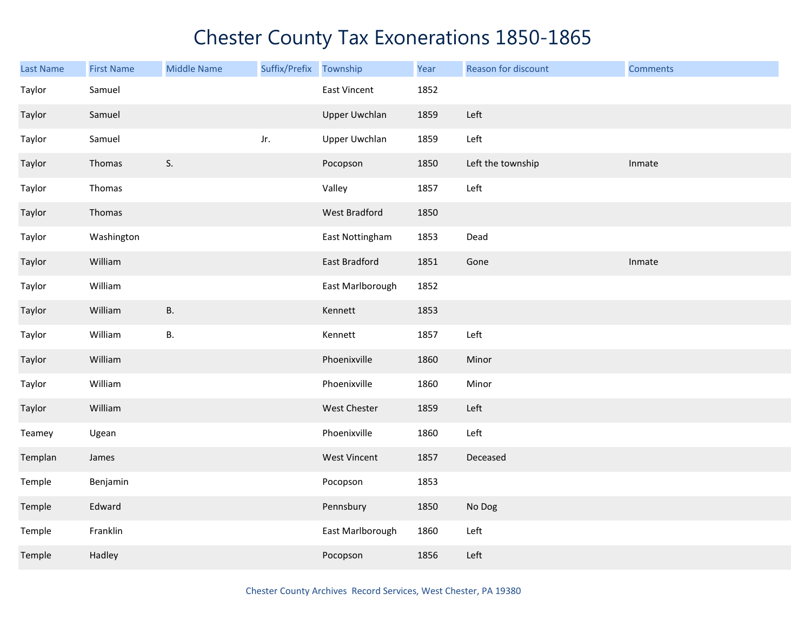| Last Name | <b>First Name</b> | <b>Middle Name</b> | Suffix/Prefix | Township             | Year | Reason for discount | <b>Comments</b> |
|-----------|-------------------|--------------------|---------------|----------------------|------|---------------------|-----------------|
| Taylor    | Samuel            |                    |               | East Vincent         | 1852 |                     |                 |
| Taylor    | Samuel            |                    |               | <b>Upper Uwchlan</b> | 1859 | Left                |                 |
| Taylor    | Samuel            |                    | Jr.           | <b>Upper Uwchlan</b> | 1859 | Left                |                 |
| Taylor    | Thomas            | S.                 |               | Pocopson             | 1850 | Left the township   | Inmate          |
| Taylor    | Thomas            |                    |               | Valley               | 1857 | Left                |                 |
| Taylor    | Thomas            |                    |               | <b>West Bradford</b> | 1850 |                     |                 |
| Taylor    | Washington        |                    |               | East Nottingham      | 1853 | Dead                |                 |
| Taylor    | William           |                    |               | East Bradford        | 1851 | Gone                | Inmate          |
| Taylor    | William           |                    |               | East Marlborough     | 1852 |                     |                 |
| Taylor    | William           | <b>B.</b>          |               | Kennett              | 1853 |                     |                 |
| Taylor    | William           | <b>B.</b>          |               | Kennett              | 1857 | Left                |                 |
| Taylor    | William           |                    |               | Phoenixville         | 1860 | Minor               |                 |
| Taylor    | William           |                    |               | Phoenixville         | 1860 | Minor               |                 |
| Taylor    | William           |                    |               | West Chester         | 1859 | Left                |                 |
| Teamey    | Ugean             |                    |               | Phoenixville         | 1860 | Left                |                 |
| Templan   | James             |                    |               | <b>West Vincent</b>  | 1857 | Deceased            |                 |
| Temple    | Benjamin          |                    |               | Pocopson             | 1853 |                     |                 |
| Temple    | Edward            |                    |               | Pennsbury            | 1850 | No Dog              |                 |
| Temple    | Franklin          |                    |               | East Marlborough     | 1860 | Left                |                 |
| Temple    | Hadley            |                    |               | Pocopson             | 1856 | Left                |                 |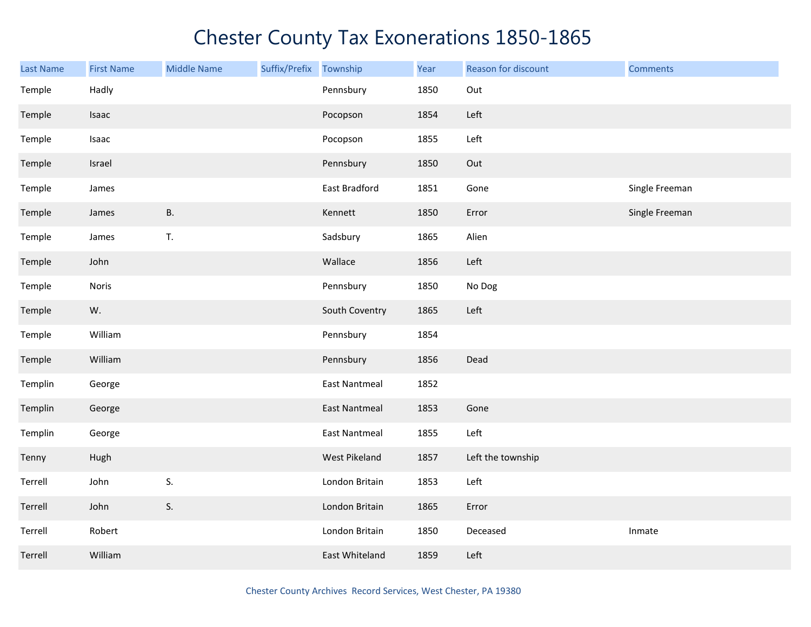| Last Name | <b>First Name</b> | <b>Middle Name</b> | Suffix/Prefix Township |                      | Year | Reason for discount | <b>Comments</b> |
|-----------|-------------------|--------------------|------------------------|----------------------|------|---------------------|-----------------|
| Temple    | Hadly             |                    |                        | Pennsbury            | 1850 | Out                 |                 |
| Temple    | Isaac             |                    |                        | Pocopson             | 1854 | Left                |                 |
| Temple    | Isaac             |                    |                        | Pocopson             | 1855 | Left                |                 |
| Temple    | Israel            |                    |                        | Pennsbury            | 1850 | Out                 |                 |
| Temple    | James             |                    |                        | East Bradford        | 1851 | Gone                | Single Freeman  |
| Temple    | James             | <b>B.</b>          |                        | Kennett              | 1850 | Error               | Single Freeman  |
| Temple    | James             | T.                 |                        | Sadsbury             | 1865 | Alien               |                 |
| Temple    | John              |                    |                        | Wallace              | 1856 | Left                |                 |
| Temple    | Noris             |                    |                        | Pennsbury            | 1850 | No Dog              |                 |
| Temple    | W.                |                    |                        | South Coventry       | 1865 | Left                |                 |
| Temple    | William           |                    |                        | Pennsbury            | 1854 |                     |                 |
| Temple    | William           |                    |                        | Pennsbury            | 1856 | Dead                |                 |
| Templin   | George            |                    |                        | <b>East Nantmeal</b> | 1852 |                     |                 |
| Templin   | George            |                    |                        | <b>East Nantmeal</b> | 1853 | Gone                |                 |
| Templin   | George            |                    |                        | <b>East Nantmeal</b> | 1855 | Left                |                 |
| Tenny     | Hugh              |                    |                        | West Pikeland        | 1857 | Left the township   |                 |
| Terrell   | John              | S.                 |                        | London Britain       | 1853 | Left                |                 |
| Terrell   | John              | S.                 |                        | London Britain       | 1865 | Error               |                 |
| Terrell   | Robert            |                    |                        | London Britain       | 1850 | Deceased            | Inmate          |
| Terrell   | William           |                    |                        | East Whiteland       | 1859 | Left                |                 |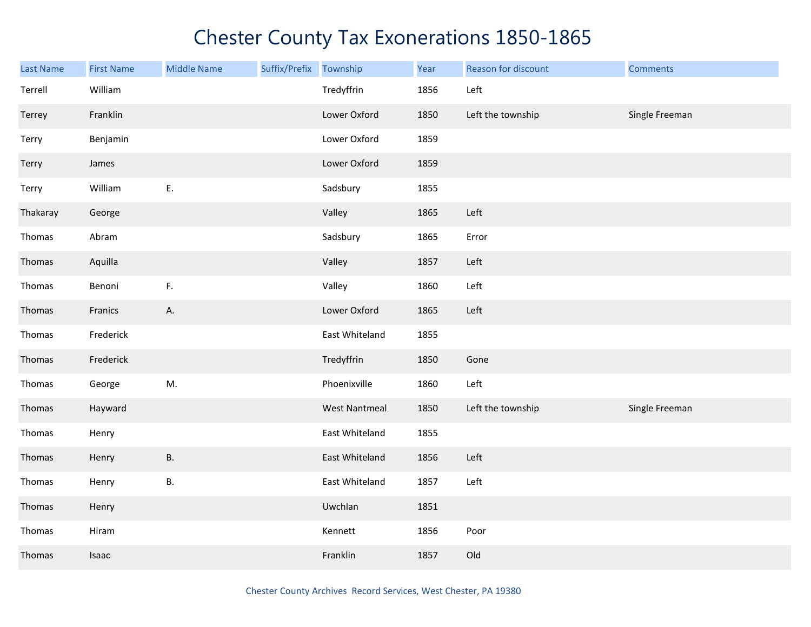| Last Name | <b>First Name</b> | <b>Middle Name</b> | Suffix/Prefix | Township             | Year | Reason for discount | <b>Comments</b> |
|-----------|-------------------|--------------------|---------------|----------------------|------|---------------------|-----------------|
| Terrell   | William           |                    |               | Tredyffrin           | 1856 | Left                |                 |
| Terrey    | Franklin          |                    |               | Lower Oxford         | 1850 | Left the township   | Single Freeman  |
| Terry     | Benjamin          |                    |               | Lower Oxford         | 1859 |                     |                 |
| Terry     | James             |                    |               | Lower Oxford         | 1859 |                     |                 |
| Terry     | William           | E.                 |               | Sadsbury             | 1855 |                     |                 |
| Thakaray  | George            |                    |               | Valley               | 1865 | Left                |                 |
| Thomas    | Abram             |                    |               | Sadsbury             | 1865 | Error               |                 |
| Thomas    | Aquilla           |                    |               | Valley               | 1857 | Left                |                 |
| Thomas    | Benoni            | F.                 |               | Valley               | 1860 | Left                |                 |
| Thomas    | Franics           | А.                 |               | Lower Oxford         | 1865 | Left                |                 |
| Thomas    | Frederick         |                    |               | East Whiteland       | 1855 |                     |                 |
| Thomas    | Frederick         |                    |               | Tredyffrin           | 1850 | Gone                |                 |
| Thomas    | George            | M.                 |               | Phoenixville         | 1860 | Left                |                 |
| Thomas    | Hayward           |                    |               | <b>West Nantmeal</b> | 1850 | Left the township   | Single Freeman  |
| Thomas    | Henry             |                    |               | East Whiteland       | 1855 |                     |                 |
| Thomas    | Henry             | <b>B.</b>          |               | East Whiteland       | 1856 | Left                |                 |
| Thomas    | Henry             | <b>B.</b>          |               | East Whiteland       | 1857 | Left                |                 |
| Thomas    | Henry             |                    |               | Uwchlan              | 1851 |                     |                 |
| Thomas    | Hiram             |                    |               | Kennett              | 1856 | Poor                |                 |
| Thomas    | Isaac             |                    |               | Franklin             | 1857 | Old                 |                 |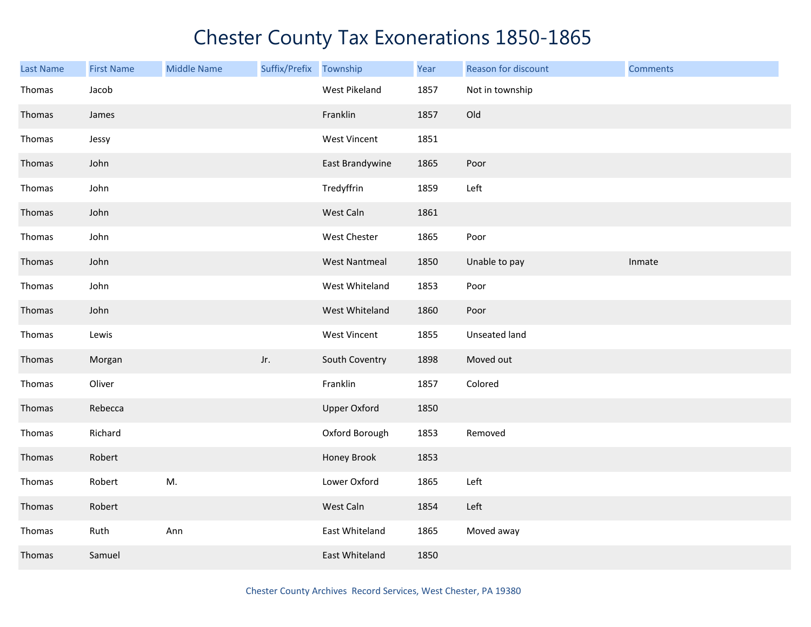| <b>Last Name</b> | <b>First Name</b> | <b>Middle Name</b> | Suffix/Prefix Township |                      | Year | Reason for discount | <b>Comments</b> |
|------------------|-------------------|--------------------|------------------------|----------------------|------|---------------------|-----------------|
| Thomas           | Jacob             |                    |                        | West Pikeland        | 1857 | Not in township     |                 |
| Thomas           | James             |                    |                        | Franklin             | 1857 | Old                 |                 |
| Thomas           | Jessy             |                    |                        | <b>West Vincent</b>  | 1851 |                     |                 |
| Thomas           | John              |                    |                        | East Brandywine      | 1865 | Poor                |                 |
| Thomas           | John              |                    |                        | Tredyffrin           | 1859 | Left                |                 |
| Thomas           | John              |                    |                        | West Caln            | 1861 |                     |                 |
| Thomas           | John              |                    |                        | West Chester         | 1865 | Poor                |                 |
| Thomas           | John              |                    |                        | <b>West Nantmeal</b> | 1850 | Unable to pay       | Inmate          |
| Thomas           | John              |                    |                        | West Whiteland       | 1853 | Poor                |                 |
| Thomas           | John              |                    |                        | West Whiteland       | 1860 | Poor                |                 |
| Thomas           | Lewis             |                    |                        | <b>West Vincent</b>  | 1855 | Unseated land       |                 |
| Thomas           | Morgan            |                    | Jr.                    | South Coventry       | 1898 | Moved out           |                 |
| Thomas           | Oliver            |                    |                        | Franklin             | 1857 | Colored             |                 |
| Thomas           | Rebecca           |                    |                        | <b>Upper Oxford</b>  | 1850 |                     |                 |
| Thomas           | Richard           |                    |                        | Oxford Borough       | 1853 | Removed             |                 |
| Thomas           | Robert            |                    |                        | Honey Brook          | 1853 |                     |                 |
| Thomas           | Robert            | M.                 |                        | Lower Oxford         | 1865 | Left                |                 |
| Thomas           | Robert            |                    |                        | West Caln            | 1854 | Left                |                 |
| Thomas           | Ruth              | Ann                |                        | East Whiteland       | 1865 | Moved away          |                 |
| Thomas           | Samuel            |                    |                        | East Whiteland       | 1850 |                     |                 |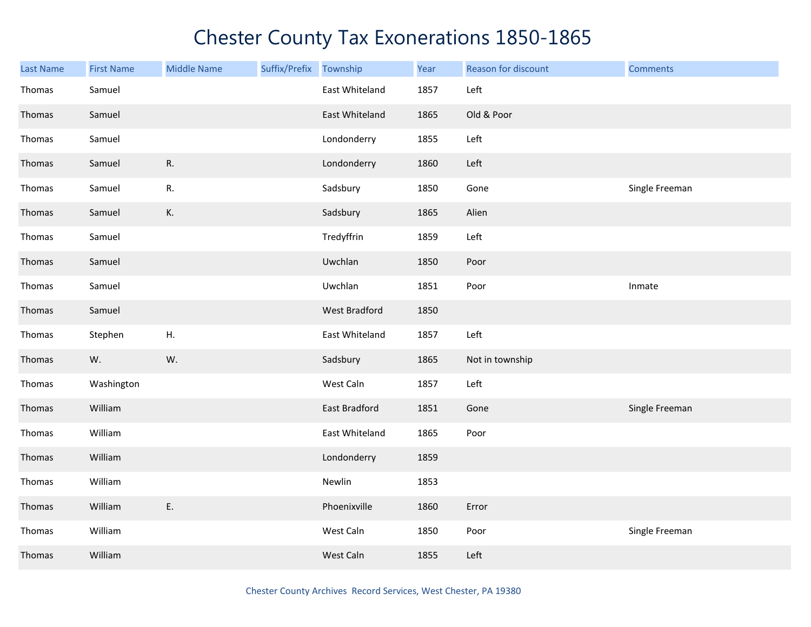| <b>Last Name</b> | <b>First Name</b> | <b>Middle Name</b> | Suffix/Prefix Township |                | Year | Reason for discount | <b>Comments</b> |
|------------------|-------------------|--------------------|------------------------|----------------|------|---------------------|-----------------|
| Thomas           | Samuel            |                    |                        | East Whiteland | 1857 | Left                |                 |
| Thomas           | Samuel            |                    |                        | East Whiteland | 1865 | Old & Poor          |                 |
| Thomas           | Samuel            |                    |                        | Londonderry    | 1855 | Left                |                 |
| Thomas           | Samuel            | R.                 |                        | Londonderry    | 1860 | Left                |                 |
| Thomas           | Samuel            | R.                 |                        | Sadsbury       | 1850 | Gone                | Single Freeman  |
| Thomas           | Samuel            | К.                 |                        | Sadsbury       | 1865 | Alien               |                 |
| Thomas           | Samuel            |                    |                        | Tredyffrin     | 1859 | Left                |                 |
| Thomas           | Samuel            |                    |                        | Uwchlan        | 1850 | Poor                |                 |
| Thomas           | Samuel            |                    |                        | Uwchlan        | 1851 | Poor                | Inmate          |
| Thomas           | Samuel            |                    |                        | West Bradford  | 1850 |                     |                 |
| Thomas           | Stephen           | ${\sf H}.$         |                        | East Whiteland | 1857 | Left                |                 |
| Thomas           | W.                | W.                 |                        | Sadsbury       | 1865 | Not in township     |                 |
| Thomas           | Washington        |                    |                        | West Caln      | 1857 | Left                |                 |
| Thomas           | William           |                    |                        | East Bradford  | 1851 | Gone                | Single Freeman  |
| Thomas           | William           |                    |                        | East Whiteland | 1865 | Poor                |                 |
| Thomas           | William           |                    |                        | Londonderry    | 1859 |                     |                 |
| Thomas           | William           |                    |                        | Newlin         | 1853 |                     |                 |
| Thomas           | William           | E.                 |                        | Phoenixville   | 1860 | Error               |                 |
| Thomas           | William           |                    |                        | West Caln      | 1850 | Poor                | Single Freeman  |
| Thomas           | William           |                    |                        | West Caln      | 1855 | Left                |                 |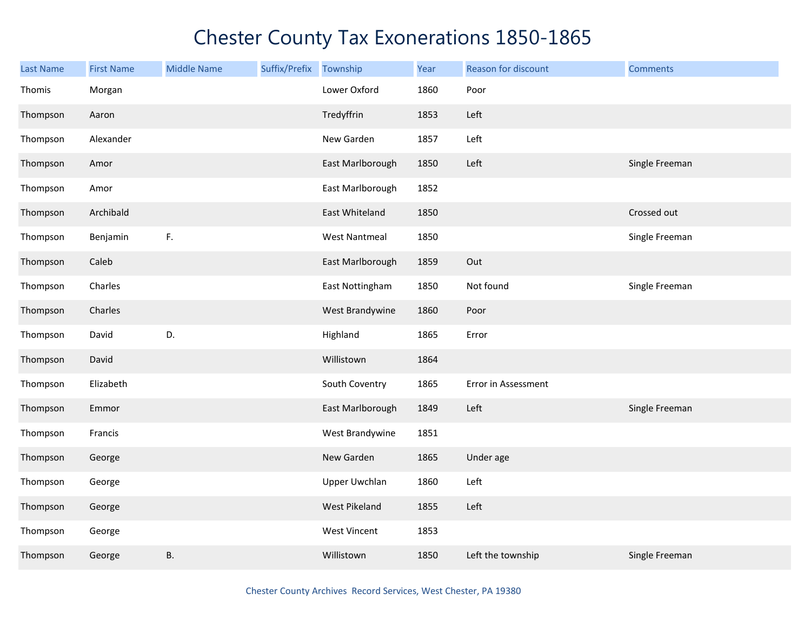| <b>Last Name</b> | <b>First Name</b> | <b>Middle Name</b> | Suffix/Prefix | Township             | Year | Reason for discount | <b>Comments</b> |
|------------------|-------------------|--------------------|---------------|----------------------|------|---------------------|-----------------|
| Thomis           | Morgan            |                    |               | Lower Oxford         | 1860 | Poor                |                 |
| Thompson         | Aaron             |                    |               | Tredyffrin           | 1853 | Left                |                 |
| Thompson         | Alexander         |                    |               | New Garden           | 1857 | Left                |                 |
| Thompson         | Amor              |                    |               | East Marlborough     | 1850 | Left                | Single Freeman  |
| Thompson         | Amor              |                    |               | East Marlborough     | 1852 |                     |                 |
| Thompson         | Archibald         |                    |               | East Whiteland       | 1850 |                     | Crossed out     |
| Thompson         | Benjamin          | F.                 |               | <b>West Nantmeal</b> | 1850 |                     | Single Freeman  |
| Thompson         | Caleb             |                    |               | East Marlborough     | 1859 | Out                 |                 |
| Thompson         | Charles           |                    |               | East Nottingham      | 1850 | Not found           | Single Freeman  |
| Thompson         | Charles           |                    |               | West Brandywine      | 1860 | Poor                |                 |
| Thompson         | David             | D.                 |               | Highland             | 1865 | Error               |                 |
| Thompson         | David             |                    |               | Willistown           | 1864 |                     |                 |
| Thompson         | Elizabeth         |                    |               | South Coventry       | 1865 | Error in Assessment |                 |
| Thompson         | Emmor             |                    |               | East Marlborough     | 1849 | Left                | Single Freeman  |
| Thompson         | Francis           |                    |               | West Brandywine      | 1851 |                     |                 |
| Thompson         | George            |                    |               | New Garden           | 1865 | Under age           |                 |
| Thompson         | George            |                    |               | <b>Upper Uwchlan</b> | 1860 | Left                |                 |
| Thompson         | George            |                    |               | West Pikeland        | 1855 | Left                |                 |
| Thompson         | George            |                    |               | <b>West Vincent</b>  | 1853 |                     |                 |
| Thompson         | George            | <b>B.</b>          |               | Willistown           | 1850 | Left the township   | Single Freeman  |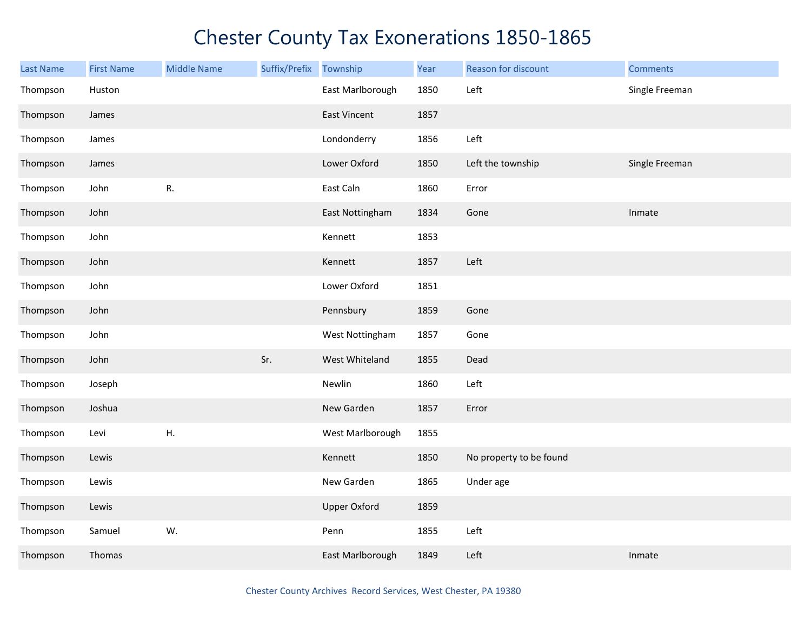| <b>Last Name</b> | <b>First Name</b> | <b>Middle Name</b> | Suffix/Prefix Township |                     | Year | Reason for discount     | <b>Comments</b> |
|------------------|-------------------|--------------------|------------------------|---------------------|------|-------------------------|-----------------|
| Thompson         | Huston            |                    |                        | East Marlborough    | 1850 | Left                    | Single Freeman  |
| Thompson         | James             |                    |                        | <b>East Vincent</b> | 1857 |                         |                 |
| Thompson         | James             |                    |                        | Londonderry         | 1856 | Left                    |                 |
| Thompson         | James             |                    |                        | Lower Oxford        | 1850 | Left the township       | Single Freeman  |
| Thompson         | John              | R.                 |                        | East Caln           | 1860 | Error                   |                 |
| Thompson         | John              |                    |                        | East Nottingham     | 1834 | Gone                    | Inmate          |
| Thompson         | John              |                    |                        | Kennett             | 1853 |                         |                 |
| Thompson         | John              |                    |                        | Kennett             | 1857 | Left                    |                 |
| Thompson         | John              |                    |                        | Lower Oxford        | 1851 |                         |                 |
| Thompson         | John              |                    |                        | Pennsbury           | 1859 | Gone                    |                 |
| Thompson         | John              |                    |                        | West Nottingham     | 1857 | Gone                    |                 |
| Thompson         | John              |                    | Sr.                    | West Whiteland      | 1855 | Dead                    |                 |
| Thompson         | Joseph            |                    |                        | Newlin              | 1860 | Left                    |                 |
| Thompson         | Joshua            |                    |                        | New Garden          | 1857 | Error                   |                 |
| Thompson         | Levi              | Η.                 |                        | West Marlborough    | 1855 |                         |                 |
| Thompson         | Lewis             |                    |                        | Kennett             | 1850 | No property to be found |                 |
| Thompson         | Lewis             |                    |                        | New Garden          | 1865 | Under age               |                 |
| Thompson         | Lewis             |                    |                        | <b>Upper Oxford</b> | 1859 |                         |                 |
| Thompson         | Samuel            | W.                 |                        | Penn                | 1855 | Left                    |                 |
| Thompson         | Thomas            |                    |                        | East Marlborough    | 1849 | Left                    | Inmate          |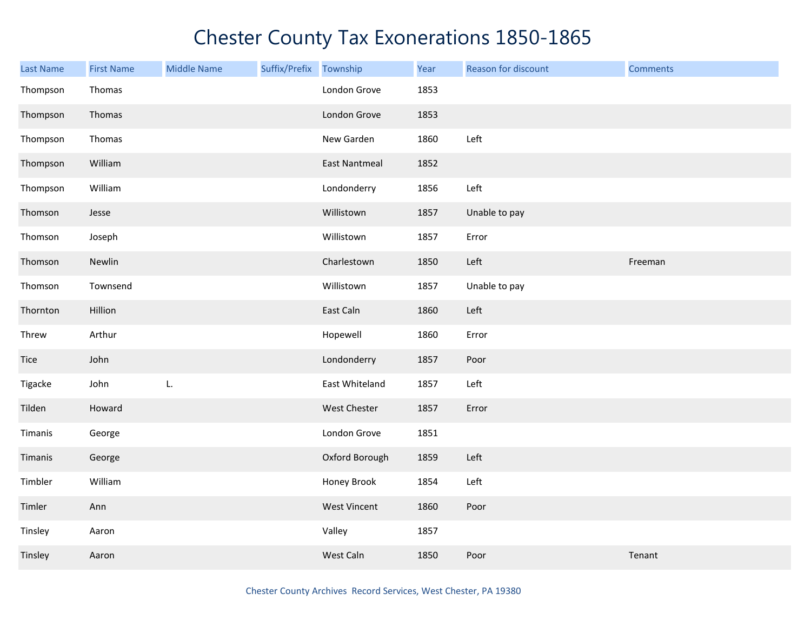| <b>Last Name</b> | <b>First Name</b> | <b>Middle Name</b> | Suffix/Prefix | Township             | Year | Reason for discount | <b>Comments</b> |
|------------------|-------------------|--------------------|---------------|----------------------|------|---------------------|-----------------|
| Thompson         | Thomas            |                    |               | London Grove         | 1853 |                     |                 |
| Thompson         | Thomas            |                    |               | London Grove         | 1853 |                     |                 |
| Thompson         | Thomas            |                    |               | New Garden           | 1860 | Left                |                 |
| Thompson         | William           |                    |               | <b>East Nantmeal</b> | 1852 |                     |                 |
| Thompson         | William           |                    |               | Londonderry          | 1856 | Left                |                 |
| Thomson          | Jesse             |                    |               | Willistown           | 1857 | Unable to pay       |                 |
| Thomson          | Joseph            |                    |               | Willistown           | 1857 | Error               |                 |
| Thomson          | Newlin            |                    |               | Charlestown          | 1850 | Left                | Freeman         |
| Thomson          | Townsend          |                    |               | Willistown           | 1857 | Unable to pay       |                 |
| Thornton         | Hillion           |                    |               | East Caln            | 1860 | Left                |                 |
| Threw            | Arthur            |                    |               | Hopewell             | 1860 | Error               |                 |
| Tice             | John              |                    |               | Londonderry          | 1857 | Poor                |                 |
| Tigacke          | John              | L.                 |               | East Whiteland       | 1857 | Left                |                 |
| Tilden           | Howard            |                    |               | West Chester         | 1857 | Error               |                 |
| Timanis          | George            |                    |               | London Grove         | 1851 |                     |                 |
| Timanis          | George            |                    |               | Oxford Borough       | 1859 | Left                |                 |
| Timbler          | William           |                    |               | Honey Brook          | 1854 | Left                |                 |
| Timler           | Ann               |                    |               | <b>West Vincent</b>  | 1860 | Poor                |                 |
| Tinsley          | Aaron             |                    |               | Valley               | 1857 |                     |                 |
| Tinsley          | Aaron             |                    |               | West Caln            | 1850 | Poor                | Tenant          |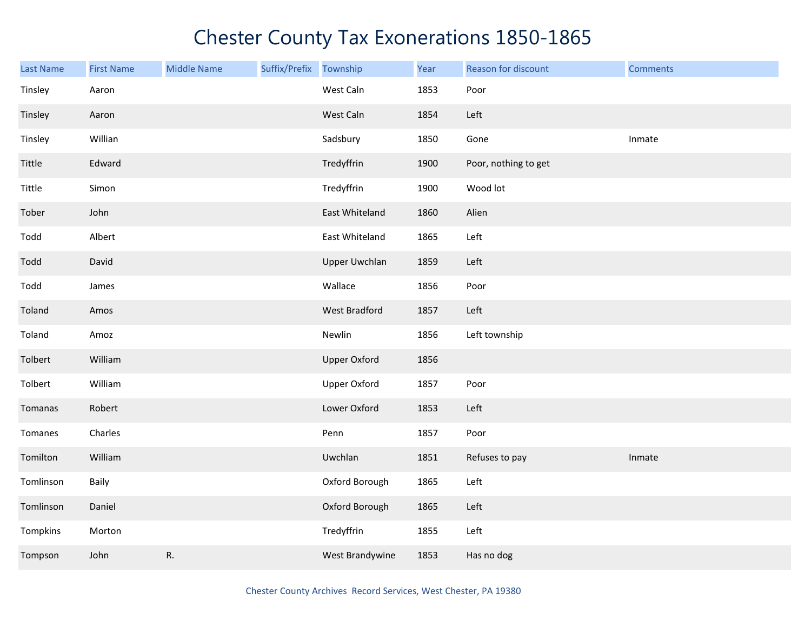| Last Name | <b>First Name</b> | <b>Middle Name</b> | Suffix/Prefix | Township             | Year | Reason for discount  | <b>Comments</b> |
|-----------|-------------------|--------------------|---------------|----------------------|------|----------------------|-----------------|
| Tinsley   | Aaron             |                    |               | West Caln            | 1853 | Poor                 |                 |
| Tinsley   | Aaron             |                    |               | West Caln            | 1854 | Left                 |                 |
| Tinsley   | Willian           |                    |               | Sadsbury             | 1850 | Gone                 | Inmate          |
| Tittle    | Edward            |                    |               | Tredyffrin           | 1900 | Poor, nothing to get |                 |
| Tittle    | Simon             |                    |               | Tredyffrin           | 1900 | Wood lot             |                 |
| Tober     | John              |                    |               | East Whiteland       | 1860 | Alien                |                 |
| Todd      | Albert            |                    |               | East Whiteland       | 1865 | Left                 |                 |
| Todd      | David             |                    |               | <b>Upper Uwchlan</b> | 1859 | Left                 |                 |
| Todd      | James             |                    |               | Wallace              | 1856 | Poor                 |                 |
| Toland    | Amos              |                    |               | West Bradford        | 1857 | Left                 |                 |
| Toland    | Amoz              |                    |               | Newlin               | 1856 | Left township        |                 |
| Tolbert   | William           |                    |               | <b>Upper Oxford</b>  | 1856 |                      |                 |
| Tolbert   | William           |                    |               | Upper Oxford         | 1857 | Poor                 |                 |
| Tomanas   | Robert            |                    |               | Lower Oxford         | 1853 | Left                 |                 |
| Tomanes   | Charles           |                    |               | Penn                 | 1857 | Poor                 |                 |
| Tomilton  | William           |                    |               | Uwchlan              | 1851 | Refuses to pay       | Inmate          |
| Tomlinson | Baily             |                    |               | Oxford Borough       | 1865 | Left                 |                 |
| Tomlinson | Daniel            |                    |               | Oxford Borough       | 1865 | Left                 |                 |
| Tompkins  | Morton            |                    |               | Tredyffrin           | 1855 | Left                 |                 |
| Tompson   | John              | R.                 |               | West Brandywine      | 1853 | Has no dog           |                 |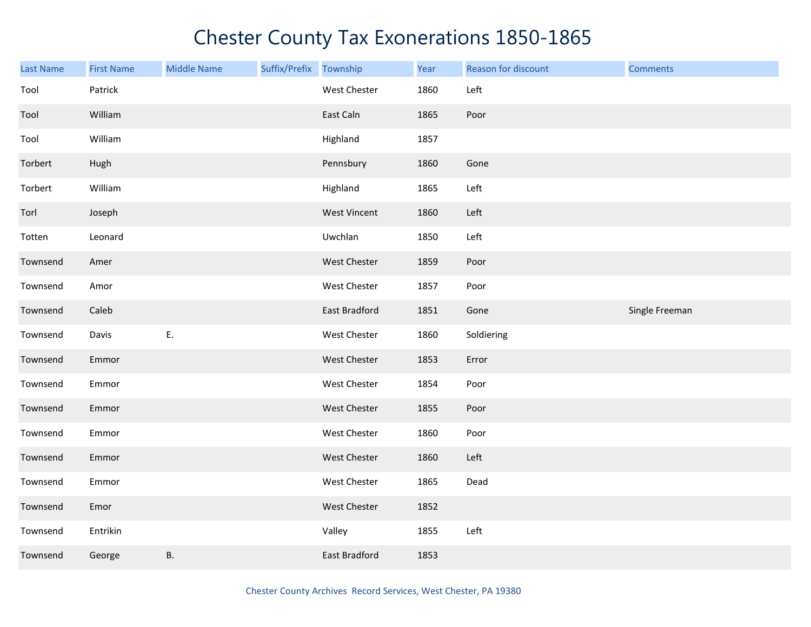| <b>Last Name</b> | <b>First Name</b> | <b>Middle Name</b> | Suffix/Prefix Township |                     | Year | Reason for discount | <b>Comments</b> |
|------------------|-------------------|--------------------|------------------------|---------------------|------|---------------------|-----------------|
| Tool             | Patrick           |                    |                        | West Chester        | 1860 | Left                |                 |
| Tool             | William           |                    |                        | East Caln           | 1865 | Poor                |                 |
| Tool             | William           |                    |                        | Highland            | 1857 |                     |                 |
| Torbert          | Hugh              |                    |                        | Pennsbury           | 1860 | Gone                |                 |
| Torbert          | William           |                    |                        | Highland            | 1865 | Left                |                 |
| Torl             | Joseph            |                    |                        | <b>West Vincent</b> | 1860 | Left                |                 |
| Totten           | Leonard           |                    |                        | Uwchlan             | 1850 | Left                |                 |
| Townsend         | Amer              |                    |                        | West Chester        | 1859 | Poor                |                 |
| Townsend         | Amor              |                    |                        | West Chester        | 1857 | Poor                |                 |
| Townsend         | Caleb             |                    |                        | East Bradford       | 1851 | Gone                | Single Freeman  |
| Townsend         | Davis             | E.                 |                        | West Chester        | 1860 | Soldiering          |                 |
| Townsend         | Emmor             |                    |                        | West Chester        | 1853 | Error               |                 |
| Townsend         | Emmor             |                    |                        | West Chester        | 1854 | Poor                |                 |
| Townsend         | Emmor             |                    |                        | West Chester        | 1855 | Poor                |                 |
| Townsend         | Emmor             |                    |                        | West Chester        | 1860 | Poor                |                 |
| Townsend         | Emmor             |                    |                        | West Chester        | 1860 | Left                |                 |
| Townsend         | Emmor             |                    |                        | West Chester        | 1865 | Dead                |                 |
| Townsend         | Emor              |                    |                        | West Chester        | 1852 |                     |                 |
| Townsend         | Entrikin          |                    |                        | Valley              | 1855 | Left                |                 |
| Townsend         | George            | В.                 |                        | East Bradford       | 1853 |                     |                 |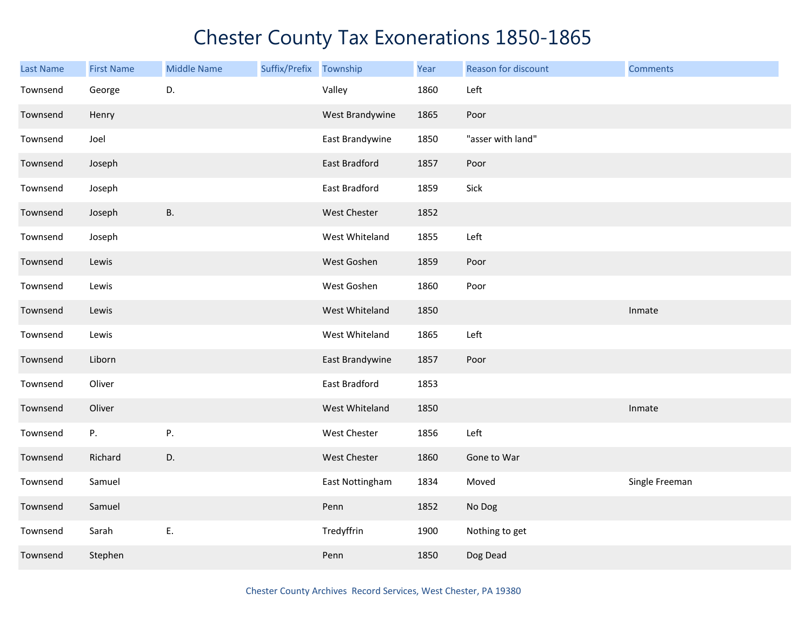| <b>Last Name</b> | <b>First Name</b> | <b>Middle Name</b> | Suffix/Prefix Township |                      | Year | Reason for discount | <b>Comments</b> |
|------------------|-------------------|--------------------|------------------------|----------------------|------|---------------------|-----------------|
| Townsend         | George            | D.                 |                        | Valley               | 1860 | Left                |                 |
| Townsend         | Henry             |                    |                        | West Brandywine      | 1865 | Poor                |                 |
| Townsend         | Joel              |                    |                        | East Brandywine      | 1850 | "asser with land"   |                 |
| Townsend         | Joseph            |                    |                        | <b>East Bradford</b> | 1857 | Poor                |                 |
| Townsend         | Joseph            |                    |                        | East Bradford        | 1859 | Sick                |                 |
| Townsend         | Joseph            | <b>B.</b>          |                        | West Chester         | 1852 |                     |                 |
| Townsend         | Joseph            |                    |                        | West Whiteland       | 1855 | Left                |                 |
| Townsend         | Lewis             |                    |                        | West Goshen          | 1859 | Poor                |                 |
| Townsend         | Lewis             |                    |                        | West Goshen          | 1860 | Poor                |                 |
| Townsend         | Lewis             |                    |                        | West Whiteland       | 1850 |                     | Inmate          |
| Townsend         | Lewis             |                    |                        | West Whiteland       | 1865 | Left                |                 |
| Townsend         | Liborn            |                    |                        | East Brandywine      | 1857 | Poor                |                 |
| Townsend         | Oliver            |                    |                        | East Bradford        | 1853 |                     |                 |
| Townsend         | Oliver            |                    |                        | West Whiteland       | 1850 |                     | Inmate          |
| Townsend         | P.                | Ρ.                 |                        | <b>West Chester</b>  | 1856 | Left                |                 |
| Townsend         | Richard           | D.                 |                        | West Chester         | 1860 | Gone to War         |                 |
| Townsend         | Samuel            |                    |                        | East Nottingham      | 1834 | Moved               | Single Freeman  |
| Townsend         | Samuel            |                    |                        | Penn                 | 1852 | No Dog              |                 |
| Townsend         | Sarah             | Ε.                 |                        | Tredyffrin           | 1900 | Nothing to get      |                 |
| Townsend         | Stephen           |                    |                        | Penn                 | 1850 | Dog Dead            |                 |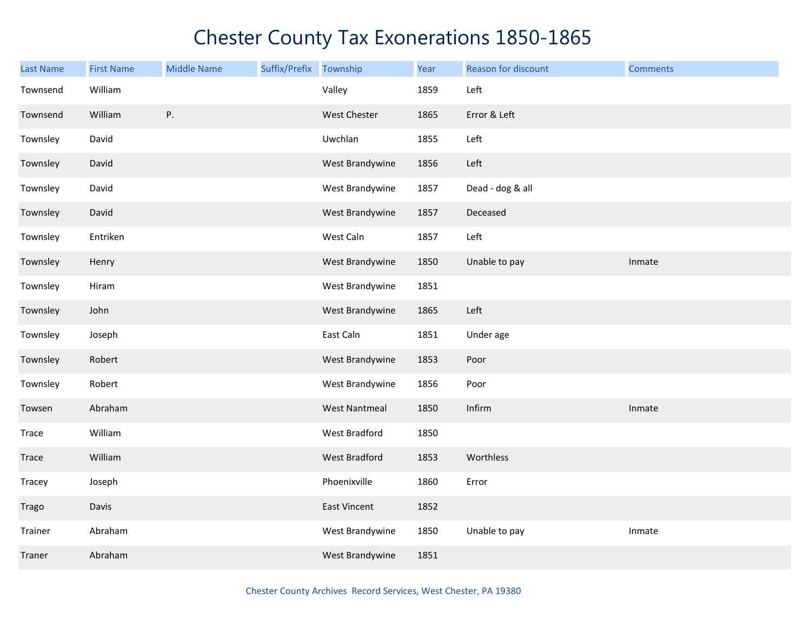| Last Name | <b>First Name</b> | <b>Middle Name</b> | Suffix/Prefix Township |                      | Year | Reason for discount | <b>Comments</b> |
|-----------|-------------------|--------------------|------------------------|----------------------|------|---------------------|-----------------|
| Townsend  | William           |                    |                        | Valley               | 1859 | Left                |                 |
| Townsend  | William           | Ρ.                 |                        | West Chester         | 1865 | Error & Left        |                 |
| Townsley  | David             |                    |                        | Uwchlan              | 1855 | Left                |                 |
| Townsley  | David             |                    |                        | West Brandywine      | 1856 | Left                |                 |
| Townsley  | David             |                    |                        | West Brandywine      | 1857 | Dead - dog & all    |                 |
| Townsley  | David             |                    |                        | West Brandywine      | 1857 | Deceased            |                 |
| Townsley  | Entriken          |                    |                        | West Caln            | 1857 | Left                |                 |
| Townsley  | Henry             |                    |                        | West Brandywine      | 1850 | Unable to pay       | Inmate          |
| Townsley  | Hiram             |                    |                        | West Brandywine      | 1851 |                     |                 |
| Townsley  | John              |                    |                        | West Brandywine      | 1865 | Left                |                 |
| Townsley  | Joseph            |                    |                        | East Caln            | 1851 | Under age           |                 |
| Townsley  | Robert            |                    |                        | West Brandywine      | 1853 | Poor                |                 |
| Townsley  | Robert            |                    |                        | West Brandywine      | 1856 | Poor                |                 |
| Towsen    | Abraham           |                    |                        | <b>West Nantmeal</b> | 1850 | Infirm              | Inmate          |
| Trace     | William           |                    |                        | West Bradford        | 1850 |                     |                 |
| Trace     | William           |                    |                        | West Bradford        | 1853 | Worthless           |                 |
| Tracey    | Joseph            |                    |                        | Phoenixville         | 1860 | Error               |                 |
| Trago     | Davis             |                    |                        | East Vincent         | 1852 |                     |                 |
| Trainer   | Abraham           |                    |                        | West Brandywine      | 1850 | Unable to pay       | Inmate          |
| Traner    | Abraham           |                    |                        | West Brandywine      | 1851 |                     |                 |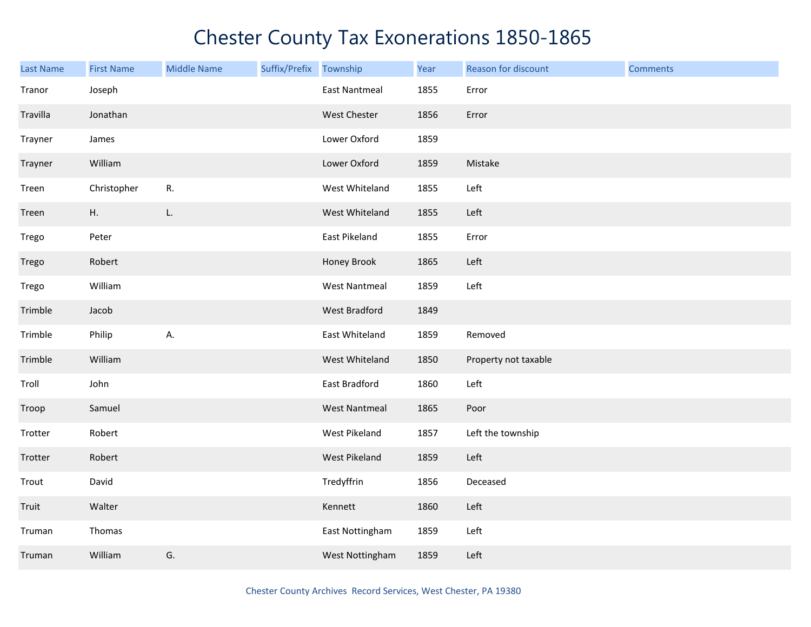| <b>Last Name</b> | <b>First Name</b> | <b>Middle Name</b> | Suffix/Prefix | Township             | Year | Reason for discount  | <b>Comments</b> |
|------------------|-------------------|--------------------|---------------|----------------------|------|----------------------|-----------------|
| Tranor           | Joseph            |                    |               | <b>East Nantmeal</b> | 1855 | Error                |                 |
| Travilla         | Jonathan          |                    |               | West Chester         | 1856 | Error                |                 |
| Trayner          | James             |                    |               | Lower Oxford         | 1859 |                      |                 |
| Trayner          | William           |                    |               | Lower Oxford         | 1859 | Mistake              |                 |
| Treen            | Christopher       | R.                 |               | West Whiteland       | 1855 | Left                 |                 |
| Treen            | H.                | L.                 |               | West Whiteland       | 1855 | Left                 |                 |
| Trego            | Peter             |                    |               | East Pikeland        | 1855 | Error                |                 |
| Trego            | Robert            |                    |               | Honey Brook          | 1865 | Left                 |                 |
| Trego            | William           |                    |               | <b>West Nantmeal</b> | 1859 | Left                 |                 |
| Trimble          | Jacob             |                    |               | West Bradford        | 1849 |                      |                 |
| Trimble          | Philip            | А.                 |               | East Whiteland       | 1859 | Removed              |                 |
| Trimble          | William           |                    |               | West Whiteland       | 1850 | Property not taxable |                 |
| Troll            | John              |                    |               | East Bradford        | 1860 | Left                 |                 |
| Troop            | Samuel            |                    |               | <b>West Nantmeal</b> | 1865 | Poor                 |                 |
| Trotter          | Robert            |                    |               | West Pikeland        | 1857 | Left the township    |                 |
| Trotter          | Robert            |                    |               | West Pikeland        | 1859 | Left                 |                 |
| Trout            | David             |                    |               | Tredyffrin           | 1856 | Deceased             |                 |
| Truit            | Walter            |                    |               | Kennett              | 1860 | Left                 |                 |
| Truman           | Thomas            |                    |               | East Nottingham      | 1859 | Left                 |                 |
| Truman           | William           | G.                 |               | West Nottingham      | 1859 | Left                 |                 |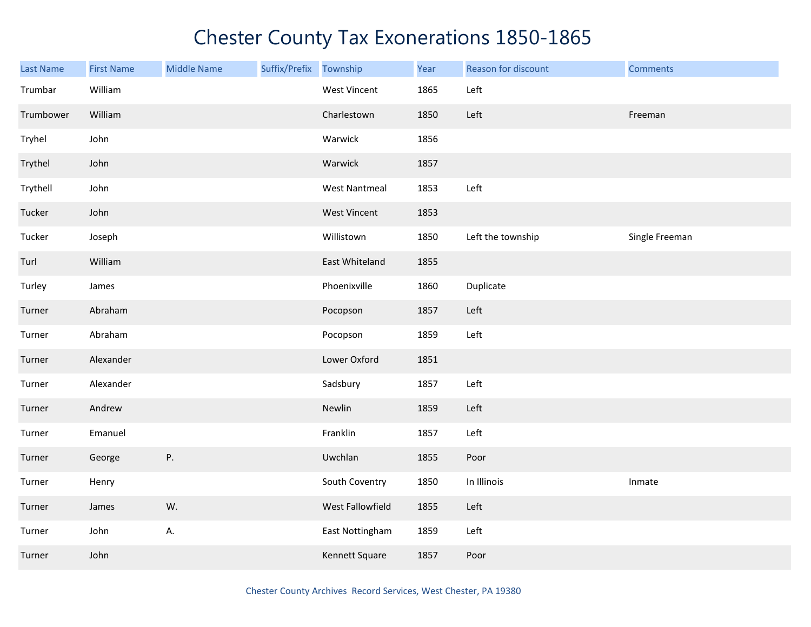| <b>Last Name</b> | <b>First Name</b> | <b>Middle Name</b> | Suffix/Prefix Township |                      | Year | Reason for discount | <b>Comments</b> |
|------------------|-------------------|--------------------|------------------------|----------------------|------|---------------------|-----------------|
| Trumbar          | William           |                    |                        | <b>West Vincent</b>  | 1865 | Left                |                 |
| Trumbower        | William           |                    |                        | Charlestown          | 1850 | Left                | Freeman         |
| Tryhel           | John              |                    |                        | Warwick              | 1856 |                     |                 |
| Trythel          | John              |                    |                        | Warwick              | 1857 |                     |                 |
| Trythell         | John              |                    |                        | <b>West Nantmeal</b> | 1853 | Left                |                 |
| Tucker           | John              |                    |                        | West Vincent         | 1853 |                     |                 |
| Tucker           | Joseph            |                    |                        | Willistown           | 1850 | Left the township   | Single Freeman  |
| Turl             | William           |                    |                        | East Whiteland       | 1855 |                     |                 |
| Turley           | James             |                    |                        | Phoenixville         | 1860 | Duplicate           |                 |
| Turner           | Abraham           |                    |                        | Pocopson             | 1857 | Left                |                 |
| Turner           | Abraham           |                    |                        | Pocopson             | 1859 | Left                |                 |
| Turner           | Alexander         |                    |                        | Lower Oxford         | 1851 |                     |                 |
| Turner           | Alexander         |                    |                        | Sadsbury             | 1857 | Left                |                 |
| Turner           | Andrew            |                    |                        | Newlin               | 1859 | Left                |                 |
| Turner           | Emanuel           |                    |                        | Franklin             | 1857 | Left                |                 |
| Turner           | George            | P.                 |                        | Uwchlan              | 1855 | Poor                |                 |
| Turner           | Henry             |                    |                        | South Coventry       | 1850 | In Illinois         | Inmate          |
| Turner           | James             | W.                 |                        | West Fallowfield     | 1855 | Left                |                 |
| Turner           | John              | А.                 |                        | East Nottingham      | 1859 | Left                |                 |
| Turner           | John              |                    |                        | Kennett Square       | 1857 | Poor                |                 |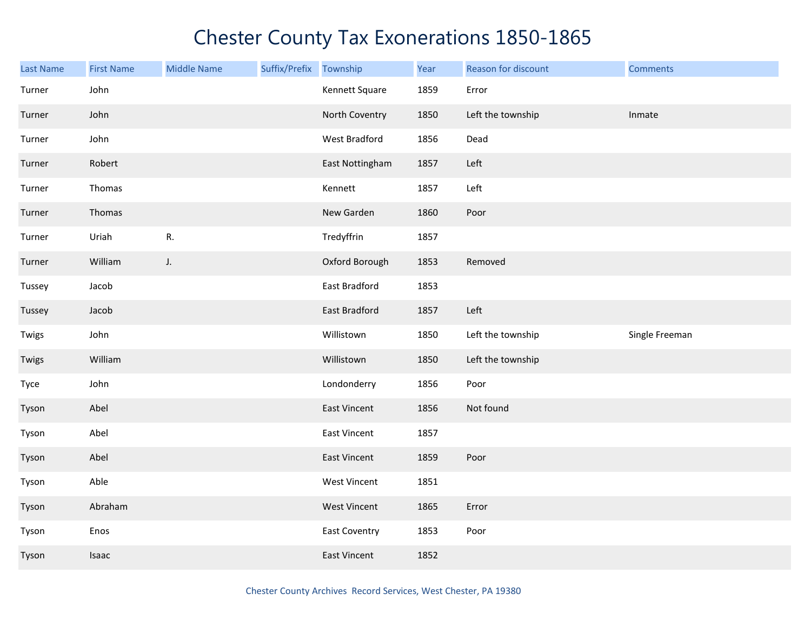| <b>Last Name</b> | <b>First Name</b> | <b>Middle Name</b> | Suffix/Prefix | Township             | Year | Reason for discount | <b>Comments</b> |
|------------------|-------------------|--------------------|---------------|----------------------|------|---------------------|-----------------|
| Turner           | John              |                    |               | Kennett Square       | 1859 | Error               |                 |
| Turner           | John              |                    |               | North Coventry       | 1850 | Left the township   | Inmate          |
| Turner           | John              |                    |               | West Bradford        | 1856 | Dead                |                 |
| Turner           | Robert            |                    |               | East Nottingham      | 1857 | Left                |                 |
| Turner           | Thomas            |                    |               | Kennett              | 1857 | Left                |                 |
| Turner           | Thomas            |                    |               | New Garden           | 1860 | Poor                |                 |
| Turner           | Uriah             | ${\sf R}.$         |               | Tredyffrin           | 1857 |                     |                 |
| Turner           | William           | $J_{\star}$        |               | Oxford Borough       | 1853 | Removed             |                 |
| Tussey           | Jacob             |                    |               | East Bradford        | 1853 |                     |                 |
| Tussey           | Jacob             |                    |               | East Bradford        | 1857 | Left                |                 |
| Twigs            | John              |                    |               | Willistown           | 1850 | Left the township   | Single Freeman  |
| Twigs            | William           |                    |               | Willistown           | 1850 | Left the township   |                 |
| Tyce             | John              |                    |               | Londonderry          | 1856 | Poor                |                 |
| Tyson            | Abel              |                    |               | East Vincent         | 1856 | Not found           |                 |
| Tyson            | Abel              |                    |               | East Vincent         | 1857 |                     |                 |
| Tyson            | Abel              |                    |               | East Vincent         | 1859 | Poor                |                 |
| Tyson            | Able              |                    |               | West Vincent         | 1851 |                     |                 |
| Tyson            | Abraham           |                    |               | <b>West Vincent</b>  | 1865 | Error               |                 |
| Tyson            | Enos              |                    |               | <b>East Coventry</b> | 1853 | Poor                |                 |
| Tyson            | Isaac             |                    |               | <b>East Vincent</b>  | 1852 |                     |                 |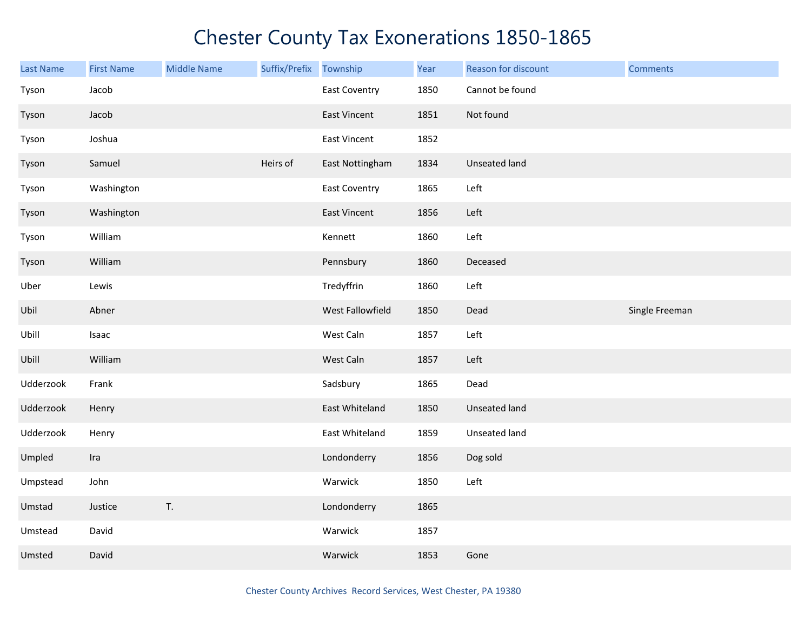| <b>Last Name</b> | <b>First Name</b> | <b>Middle Name</b> | Suffix/Prefix | Township             | Year | Reason for discount | <b>Comments</b> |
|------------------|-------------------|--------------------|---------------|----------------------|------|---------------------|-----------------|
| Tyson            | Jacob             |                    |               | East Coventry        | 1850 | Cannot be found     |                 |
| Tyson            | Jacob             |                    |               | East Vincent         | 1851 | Not found           |                 |
| Tyson            | Joshua            |                    |               | <b>East Vincent</b>  | 1852 |                     |                 |
| Tyson            | Samuel            |                    | Heirs of      | East Nottingham      | 1834 | Unseated land       |                 |
| Tyson            | Washington        |                    |               | <b>East Coventry</b> | 1865 | Left                |                 |
| Tyson            | Washington        |                    |               | <b>East Vincent</b>  | 1856 | Left                |                 |
| Tyson            | William           |                    |               | Kennett              | 1860 | Left                |                 |
| Tyson            | William           |                    |               | Pennsbury            | 1860 | Deceased            |                 |
| Uber             | Lewis             |                    |               | Tredyffrin           | 1860 | Left                |                 |
| Ubil             | Abner             |                    |               | West Fallowfield     | 1850 | Dead                | Single Freeman  |
| Ubill            | Isaac             |                    |               | West Caln            | 1857 | Left                |                 |
| Ubill            | William           |                    |               | West Caln            | 1857 | Left                |                 |
| Udderzook        | Frank             |                    |               | Sadsbury             | 1865 | Dead                |                 |
| Udderzook        | Henry             |                    |               | East Whiteland       | 1850 | Unseated land       |                 |
| Udderzook        | Henry             |                    |               | East Whiteland       | 1859 | Unseated land       |                 |
| Umpled           | Ira               |                    |               | Londonderry          | 1856 | Dog sold            |                 |
| Umpstead         | John              |                    |               | Warwick              | 1850 | Left                |                 |
| Umstad           | Justice           | T.                 |               | Londonderry          | 1865 |                     |                 |
| Umstead          | David             |                    |               | Warwick              | 1857 |                     |                 |
| Umsted           | David             |                    |               | Warwick              | 1853 | Gone                |                 |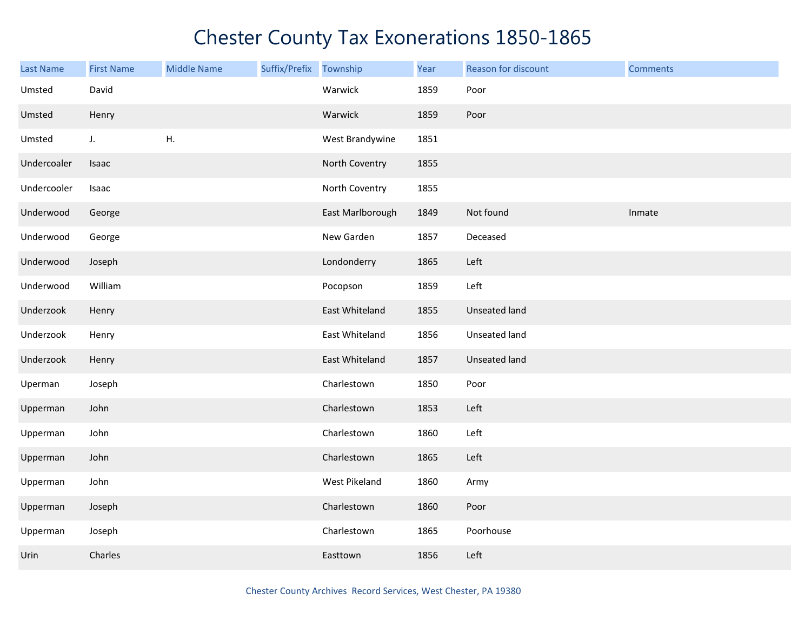| <b>Last Name</b> | <b>First Name</b> | <b>Middle Name</b> | Suffix/Prefix Township |                  | Year | Reason for discount  | <b>Comments</b> |
|------------------|-------------------|--------------------|------------------------|------------------|------|----------------------|-----------------|
| Umsted           | David             |                    |                        | Warwick          | 1859 | Poor                 |                 |
| Umsted           | Henry             |                    |                        | Warwick          | 1859 | Poor                 |                 |
| Umsted           | J.                | Η.                 |                        | West Brandywine  | 1851 |                      |                 |
| Undercoaler      | Isaac             |                    |                        | North Coventry   | 1855 |                      |                 |
| Undercooler      | Isaac             |                    |                        | North Coventry   | 1855 |                      |                 |
| Underwood        | George            |                    |                        | East Marlborough | 1849 | Not found            | Inmate          |
| Underwood        | George            |                    |                        | New Garden       | 1857 | Deceased             |                 |
| Underwood        | Joseph            |                    |                        | Londonderry      | 1865 | Left                 |                 |
| Underwood        | William           |                    |                        | Pocopson         | 1859 | Left                 |                 |
| Underzook        | Henry             |                    |                        | East Whiteland   | 1855 | Unseated land        |                 |
| Underzook        | Henry             |                    |                        | East Whiteland   | 1856 | Unseated land        |                 |
| Underzook        | Henry             |                    |                        | East Whiteland   | 1857 | <b>Unseated land</b> |                 |
| Uperman          | Joseph            |                    |                        | Charlestown      | 1850 | Poor                 |                 |
| Upperman         | John              |                    |                        | Charlestown      | 1853 | Left                 |                 |
| Upperman         | John              |                    |                        | Charlestown      | 1860 | Left                 |                 |
| Upperman         | John              |                    |                        | Charlestown      | 1865 | Left                 |                 |
| Upperman         | John              |                    |                        | West Pikeland    | 1860 | Army                 |                 |
| Upperman         | Joseph            |                    |                        | Charlestown      | 1860 | Poor                 |                 |
| Upperman         | Joseph            |                    |                        | Charlestown      | 1865 | Poorhouse            |                 |
| Urin             | Charles           |                    |                        | Easttown         | 1856 | Left                 |                 |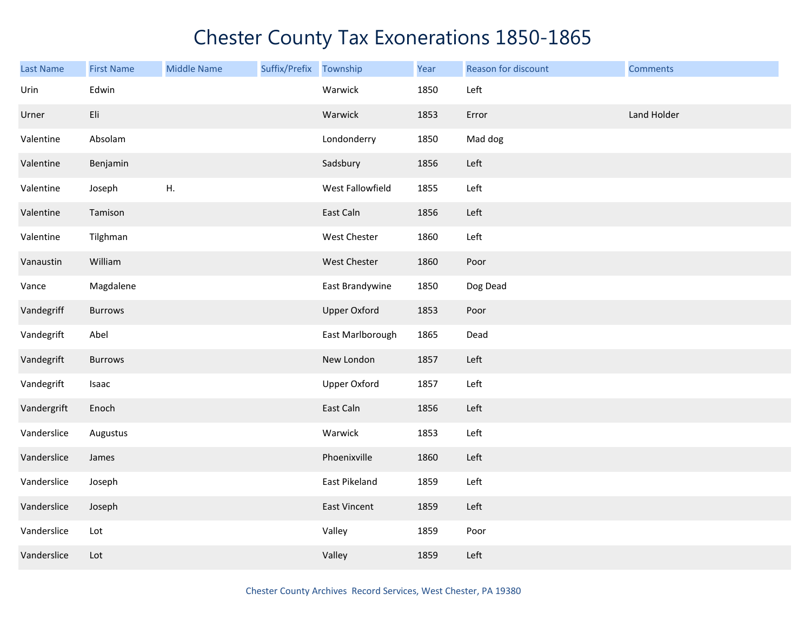| Last Name   | <b>First Name</b> | <b>Middle Name</b> | Suffix/Prefix Township |                     | Year | Reason for discount | <b>Comments</b> |
|-------------|-------------------|--------------------|------------------------|---------------------|------|---------------------|-----------------|
| Urin        | Edwin             |                    |                        | Warwick             | 1850 | Left                |                 |
| Urner       | Eli               |                    |                        | Warwick             | 1853 | Error               | Land Holder     |
| Valentine   | Absolam           |                    |                        | Londonderry         | 1850 | Mad dog             |                 |
| Valentine   | Benjamin          |                    |                        | Sadsbury            | 1856 | Left                |                 |
| Valentine   | Joseph            | Η.                 |                        | West Fallowfield    | 1855 | Left                |                 |
| Valentine   | Tamison           |                    |                        | East Caln           | 1856 | Left                |                 |
| Valentine   | Tilghman          |                    |                        | West Chester        | 1860 | Left                |                 |
| Vanaustin   | William           |                    |                        | West Chester        | 1860 | Poor                |                 |
| Vance       | Magdalene         |                    |                        | East Brandywine     | 1850 | Dog Dead            |                 |
| Vandegriff  | <b>Burrows</b>    |                    |                        | <b>Upper Oxford</b> | 1853 | Poor                |                 |
| Vandegrift  | Abel              |                    |                        | East Marlborough    | 1865 | Dead                |                 |
| Vandegrift  | <b>Burrows</b>    |                    |                        | New London          | 1857 | Left                |                 |
| Vandegrift  | Isaac             |                    |                        | <b>Upper Oxford</b> | 1857 | Left                |                 |
| Vandergrift | Enoch             |                    |                        | East Caln           | 1856 | Left                |                 |
| Vanderslice | Augustus          |                    |                        | Warwick             | 1853 | Left                |                 |
| Vanderslice | James             |                    |                        | Phoenixville        | 1860 | Left                |                 |
| Vanderslice | Joseph            |                    |                        | East Pikeland       | 1859 | Left                |                 |
| Vanderslice | Joseph            |                    |                        | East Vincent        | 1859 | Left                |                 |
| Vanderslice | Lot               |                    |                        | Valley              | 1859 | Poor                |                 |
| Vanderslice | Lot               |                    |                        | Valley              | 1859 | Left                |                 |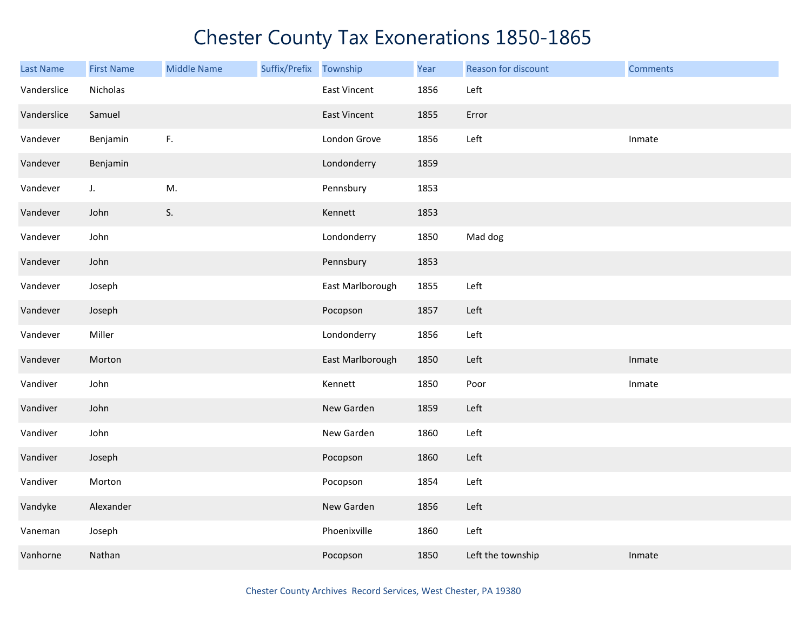| <b>Last Name</b> | <b>First Name</b> | <b>Middle Name</b> | Suffix/Prefix Township |                     | Year | Reason for discount | <b>Comments</b> |
|------------------|-------------------|--------------------|------------------------|---------------------|------|---------------------|-----------------|
| Vanderslice      | Nicholas          |                    |                        | <b>East Vincent</b> | 1856 | Left                |                 |
| Vanderslice      | Samuel            |                    |                        | <b>East Vincent</b> | 1855 | Error               |                 |
| Vandever         | Benjamin          | F.                 |                        | London Grove        | 1856 | Left                | Inmate          |
| Vandever         | Benjamin          |                    |                        | Londonderry         | 1859 |                     |                 |
| Vandever         | J.                | M.                 |                        | Pennsbury           | 1853 |                     |                 |
| Vandever         | John              | S.                 |                        | Kennett             | 1853 |                     |                 |
| Vandever         | John              |                    |                        | Londonderry         | 1850 | Mad dog             |                 |
| Vandever         | John              |                    |                        | Pennsbury           | 1853 |                     |                 |
| Vandever         | Joseph            |                    |                        | East Marlborough    | 1855 | Left                |                 |
| Vandever         | Joseph            |                    |                        | Pocopson            | 1857 | Left                |                 |
| Vandever         | Miller            |                    |                        | Londonderry         | 1856 | Left                |                 |
| Vandever         | Morton            |                    |                        | East Marlborough    | 1850 | Left                | Inmate          |
| Vandiver         | John              |                    |                        | Kennett             | 1850 | Poor                | Inmate          |
| Vandiver         | John              |                    |                        | New Garden          | 1859 | Left                |                 |
| Vandiver         | John              |                    |                        | New Garden          | 1860 | Left                |                 |
| Vandiver         | Joseph            |                    |                        | Pocopson            | 1860 | Left                |                 |
| Vandiver         | Morton            |                    |                        | Pocopson            | 1854 | Left                |                 |
| Vandyke          | Alexander         |                    |                        | New Garden          | 1856 | Left                |                 |
| Vaneman          | Joseph            |                    |                        | Phoenixville        | 1860 | Left                |                 |
| Vanhorne         | Nathan            |                    |                        | Pocopson            | 1850 | Left the township   | Inmate          |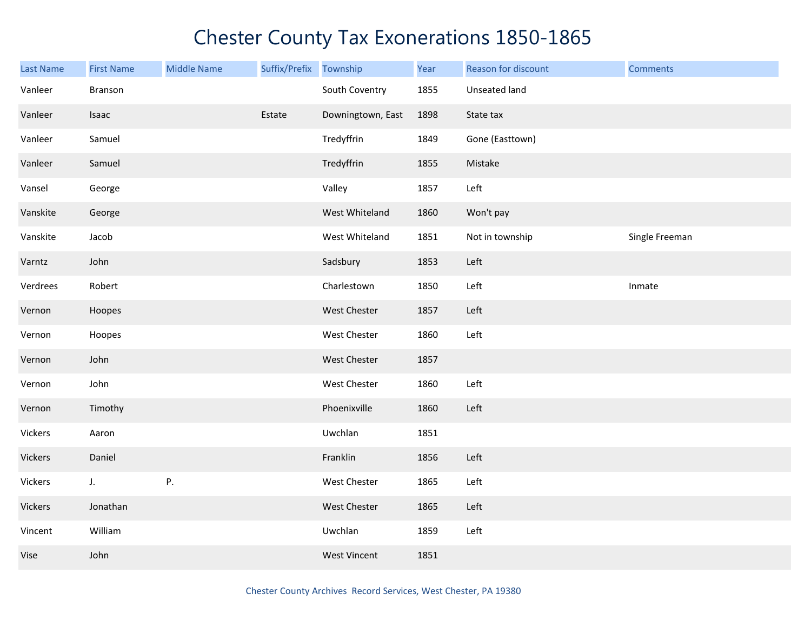| <b>Last Name</b> | <b>First Name</b> | <b>Middle Name</b> | Suffix/Prefix Township |                     | Year | Reason for discount | <b>Comments</b> |
|------------------|-------------------|--------------------|------------------------|---------------------|------|---------------------|-----------------|
| Vanleer          | Branson           |                    |                        | South Coventry      | 1855 | Unseated land       |                 |
| Vanleer          | Isaac             |                    | Estate                 | Downingtown, East   | 1898 | State tax           |                 |
| Vanleer          | Samuel            |                    |                        | Tredyffrin          | 1849 | Gone (Easttown)     |                 |
| Vanleer          | Samuel            |                    |                        | Tredyffrin          | 1855 | Mistake             |                 |
| Vansel           | George            |                    |                        | Valley              | 1857 | Left                |                 |
| Vanskite         | George            |                    |                        | West Whiteland      | 1860 | Won't pay           |                 |
| Vanskite         | Jacob             |                    |                        | West Whiteland      | 1851 | Not in township     | Single Freeman  |
| Varntz           | John              |                    |                        | Sadsbury            | 1853 | Left                |                 |
| Verdrees         | Robert            |                    |                        | Charlestown         | 1850 | Left                | Inmate          |
| Vernon           | Hoopes            |                    |                        | West Chester        | 1857 | Left                |                 |
| Vernon           | Hoopes            |                    |                        | West Chester        | 1860 | Left                |                 |
| Vernon           | John              |                    |                        | West Chester        | 1857 |                     |                 |
| Vernon           | John              |                    |                        | West Chester        | 1860 | Left                |                 |
| Vernon           | Timothy           |                    |                        | Phoenixville        | 1860 | Left                |                 |
| Vickers          | Aaron             |                    |                        | Uwchlan             | 1851 |                     |                 |
| Vickers          | Daniel            |                    |                        | Franklin            | 1856 | Left                |                 |
| Vickers          | J.                | P.                 |                        | West Chester        | 1865 | Left                |                 |
| Vickers          | Jonathan          |                    |                        | West Chester        | 1865 | Left                |                 |
| Vincent          | William           |                    |                        | Uwchlan             | 1859 | Left                |                 |
| Vise             | John              |                    |                        | <b>West Vincent</b> | 1851 |                     |                 |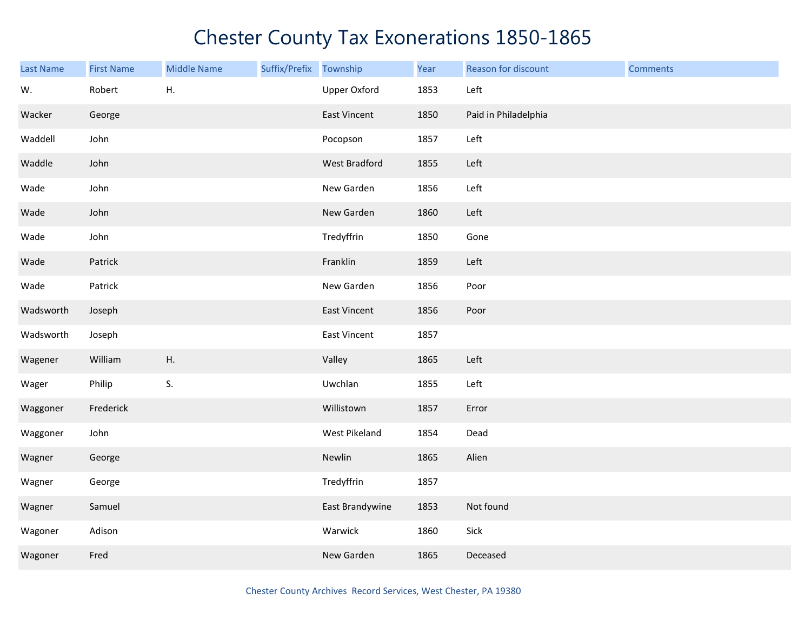| <b>Last Name</b> | <b>First Name</b> | <b>Middle Name</b> | Suffix/Prefix | Township            | Year | Reason for discount  | <b>Comments</b> |
|------------------|-------------------|--------------------|---------------|---------------------|------|----------------------|-----------------|
| W.               | Robert            | Η.                 |               | <b>Upper Oxford</b> | 1853 | Left                 |                 |
| Wacker           | George            |                    |               | East Vincent        | 1850 | Paid in Philadelphia |                 |
| Waddell          | John              |                    |               | Pocopson            | 1857 | Left                 |                 |
| Waddle           | John              |                    |               | West Bradford       | 1855 | Left                 |                 |
| Wade             | John              |                    |               | New Garden          | 1856 | Left                 |                 |
| Wade             | John              |                    |               | New Garden          | 1860 | Left                 |                 |
| Wade             | John              |                    |               | Tredyffrin          | 1850 | Gone                 |                 |
| Wade             | Patrick           |                    |               | Franklin            | 1859 | Left                 |                 |
| Wade             | Patrick           |                    |               | New Garden          | 1856 | Poor                 |                 |
| Wadsworth        | Joseph            |                    |               | East Vincent        | 1856 | Poor                 |                 |
| Wadsworth        | Joseph            |                    |               | East Vincent        | 1857 |                      |                 |
| Wagener          | William           | Η.                 |               | Valley              | 1865 | Left                 |                 |
| Wager            | Philip            | S.                 |               | Uwchlan             | 1855 | Left                 |                 |
| Waggoner         | Frederick         |                    |               | Willistown          | 1857 | Error                |                 |
| Waggoner         | John              |                    |               | West Pikeland       | 1854 | Dead                 |                 |
| Wagner           | George            |                    |               | Newlin              | 1865 | Alien                |                 |
| Wagner           | George            |                    |               | Tredyffrin          | 1857 |                      |                 |
| Wagner           | Samuel            |                    |               | East Brandywine     | 1853 | Not found            |                 |
| Wagoner          | Adison            |                    |               | Warwick             | 1860 | Sick                 |                 |
| Wagoner          | Fred              |                    |               | New Garden          | 1865 | Deceased             |                 |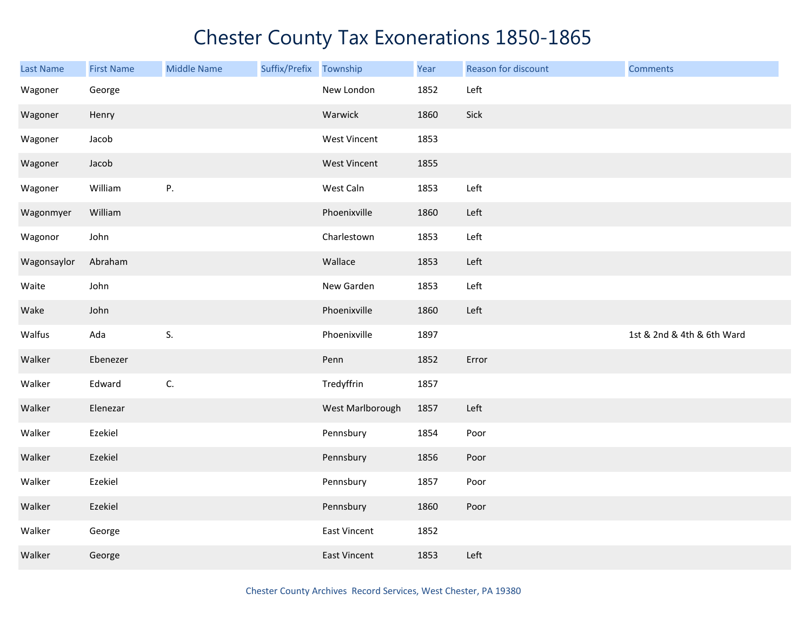| <b>Last Name</b> | <b>First Name</b> | <b>Middle Name</b> | Suffix/Prefix | Township            | Year | Reason for discount | <b>Comments</b>            |
|------------------|-------------------|--------------------|---------------|---------------------|------|---------------------|----------------------------|
| Wagoner          | George            |                    |               | New London          | 1852 | Left                |                            |
| Wagoner          | Henry             |                    |               | Warwick             | 1860 | Sick                |                            |
| Wagoner          | Jacob             |                    |               | West Vincent        | 1853 |                     |                            |
| Wagoner          | Jacob             |                    |               | <b>West Vincent</b> | 1855 |                     |                            |
| Wagoner          | William           | Ρ.                 |               | West Caln           | 1853 | Left                |                            |
| Wagonmyer        | William           |                    |               | Phoenixville        | 1860 | Left                |                            |
| Wagonor          | John              |                    |               | Charlestown         | 1853 | Left                |                            |
| Wagonsaylor      | Abraham           |                    |               | Wallace             | 1853 | Left                |                            |
| Waite            | John              |                    |               | New Garden          | 1853 | Left                |                            |
| Wake             | John              |                    |               | Phoenixville        | 1860 | Left                |                            |
| Walfus           | Ada               | S.                 |               | Phoenixville        | 1897 |                     | 1st & 2nd & 4th & 6th Ward |
| Walker           | Ebenezer          |                    |               | Penn                | 1852 | Error               |                            |
| Walker           | Edward            | C.                 |               | Tredyffrin          | 1857 |                     |                            |
| Walker           | Elenezar          |                    |               | West Marlborough    | 1857 | Left                |                            |
| Walker           | Ezekiel           |                    |               | Pennsbury           | 1854 | Poor                |                            |
| Walker           | Ezekiel           |                    |               | Pennsbury           | 1856 | Poor                |                            |
| Walker           | Ezekiel           |                    |               | Pennsbury           | 1857 | Poor                |                            |
| Walker           | Ezekiel           |                    |               | Pennsbury           | 1860 | Poor                |                            |
| Walker           | George            |                    |               | East Vincent        | 1852 |                     |                            |
| Walker           | George            |                    |               | East Vincent        | 1853 | Left                |                            |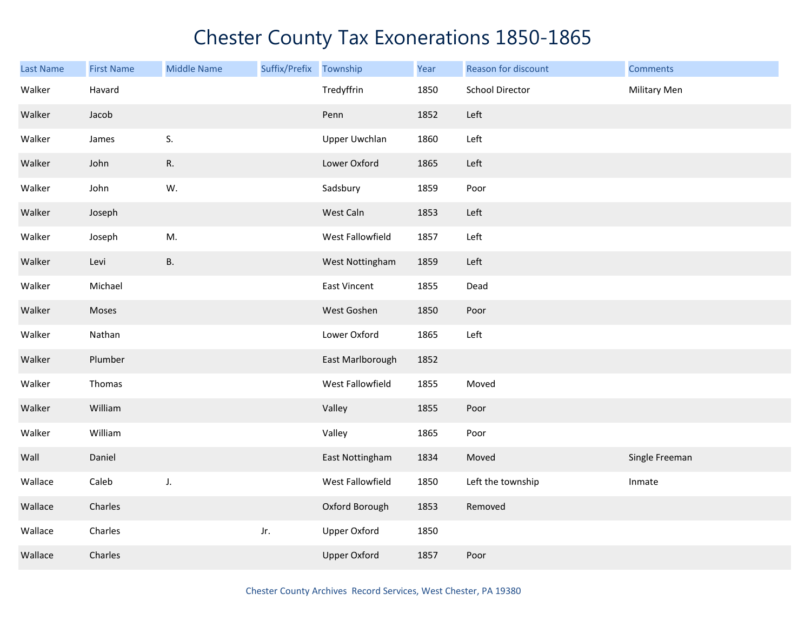| Last Name | <b>First Name</b> | <b>Middle Name</b> | Suffix/Prefix Township |                      | Year | Reason for discount    | <b>Comments</b> |
|-----------|-------------------|--------------------|------------------------|----------------------|------|------------------------|-----------------|
| Walker    | Havard            |                    |                        | Tredyffrin           | 1850 | <b>School Director</b> | Military Men    |
| Walker    | Jacob             |                    |                        | Penn                 | 1852 | Left                   |                 |
| Walker    | James             | S.                 |                        | <b>Upper Uwchlan</b> | 1860 | Left                   |                 |
| Walker    | John              | R.                 |                        | Lower Oxford         | 1865 | Left                   |                 |
| Walker    | John              | W.                 |                        | Sadsbury             | 1859 | Poor                   |                 |
| Walker    | Joseph            |                    |                        | West Caln            | 1853 | Left                   |                 |
| Walker    | Joseph            | M.                 |                        | West Fallowfield     | 1857 | Left                   |                 |
| Walker    | Levi              | <b>B.</b>          |                        | West Nottingham      | 1859 | Left                   |                 |
| Walker    | Michael           |                    |                        | East Vincent         | 1855 | Dead                   |                 |
| Walker    | Moses             |                    |                        | West Goshen          | 1850 | Poor                   |                 |
| Walker    | Nathan            |                    |                        | Lower Oxford         | 1865 | Left                   |                 |
| Walker    | Plumber           |                    |                        | East Marlborough     | 1852 |                        |                 |
| Walker    | Thomas            |                    |                        | West Fallowfield     | 1855 | Moved                  |                 |
| Walker    | William           |                    |                        | Valley               | 1855 | Poor                   |                 |
| Walker    | William           |                    |                        | Valley               | 1865 | Poor                   |                 |
| Wall      | Daniel            |                    |                        | East Nottingham      | 1834 | Moved                  | Single Freeman  |
| Wallace   | Caleb             | J.                 |                        | West Fallowfield     | 1850 | Left the township      | Inmate          |
| Wallace   | Charles           |                    |                        | Oxford Borough       | 1853 | Removed                |                 |
| Wallace   | Charles           |                    | Jr.                    | <b>Upper Oxford</b>  | 1850 |                        |                 |
| Wallace   | Charles           |                    |                        | <b>Upper Oxford</b>  | 1857 | Poor                   |                 |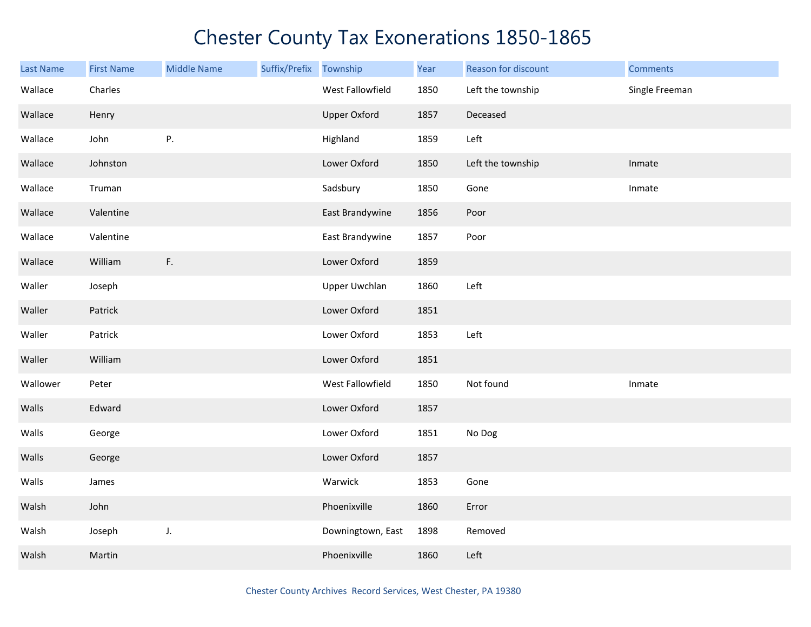| <b>Last Name</b> | <b>First Name</b> | <b>Middle Name</b> | Suffix/Prefix Township |                      | Year | Reason for discount | <b>Comments</b> |
|------------------|-------------------|--------------------|------------------------|----------------------|------|---------------------|-----------------|
| Wallace          | Charles           |                    |                        | West Fallowfield     | 1850 | Left the township   | Single Freeman  |
| Wallace          | Henry             |                    |                        | <b>Upper Oxford</b>  | 1857 | Deceased            |                 |
| Wallace          | John              | Ρ.                 |                        | Highland             | 1859 | Left                |                 |
| Wallace          | Johnston          |                    |                        | Lower Oxford         | 1850 | Left the township   | Inmate          |
| Wallace          | Truman            |                    |                        | Sadsbury             | 1850 | Gone                | Inmate          |
| Wallace          | Valentine         |                    |                        | East Brandywine      | 1856 | Poor                |                 |
| Wallace          | Valentine         |                    |                        | East Brandywine      | 1857 | Poor                |                 |
| Wallace          | William           | F.                 |                        | Lower Oxford         | 1859 |                     |                 |
| Waller           | Joseph            |                    |                        | <b>Upper Uwchlan</b> | 1860 | Left                |                 |
| Waller           | Patrick           |                    |                        | Lower Oxford         | 1851 |                     |                 |
| Waller           | Patrick           |                    |                        | Lower Oxford         | 1853 | Left                |                 |
| Waller           | William           |                    |                        | Lower Oxford         | 1851 |                     |                 |
| Wallower         | Peter             |                    |                        | West Fallowfield     | 1850 | Not found           | Inmate          |
| Walls            | Edward            |                    |                        | Lower Oxford         | 1857 |                     |                 |
| Walls            | George            |                    |                        | Lower Oxford         | 1851 | No Dog              |                 |
| Walls            | George            |                    |                        | Lower Oxford         | 1857 |                     |                 |
| Walls            | James             |                    |                        | Warwick              | 1853 | Gone                |                 |
| Walsh            | John              |                    |                        | Phoenixville         | 1860 | Error               |                 |
| Walsh            | Joseph            | J.                 |                        | Downingtown, East    | 1898 | Removed             |                 |
| Walsh            | Martin            |                    |                        | Phoenixville         | 1860 | Left                |                 |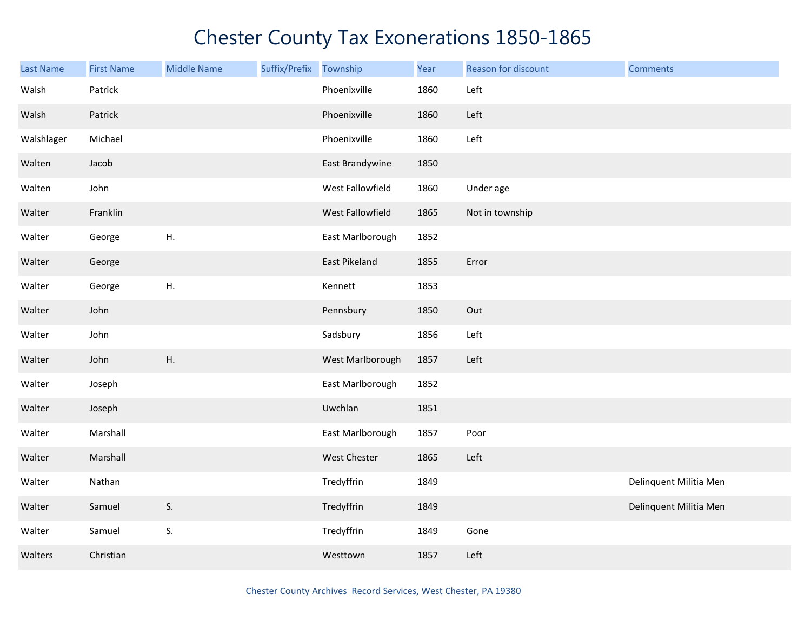| <b>Last Name</b> | <b>First Name</b> | <b>Middle Name</b> | Suffix/Prefix | Township         | Year | Reason for discount | <b>Comments</b>        |
|------------------|-------------------|--------------------|---------------|------------------|------|---------------------|------------------------|
| Walsh            | Patrick           |                    |               | Phoenixville     | 1860 | Left                |                        |
| Walsh            | Patrick           |                    |               | Phoenixville     | 1860 | Left                |                        |
| Walshlager       | Michael           |                    |               | Phoenixville     | 1860 | Left                |                        |
| Walten           | Jacob             |                    |               | East Brandywine  | 1850 |                     |                        |
| Walten           | John              |                    |               | West Fallowfield | 1860 | Under age           |                        |
| Walter           | Franklin          |                    |               | West Fallowfield | 1865 | Not in township     |                        |
| Walter           | George            | Η.                 |               | East Marlborough | 1852 |                     |                        |
| Walter           | George            |                    |               | East Pikeland    | 1855 | Error               |                        |
| Walter           | George            | H.                 |               | Kennett          | 1853 |                     |                        |
| Walter           | John              |                    |               | Pennsbury        | 1850 | Out                 |                        |
| Walter           | John              |                    |               | Sadsbury         | 1856 | Left                |                        |
| Walter           | John              | H.                 |               | West Marlborough | 1857 | Left                |                        |
| Walter           | Joseph            |                    |               | East Marlborough | 1852 |                     |                        |
| Walter           | Joseph            |                    |               | Uwchlan          | 1851 |                     |                        |
| Walter           | Marshall          |                    |               | East Marlborough | 1857 | Poor                |                        |
| Walter           | Marshall          |                    |               | West Chester     | 1865 | Left                |                        |
| Walter           | Nathan            |                    |               | Tredyffrin       | 1849 |                     | Delinquent Militia Men |
| Walter           | Samuel            | S.                 |               | Tredyffrin       | 1849 |                     | Delinquent Militia Men |
| Walter           | Samuel            | S.                 |               | Tredyffrin       | 1849 | Gone                |                        |
| Walters          | Christian         |                    |               | Westtown         | 1857 | Left                |                        |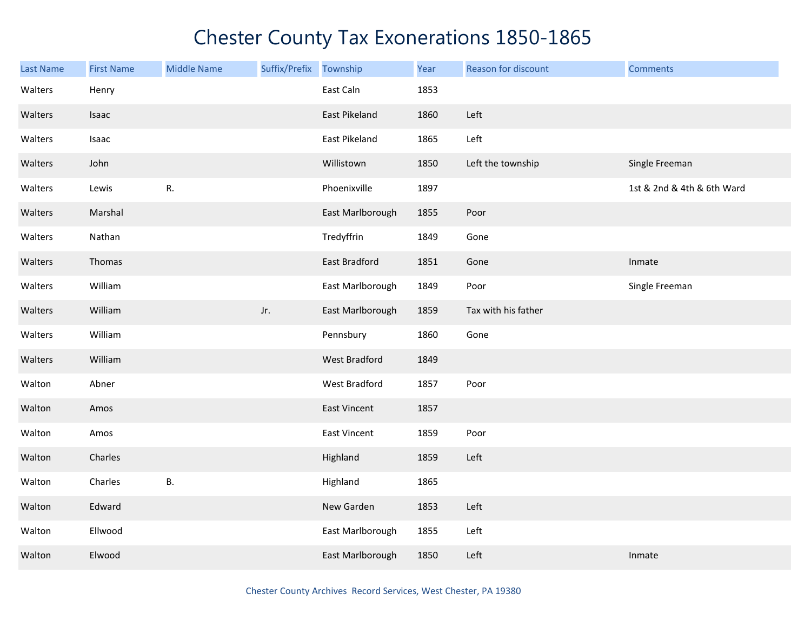| <b>Last Name</b> | <b>First Name</b> | <b>Middle Name</b> | Suffix/Prefix | Township             | Year | Reason for discount | <b>Comments</b>            |
|------------------|-------------------|--------------------|---------------|----------------------|------|---------------------|----------------------------|
| Walters          | Henry             |                    |               | East Caln            | 1853 |                     |                            |
| Walters          | Isaac             |                    |               | East Pikeland        | 1860 | Left                |                            |
| Walters          | Isaac             |                    |               | East Pikeland        | 1865 | Left                |                            |
| Walters          | John              |                    |               | Willistown           | 1850 | Left the township   | Single Freeman             |
| Walters          | Lewis             | R.                 |               | Phoenixville         | 1897 |                     | 1st & 2nd & 4th & 6th Ward |
| Walters          | Marshal           |                    |               | East Marlborough     | 1855 | Poor                |                            |
| Walters          | Nathan            |                    |               | Tredyffrin           | 1849 | Gone                |                            |
| Walters          | Thomas            |                    |               | <b>East Bradford</b> | 1851 | Gone                | Inmate                     |
| Walters          | William           |                    |               | East Marlborough     | 1849 | Poor                | Single Freeman             |
| Walters          | William           |                    | Jr.           | East Marlborough     | 1859 | Tax with his father |                            |
| Walters          | William           |                    |               | Pennsbury            | 1860 | Gone                |                            |
| Walters          | William           |                    |               | <b>West Bradford</b> | 1849 |                     |                            |
| Walton           | Abner             |                    |               | West Bradford        | 1857 | Poor                |                            |
| Walton           | Amos              |                    |               | East Vincent         | 1857 |                     |                            |
| Walton           | Amos              |                    |               | <b>East Vincent</b>  | 1859 | Poor                |                            |
| Walton           | Charles           |                    |               | Highland             | 1859 | Left                |                            |
| Walton           | Charles           | <b>B.</b>          |               | Highland             | 1865 |                     |                            |
| Walton           | Edward            |                    |               | New Garden           | 1853 | Left                |                            |
| Walton           | Ellwood           |                    |               | East Marlborough     | 1855 | Left                |                            |
| Walton           | Elwood            |                    |               | East Marlborough     | 1850 | Left                | Inmate                     |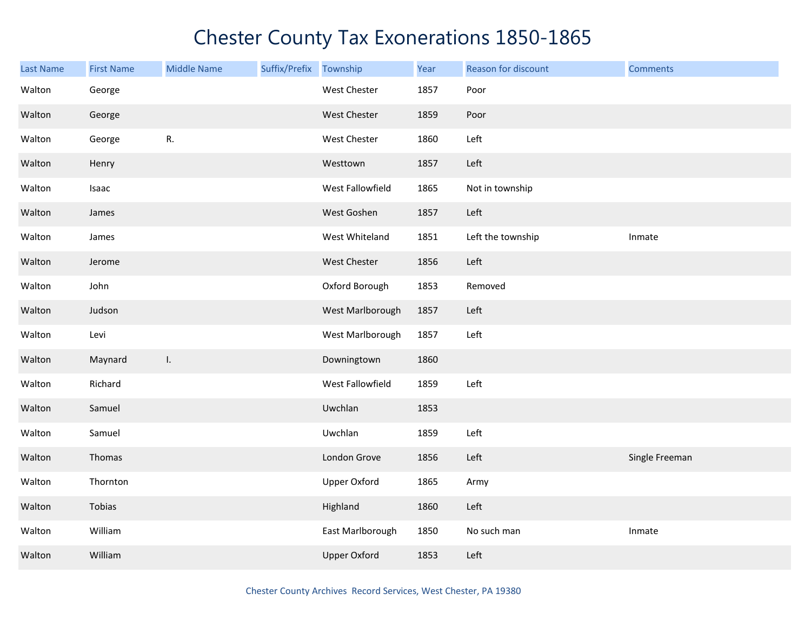| <b>Last Name</b> | <b>First Name</b> | <b>Middle Name</b> | Suffix/Prefix | Township            | Year | Reason for discount | <b>Comments</b> |
|------------------|-------------------|--------------------|---------------|---------------------|------|---------------------|-----------------|
| Walton           | George            |                    |               | West Chester        | 1857 | Poor                |                 |
| Walton           | George            |                    |               | West Chester        | 1859 | Poor                |                 |
| Walton           | George            | R.                 |               | West Chester        | 1860 | Left                |                 |
| Walton           | Henry             |                    |               | Westtown            | 1857 | Left                |                 |
| Walton           | Isaac             |                    |               | West Fallowfield    | 1865 | Not in township     |                 |
| Walton           | James             |                    |               | West Goshen         | 1857 | Left                |                 |
| Walton           | James             |                    |               | West Whiteland      | 1851 | Left the township   | Inmate          |
| Walton           | Jerome            |                    |               | West Chester        | 1856 | Left                |                 |
| Walton           | John              |                    |               | Oxford Borough      | 1853 | Removed             |                 |
| Walton           | Judson            |                    |               | West Marlborough    | 1857 | Left                |                 |
| Walton           | Levi              |                    |               | West Marlborough    | 1857 | Left                |                 |
| Walton           | Maynard           | Ι.                 |               | Downingtown         | 1860 |                     |                 |
| Walton           | Richard           |                    |               | West Fallowfield    | 1859 | Left                |                 |
| Walton           | Samuel            |                    |               | Uwchlan             | 1853 |                     |                 |
| Walton           | Samuel            |                    |               | Uwchlan             | 1859 | Left                |                 |
| Walton           | Thomas            |                    |               | London Grove        | 1856 | Left                | Single Freeman  |
| Walton           | Thornton          |                    |               | <b>Upper Oxford</b> | 1865 | Army                |                 |
| Walton           | Tobias            |                    |               | Highland            | 1860 | Left                |                 |
| Walton           | William           |                    |               | East Marlborough    | 1850 | No such man         | Inmate          |
| Walton           | William           |                    |               | <b>Upper Oxford</b> | 1853 | Left                |                 |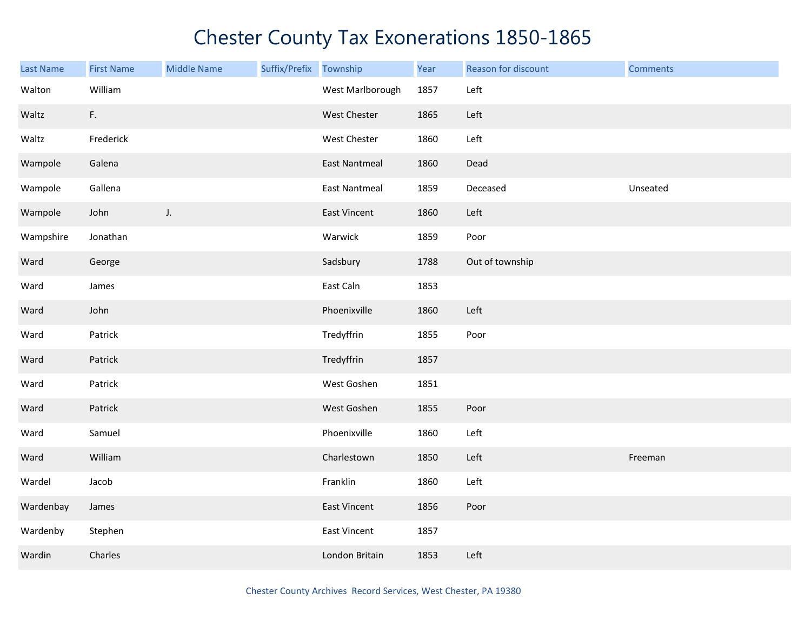| Last Name | <b>First Name</b> | <b>Middle Name</b> | Suffix/Prefix | Township             | Year | Reason for discount | <b>Comments</b> |
|-----------|-------------------|--------------------|---------------|----------------------|------|---------------------|-----------------|
| Walton    | William           |                    |               | West Marlborough     | 1857 | Left                |                 |
| Waltz     | F.                |                    |               | West Chester         | 1865 | Left                |                 |
| Waltz     | Frederick         |                    |               | West Chester         | 1860 | Left                |                 |
| Wampole   | Galena            |                    |               | <b>East Nantmeal</b> | 1860 | Dead                |                 |
| Wampole   | Gallena           |                    |               | <b>East Nantmeal</b> | 1859 | Deceased            | Unseated        |
| Wampole   | John              | J.                 |               | East Vincent         | 1860 | Left                |                 |
| Wampshire | Jonathan          |                    |               | Warwick              | 1859 | Poor                |                 |
| Ward      | George            |                    |               | Sadsbury             | 1788 | Out of township     |                 |
| Ward      | James             |                    |               | East Caln            | 1853 |                     |                 |
| Ward      | John              |                    |               | Phoenixville         | 1860 | Left                |                 |
| Ward      | Patrick           |                    |               | Tredyffrin           | 1855 | Poor                |                 |
| Ward      | Patrick           |                    |               | Tredyffrin           | 1857 |                     |                 |
| Ward      | Patrick           |                    |               | West Goshen          | 1851 |                     |                 |
| Ward      | Patrick           |                    |               | West Goshen          | 1855 | Poor                |                 |
| Ward      | Samuel            |                    |               | Phoenixville         | 1860 | Left                |                 |
| Ward      | William           |                    |               | Charlestown          | 1850 | Left                | Freeman         |
| Wardel    | Jacob             |                    |               | Franklin             | 1860 | Left                |                 |
| Wardenbay | James             |                    |               | <b>East Vincent</b>  | 1856 | Poor                |                 |
| Wardenby  | Stephen           |                    |               | East Vincent         | 1857 |                     |                 |
| Wardin    | Charles           |                    |               | London Britain       | 1853 | Left                |                 |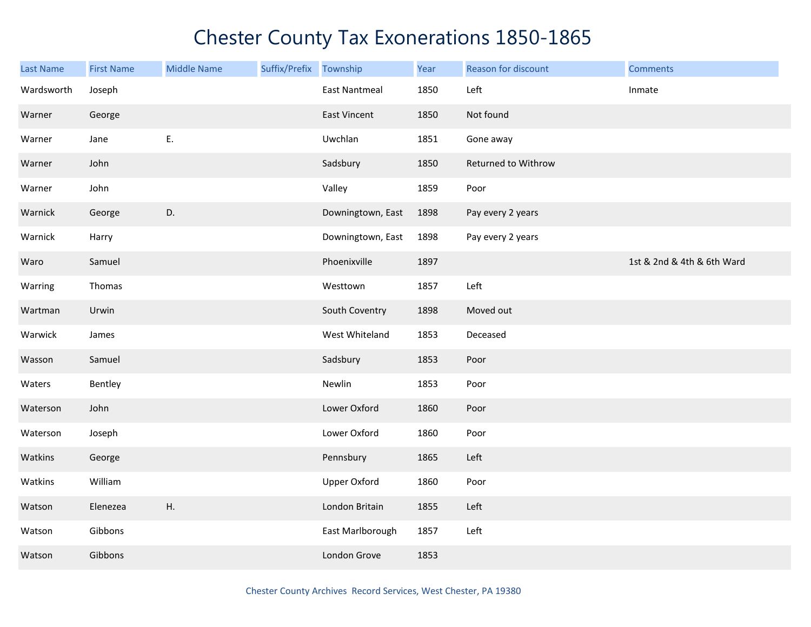| <b>Last Name</b> | <b>First Name</b> | <b>Middle Name</b> | Suffix/Prefix Township |                      | Year | Reason for discount | <b>Comments</b>            |
|------------------|-------------------|--------------------|------------------------|----------------------|------|---------------------|----------------------------|
| Wardsworth       | Joseph            |                    |                        | <b>East Nantmeal</b> | 1850 | Left                | Inmate                     |
| Warner           | George            |                    |                        | East Vincent         | 1850 | Not found           |                            |
| Warner           | Jane              | E.                 |                        | Uwchlan              | 1851 | Gone away           |                            |
| Warner           | John              |                    |                        | Sadsbury             | 1850 | Returned to Withrow |                            |
| Warner           | John              |                    |                        | Valley               | 1859 | Poor                |                            |
| Warnick          | George            | D.                 |                        | Downingtown, East    | 1898 | Pay every 2 years   |                            |
| Warnick          | Harry             |                    |                        | Downingtown, East    | 1898 | Pay every 2 years   |                            |
| Waro             | Samuel            |                    |                        | Phoenixville         | 1897 |                     | 1st & 2nd & 4th & 6th Ward |
| Warring          | Thomas            |                    |                        | Westtown             | 1857 | Left                |                            |
| Wartman          | Urwin             |                    |                        | South Coventry       | 1898 | Moved out           |                            |
| Warwick          | James             |                    |                        | West Whiteland       | 1853 | Deceased            |                            |
| Wasson           | Samuel            |                    |                        | Sadsbury             | 1853 | Poor                |                            |
| Waters           | Bentley           |                    |                        | Newlin               | 1853 | Poor                |                            |
| Waterson         | John              |                    |                        | Lower Oxford         | 1860 | Poor                |                            |
| Waterson         | Joseph            |                    |                        | Lower Oxford         | 1860 | Poor                |                            |
| Watkins          | George            |                    |                        | Pennsbury            | 1865 | Left                |                            |
| Watkins          | William           |                    |                        | <b>Upper Oxford</b>  | 1860 | Poor                |                            |
| Watson           | Elenezea          | Η.                 |                        | London Britain       | 1855 | Left                |                            |
| Watson           | Gibbons           |                    |                        | East Marlborough     | 1857 | Left                |                            |
| Watson           | Gibbons           |                    |                        | London Grove         | 1853 |                     |                            |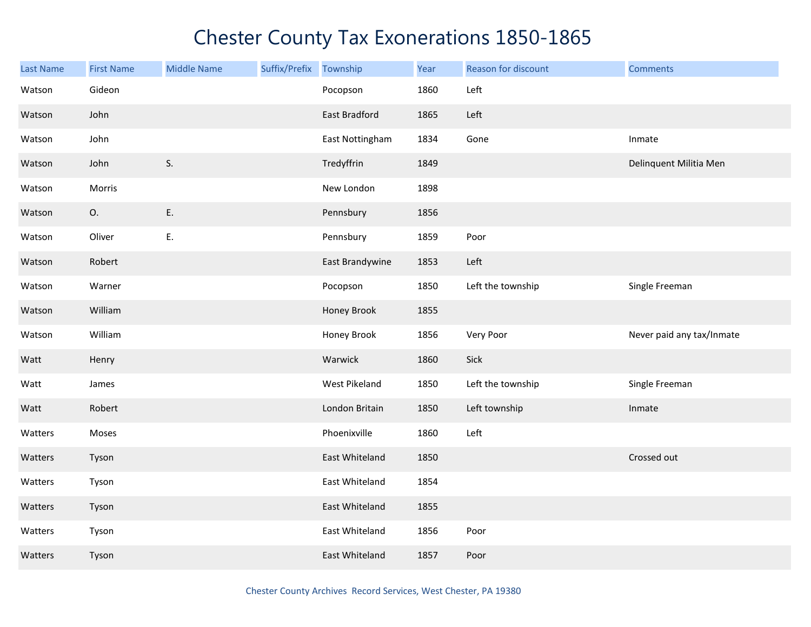| <b>Last Name</b> | <b>First Name</b> | <b>Middle Name</b> | Suffix/Prefix | Township        | Year | Reason for discount | <b>Comments</b>           |
|------------------|-------------------|--------------------|---------------|-----------------|------|---------------------|---------------------------|
| Watson           | Gideon            |                    |               | Pocopson        | 1860 | Left                |                           |
| Watson           | John              |                    |               | East Bradford   | 1865 | Left                |                           |
| Watson           | John              |                    |               | East Nottingham | 1834 | Gone                | Inmate                    |
| Watson           | John              | S.                 |               | Tredyffrin      | 1849 |                     | Delinquent Militia Men    |
| Watson           | Morris            |                    |               | New London      | 1898 |                     |                           |
| Watson           | O.                | E.                 |               | Pennsbury       | 1856 |                     |                           |
| Watson           | Oliver            | Ε.                 |               | Pennsbury       | 1859 | Poor                |                           |
| Watson           | Robert            |                    |               | East Brandywine | 1853 | Left                |                           |
| Watson           | Warner            |                    |               | Pocopson        | 1850 | Left the township   | Single Freeman            |
| Watson           | William           |                    |               | Honey Brook     | 1855 |                     |                           |
| Watson           | William           |                    |               | Honey Brook     | 1856 | Very Poor           | Never paid any tax/Inmate |
| Watt             | Henry             |                    |               | Warwick         | 1860 | Sick                |                           |
| Watt             | James             |                    |               | West Pikeland   | 1850 | Left the township   | Single Freeman            |
| Watt             | Robert            |                    |               | London Britain  | 1850 | Left township       | Inmate                    |
| Watters          | Moses             |                    |               | Phoenixville    | 1860 | Left                |                           |
| Watters          | Tyson             |                    |               | East Whiteland  | 1850 |                     | Crossed out               |
| Watters          | Tyson             |                    |               | East Whiteland  | 1854 |                     |                           |
| Watters          | Tyson             |                    |               | East Whiteland  | 1855 |                     |                           |
| Watters          | Tyson             |                    |               | East Whiteland  | 1856 | Poor                |                           |
| Watters          | Tyson             |                    |               | East Whiteland  | 1857 | Poor                |                           |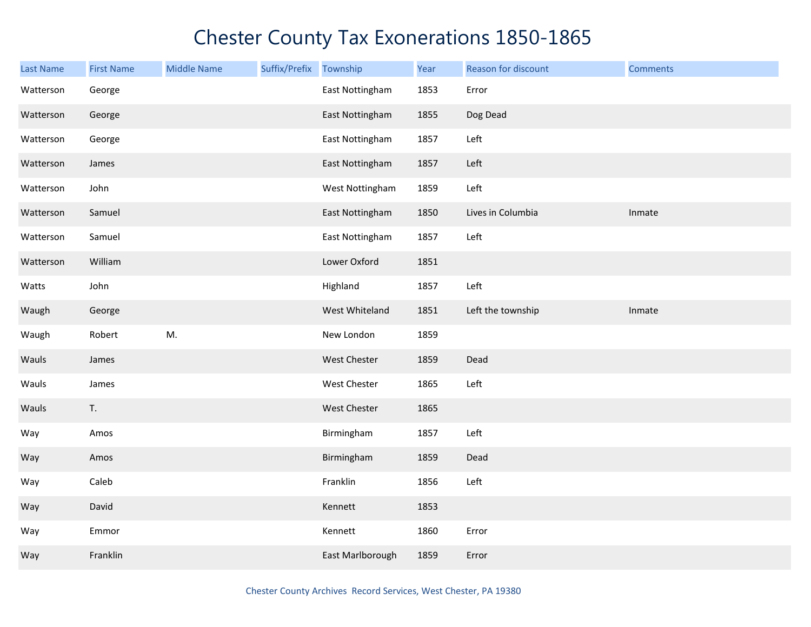| <b>Last Name</b> | <b>First Name</b> | <b>Middle Name</b> | Suffix/Prefix | Township         | Year | Reason for discount | <b>Comments</b> |
|------------------|-------------------|--------------------|---------------|------------------|------|---------------------|-----------------|
| Watterson        | George            |                    |               | East Nottingham  | 1853 | Error               |                 |
| Watterson        | George            |                    |               | East Nottingham  | 1855 | Dog Dead            |                 |
| Watterson        | George            |                    |               | East Nottingham  | 1857 | Left                |                 |
| Watterson        | James             |                    |               | East Nottingham  | 1857 | Left                |                 |
| Watterson        | John              |                    |               | West Nottingham  | 1859 | Left                |                 |
| Watterson        | Samuel            |                    |               | East Nottingham  | 1850 | Lives in Columbia   | Inmate          |
| Watterson        | Samuel            |                    |               | East Nottingham  | 1857 | Left                |                 |
| Watterson        | William           |                    |               | Lower Oxford     | 1851 |                     |                 |
| Watts            | John              |                    |               | Highland         | 1857 | Left                |                 |
| Waugh            | George            |                    |               | West Whiteland   | 1851 | Left the township   | Inmate          |
| Waugh            | Robert            | M.                 |               | New London       | 1859 |                     |                 |
| Wauls            | James             |                    |               | West Chester     | 1859 | Dead                |                 |
| Wauls            | James             |                    |               | West Chester     | 1865 | Left                |                 |
| Wauls            | T.                |                    |               | West Chester     | 1865 |                     |                 |
| Way              | Amos              |                    |               | Birmingham       | 1857 | Left                |                 |
| Way              | Amos              |                    |               | Birmingham       | 1859 | Dead                |                 |
| Way              | Caleb             |                    |               | Franklin         | 1856 | Left                |                 |
| Way              | David             |                    |               | Kennett          | 1853 |                     |                 |
| Way              | Emmor             |                    |               | Kennett          | 1860 | Error               |                 |
| Way              | Franklin          |                    |               | East Marlborough | 1859 | Error               |                 |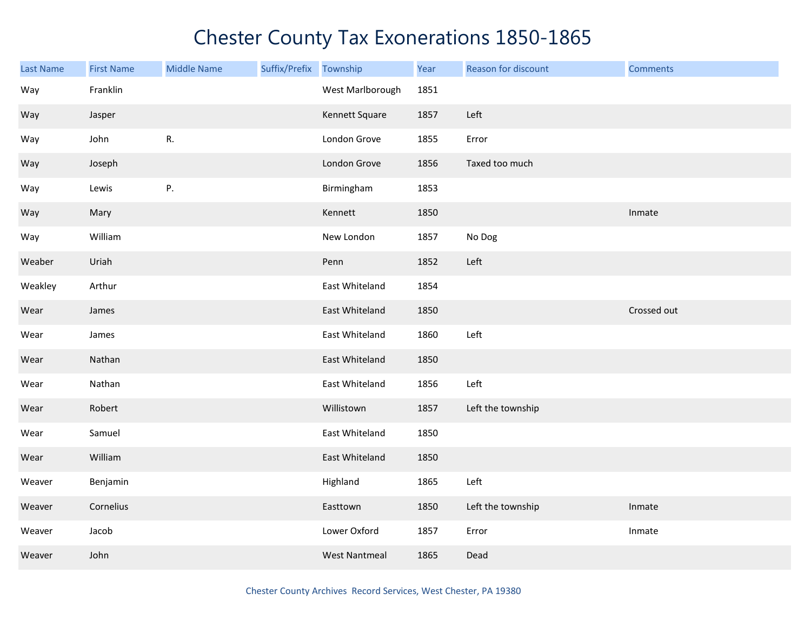| Last Name | <b>First Name</b> | <b>Middle Name</b> | Suffix/Prefix | Township             | Year | Reason for discount | <b>Comments</b> |
|-----------|-------------------|--------------------|---------------|----------------------|------|---------------------|-----------------|
| Way       | Franklin          |                    |               | West Marlborough     | 1851 |                     |                 |
| Way       | Jasper            |                    |               | Kennett Square       | 1857 | Left                |                 |
| Way       | John              | R.                 |               | London Grove         | 1855 | Error               |                 |
| Way       | Joseph            |                    |               | London Grove         | 1856 | Taxed too much      |                 |
| Way       | Lewis             | P.                 |               | Birmingham           | 1853 |                     |                 |
| Way       | Mary              |                    |               | Kennett              | 1850 |                     | Inmate          |
| Way       | William           |                    |               | New London           | 1857 | No Dog              |                 |
| Weaber    | Uriah             |                    |               | Penn                 | 1852 | Left                |                 |
| Weakley   | Arthur            |                    |               | East Whiteland       | 1854 |                     |                 |
| Wear      | James             |                    |               | East Whiteland       | 1850 |                     | Crossed out     |
| Wear      | James             |                    |               | East Whiteland       | 1860 | Left                |                 |
| Wear      | Nathan            |                    |               | East Whiteland       | 1850 |                     |                 |
| Wear      | Nathan            |                    |               | East Whiteland       | 1856 | Left                |                 |
| Wear      | Robert            |                    |               | Willistown           | 1857 | Left the township   |                 |
| Wear      | Samuel            |                    |               | East Whiteland       | 1850 |                     |                 |
| Wear      | William           |                    |               | East Whiteland       | 1850 |                     |                 |
| Weaver    | Benjamin          |                    |               | Highland             | 1865 | Left                |                 |
| Weaver    | Cornelius         |                    |               | Easttown             | 1850 | Left the township   | Inmate          |
| Weaver    | Jacob             |                    |               | Lower Oxford         | 1857 | Error               | Inmate          |
| Weaver    | John              |                    |               | <b>West Nantmeal</b> | 1865 | Dead                |                 |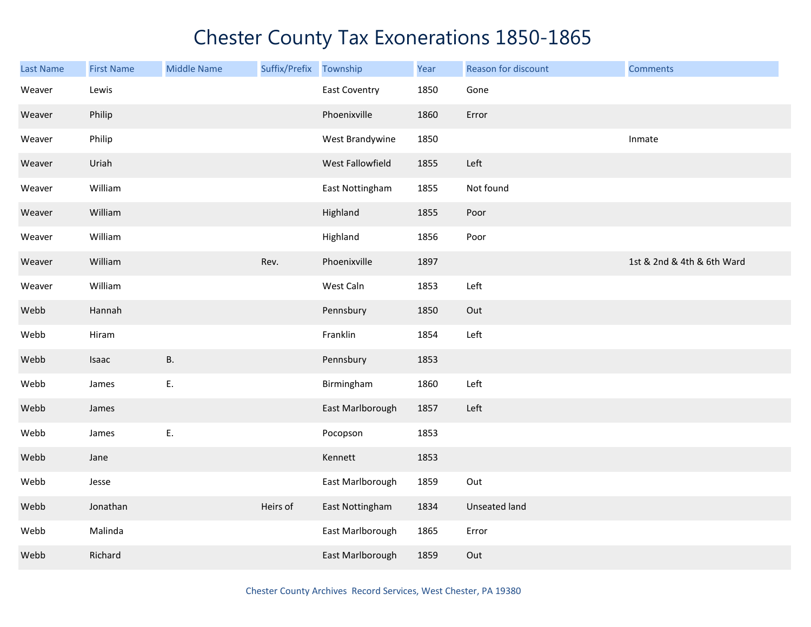| Last Name | <b>First Name</b> | <b>Middle Name</b> | Suffix/Prefix | Township             | Year | Reason for discount  | <b>Comments</b>            |
|-----------|-------------------|--------------------|---------------|----------------------|------|----------------------|----------------------------|
| Weaver    | Lewis             |                    |               | <b>East Coventry</b> | 1850 | Gone                 |                            |
| Weaver    | Philip            |                    |               | Phoenixville         | 1860 | Error                |                            |
| Weaver    | Philip            |                    |               | West Brandywine      | 1850 |                      | Inmate                     |
| Weaver    | Uriah             |                    |               | West Fallowfield     | 1855 | Left                 |                            |
| Weaver    | William           |                    |               | East Nottingham      | 1855 | Not found            |                            |
| Weaver    | William           |                    |               | Highland             | 1855 | Poor                 |                            |
| Weaver    | William           |                    |               | Highland             | 1856 | Poor                 |                            |
| Weaver    | William           |                    | Rev.          | Phoenixville         | 1897 |                      | 1st & 2nd & 4th & 6th Ward |
| Weaver    | William           |                    |               | West Caln            | 1853 | Left                 |                            |
| Webb      | Hannah            |                    |               | Pennsbury            | 1850 | Out                  |                            |
| Webb      | Hiram             |                    |               | Franklin             | 1854 | Left                 |                            |
| Webb      | Isaac             | <b>B.</b>          |               | Pennsbury            | 1853 |                      |                            |
| Webb      | James             | Ε.                 |               | Birmingham           | 1860 | Left                 |                            |
| Webb      | James             |                    |               | East Marlborough     | 1857 | Left                 |                            |
| Webb      | James             | Ε.                 |               | Pocopson             | 1853 |                      |                            |
| Webb      | Jane              |                    |               | Kennett              | 1853 |                      |                            |
| Webb      | Jesse             |                    |               | East Marlborough     | 1859 | Out                  |                            |
| Webb      | Jonathan          |                    | Heirs of      | East Nottingham      | 1834 | <b>Unseated land</b> |                            |
| Webb      | Malinda           |                    |               | East Marlborough     | 1865 | Error                |                            |
| Webb      | Richard           |                    |               | East Marlborough     | 1859 | Out                  |                            |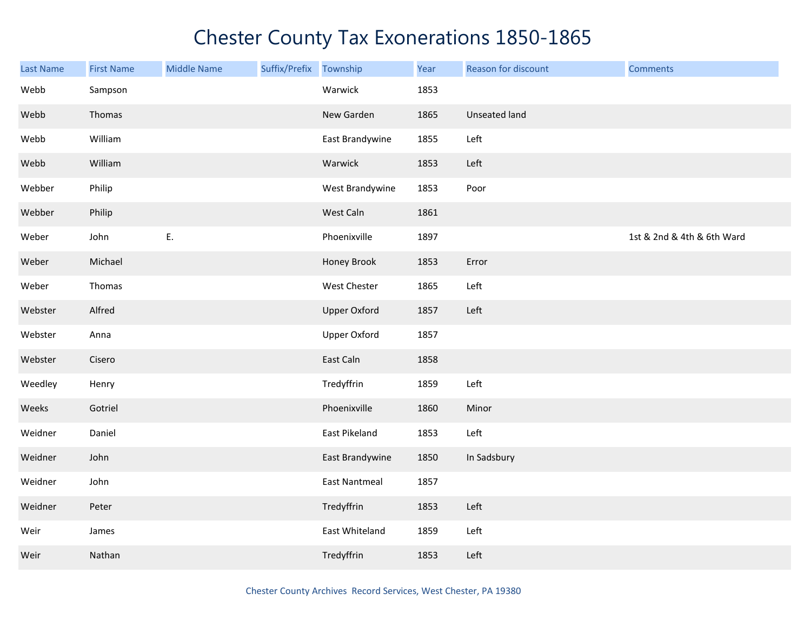| <b>Last Name</b> | <b>First Name</b> | <b>Middle Name</b> | Suffix/Prefix Township |                      | Year | Reason for discount  | <b>Comments</b>            |
|------------------|-------------------|--------------------|------------------------|----------------------|------|----------------------|----------------------------|
| Webb             | Sampson           |                    |                        | Warwick              | 1853 |                      |                            |
| Webb             | Thomas            |                    |                        | New Garden           | 1865 | <b>Unseated land</b> |                            |
| Webb             | William           |                    |                        | East Brandywine      | 1855 | Left                 |                            |
| Webb             | William           |                    |                        | Warwick              | 1853 | Left                 |                            |
| Webber           | Philip            |                    |                        | West Brandywine      | 1853 | Poor                 |                            |
| Webber           | Philip            |                    |                        | West Caln            | 1861 |                      |                            |
| Weber            | John              | Ε.                 |                        | Phoenixville         | 1897 |                      | 1st & 2nd & 4th & 6th Ward |
| Weber            | Michael           |                    |                        | Honey Brook          | 1853 | Error                |                            |
| Weber            | Thomas            |                    |                        | West Chester         | 1865 | Left                 |                            |
| Webster          | Alfred            |                    |                        | <b>Upper Oxford</b>  | 1857 | Left                 |                            |
| Webster          | Anna              |                    |                        | Upper Oxford         | 1857 |                      |                            |
| Webster          | Cisero            |                    |                        | East Caln            | 1858 |                      |                            |
| Weedley          | Henry             |                    |                        | Tredyffrin           | 1859 | Left                 |                            |
| Weeks            | Gotriel           |                    |                        | Phoenixville         | 1860 | Minor                |                            |
| Weidner          | Daniel            |                    |                        | East Pikeland        | 1853 | Left                 |                            |
| Weidner          | John              |                    |                        | East Brandywine      | 1850 | In Sadsbury          |                            |
| Weidner          | John              |                    |                        | <b>East Nantmeal</b> | 1857 |                      |                            |
| Weidner          | Peter             |                    |                        | Tredyffrin           | 1853 | Left                 |                            |
| Weir             | James             |                    |                        | East Whiteland       | 1859 | Left                 |                            |
| Weir             | Nathan            |                    |                        | Tredyffrin           | 1853 | Left                 |                            |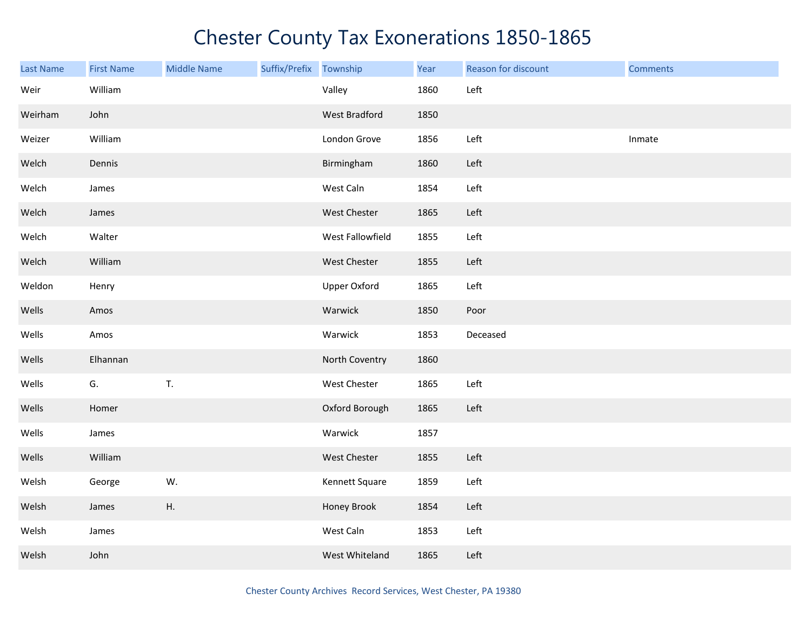| <b>Last Name</b> | <b>First Name</b> | <b>Middle Name</b> | Suffix/Prefix Township |                     | Year | Reason for discount | <b>Comments</b> |
|------------------|-------------------|--------------------|------------------------|---------------------|------|---------------------|-----------------|
| Weir             | William           |                    |                        | Valley              | 1860 | Left                |                 |
| Weirham          | John              |                    |                        | West Bradford       | 1850 |                     |                 |
| Weizer           | William           |                    |                        | London Grove        | 1856 | Left                | Inmate          |
| Welch            | Dennis            |                    |                        | Birmingham          | 1860 | Left                |                 |
| Welch            | James             |                    |                        | West Caln           | 1854 | Left                |                 |
| Welch            | James             |                    |                        | West Chester        | 1865 | Left                |                 |
| Welch            | Walter            |                    |                        | West Fallowfield    | 1855 | Left                |                 |
| Welch            | William           |                    |                        | West Chester        | 1855 | Left                |                 |
| Weldon           | Henry             |                    |                        | <b>Upper Oxford</b> | 1865 | Left                |                 |
| Wells            | Amos              |                    |                        | Warwick             | 1850 | Poor                |                 |
| Wells            | Amos              |                    |                        | Warwick             | 1853 | Deceased            |                 |
| Wells            | Elhannan          |                    |                        | North Coventry      | 1860 |                     |                 |
| Wells            | G.                | T.                 |                        | West Chester        | 1865 | Left                |                 |
| Wells            | Homer             |                    |                        | Oxford Borough      | 1865 | Left                |                 |
| Wells            | James             |                    |                        | Warwick             | 1857 |                     |                 |
| Wells            | William           |                    |                        | West Chester        | 1855 | Left                |                 |
| Welsh            | George            | W.                 |                        | Kennett Square      | 1859 | Left                |                 |
| Welsh            | James             | Η.                 |                        | Honey Brook         | 1854 | Left                |                 |
| Welsh            | James             |                    |                        | West Caln           | 1853 | Left                |                 |
| Welsh            | John              |                    |                        | West Whiteland      | 1865 | Left                |                 |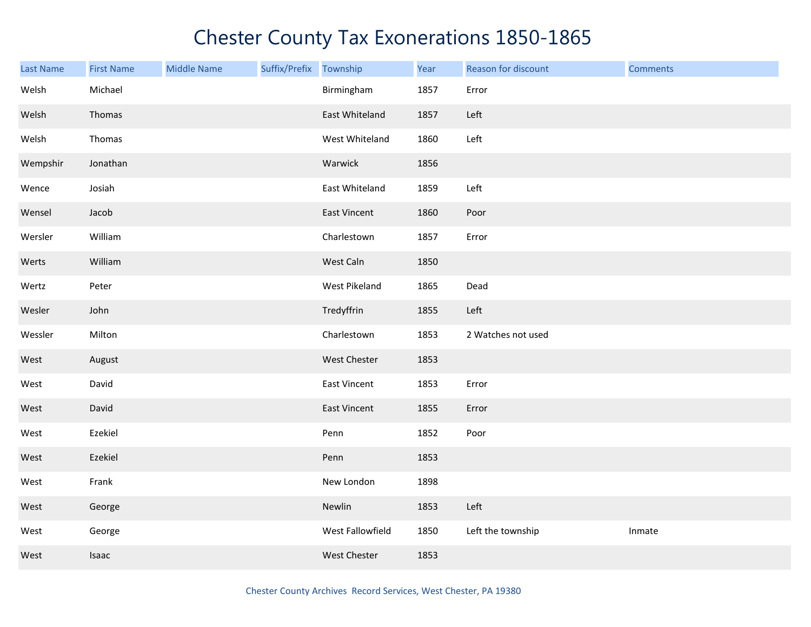| <b>Last Name</b> | <b>First Name</b> | <b>Middle Name</b> | Suffix/Prefix Township |                  | Year | Reason for discount | <b>Comments</b> |
|------------------|-------------------|--------------------|------------------------|------------------|------|---------------------|-----------------|
| Welsh            | Michael           |                    |                        | Birmingham       | 1857 | Error               |                 |
| Welsh            | Thomas            |                    |                        | East Whiteland   | 1857 | Left                |                 |
| Welsh            | Thomas            |                    |                        | West Whiteland   | 1860 | Left                |                 |
| Wempshir         | Jonathan          |                    |                        | Warwick          | 1856 |                     |                 |
| Wence            | Josiah            |                    |                        | East Whiteland   | 1859 | Left                |                 |
| Wensel           | Jacob             |                    |                        | East Vincent     | 1860 | Poor                |                 |
| Wersler          | William           |                    |                        | Charlestown      | 1857 | Error               |                 |
| Werts            | William           |                    |                        | West Caln        | 1850 |                     |                 |
| Wertz            | Peter             |                    |                        | West Pikeland    | 1865 | Dead                |                 |
| Wesler           | John              |                    |                        | Tredyffrin       | 1855 | Left                |                 |
| Wessler          | Milton            |                    |                        | Charlestown      | 1853 | 2 Watches not used  |                 |
| West             | August            |                    |                        | West Chester     | 1853 |                     |                 |
| West             | David             |                    |                        | East Vincent     | 1853 | Error               |                 |
| West             | David             |                    |                        | East Vincent     | 1855 | Error               |                 |
| West             | Ezekiel           |                    |                        | Penn             | 1852 | Poor                |                 |
| West             | Ezekiel           |                    |                        | Penn             | 1853 |                     |                 |
| West             | Frank             |                    |                        | New London       | 1898 |                     |                 |
| West             | George            |                    |                        | Newlin           | 1853 | Left                |                 |
| West             | George            |                    |                        | West Fallowfield | 1850 | Left the township   | Inmate          |
| West             | Isaac             |                    |                        | West Chester     | 1853 |                     |                 |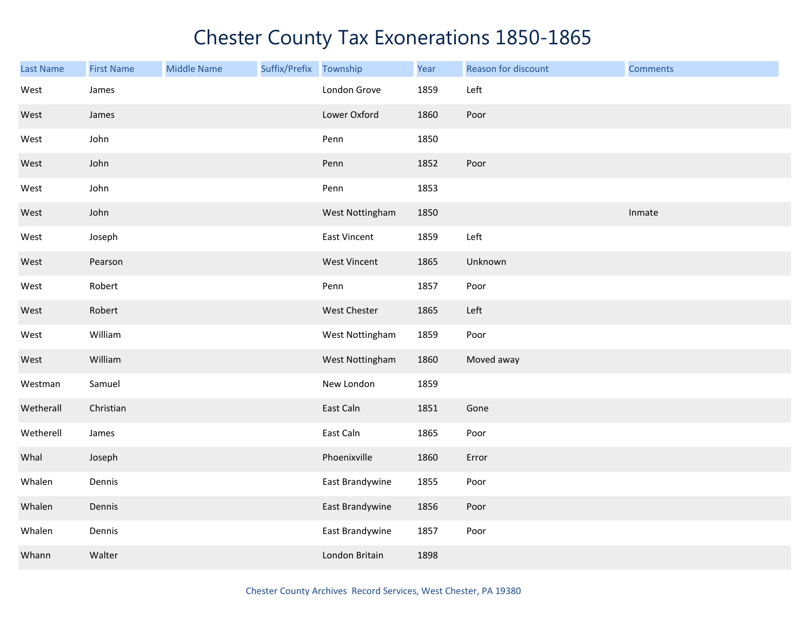| <b>Last Name</b> | <b>First Name</b> | <b>Middle Name</b> | Suffix/Prefix | Township            | Year | Reason for discount | <b>Comments</b> |
|------------------|-------------------|--------------------|---------------|---------------------|------|---------------------|-----------------|
| West             | James             |                    |               | London Grove        | 1859 | Left                |                 |
| West             | James             |                    |               | Lower Oxford        | 1860 | Poor                |                 |
| West             | John              |                    |               | Penn                | 1850 |                     |                 |
| West             | John              |                    |               | Penn                | 1852 | Poor                |                 |
| West             | John              |                    |               | Penn                | 1853 |                     |                 |
| West             | John              |                    |               | West Nottingham     | 1850 |                     | Inmate          |
| West             | Joseph            |                    |               | East Vincent        | 1859 | Left                |                 |
| West             | Pearson           |                    |               | <b>West Vincent</b> | 1865 | Unknown             |                 |
| West             | Robert            |                    |               | Penn                | 1857 | Poor                |                 |
| West             | Robert            |                    |               | West Chester        | 1865 | Left                |                 |
| West             | William           |                    |               | West Nottingham     | 1859 | Poor                |                 |
| West             | William           |                    |               | West Nottingham     | 1860 | Moved away          |                 |
| Westman          | Samuel            |                    |               | New London          | 1859 |                     |                 |
| Wetherall        | Christian         |                    |               | East Caln           | 1851 | Gone                |                 |
| Wetherell        | James             |                    |               | East Caln           | 1865 | Poor                |                 |
| Whal             | Joseph            |                    |               | Phoenixville        | 1860 | Error               |                 |
| Whalen           | Dennis            |                    |               | East Brandywine     | 1855 | Poor                |                 |
| Whalen           | Dennis            |                    |               | East Brandywine     | 1856 | Poor                |                 |
| Whalen           | Dennis            |                    |               | East Brandywine     | 1857 | Poor                |                 |
| Whann            | Walter            |                    |               | London Britain      | 1898 |                     |                 |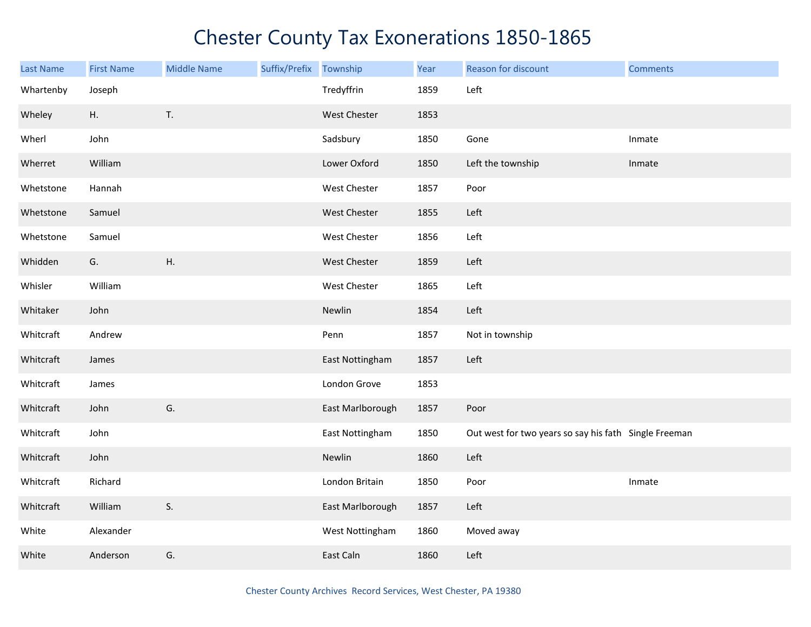| Last Name | <b>First Name</b> | <b>Middle Name</b> | Suffix/Prefix Township |                  | Year | Reason for discount                                   | <b>Comments</b> |
|-----------|-------------------|--------------------|------------------------|------------------|------|-------------------------------------------------------|-----------------|
| Whartenby | Joseph            |                    |                        | Tredyffrin       | 1859 | Left                                                  |                 |
| Wheley    | Η.                | $\mathsf T.$       |                        | West Chester     | 1853 |                                                       |                 |
| Wherl     | John              |                    |                        | Sadsbury         | 1850 | Gone                                                  | Inmate          |
| Wherret   | William           |                    |                        | Lower Oxford     | 1850 | Left the township                                     | Inmate          |
| Whetstone | Hannah            |                    |                        | West Chester     | 1857 | Poor                                                  |                 |
| Whetstone | Samuel            |                    |                        | West Chester     | 1855 | Left                                                  |                 |
| Whetstone | Samuel            |                    |                        | West Chester     | 1856 | Left                                                  |                 |
| Whidden   | G.                | Η.                 |                        | West Chester     | 1859 | Left                                                  |                 |
| Whisler   | William           |                    |                        | West Chester     | 1865 | Left                                                  |                 |
| Whitaker  | John              |                    |                        | Newlin           | 1854 | Left                                                  |                 |
| Whitcraft | Andrew            |                    |                        | Penn             | 1857 | Not in township                                       |                 |
| Whitcraft | James             |                    |                        | East Nottingham  | 1857 | Left                                                  |                 |
| Whitcraft | James             |                    |                        | London Grove     | 1853 |                                                       |                 |
| Whitcraft | John              | G.                 |                        | East Marlborough | 1857 | Poor                                                  |                 |
| Whitcraft | John              |                    |                        | East Nottingham  | 1850 | Out west for two years so say his fath Single Freeman |                 |
| Whitcraft | John              |                    |                        | Newlin           | 1860 | Left                                                  |                 |
| Whitcraft | Richard           |                    |                        | London Britain   | 1850 | Poor                                                  | Inmate          |
| Whitcraft | William           | S.                 |                        | East Marlborough | 1857 | Left                                                  |                 |
| White     | Alexander         |                    |                        | West Nottingham  | 1860 | Moved away                                            |                 |
| White     | Anderson          | G.                 |                        | East Caln        | 1860 | Left                                                  |                 |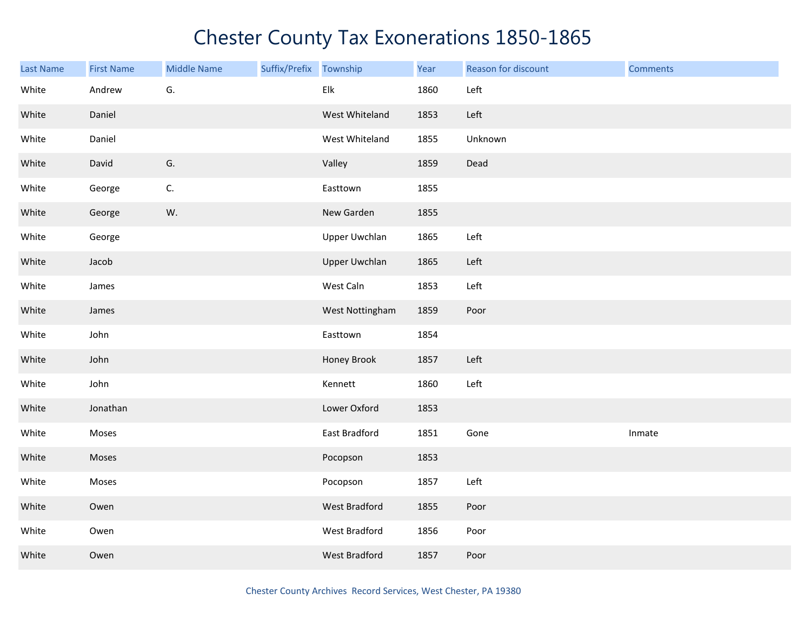| <b>Last Name</b> | <b>First Name</b> | <b>Middle Name</b> | Suffix/Prefix Township |                      | Year | Reason for discount | <b>Comments</b> |
|------------------|-------------------|--------------------|------------------------|----------------------|------|---------------------|-----------------|
| White            | Andrew            | G.                 |                        | Elk                  | 1860 | Left                |                 |
| White            | Daniel            |                    |                        | West Whiteland       | 1853 | Left                |                 |
| White            | Daniel            |                    |                        | West Whiteland       | 1855 | Unknown             |                 |
| White            | David             | G.                 |                        | Valley               | 1859 | Dead                |                 |
| White            | George            | C.                 |                        | Easttown             | 1855 |                     |                 |
| White            | George            | W.                 |                        | New Garden           | 1855 |                     |                 |
| White            | George            |                    |                        | <b>Upper Uwchlan</b> | 1865 | Left                |                 |
| White            | Jacob             |                    |                        | <b>Upper Uwchlan</b> | 1865 | Left                |                 |
| White            | James             |                    |                        | West Caln            | 1853 | Left                |                 |
| White            | James             |                    |                        | West Nottingham      | 1859 | Poor                |                 |
| White            | John              |                    |                        | Easttown             | 1854 |                     |                 |
| White            | John              |                    |                        | Honey Brook          | 1857 | Left                |                 |
| White            | John              |                    |                        | Kennett              | 1860 | Left                |                 |
| White            | Jonathan          |                    |                        | Lower Oxford         | 1853 |                     |                 |
| White            | Moses             |                    |                        | East Bradford        | 1851 | Gone                | Inmate          |
| White            | Moses             |                    |                        | Pocopson             | 1853 |                     |                 |
| White            | Moses             |                    |                        | Pocopson             | 1857 | Left                |                 |
| White            | Owen              |                    |                        | West Bradford        | 1855 | Poor                |                 |
| White            | Owen              |                    |                        | West Bradford        | 1856 | Poor                |                 |
| White            | Owen              |                    |                        | <b>West Bradford</b> | 1857 | Poor                |                 |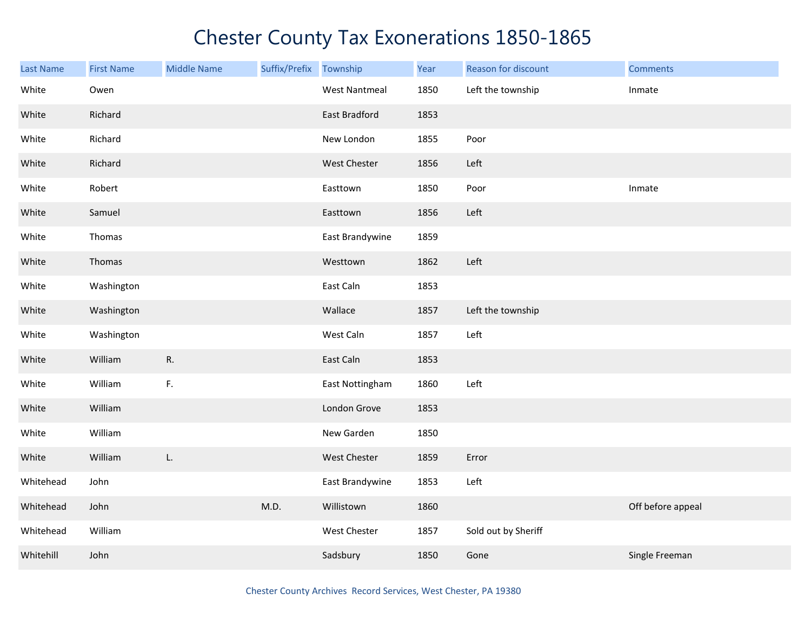| Last Name | <b>First Name</b> | <b>Middle Name</b> | Suffix/Prefix | Township             | Year | Reason for discount | <b>Comments</b>   |
|-----------|-------------------|--------------------|---------------|----------------------|------|---------------------|-------------------|
| White     | Owen              |                    |               | <b>West Nantmeal</b> | 1850 | Left the township   | Inmate            |
| White     | Richard           |                    |               | East Bradford        | 1853 |                     |                   |
| White     | Richard           |                    |               | New London           | 1855 | Poor                |                   |
| White     | Richard           |                    |               | <b>West Chester</b>  | 1856 | Left                |                   |
| White     | Robert            |                    |               | Easttown             | 1850 | Poor                | Inmate            |
| White     | Samuel            |                    |               | Easttown             | 1856 | Left                |                   |
| White     | Thomas            |                    |               | East Brandywine      | 1859 |                     |                   |
| White     | Thomas            |                    |               | Westtown             | 1862 | Left                |                   |
| White     | Washington        |                    |               | East Caln            | 1853 |                     |                   |
| White     | Washington        |                    |               | Wallace              | 1857 | Left the township   |                   |
| White     | Washington        |                    |               | West Caln            | 1857 | Left                |                   |
| White     | William           | R.                 |               | East Caln            | 1853 |                     |                   |
| White     | William           | F.                 |               | East Nottingham      | 1860 | Left                |                   |
| White     | William           |                    |               | London Grove         | 1853 |                     |                   |
| White     | William           |                    |               | New Garden           | 1850 |                     |                   |
| White     | William           | L.                 |               | West Chester         | 1859 | Error               |                   |
| Whitehead | John              |                    |               | East Brandywine      | 1853 | Left                |                   |
| Whitehead | John              |                    | M.D.          | Willistown           | 1860 |                     | Off before appeal |
| Whitehead | William           |                    |               | West Chester         | 1857 | Sold out by Sheriff |                   |
| Whitehill | John              |                    |               | Sadsbury             | 1850 | Gone                | Single Freeman    |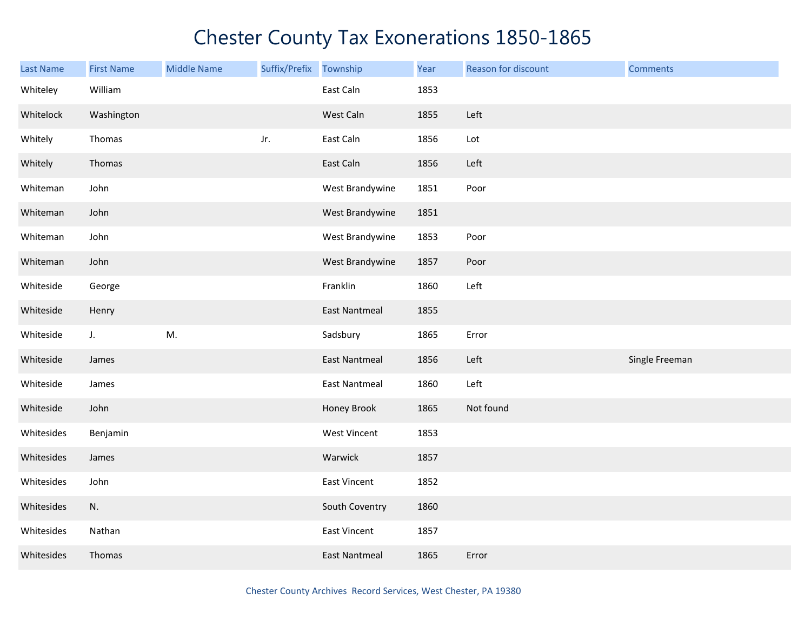| <b>Last Name</b> | <b>First Name</b> | <b>Middle Name</b> | Suffix/Prefix Township |                      | Year | Reason for discount | <b>Comments</b> |
|------------------|-------------------|--------------------|------------------------|----------------------|------|---------------------|-----------------|
| Whiteley         | William           |                    |                        | East Caln            | 1853 |                     |                 |
| Whitelock        | Washington        |                    |                        | West Caln            | 1855 | Left                |                 |
| Whitely          | Thomas            |                    | Jr.                    | East Caln            | 1856 | Lot                 |                 |
| Whitely          | Thomas            |                    |                        | East Caln            | 1856 | Left                |                 |
| Whiteman         | John              |                    |                        | West Brandywine      | 1851 | Poor                |                 |
| Whiteman         | John              |                    |                        | West Brandywine      | 1851 |                     |                 |
| Whiteman         | John              |                    |                        | West Brandywine      | 1853 | Poor                |                 |
| Whiteman         | John              |                    |                        | West Brandywine      | 1857 | Poor                |                 |
| Whiteside        | George            |                    |                        | Franklin             | 1860 | Left                |                 |
| Whiteside        | Henry             |                    |                        | <b>East Nantmeal</b> | 1855 |                     |                 |
| Whiteside        | $J_{\star}$       | M.                 |                        | Sadsbury             | 1865 | Error               |                 |
| Whiteside        | James             |                    |                        | <b>East Nantmeal</b> | 1856 | Left                | Single Freeman  |
| Whiteside        | James             |                    |                        | <b>East Nantmeal</b> | 1860 | Left                |                 |
| Whiteside        | John              |                    |                        | Honey Brook          | 1865 | Not found           |                 |
| Whitesides       | Benjamin          |                    |                        | West Vincent         | 1853 |                     |                 |
| Whitesides       | James             |                    |                        | Warwick              | 1857 |                     |                 |
| Whitesides       | John              |                    |                        | <b>East Vincent</b>  | 1852 |                     |                 |
| Whitesides       | N.                |                    |                        | South Coventry       | 1860 |                     |                 |
| Whitesides       | Nathan            |                    |                        | <b>East Vincent</b>  | 1857 |                     |                 |
| Whitesides       | Thomas            |                    |                        | <b>East Nantmeal</b> | 1865 | Error               |                 |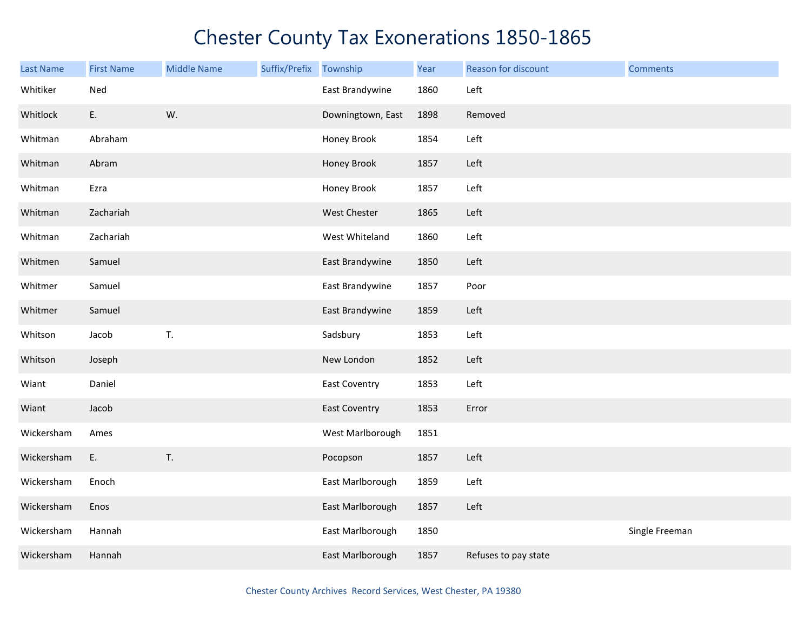| <b>Last Name</b> | <b>First Name</b> | <b>Middle Name</b> | Suffix/Prefix | Township             | Year | <b>Reason for discount</b> | <b>Comments</b> |
|------------------|-------------------|--------------------|---------------|----------------------|------|----------------------------|-----------------|
| Whitiker         | Ned               |                    |               | East Brandywine      | 1860 | Left                       |                 |
| Whitlock         | E.                | W.                 |               | Downingtown, East    | 1898 | Removed                    |                 |
| Whitman          | Abraham           |                    |               | Honey Brook          | 1854 | Left                       |                 |
| Whitman          | Abram             |                    |               | Honey Brook          | 1857 | Left                       |                 |
| Whitman          | Ezra              |                    |               | Honey Brook          | 1857 | Left                       |                 |
| Whitman          | Zachariah         |                    |               | West Chester         | 1865 | Left                       |                 |
| Whitman          | Zachariah         |                    |               | West Whiteland       | 1860 | Left                       |                 |
| Whitmen          | Samuel            |                    |               | East Brandywine      | 1850 | Left                       |                 |
| Whitmer          | Samuel            |                    |               | East Brandywine      | 1857 | Poor                       |                 |
| Whitmer          | Samuel            |                    |               | East Brandywine      | 1859 | Left                       |                 |
| Whitson          | Jacob             | T.                 |               | Sadsbury             | 1853 | Left                       |                 |
| Whitson          | Joseph            |                    |               | New London           | 1852 | Left                       |                 |
| Wiant            | Daniel            |                    |               | <b>East Coventry</b> | 1853 | Left                       |                 |
| Wiant            | Jacob             |                    |               | <b>East Coventry</b> | 1853 | Error                      |                 |
| Wickersham       | Ames              |                    |               | West Marlborough     | 1851 |                            |                 |
| Wickersham       | E.                | $\mathsf T.$       |               | Pocopson             | 1857 | Left                       |                 |
| Wickersham       | Enoch             |                    |               | East Marlborough     | 1859 | Left                       |                 |
| Wickersham       | Enos              |                    |               | East Marlborough     | 1857 | Left                       |                 |
| Wickersham       | Hannah            |                    |               | East Marlborough     | 1850 |                            | Single Freeman  |
| Wickersham       | Hannah            |                    |               | East Marlborough     | 1857 | Refuses to pay state       |                 |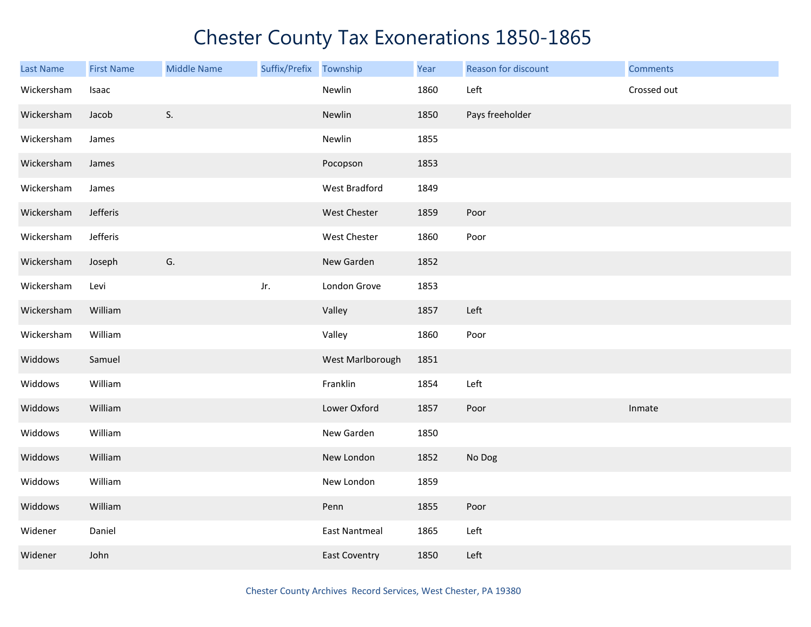| <b>Last Name</b> | <b>First Name</b> | <b>Middle Name</b> | Suffix/Prefix Township |                      | Year | Reason for discount | <b>Comments</b> |
|------------------|-------------------|--------------------|------------------------|----------------------|------|---------------------|-----------------|
| Wickersham       | Isaac             |                    |                        | Newlin               | 1860 | Left                | Crossed out     |
| Wickersham       | Jacob             | S.                 |                        | Newlin               | 1850 | Pays freeholder     |                 |
| Wickersham       | James             |                    |                        | Newlin               | 1855 |                     |                 |
| Wickersham       | James             |                    |                        | Pocopson             | 1853 |                     |                 |
| Wickersham       | James             |                    |                        | West Bradford        | 1849 |                     |                 |
| Wickersham       | Jefferis          |                    |                        | West Chester         | 1859 | Poor                |                 |
| Wickersham       | Jefferis          |                    |                        | West Chester         | 1860 | Poor                |                 |
| Wickersham       | Joseph            | ${\mathsf G}.$     |                        | New Garden           | 1852 |                     |                 |
| Wickersham       | Levi              |                    | Jr.                    | London Grove         | 1853 |                     |                 |
| Wickersham       | William           |                    |                        | Valley               | 1857 | Left                |                 |
| Wickersham       | William           |                    |                        | Valley               | 1860 | Poor                |                 |
| Widdows          | Samuel            |                    |                        | West Marlborough     | 1851 |                     |                 |
| Widdows          | William           |                    |                        | Franklin             | 1854 | Left                |                 |
| Widdows          | William           |                    |                        | Lower Oxford         | 1857 | Poor                | Inmate          |
| Widdows          | William           |                    |                        | New Garden           | 1850 |                     |                 |
| Widdows          | William           |                    |                        | New London           | 1852 | No Dog              |                 |
| Widdows          | William           |                    |                        | New London           | 1859 |                     |                 |
| Widdows          | William           |                    |                        | Penn                 | 1855 | Poor                |                 |
| Widener          | Daniel            |                    |                        | <b>East Nantmeal</b> | 1865 | Left                |                 |
| Widener          | John              |                    |                        | <b>East Coventry</b> | 1850 | Left                |                 |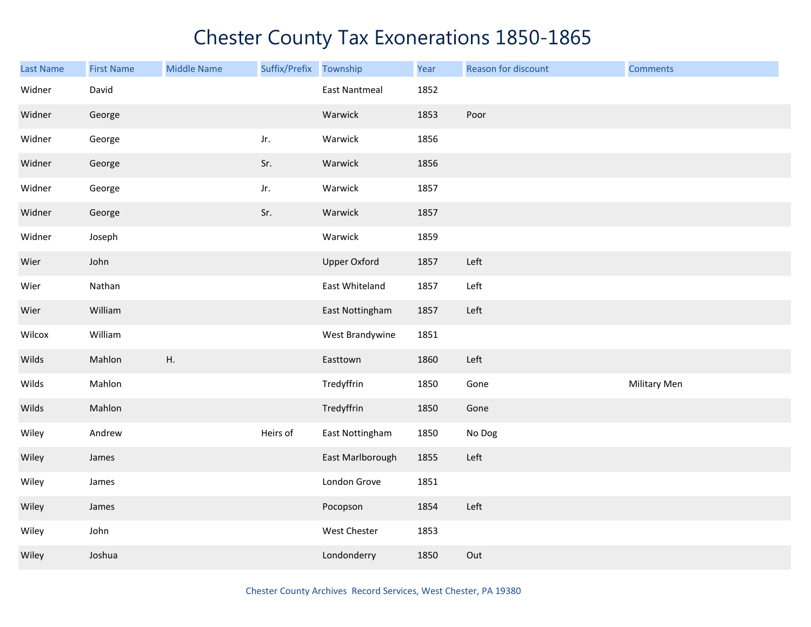| <b>Last Name</b> | <b>First Name</b> | <b>Middle Name</b> | Suffix/Prefix | Township             | Year | Reason for discount | <b>Comments</b> |
|------------------|-------------------|--------------------|---------------|----------------------|------|---------------------|-----------------|
| Widner           | David             |                    |               | <b>East Nantmeal</b> | 1852 |                     |                 |
| Widner           | George            |                    |               | Warwick              | 1853 | Poor                |                 |
| Widner           | George            |                    | Jr.           | Warwick              | 1856 |                     |                 |
| Widner           | George            |                    | Sr.           | Warwick              | 1856 |                     |                 |
| Widner           | George            |                    | Jr.           | Warwick              | 1857 |                     |                 |
| Widner           | George            |                    | Sr.           | Warwick              | 1857 |                     |                 |
| Widner           | Joseph            |                    |               | Warwick              | 1859 |                     |                 |
| Wier             | John              |                    |               | <b>Upper Oxford</b>  | 1857 | Left                |                 |
| Wier             | Nathan            |                    |               | East Whiteland       | 1857 | Left                |                 |
| Wier             | William           |                    |               | East Nottingham      | 1857 | Left                |                 |
| Wilcox           | William           |                    |               | West Brandywine      | 1851 |                     |                 |
| Wilds            | Mahlon            | ${\sf H}.$         |               | Easttown             | 1860 | Left                |                 |
| Wilds            | Mahlon            |                    |               | Tredyffrin           | 1850 | Gone                | Military Men    |
| Wilds            | Mahlon            |                    |               | Tredyffrin           | 1850 | Gone                |                 |
| Wiley            | Andrew            |                    | Heirs of      | East Nottingham      | 1850 | No Dog              |                 |
| Wiley            | James             |                    |               | East Marlborough     | 1855 | Left                |                 |
| Wiley            | James             |                    |               | London Grove         | 1851 |                     |                 |
| Wiley            | James             |                    |               | Pocopson             | 1854 | Left                |                 |
| Wiley            | John              |                    |               | West Chester         | 1853 |                     |                 |
| Wiley            | Joshua            |                    |               | Londonderry          | 1850 | Out                 |                 |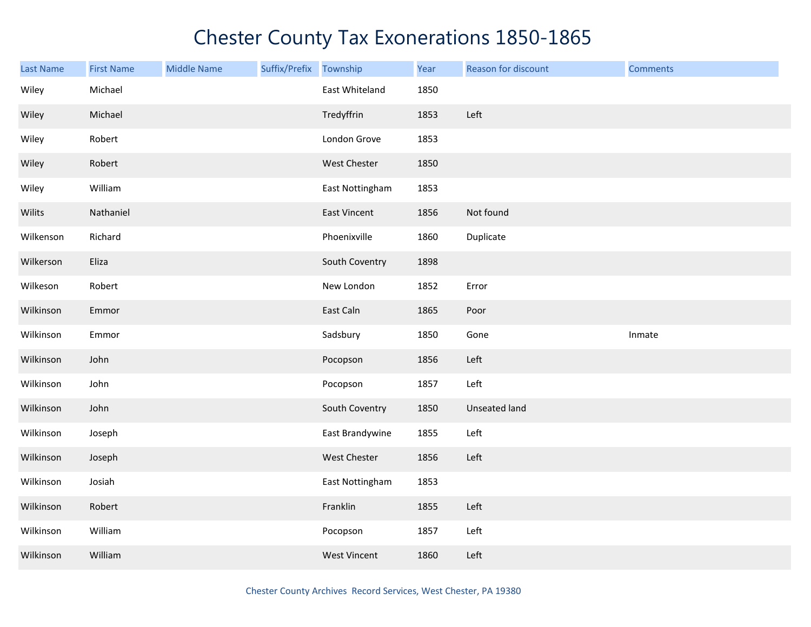| <b>Last Name</b> | <b>First Name</b> | <b>Middle Name</b> | Suffix/Prefix | Township            | Year | Reason for discount | <b>Comments</b> |
|------------------|-------------------|--------------------|---------------|---------------------|------|---------------------|-----------------|
| Wiley            | Michael           |                    |               | East Whiteland      | 1850 |                     |                 |
| Wiley            | Michael           |                    |               | Tredyffrin          | 1853 | Left                |                 |
| Wiley            | Robert            |                    |               | London Grove        | 1853 |                     |                 |
| Wiley            | Robert            |                    |               | West Chester        | 1850 |                     |                 |
| Wiley            | William           |                    |               | East Nottingham     | 1853 |                     |                 |
| Wilits           | Nathaniel         |                    |               | <b>East Vincent</b> | 1856 | Not found           |                 |
| Wilkenson        | Richard           |                    |               | Phoenixville        | 1860 | Duplicate           |                 |
| Wilkerson        | Eliza             |                    |               | South Coventry      | 1898 |                     |                 |
| Wilkeson         | Robert            |                    |               | New London          | 1852 | Error               |                 |
| Wilkinson        | Emmor             |                    |               | East Caln           | 1865 | Poor                |                 |
| Wilkinson        | Emmor             |                    |               | Sadsbury            | 1850 | Gone                | Inmate          |
| Wilkinson        | John              |                    |               | Pocopson            | 1856 | Left                |                 |
| Wilkinson        | John              |                    |               | Pocopson            | 1857 | Left                |                 |
| Wilkinson        | John              |                    |               | South Coventry      | 1850 | Unseated land       |                 |
| Wilkinson        | Joseph            |                    |               | East Brandywine     | 1855 | Left                |                 |
| Wilkinson        | Joseph            |                    |               | West Chester        | 1856 | Left                |                 |
| Wilkinson        | Josiah            |                    |               | East Nottingham     | 1853 |                     |                 |
| Wilkinson        | Robert            |                    |               | Franklin            | 1855 | Left                |                 |
| Wilkinson        | William           |                    |               | Pocopson            | 1857 | Left                |                 |
| Wilkinson        | William           |                    |               | <b>West Vincent</b> | 1860 | Left                |                 |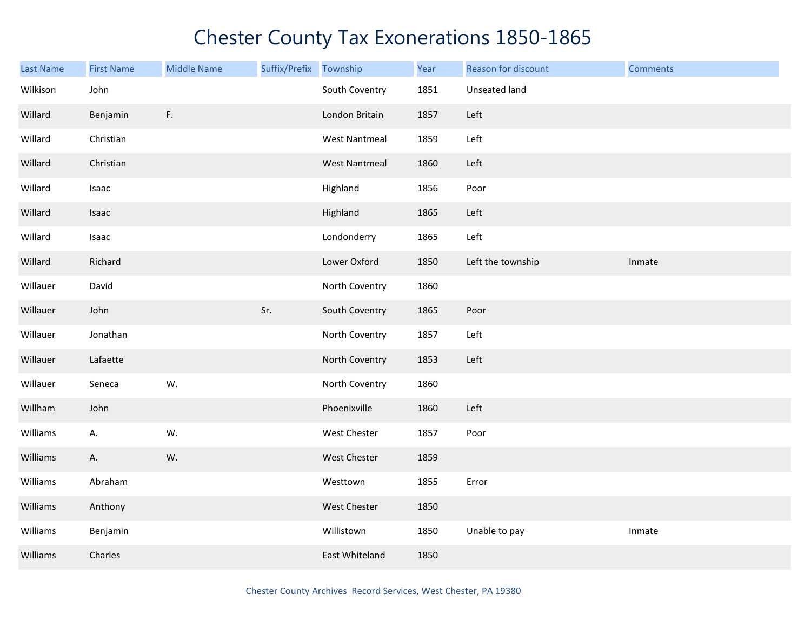| <b>Last Name</b> | <b>First Name</b> | <b>Middle Name</b> | Suffix/Prefix | Township             | Year | Reason for discount | <b>Comments</b> |
|------------------|-------------------|--------------------|---------------|----------------------|------|---------------------|-----------------|
| Wilkison         | John              |                    |               | South Coventry       | 1851 | Unseated land       |                 |
| Willard          | Benjamin          | F <sub>r</sub>     |               | London Britain       | 1857 | Left                |                 |
| Willard          | Christian         |                    |               | <b>West Nantmeal</b> | 1859 | Left                |                 |
| Willard          | Christian         |                    |               | <b>West Nantmeal</b> | 1860 | Left                |                 |
| Willard          | Isaac             |                    |               | Highland             | 1856 | Poor                |                 |
| Willard          | Isaac             |                    |               | Highland             | 1865 | Left                |                 |
| Willard          | Isaac             |                    |               | Londonderry          | 1865 | Left                |                 |
| Willard          | Richard           |                    |               | Lower Oxford         | 1850 | Left the township   | Inmate          |
| Willauer         | David             |                    |               | North Coventry       | 1860 |                     |                 |
| Willauer         | John              |                    | Sr.           | South Coventry       | 1865 | Poor                |                 |
| Willauer         | Jonathan          |                    |               | North Coventry       | 1857 | Left                |                 |
| Willauer         | Lafaette          |                    |               | North Coventry       | 1853 | Left                |                 |
| Willauer         | Seneca            | W.                 |               | North Coventry       | 1860 |                     |                 |
| Willham          | John              |                    |               | Phoenixville         | 1860 | Left                |                 |
| Williams         | А.                | W.                 |               | West Chester         | 1857 | Poor                |                 |
| Williams         | А.                | W.                 |               | West Chester         | 1859 |                     |                 |
| Williams         | Abraham           |                    |               | Westtown             | 1855 | Error               |                 |
| Williams         | Anthony           |                    |               | West Chester         | 1850 |                     |                 |
| Williams         | Benjamin          |                    |               | Willistown           | 1850 | Unable to pay       | Inmate          |
| Williams         | Charles           |                    |               | East Whiteland       | 1850 |                     |                 |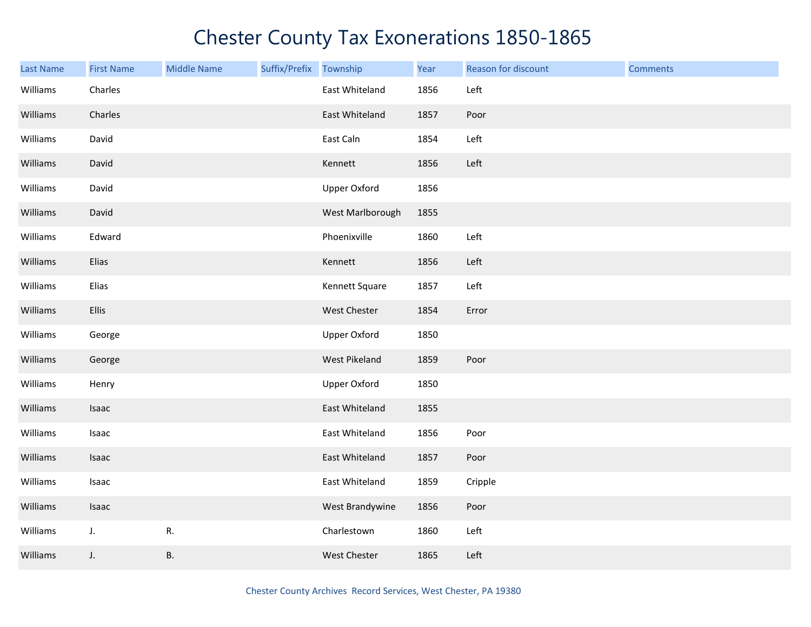| <b>Last Name</b> | <b>First Name</b> | <b>Middle Name</b> | Suffix/Prefix Township |                     | Year | Reason for discount | <b>Comments</b> |
|------------------|-------------------|--------------------|------------------------|---------------------|------|---------------------|-----------------|
| Williams         | Charles           |                    |                        | East Whiteland      | 1856 | Left                |                 |
| Williams         | Charles           |                    |                        | East Whiteland      | 1857 | Poor                |                 |
| Williams         | David             |                    |                        | East Caln           | 1854 | Left                |                 |
| Williams         | David             |                    |                        | Kennett             | 1856 | Left                |                 |
| Williams         | David             |                    |                        | <b>Upper Oxford</b> | 1856 |                     |                 |
| Williams         | David             |                    |                        | West Marlborough    | 1855 |                     |                 |
| Williams         | Edward            |                    |                        | Phoenixville        | 1860 | Left                |                 |
| Williams         | Elias             |                    |                        | Kennett             | 1856 | Left                |                 |
| Williams         | Elias             |                    |                        | Kennett Square      | 1857 | Left                |                 |
| Williams         | Ellis             |                    |                        | West Chester        | 1854 | Error               |                 |
| Williams         | George            |                    |                        | <b>Upper Oxford</b> | 1850 |                     |                 |
| Williams         | George            |                    |                        | West Pikeland       | 1859 | Poor                |                 |
| Williams         | Henry             |                    |                        | <b>Upper Oxford</b> | 1850 |                     |                 |
| Williams         | Isaac             |                    |                        | East Whiteland      | 1855 |                     |                 |
| Williams         | Isaac             |                    |                        | East Whiteland      | 1856 | Poor                |                 |
| Williams         | Isaac             |                    |                        | East Whiteland      | 1857 | Poor                |                 |
| Williams         | Isaac             |                    |                        | East Whiteland      | 1859 | Cripple             |                 |
| Williams         | Isaac             |                    |                        | West Brandywine     | 1856 | Poor                |                 |
| Williams         | J.                | R.                 |                        | Charlestown         | 1860 | Left                |                 |
| Williams         | J.                | <b>B.</b>          |                        | West Chester        | 1865 | Left                |                 |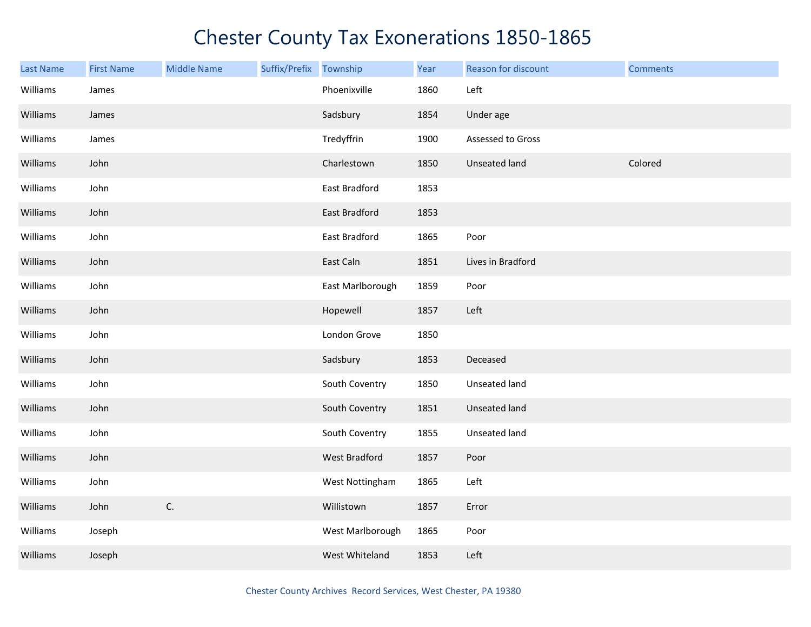| Last Name | <b>First Name</b> | <b>Middle Name</b> | Suffix/Prefix Township |                  | Year | Reason for discount  | <b>Comments</b> |
|-----------|-------------------|--------------------|------------------------|------------------|------|----------------------|-----------------|
| Williams  | James             |                    |                        | Phoenixville     | 1860 | Left                 |                 |
| Williams  | James             |                    |                        | Sadsbury         | 1854 | Under age            |                 |
| Williams  | James             |                    |                        | Tredyffrin       | 1900 | Assessed to Gross    |                 |
| Williams  | John              |                    |                        | Charlestown      | 1850 | Unseated land        | Colored         |
| Williams  | John              |                    |                        | East Bradford    | 1853 |                      |                 |
| Williams  | John              |                    |                        | East Bradford    | 1853 |                      |                 |
| Williams  | John              |                    |                        | East Bradford    | 1865 | Poor                 |                 |
| Williams  | John              |                    |                        | East Caln        | 1851 | Lives in Bradford    |                 |
| Williams  | John              |                    |                        | East Marlborough | 1859 | Poor                 |                 |
| Williams  | John              |                    |                        | Hopewell         | 1857 | Left                 |                 |
| Williams  | John              |                    |                        | London Grove     | 1850 |                      |                 |
| Williams  | John              |                    |                        | Sadsbury         | 1853 | Deceased             |                 |
| Williams  | John              |                    |                        | South Coventry   | 1850 | Unseated land        |                 |
| Williams  | John              |                    |                        | South Coventry   | 1851 | <b>Unseated land</b> |                 |
| Williams  | John              |                    |                        | South Coventry   | 1855 | Unseated land        |                 |
| Williams  | John              |                    |                        | West Bradford    | 1857 | Poor                 |                 |
| Williams  | John              |                    |                        | West Nottingham  | 1865 | Left                 |                 |
| Williams  | John              | C.                 |                        | Willistown       | 1857 | Error                |                 |
| Williams  | Joseph            |                    |                        | West Marlborough | 1865 | Poor                 |                 |
| Williams  | Joseph            |                    |                        | West Whiteland   | 1853 | Left                 |                 |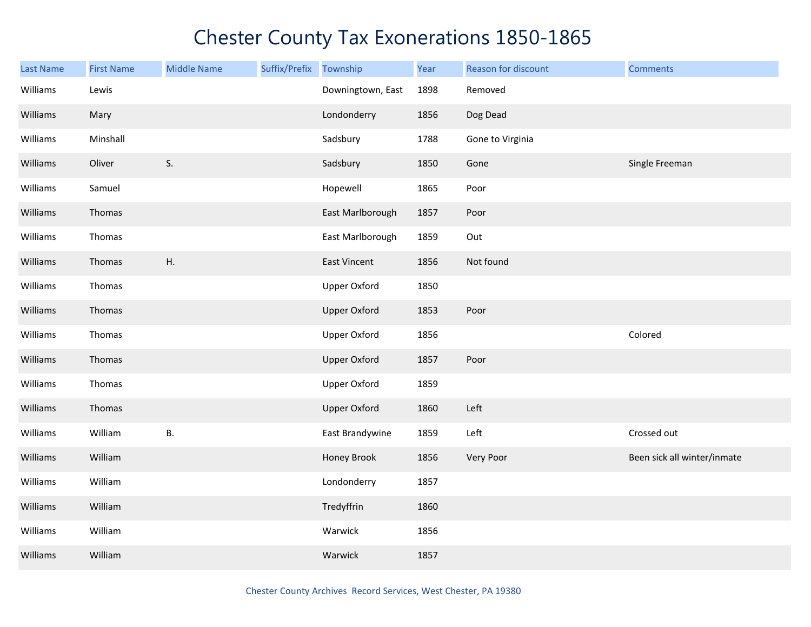| <b>Last Name</b> | <b>First Name</b> | <b>Middle Name</b> | Suffix/Prefix | Township            | Year | Reason for discount | <b>Comments</b>             |
|------------------|-------------------|--------------------|---------------|---------------------|------|---------------------|-----------------------------|
| Williams         | Lewis             |                    |               | Downingtown, East   | 1898 | Removed             |                             |
| Williams         | Mary              |                    |               | Londonderry         | 1856 | Dog Dead            |                             |
| Williams         | Minshall          |                    |               | Sadsbury            | 1788 | Gone to Virginia    |                             |
| Williams         | Oliver            | S.                 |               | Sadsbury            | 1850 | Gone                | Single Freeman              |
| Williams         | Samuel            |                    |               | Hopewell            | 1865 | Poor                |                             |
| Williams         | Thomas            |                    |               | East Marlborough    | 1857 | Poor                |                             |
| Williams         | Thomas            |                    |               | East Marlborough    | 1859 | Out                 |                             |
| Williams         | Thomas            | Η.                 |               | <b>East Vincent</b> | 1856 | Not found           |                             |
| Williams         | Thomas            |                    |               | <b>Upper Oxford</b> | 1850 |                     |                             |
| Williams         | Thomas            |                    |               | <b>Upper Oxford</b> | 1853 | Poor                |                             |
| Williams         | Thomas            |                    |               | <b>Upper Oxford</b> | 1856 |                     | Colored                     |
| Williams         | Thomas            |                    |               | <b>Upper Oxford</b> | 1857 | Poor                |                             |
| Williams         | Thomas            |                    |               | <b>Upper Oxford</b> | 1859 |                     |                             |
| Williams         | Thomas            |                    |               | <b>Upper Oxford</b> | 1860 | Left                |                             |
| Williams         | William           | В.                 |               | East Brandywine     | 1859 | Left                | Crossed out                 |
| Williams         | William           |                    |               | Honey Brook         | 1856 | Very Poor           | Been sick all winter/inmate |
| Williams         | William           |                    |               | Londonderry         | 1857 |                     |                             |
| Williams         | William           |                    |               | Tredyffrin          | 1860 |                     |                             |
| Williams         | William           |                    |               | Warwick             | 1856 |                     |                             |
| Williams         | William           |                    |               | Warwick             | 1857 |                     |                             |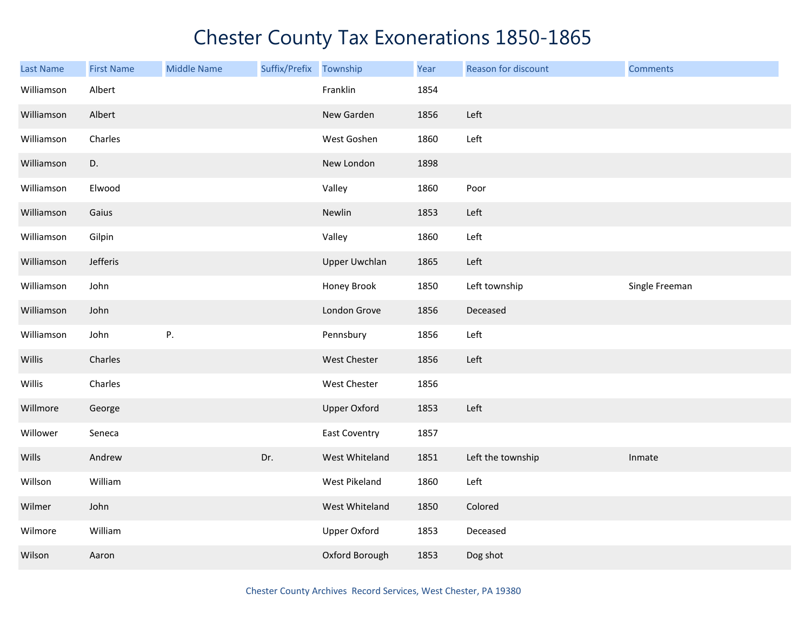| <b>Last Name</b> | <b>First Name</b> | <b>Middle Name</b> | Suffix/Prefix Township |                      | Year | Reason for discount | <b>Comments</b> |
|------------------|-------------------|--------------------|------------------------|----------------------|------|---------------------|-----------------|
| Williamson       | Albert            |                    |                        | Franklin             | 1854 |                     |                 |
| Williamson       | Albert            |                    |                        | New Garden           | 1856 | Left                |                 |
| Williamson       | Charles           |                    |                        | West Goshen          | 1860 | Left                |                 |
| Williamson       | D.                |                    |                        | New London           | 1898 |                     |                 |
| Williamson       | Elwood            |                    |                        | Valley               | 1860 | Poor                |                 |
| Williamson       | Gaius             |                    |                        | Newlin               | 1853 | Left                |                 |
| Williamson       | Gilpin            |                    |                        | Valley               | 1860 | Left                |                 |
| Williamson       | Jefferis          |                    |                        | <b>Upper Uwchlan</b> | 1865 | Left                |                 |
| Williamson       | John              |                    |                        | Honey Brook          | 1850 | Left township       | Single Freeman  |
| Williamson       | John              |                    |                        | London Grove         | 1856 | Deceased            |                 |
| Williamson       | John              | ${\sf P}.$         |                        | Pennsbury            | 1856 | Left                |                 |
| Willis           | Charles           |                    |                        | West Chester         | 1856 | Left                |                 |
| Willis           | Charles           |                    |                        | West Chester         | 1856 |                     |                 |
| Willmore         | George            |                    |                        | <b>Upper Oxford</b>  | 1853 | Left                |                 |
| Willower         | Seneca            |                    |                        | East Coventry        | 1857 |                     |                 |
| Wills            | Andrew            |                    | Dr.                    | West Whiteland       | 1851 | Left the township   | Inmate          |
| Willson          | William           |                    |                        | West Pikeland        | 1860 | Left                |                 |
| Wilmer           | John              |                    |                        | West Whiteland       | 1850 | Colored             |                 |
| Wilmore          | William           |                    |                        | <b>Upper Oxford</b>  | 1853 | Deceased            |                 |
| Wilson           | Aaron             |                    |                        | Oxford Borough       | 1853 | Dog shot            |                 |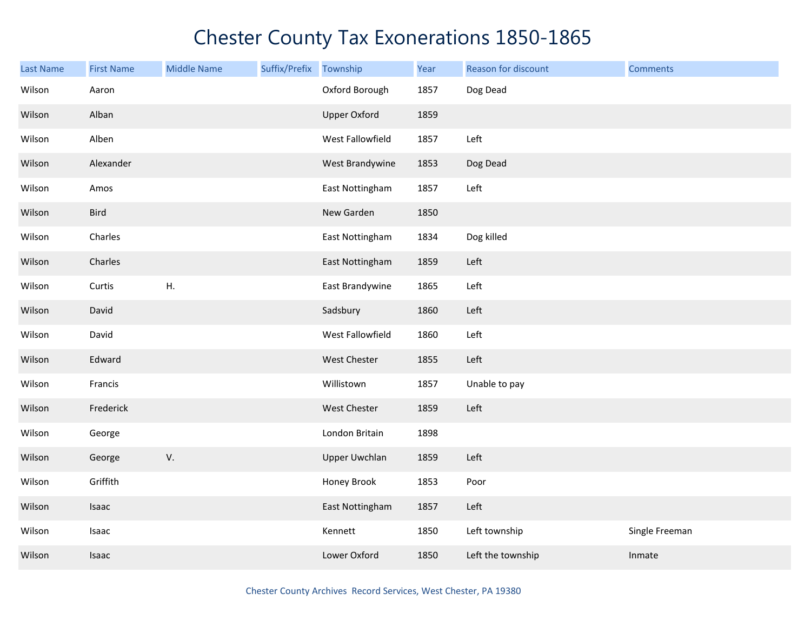| <b>Last Name</b> | <b>First Name</b> | <b>Middle Name</b> | Suffix/Prefix | Township             | Year | Reason for discount | <b>Comments</b> |
|------------------|-------------------|--------------------|---------------|----------------------|------|---------------------|-----------------|
| Wilson           | Aaron             |                    |               | Oxford Borough       | 1857 | Dog Dead            |                 |
| Wilson           | Alban             |                    |               | <b>Upper Oxford</b>  | 1859 |                     |                 |
| Wilson           | Alben             |                    |               | West Fallowfield     | 1857 | Left                |                 |
| Wilson           | Alexander         |                    |               | West Brandywine      | 1853 | Dog Dead            |                 |
| Wilson           | Amos              |                    |               | East Nottingham      | 1857 | Left                |                 |
| Wilson           | Bird              |                    |               | New Garden           | 1850 |                     |                 |
| Wilson           | Charles           |                    |               | East Nottingham      | 1834 | Dog killed          |                 |
| Wilson           | Charles           |                    |               | East Nottingham      | 1859 | Left                |                 |
| Wilson           | Curtis            | Η.                 |               | East Brandywine      | 1865 | Left                |                 |
| Wilson           | David             |                    |               | Sadsbury             | 1860 | Left                |                 |
| Wilson           | David             |                    |               | West Fallowfield     | 1860 | Left                |                 |
| Wilson           | Edward            |                    |               | West Chester         | 1855 | Left                |                 |
| Wilson           | Francis           |                    |               | Willistown           | 1857 | Unable to pay       |                 |
| Wilson           | Frederick         |                    |               | West Chester         | 1859 | Left                |                 |
| Wilson           | George            |                    |               | London Britain       | 1898 |                     |                 |
| Wilson           | George            | V.                 |               | <b>Upper Uwchlan</b> | 1859 | Left                |                 |
| Wilson           | Griffith          |                    |               | Honey Brook          | 1853 | Poor                |                 |
| Wilson           | Isaac             |                    |               | East Nottingham      | 1857 | Left                |                 |
| Wilson           | Isaac             |                    |               | Kennett              | 1850 | Left township       | Single Freeman  |
| Wilson           | Isaac             |                    |               | Lower Oxford         | 1850 | Left the township   | Inmate          |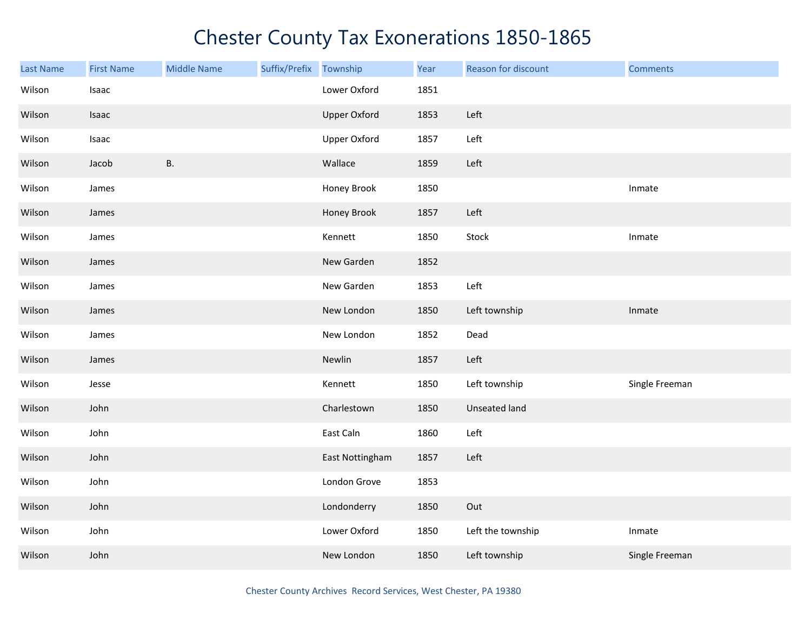| <b>Last Name</b> | <b>First Name</b> | <b>Middle Name</b> | Suffix/Prefix | Township            | Year | Reason for discount | <b>Comments</b> |
|------------------|-------------------|--------------------|---------------|---------------------|------|---------------------|-----------------|
| Wilson           | Isaac             |                    |               | Lower Oxford        | 1851 |                     |                 |
| Wilson           | Isaac             |                    |               | <b>Upper Oxford</b> | 1853 | Left                |                 |
| Wilson           | Isaac             |                    |               | <b>Upper Oxford</b> | 1857 | Left                |                 |
| Wilson           | Jacob             | <b>B.</b>          |               | Wallace             | 1859 | Left                |                 |
| Wilson           | James             |                    |               | Honey Brook         | 1850 |                     | Inmate          |
| Wilson           | James             |                    |               | Honey Brook         | 1857 | Left                |                 |
| Wilson           | James             |                    |               | Kennett             | 1850 | Stock               | Inmate          |
| Wilson           | James             |                    |               | New Garden          | 1852 |                     |                 |
| Wilson           | James             |                    |               | New Garden          | 1853 | Left                |                 |
| Wilson           | James             |                    |               | New London          | 1850 | Left township       | Inmate          |
| Wilson           | James             |                    |               | New London          | 1852 | Dead                |                 |
| Wilson           | James             |                    |               | Newlin              | 1857 | Left                |                 |
| Wilson           | Jesse             |                    |               | Kennett             | 1850 | Left township       | Single Freeman  |
| Wilson           | John              |                    |               | Charlestown         | 1850 | Unseated land       |                 |
| Wilson           | John              |                    |               | East Caln           | 1860 | Left                |                 |
| Wilson           | John              |                    |               | East Nottingham     | 1857 | Left                |                 |
| Wilson           | John              |                    |               | London Grove        | 1853 |                     |                 |
| Wilson           | John              |                    |               | Londonderry         | 1850 | Out                 |                 |
| Wilson           | John              |                    |               | Lower Oxford        | 1850 | Left the township   | Inmate          |
| Wilson           | John              |                    |               | New London          | 1850 | Left township       | Single Freeman  |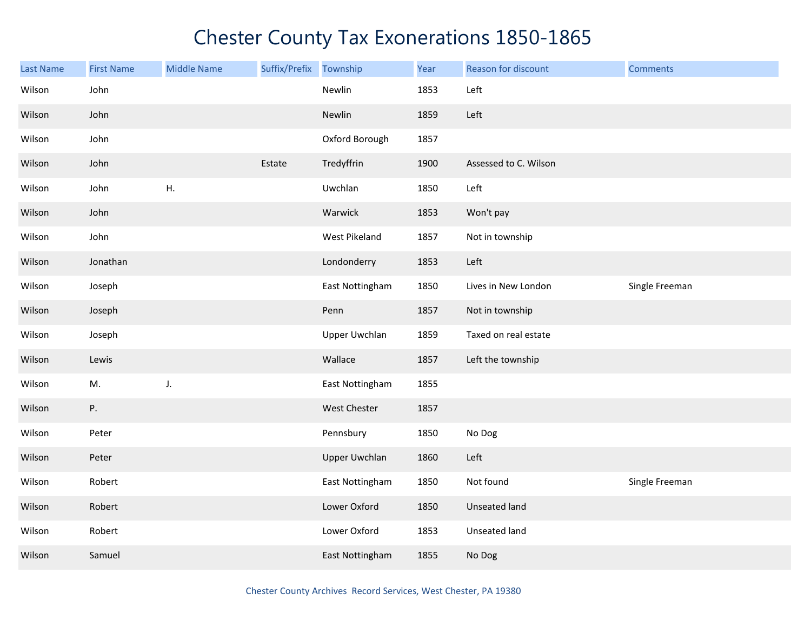| <b>Last Name</b> | <b>First Name</b> | <b>Middle Name</b> | Suffix/Prefix | Township             | Year | Reason for discount   | <b>Comments</b> |
|------------------|-------------------|--------------------|---------------|----------------------|------|-----------------------|-----------------|
| Wilson           | John              |                    |               | Newlin               | 1853 | Left                  |                 |
| Wilson           | John              |                    |               | Newlin               | 1859 | Left                  |                 |
| Wilson           | John              |                    |               | Oxford Borough       | 1857 |                       |                 |
| Wilson           | John              |                    | Estate        | Tredyffrin           | 1900 | Assessed to C. Wilson |                 |
| Wilson           | John              | Η.                 |               | Uwchlan              | 1850 | Left                  |                 |
| Wilson           | John              |                    |               | Warwick              | 1853 | Won't pay             |                 |
| Wilson           | John              |                    |               | West Pikeland        | 1857 | Not in township       |                 |
| Wilson           | Jonathan          |                    |               | Londonderry          | 1853 | Left                  |                 |
| Wilson           | Joseph            |                    |               | East Nottingham      | 1850 | Lives in New London   | Single Freeman  |
| Wilson           | Joseph            |                    |               | Penn                 | 1857 | Not in township       |                 |
| Wilson           | Joseph            |                    |               | <b>Upper Uwchlan</b> | 1859 | Taxed on real estate  |                 |
| Wilson           | Lewis             |                    |               | Wallace              | 1857 | Left the township     |                 |
| Wilson           | M.                | J.                 |               | East Nottingham      | 1855 |                       |                 |
| Wilson           | Ρ.                |                    |               | West Chester         | 1857 |                       |                 |
| Wilson           | Peter             |                    |               | Pennsbury            | 1850 | No Dog                |                 |
| Wilson           | Peter             |                    |               | <b>Upper Uwchlan</b> | 1860 | Left                  |                 |
| Wilson           | Robert            |                    |               | East Nottingham      | 1850 | Not found             | Single Freeman  |
| Wilson           | Robert            |                    |               | Lower Oxford         | 1850 | Unseated land         |                 |
| Wilson           | Robert            |                    |               | Lower Oxford         | 1853 | Unseated land         |                 |
| Wilson           | Samuel            |                    |               | East Nottingham      | 1855 | No Dog                |                 |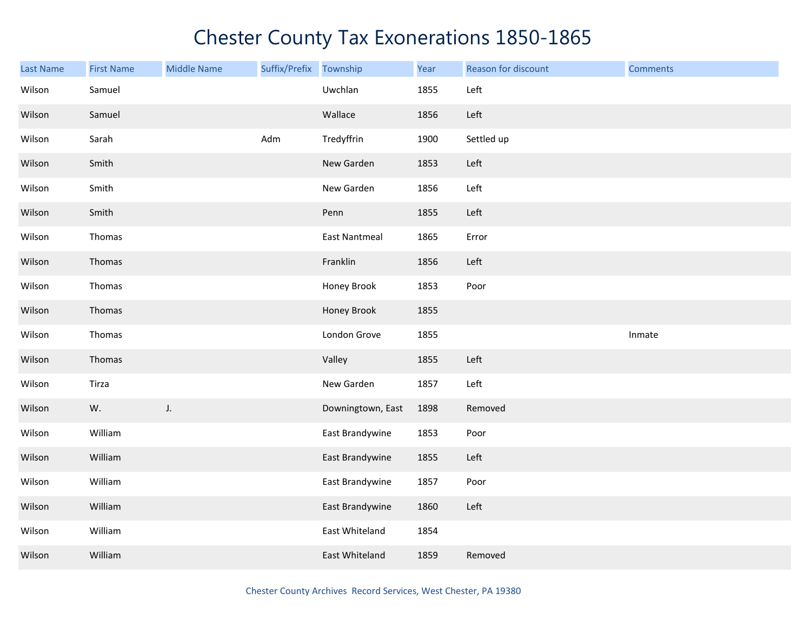| Last Name | <b>First Name</b> | <b>Middle Name</b> | Suffix/Prefix | Township             | Year | Reason for discount | <b>Comments</b> |
|-----------|-------------------|--------------------|---------------|----------------------|------|---------------------|-----------------|
| Wilson    | Samuel            |                    |               | Uwchlan              | 1855 | Left                |                 |
| Wilson    | Samuel            |                    |               | Wallace              | 1856 | Left                |                 |
| Wilson    | Sarah             |                    | Adm           | Tredyffrin           | 1900 | Settled up          |                 |
| Wilson    | Smith             |                    |               | New Garden           | 1853 | Left                |                 |
| Wilson    | Smith             |                    |               | New Garden           | 1856 | Left                |                 |
| Wilson    | Smith             |                    |               | Penn                 | 1855 | Left                |                 |
| Wilson    | Thomas            |                    |               | <b>East Nantmeal</b> | 1865 | Error               |                 |
| Wilson    | Thomas            |                    |               | Franklin             | 1856 | Left                |                 |
| Wilson    | Thomas            |                    |               | Honey Brook          | 1853 | Poor                |                 |
| Wilson    | Thomas            |                    |               | Honey Brook          | 1855 |                     |                 |
| Wilson    | Thomas            |                    |               | London Grove         | 1855 |                     | Inmate          |
| Wilson    | Thomas            |                    |               | Valley               | 1855 | Left                |                 |
| Wilson    | Tirza             |                    |               | New Garden           | 1857 | Left                |                 |
| Wilson    | W.                | J.                 |               | Downingtown, East    | 1898 | Removed             |                 |
| Wilson    | William           |                    |               | East Brandywine      | 1853 | Poor                |                 |
| Wilson    | William           |                    |               | East Brandywine      | 1855 | Left                |                 |
| Wilson    | William           |                    |               | East Brandywine      | 1857 | Poor                |                 |
| Wilson    | William           |                    |               | East Brandywine      | 1860 | Left                |                 |
| Wilson    | William           |                    |               | East Whiteland       | 1854 |                     |                 |
| Wilson    | William           |                    |               | East Whiteland       | 1859 | Removed             |                 |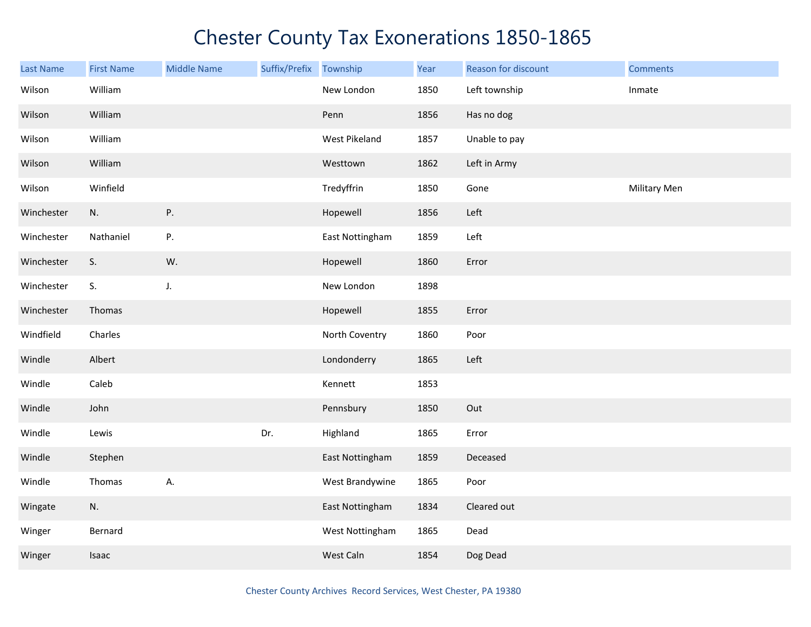| Last Name  | <b>First Name</b> | <b>Middle Name</b> | Suffix/Prefix Township |                 | Year | Reason for discount | <b>Comments</b> |
|------------|-------------------|--------------------|------------------------|-----------------|------|---------------------|-----------------|
| Wilson     | William           |                    |                        | New London      | 1850 | Left township       | Inmate          |
| Wilson     | William           |                    |                        | Penn            | 1856 | Has no dog          |                 |
| Wilson     | William           |                    |                        | West Pikeland   | 1857 | Unable to pay       |                 |
| Wilson     | William           |                    |                        | Westtown        | 1862 | Left in Army        |                 |
| Wilson     | Winfield          |                    |                        | Tredyffrin      | 1850 | Gone                | Military Men    |
| Winchester | N.                | Ρ.                 |                        | Hopewell        | 1856 | Left                |                 |
| Winchester | Nathaniel         | Ρ.                 |                        | East Nottingham | 1859 | Left                |                 |
| Winchester | S.                | W.                 |                        | Hopewell        | 1860 | Error               |                 |
| Winchester | S.                | $J_{\star}$        |                        | New London      | 1898 |                     |                 |
| Winchester | Thomas            |                    |                        | Hopewell        | 1855 | Error               |                 |
| Windfield  | Charles           |                    |                        | North Coventry  | 1860 | Poor                |                 |
| Windle     | Albert            |                    |                        | Londonderry     | 1865 | Left                |                 |
| Windle     | Caleb             |                    |                        | Kennett         | 1853 |                     |                 |
| Windle     | John              |                    |                        | Pennsbury       | 1850 | Out                 |                 |
| Windle     | Lewis             |                    | Dr.                    | Highland        | 1865 | Error               |                 |
| Windle     | Stephen           |                    |                        | East Nottingham | 1859 | Deceased            |                 |
| Windle     | Thomas            | А.                 |                        | West Brandywine | 1865 | Poor                |                 |
| Wingate    | N.                |                    |                        | East Nottingham | 1834 | Cleared out         |                 |
| Winger     | Bernard           |                    |                        | West Nottingham | 1865 | Dead                |                 |
| Winger     | Isaac             |                    |                        | West Caln       | 1854 | Dog Dead            |                 |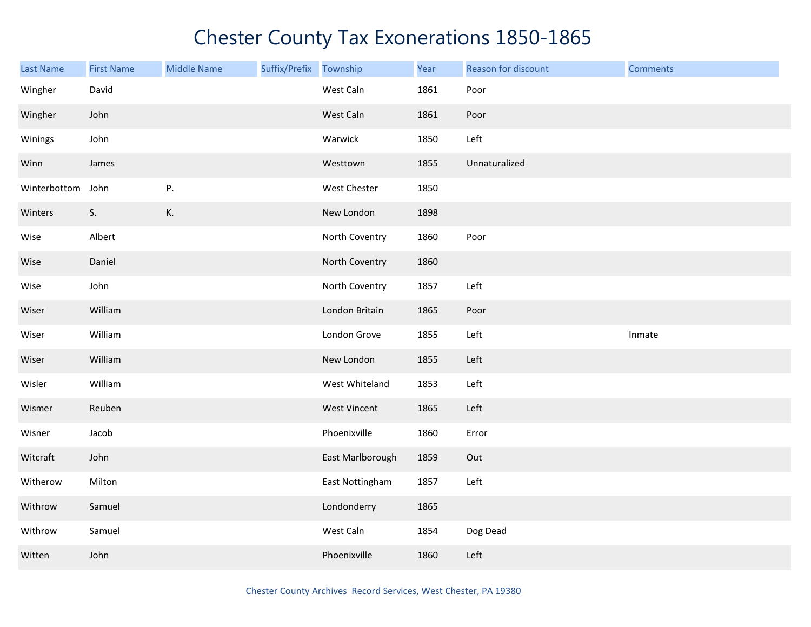| Last Name    | <b>First Name</b> | <b>Middle Name</b> | Suffix/Prefix Township |                     | Year | Reason for discount | <b>Comments</b> |
|--------------|-------------------|--------------------|------------------------|---------------------|------|---------------------|-----------------|
| Wingher      | David             |                    |                        | West Caln           | 1861 | Poor                |                 |
| Wingher      | John              |                    |                        | West Caln           | 1861 | Poor                |                 |
| Winings      | John              |                    |                        | Warwick             | 1850 | Left                |                 |
| Winn         | James             |                    |                        | Westtown            | 1855 | Unnaturalized       |                 |
| Winterbottom | John              | Ρ.                 |                        | West Chester        | 1850 |                     |                 |
| Winters      | S.                | К.                 |                        | New London          | 1898 |                     |                 |
| Wise         | Albert            |                    |                        | North Coventry      | 1860 | Poor                |                 |
| Wise         | Daniel            |                    |                        | North Coventry      | 1860 |                     |                 |
| Wise         | John              |                    |                        | North Coventry      | 1857 | Left                |                 |
| Wiser        | William           |                    |                        | London Britain      | 1865 | Poor                |                 |
| Wiser        | William           |                    |                        | London Grove        | 1855 | Left                | Inmate          |
| Wiser        | William           |                    |                        | New London          | 1855 | Left                |                 |
| Wisler       | William           |                    |                        | West Whiteland      | 1853 | Left                |                 |
| Wismer       | Reuben            |                    |                        | <b>West Vincent</b> | 1865 | Left                |                 |
| Wisner       | Jacob             |                    |                        | Phoenixville        | 1860 | Error               |                 |
| Witcraft     | John              |                    |                        | East Marlborough    | 1859 | Out                 |                 |
| Witherow     | Milton            |                    |                        | East Nottingham     | 1857 | Left                |                 |
| Withrow      | Samuel            |                    |                        | Londonderry         | 1865 |                     |                 |
| Withrow      | Samuel            |                    |                        | West Caln           | 1854 | Dog Dead            |                 |
| Witten       | John              |                    |                        | Phoenixville        | 1860 | Left                |                 |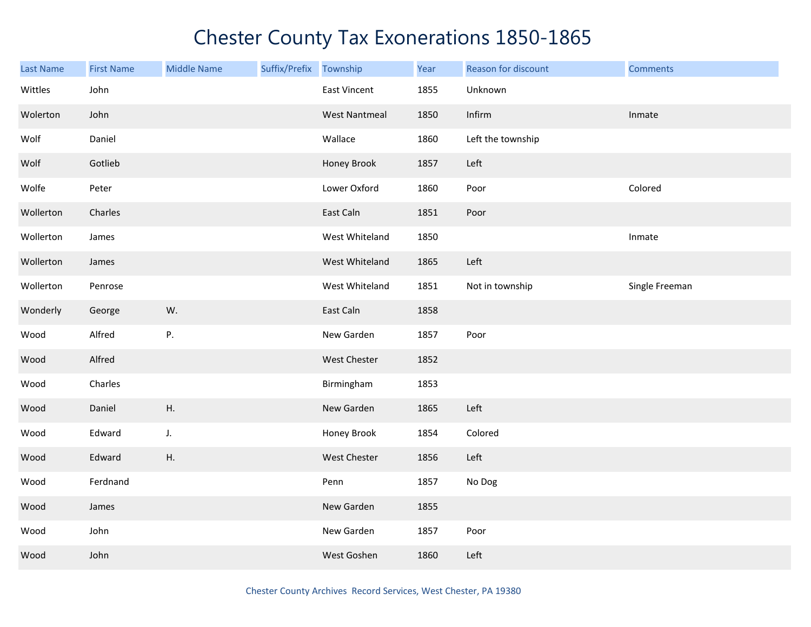| <b>Last Name</b> | <b>First Name</b> | <b>Middle Name</b> | Suffix/Prefix Township |                      | Year | Reason for discount | <b>Comments</b> |
|------------------|-------------------|--------------------|------------------------|----------------------|------|---------------------|-----------------|
| Wittles          | John              |                    |                        | East Vincent         | 1855 | Unknown             |                 |
| Wolerton         | John              |                    |                        | <b>West Nantmeal</b> | 1850 | Infirm              | Inmate          |
| Wolf             | Daniel            |                    |                        | Wallace              | 1860 | Left the township   |                 |
| Wolf             | Gotlieb           |                    |                        | Honey Brook          | 1857 | Left                |                 |
| Wolfe            | Peter             |                    |                        | Lower Oxford         | 1860 | Poor                | Colored         |
| Wollerton        | Charles           |                    |                        | East Caln            | 1851 | Poor                |                 |
| Wollerton        | James             |                    |                        | West Whiteland       | 1850 |                     | Inmate          |
| Wollerton        | James             |                    |                        | West Whiteland       | 1865 | Left                |                 |
| Wollerton        | Penrose           |                    |                        | West Whiteland       | 1851 | Not in township     | Single Freeman  |
| Wonderly         | George            | W.                 |                        | East Caln            | 1858 |                     |                 |
| Wood             | Alfred            | P.                 |                        | New Garden           | 1857 | Poor                |                 |
| Wood             | Alfred            |                    |                        | West Chester         | 1852 |                     |                 |
| Wood             | Charles           |                    |                        | Birmingham           | 1853 |                     |                 |
| Wood             | Daniel            | Η.                 |                        | New Garden           | 1865 | Left                |                 |
| Wood             | Edward            | J.                 |                        | Honey Brook          | 1854 | Colored             |                 |
| Wood             | Edward            | Η.                 |                        | West Chester         | 1856 | Left                |                 |
| Wood             | Ferdnand          |                    |                        | Penn                 | 1857 | No Dog              |                 |
| Wood             | James             |                    |                        | New Garden           | 1855 |                     |                 |
| Wood             | John              |                    |                        | New Garden           | 1857 | Poor                |                 |
| Wood             | John              |                    |                        | West Goshen          | 1860 | Left                |                 |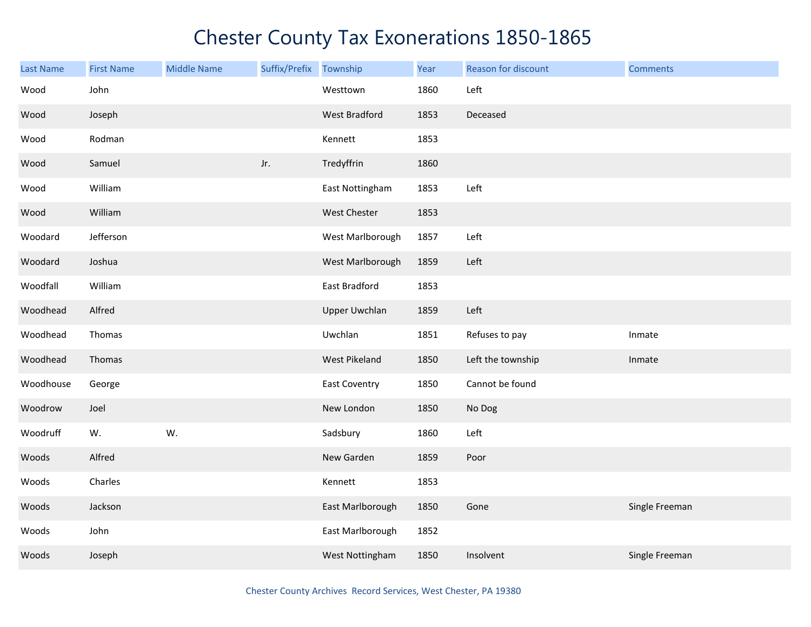| Last Name | <b>First Name</b> | <b>Middle Name</b> | Suffix/Prefix | Township             | Year | Reason for discount | <b>Comments</b> |
|-----------|-------------------|--------------------|---------------|----------------------|------|---------------------|-----------------|
| Wood      | John              |                    |               | Westtown             | 1860 | Left                |                 |
| Wood      | Joseph            |                    |               | West Bradford        | 1853 | Deceased            |                 |
| Wood      | Rodman            |                    |               | Kennett              | 1853 |                     |                 |
| Wood      | Samuel            |                    | Jr.           | Tredyffrin           | 1860 |                     |                 |
| Wood      | William           |                    |               | East Nottingham      | 1853 | Left                |                 |
| Wood      | William           |                    |               | West Chester         | 1853 |                     |                 |
| Woodard   | Jefferson         |                    |               | West Marlborough     | 1857 | Left                |                 |
| Woodard   | Joshua            |                    |               | West Marlborough     | 1859 | Left                |                 |
| Woodfall  | William           |                    |               | East Bradford        | 1853 |                     |                 |
| Woodhead  | Alfred            |                    |               | <b>Upper Uwchlan</b> | 1859 | Left                |                 |
| Woodhead  | Thomas            |                    |               | Uwchlan              | 1851 | Refuses to pay      | Inmate          |
| Woodhead  | Thomas            |                    |               | West Pikeland        | 1850 | Left the township   | Inmate          |
| Woodhouse | George            |                    |               | <b>East Coventry</b> | 1850 | Cannot be found     |                 |
| Woodrow   | Joel              |                    |               | New London           | 1850 | No Dog              |                 |
| Woodruff  | W.                | W.                 |               | Sadsbury             | 1860 | Left                |                 |
| Woods     | Alfred            |                    |               | New Garden           | 1859 | Poor                |                 |
| Woods     | Charles           |                    |               | Kennett              | 1853 |                     |                 |
| Woods     | Jackson           |                    |               | East Marlborough     | 1850 | Gone                | Single Freeman  |
| Woods     | John              |                    |               | East Marlborough     | 1852 |                     |                 |
| Woods     | Joseph            |                    |               | West Nottingham      | 1850 | Insolvent           | Single Freeman  |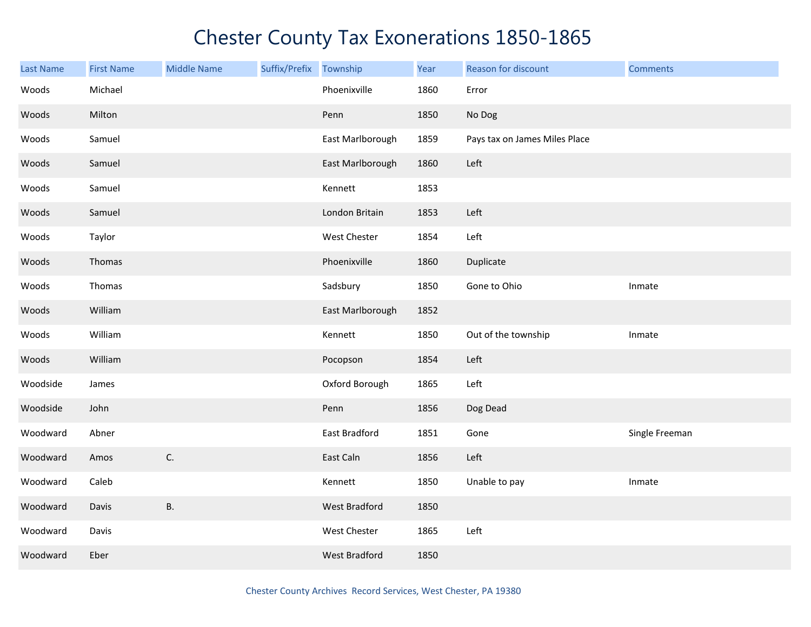| <b>Last Name</b> | <b>First Name</b> | <b>Middle Name</b> | Suffix/Prefix Township |                      | Year | Reason for discount           | <b>Comments</b> |
|------------------|-------------------|--------------------|------------------------|----------------------|------|-------------------------------|-----------------|
| Woods            | Michael           |                    |                        | Phoenixville         | 1860 | Error                         |                 |
| Woods            | Milton            |                    |                        | Penn                 | 1850 | No Dog                        |                 |
| Woods            | Samuel            |                    |                        | East Marlborough     | 1859 | Pays tax on James Miles Place |                 |
| Woods            | Samuel            |                    |                        | East Marlborough     | 1860 | Left                          |                 |
| Woods            | Samuel            |                    |                        | Kennett              | 1853 |                               |                 |
| Woods            | Samuel            |                    |                        | London Britain       | 1853 | Left                          |                 |
| Woods            | Taylor            |                    |                        | West Chester         | 1854 | Left                          |                 |
| Woods            | Thomas            |                    |                        | Phoenixville         | 1860 | Duplicate                     |                 |
| Woods            | Thomas            |                    |                        | Sadsbury             | 1850 | Gone to Ohio                  | Inmate          |
| Woods            | William           |                    |                        | East Marlborough     | 1852 |                               |                 |
| Woods            | William           |                    |                        | Kennett              | 1850 | Out of the township           | Inmate          |
| Woods            | William           |                    |                        | Pocopson             | 1854 | Left                          |                 |
| Woodside         | James             |                    |                        | Oxford Borough       | 1865 | Left                          |                 |
| Woodside         | John              |                    |                        | Penn                 | 1856 | Dog Dead                      |                 |
| Woodward         | Abner             |                    |                        | East Bradford        | 1851 | Gone                          | Single Freeman  |
| Woodward         | Amos              | $\mathsf{C}.$      |                        | East Caln            | 1856 | Left                          |                 |
| Woodward         | Caleb             |                    |                        | Kennett              | 1850 | Unable to pay                 | Inmate          |
| Woodward         | Davis             | <b>B.</b>          |                        | West Bradford        | 1850 |                               |                 |
| Woodward         | Davis             |                    |                        | West Chester         | 1865 | Left                          |                 |
| Woodward         | Eber              |                    |                        | <b>West Bradford</b> | 1850 |                               |                 |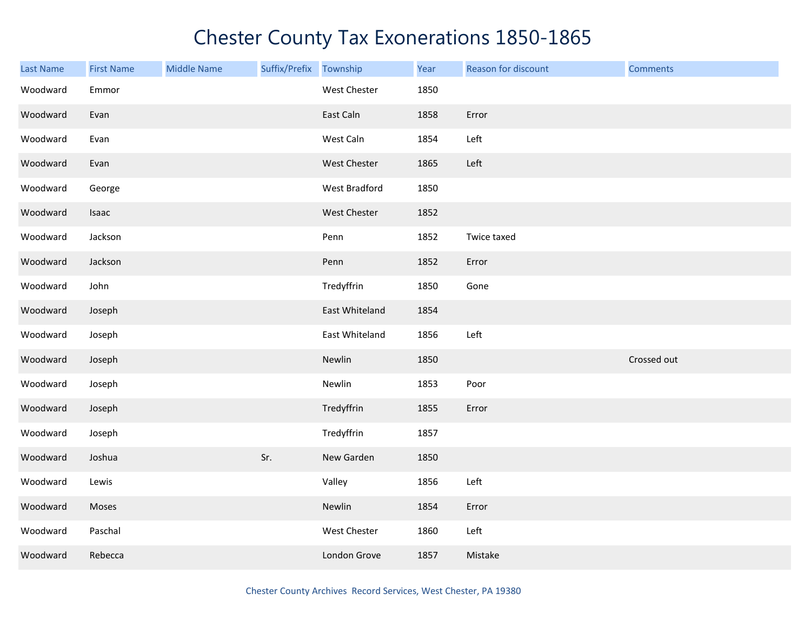| <b>Last Name</b> | <b>First Name</b> | <b>Middle Name</b> | Suffix/Prefix Township |                | Year | Reason for discount | <b>Comments</b> |
|------------------|-------------------|--------------------|------------------------|----------------|------|---------------------|-----------------|
| Woodward         | Emmor             |                    |                        | West Chester   | 1850 |                     |                 |
| Woodward         | Evan              |                    |                        | East Caln      | 1858 | Error               |                 |
| Woodward         | Evan              |                    |                        | West Caln      | 1854 | Left                |                 |
| Woodward         | Evan              |                    |                        | West Chester   | 1865 | Left                |                 |
| Woodward         | George            |                    |                        | West Bradford  | 1850 |                     |                 |
| Woodward         | Isaac             |                    |                        | West Chester   | 1852 |                     |                 |
| Woodward         | Jackson           |                    |                        | Penn           | 1852 | Twice taxed         |                 |
| Woodward         | Jackson           |                    |                        | Penn           | 1852 | Error               |                 |
| Woodward         | John              |                    |                        | Tredyffrin     | 1850 | Gone                |                 |
| Woodward         | Joseph            |                    |                        | East Whiteland | 1854 |                     |                 |
| Woodward         | Joseph            |                    |                        | East Whiteland | 1856 | Left                |                 |
| Woodward         | Joseph            |                    |                        | Newlin         | 1850 |                     | Crossed out     |
| Woodward         | Joseph            |                    |                        | Newlin         | 1853 | Poor                |                 |
| Woodward         | Joseph            |                    |                        | Tredyffrin     | 1855 | Error               |                 |
| Woodward         | Joseph            |                    |                        | Tredyffrin     | 1857 |                     |                 |
| Woodward         | Joshua            |                    | Sr.                    | New Garden     | 1850 |                     |                 |
| Woodward         | Lewis             |                    |                        | Valley         | 1856 | Left                |                 |
| Woodward         | Moses             |                    |                        | Newlin         | 1854 | Error               |                 |
| Woodward         | Paschal           |                    |                        | West Chester   | 1860 | Left                |                 |
| Woodward         | Rebecca           |                    |                        | London Grove   | 1857 | Mistake             |                 |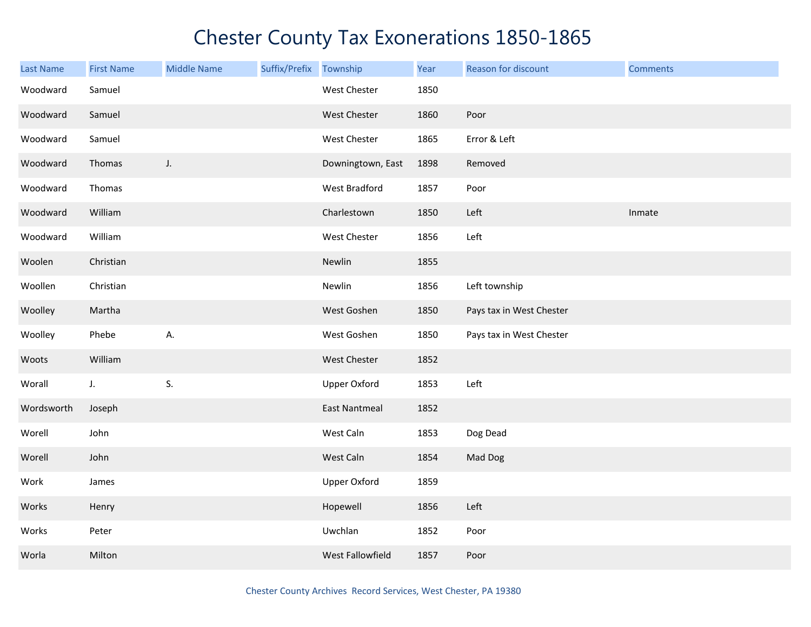| <b>Last Name</b> | <b>First Name</b> | <b>Middle Name</b> | Suffix/Prefix Township |                      | Year | Reason for discount      | <b>Comments</b> |
|------------------|-------------------|--------------------|------------------------|----------------------|------|--------------------------|-----------------|
| Woodward         | Samuel            |                    |                        | West Chester         | 1850 |                          |                 |
| Woodward         | Samuel            |                    |                        | West Chester         | 1860 | Poor                     |                 |
| Woodward         | Samuel            |                    |                        | West Chester         | 1865 | Error & Left             |                 |
| Woodward         | Thomas            | J.                 |                        | Downingtown, East    | 1898 | Removed                  |                 |
| Woodward         | Thomas            |                    |                        | West Bradford        | 1857 | Poor                     |                 |
| Woodward         | William           |                    |                        | Charlestown          | 1850 | Left                     | Inmate          |
| Woodward         | William           |                    |                        | West Chester         | 1856 | Left                     |                 |
| Woolen           | Christian         |                    |                        | Newlin               | 1855 |                          |                 |
| Woollen          | Christian         |                    |                        | Newlin               | 1856 | Left township            |                 |
| Woolley          | Martha            |                    |                        | West Goshen          | 1850 | Pays tax in West Chester |                 |
| Woolley          | Phebe             | Α.                 |                        | West Goshen          | 1850 | Pays tax in West Chester |                 |
| Woots            | William           |                    |                        | West Chester         | 1852 |                          |                 |
| Worall           | J.                | S.                 |                        | <b>Upper Oxford</b>  | 1853 | Left                     |                 |
| Wordsworth       | Joseph            |                    |                        | <b>East Nantmeal</b> | 1852 |                          |                 |
| Worell           | John              |                    |                        | West Caln            | 1853 | Dog Dead                 |                 |
| Worell           | John              |                    |                        | West Caln            | 1854 | Mad Dog                  |                 |
| Work             | James             |                    |                        | <b>Upper Oxford</b>  | 1859 |                          |                 |
| Works            | Henry             |                    |                        | Hopewell             | 1856 | Left                     |                 |
| Works            | Peter             |                    |                        | Uwchlan              | 1852 | Poor                     |                 |
| Worla            | Milton            |                    |                        | West Fallowfield     | 1857 | Poor                     |                 |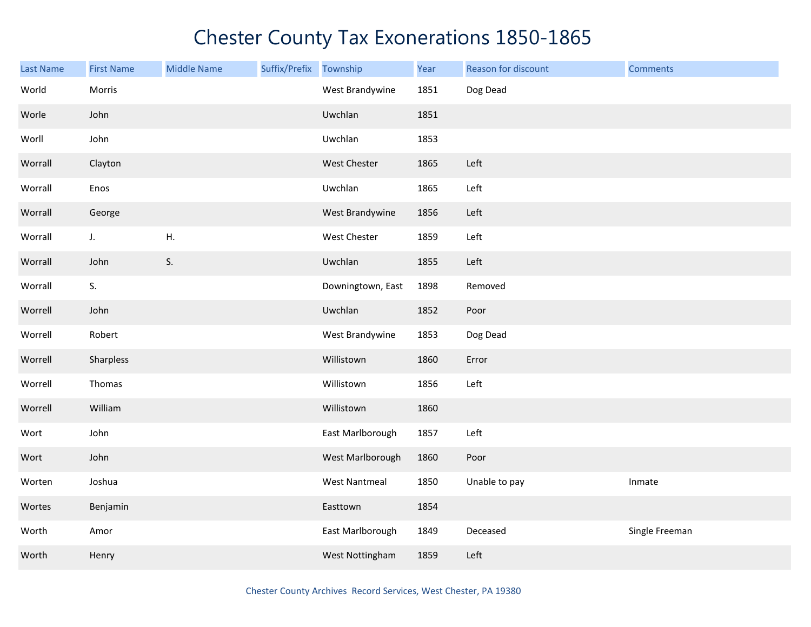| <b>Last Name</b> | <b>First Name</b> | <b>Middle Name</b> | Suffix/Prefix Township |                      | Year | Reason for discount | <b>Comments</b> |
|------------------|-------------------|--------------------|------------------------|----------------------|------|---------------------|-----------------|
| World            | Morris            |                    |                        | West Brandywine      | 1851 | Dog Dead            |                 |
| Worle            | John              |                    |                        | Uwchlan              | 1851 |                     |                 |
| Worll            | John              |                    |                        | Uwchlan              | 1853 |                     |                 |
| Worrall          | Clayton           |                    |                        | West Chester         | 1865 | Left                |                 |
| Worrall          | Enos              |                    |                        | Uwchlan              | 1865 | Left                |                 |
| Worrall          | George            |                    |                        | West Brandywine      | 1856 | Left                |                 |
| Worrall          | J.                | Η.                 |                        | West Chester         | 1859 | Left                |                 |
| Worrall          | John              | S.                 |                        | Uwchlan              | 1855 | Left                |                 |
| Worrall          | S.                |                    |                        | Downingtown, East    | 1898 | Removed             |                 |
| Worrell          | John              |                    |                        | Uwchlan              | 1852 | Poor                |                 |
| Worrell          | Robert            |                    |                        | West Brandywine      | 1853 | Dog Dead            |                 |
| Worrell          | Sharpless         |                    |                        | Willistown           | 1860 | Error               |                 |
| Worrell          | Thomas            |                    |                        | Willistown           | 1856 | Left                |                 |
| Worrell          | William           |                    |                        | Willistown           | 1860 |                     |                 |
| Wort             | John              |                    |                        | East Marlborough     | 1857 | Left                |                 |
| Wort             | John              |                    |                        | West Marlborough     | 1860 | Poor                |                 |
| Worten           | Joshua            |                    |                        | <b>West Nantmeal</b> | 1850 | Unable to pay       | Inmate          |
| Wortes           | Benjamin          |                    |                        | Easttown             | 1854 |                     |                 |
| Worth            | Amor              |                    |                        | East Marlborough     | 1849 | Deceased            | Single Freeman  |
| Worth            | Henry             |                    |                        | West Nottingham      | 1859 | Left                |                 |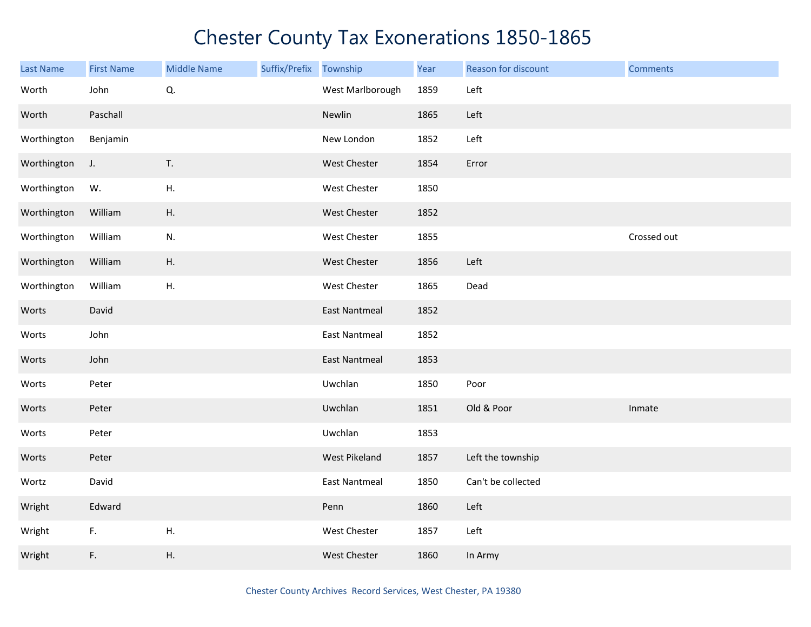| <b>Last Name</b> | <b>First Name</b> | <b>Middle Name</b> | Suffix/Prefix Township |                      | Year | Reason for discount | <b>Comments</b> |
|------------------|-------------------|--------------------|------------------------|----------------------|------|---------------------|-----------------|
| Worth            | John              | Q.                 |                        | West Marlborough     | 1859 | Left                |                 |
| Worth            | Paschall          |                    |                        | Newlin               | 1865 | Left                |                 |
| Worthington      | Benjamin          |                    |                        | New London           | 1852 | Left                |                 |
| Worthington      | J.                | T.                 |                        | West Chester         | 1854 | Error               |                 |
| Worthington      | W.                | ${\sf H}.$         |                        | West Chester         | 1850 |                     |                 |
| Worthington      | William           | Η.                 |                        | West Chester         | 1852 |                     |                 |
| Worthington      | William           | N.                 |                        | West Chester         | 1855 |                     | Crossed out     |
| Worthington      | William           | Η.                 |                        | West Chester         | 1856 | Left                |                 |
| Worthington      | William           | Η.                 |                        | West Chester         | 1865 | Dead                |                 |
| Worts            | David             |                    |                        | <b>East Nantmeal</b> | 1852 |                     |                 |
| Worts            | John              |                    |                        | <b>East Nantmeal</b> | 1852 |                     |                 |
| Worts            | John              |                    |                        | <b>East Nantmeal</b> | 1853 |                     |                 |
| Worts            | Peter             |                    |                        | Uwchlan              | 1850 | Poor                |                 |
| Worts            | Peter             |                    |                        | Uwchlan              | 1851 | Old & Poor          | Inmate          |
| Worts            | Peter             |                    |                        | Uwchlan              | 1853 |                     |                 |
| Worts            | Peter             |                    |                        | West Pikeland        | 1857 | Left the township   |                 |
| Wortz            | David             |                    |                        | <b>East Nantmeal</b> | 1850 | Can't be collected  |                 |
| Wright           | Edward            |                    |                        | Penn                 | 1860 | Left                |                 |
| Wright           | F.                | Η.                 |                        | West Chester         | 1857 | Left                |                 |
| Wright           | F.                | Η.                 |                        | West Chester         | 1860 | In Army             |                 |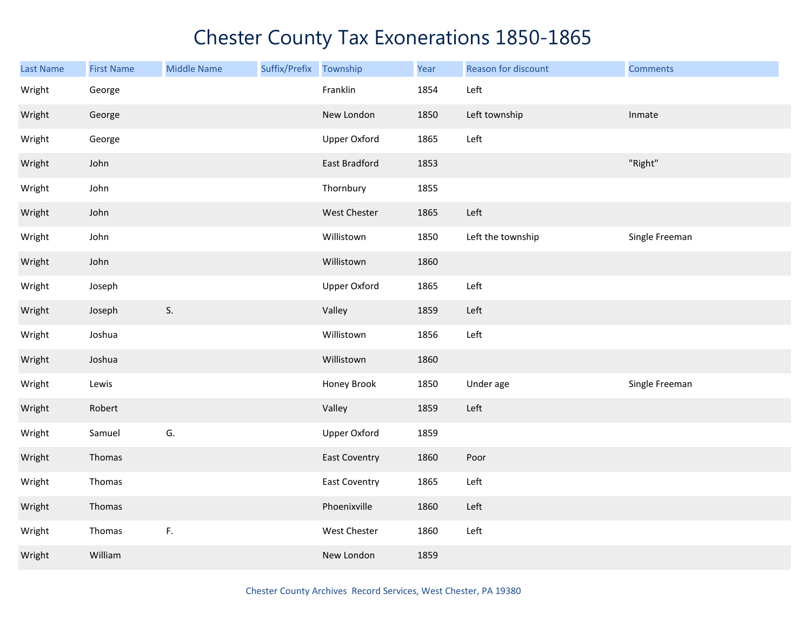| <b>Last Name</b> | <b>First Name</b> | <b>Middle Name</b> | Suffix/Prefix | Township             | Year | Reason for discount | <b>Comments</b> |
|------------------|-------------------|--------------------|---------------|----------------------|------|---------------------|-----------------|
| Wright           | George            |                    |               | Franklin             | 1854 | Left                |                 |
| Wright           | George            |                    |               | New London           | 1850 | Left township       | Inmate          |
| Wright           | George            |                    |               | <b>Upper Oxford</b>  | 1865 | Left                |                 |
| Wright           | John              |                    |               | East Bradford        | 1853 |                     | "Right"         |
| Wright           | John              |                    |               | Thornbury            | 1855 |                     |                 |
| Wright           | John              |                    |               | West Chester         | 1865 | Left                |                 |
| Wright           | John              |                    |               | Willistown           | 1850 | Left the township   | Single Freeman  |
| Wright           | John              |                    |               | Willistown           | 1860 |                     |                 |
| Wright           | Joseph            |                    |               | <b>Upper Oxford</b>  | 1865 | Left                |                 |
| Wright           | Joseph            | S.                 |               | Valley               | 1859 | Left                |                 |
| Wright           | Joshua            |                    |               | Willistown           | 1856 | Left                |                 |
| Wright           | Joshua            |                    |               | Willistown           | 1860 |                     |                 |
| Wright           | Lewis             |                    |               | Honey Brook          | 1850 | Under age           | Single Freeman  |
| Wright           | Robert            |                    |               | Valley               | 1859 | Left                |                 |
| Wright           | Samuel            | G.                 |               | <b>Upper Oxford</b>  | 1859 |                     |                 |
| Wright           | Thomas            |                    |               | <b>East Coventry</b> | 1860 | Poor                |                 |
| Wright           | Thomas            |                    |               | <b>East Coventry</b> | 1865 | Left                |                 |
| Wright           | Thomas            |                    |               | Phoenixville         | 1860 | Left                |                 |
| Wright           | Thomas            | F.                 |               | West Chester         | 1860 | Left                |                 |
| Wright           | William           |                    |               | New London           | 1859 |                     |                 |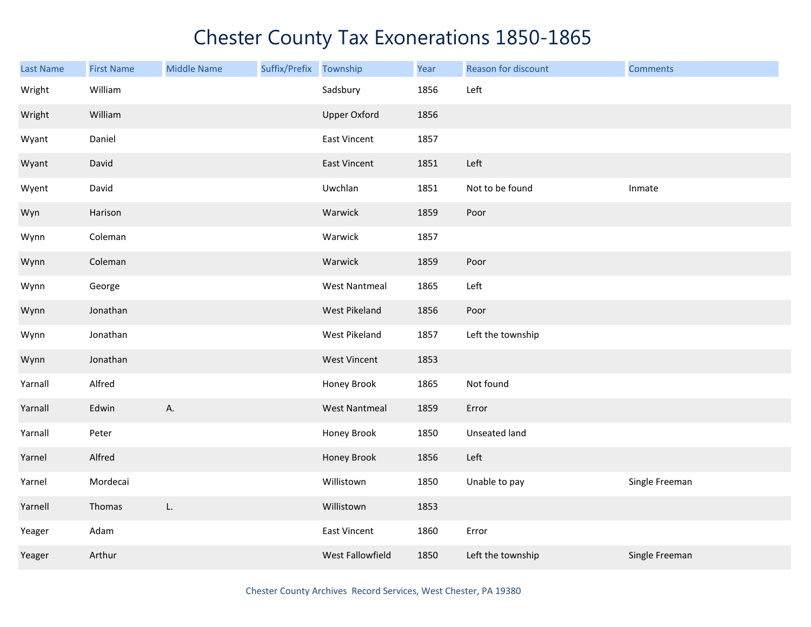| Last Name | <b>First Name</b> | <b>Middle Name</b> | Suffix/Prefix | Township             | Year | Reason for discount | <b>Comments</b> |
|-----------|-------------------|--------------------|---------------|----------------------|------|---------------------|-----------------|
| Wright    | William           |                    |               | Sadsbury             | 1856 | Left                |                 |
| Wright    | William           |                    |               | <b>Upper Oxford</b>  | 1856 |                     |                 |
| Wyant     | Daniel            |                    |               | East Vincent         | 1857 |                     |                 |
| Wyant     | David             |                    |               | East Vincent         | 1851 | Left                |                 |
| Wyent     | David             |                    |               | Uwchlan              | 1851 | Not to be found     | Inmate          |
| Wyn       | Harison           |                    |               | Warwick              | 1859 | Poor                |                 |
| Wynn      | Coleman           |                    |               | Warwick              | 1857 |                     |                 |
| Wynn      | Coleman           |                    |               | Warwick              | 1859 | Poor                |                 |
| Wynn      | George            |                    |               | <b>West Nantmeal</b> | 1865 | Left                |                 |
| Wynn      | Jonathan          |                    |               | West Pikeland        | 1856 | Poor                |                 |
| Wynn      | Jonathan          |                    |               | West Pikeland        | 1857 | Left the township   |                 |
| Wynn      | Jonathan          |                    |               | <b>West Vincent</b>  | 1853 |                     |                 |
| Yarnall   | Alfred            |                    |               | Honey Brook          | 1865 | Not found           |                 |
| Yarnall   | Edwin             | Α.                 |               | <b>West Nantmeal</b> | 1859 | Error               |                 |
| Yarnall   | Peter             |                    |               | Honey Brook          | 1850 | Unseated land       |                 |
| Yarnel    | Alfred            |                    |               | Honey Brook          | 1856 | Left                |                 |
| Yarnel    | Mordecai          |                    |               | Willistown           | 1850 | Unable to pay       | Single Freeman  |
| Yarnell   | Thomas            | L.                 |               | Willistown           | 1853 |                     |                 |
| Yeager    | Adam              |                    |               | <b>East Vincent</b>  | 1860 | Error               |                 |
| Yeager    | Arthur            |                    |               | West Fallowfield     | 1850 | Left the township   | Single Freeman  |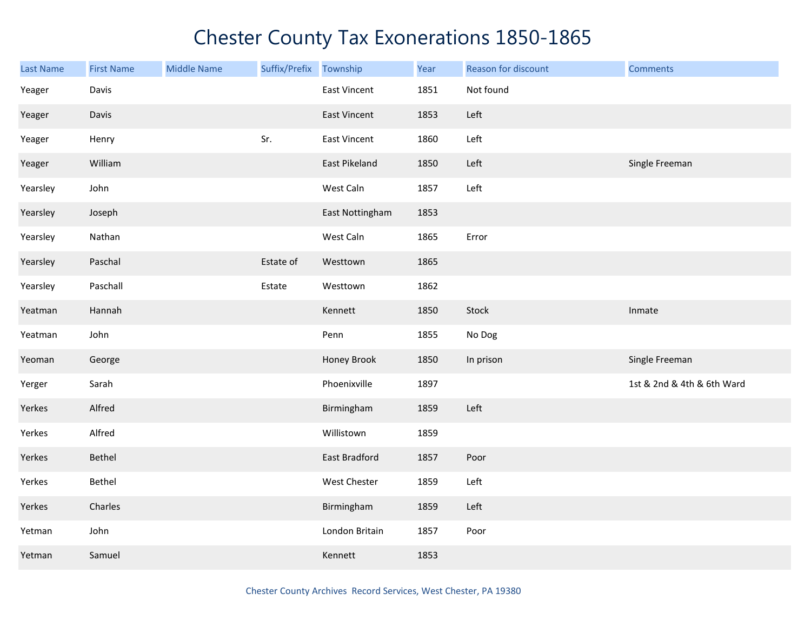| Last Name | <b>First Name</b> | <b>Middle Name</b> | Suffix/Prefix | Township        | Year | Reason for discount | <b>Comments</b>            |
|-----------|-------------------|--------------------|---------------|-----------------|------|---------------------|----------------------------|
| Yeager    | Davis             |                    |               | East Vincent    | 1851 | Not found           |                            |
| Yeager    | Davis             |                    |               | East Vincent    | 1853 | Left                |                            |
| Yeager    | Henry             |                    | Sr.           | East Vincent    | 1860 | Left                |                            |
| Yeager    | William           |                    |               | East Pikeland   | 1850 | Left                | Single Freeman             |
| Yearsley  | John              |                    |               | West Caln       | 1857 | Left                |                            |
| Yearsley  | Joseph            |                    |               | East Nottingham | 1853 |                     |                            |
| Yearsley  | Nathan            |                    |               | West Caln       | 1865 | Error               |                            |
| Yearsley  | Paschal           |                    | Estate of     | Westtown        | 1865 |                     |                            |
| Yearsley  | Paschall          |                    | Estate        | Westtown        | 1862 |                     |                            |
| Yeatman   | Hannah            |                    |               | Kennett         | 1850 | Stock               | Inmate                     |
| Yeatman   | John              |                    |               | Penn            | 1855 | No Dog              |                            |
| Yeoman    | George            |                    |               | Honey Brook     | 1850 | In prison           | Single Freeman             |
| Yerger    | Sarah             |                    |               | Phoenixville    | 1897 |                     | 1st & 2nd & 4th & 6th Ward |
| Yerkes    | Alfred            |                    |               | Birmingham      | 1859 | Left                |                            |
| Yerkes    | Alfred            |                    |               | Willistown      | 1859 |                     |                            |
| Yerkes    | Bethel            |                    |               | East Bradford   | 1857 | Poor                |                            |
| Yerkes    | Bethel            |                    |               | West Chester    | 1859 | Left                |                            |
| Yerkes    | Charles           |                    |               | Birmingham      | 1859 | Left                |                            |
| Yetman    | John              |                    |               | London Britain  | 1857 | Poor                |                            |
| Yetman    | Samuel            |                    |               | Kennett         | 1853 |                     |                            |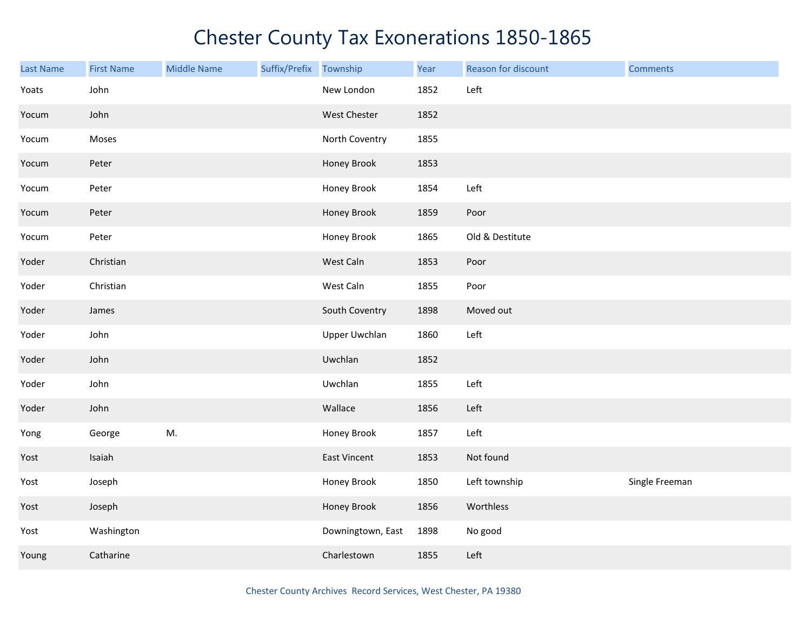| <b>Last Name</b> | <b>First Name</b> | <b>Middle Name</b> | Suffix/Prefix | Township             | Year | Reason for discount | <b>Comments</b> |
|------------------|-------------------|--------------------|---------------|----------------------|------|---------------------|-----------------|
| Yoats            | John              |                    |               | New London           | 1852 | Left                |                 |
| Yocum            | John              |                    |               | West Chester         | 1852 |                     |                 |
| Yocum            | Moses             |                    |               | North Coventry       | 1855 |                     |                 |
| Yocum            | Peter             |                    |               | Honey Brook          | 1853 |                     |                 |
| Yocum            | Peter             |                    |               | Honey Brook          | 1854 | Left                |                 |
| Yocum            | Peter             |                    |               | Honey Brook          | 1859 | Poor                |                 |
| Yocum            | Peter             |                    |               | Honey Brook          | 1865 | Old & Destitute     |                 |
| Yoder            | Christian         |                    |               | West Caln            | 1853 | Poor                |                 |
| Yoder            | Christian         |                    |               | West Caln            | 1855 | Poor                |                 |
| Yoder            | James             |                    |               | South Coventry       | 1898 | Moved out           |                 |
| Yoder            | John              |                    |               | <b>Upper Uwchlan</b> | 1860 | Left                |                 |
| Yoder            | John              |                    |               | Uwchlan              | 1852 |                     |                 |
| Yoder            | John              |                    |               | Uwchlan              | 1855 | Left                |                 |
| Yoder            | John              |                    |               | Wallace              | 1856 | Left                |                 |
| Yong             | George            | M.                 |               | Honey Brook          | 1857 | Left                |                 |
| Yost             | Isaiah            |                    |               | <b>East Vincent</b>  | 1853 | Not found           |                 |
| Yost             | Joseph            |                    |               | Honey Brook          | 1850 | Left township       | Single Freeman  |
| Yost             | Joseph            |                    |               | Honey Brook          | 1856 | Worthless           |                 |
| Yost             | Washington        |                    |               | Downingtown, East    | 1898 | No good             |                 |
| Young            | Catharine         |                    |               | Charlestown          | 1855 | Left                |                 |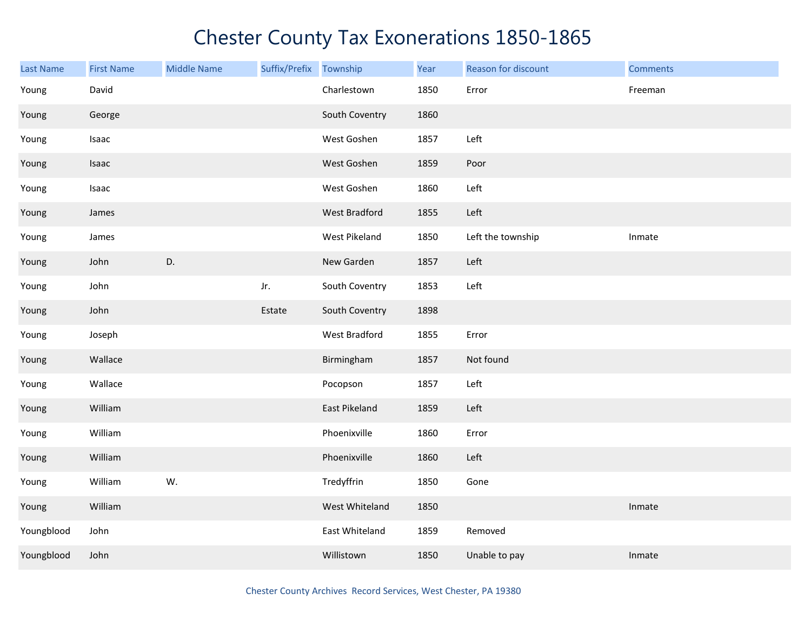| <b>Last Name</b> | <b>First Name</b> | <b>Middle Name</b> | Suffix/Prefix | Township       | Year | Reason for discount | <b>Comments</b> |
|------------------|-------------------|--------------------|---------------|----------------|------|---------------------|-----------------|
| Young            | David             |                    |               | Charlestown    | 1850 | Error               | Freeman         |
| Young            | George            |                    |               | South Coventry | 1860 |                     |                 |
| Young            | Isaac             |                    |               | West Goshen    | 1857 | Left                |                 |
| Young            | Isaac             |                    |               | West Goshen    | 1859 | Poor                |                 |
| Young            | Isaac             |                    |               | West Goshen    | 1860 | Left                |                 |
| Young            | James             |                    |               | West Bradford  | 1855 | Left                |                 |
| Young            | James             |                    |               | West Pikeland  | 1850 | Left the township   | Inmate          |
| Young            | John              | D.                 |               | New Garden     | 1857 | Left                |                 |
| Young            | John              |                    | Jr.           | South Coventry | 1853 | Left                |                 |
| Young            | John              |                    | Estate        | South Coventry | 1898 |                     |                 |
| Young            | Joseph            |                    |               | West Bradford  | 1855 | Error               |                 |
| Young            | Wallace           |                    |               | Birmingham     | 1857 | Not found           |                 |
| Young            | Wallace           |                    |               | Pocopson       | 1857 | Left                |                 |
| Young            | William           |                    |               | East Pikeland  | 1859 | Left                |                 |
| Young            | William           |                    |               | Phoenixville   | 1860 | Error               |                 |
| Young            | William           |                    |               | Phoenixville   | 1860 | Left                |                 |
| Young            | William           | W.                 |               | Tredyffrin     | 1850 | Gone                |                 |
| Young            | William           |                    |               | West Whiteland | 1850 |                     | Inmate          |
| Youngblood       | John              |                    |               | East Whiteland | 1859 | Removed             |                 |
| Youngblood       | John              |                    |               | Willistown     | 1850 | Unable to pay       | Inmate          |